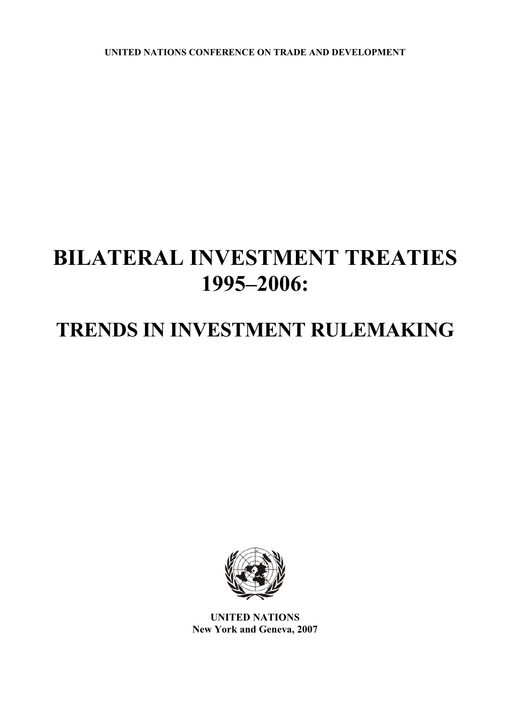**UNITED NATIONS CONFERENCE ON TRADE AND DEVELOPMENT** 

# **BILATERAL INVESTMENT TREATIES 1995–2006:**

# **TRENDS IN INVESTMENT RULEMAKING**



**UNITED NATIONS New York and Geneva, 2007**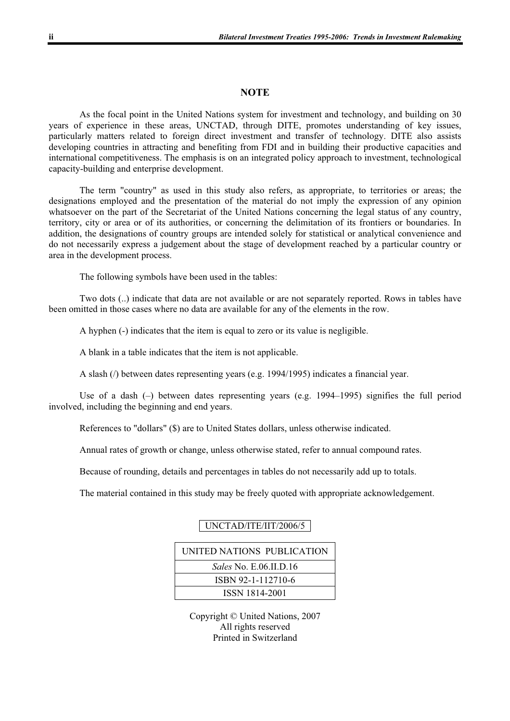## **NOTE**

As the focal point in the United Nations system for investment and technology, and building on 30 years of experience in these areas, UNCTAD, through DITE, promotes understanding of key issues, particularly matters related to foreign direct investment and transfer of technology. DITE also assists developing countries in attracting and benefiting from FDI and in building their productive capacities and international competitiveness. The emphasis is on an integrated policy approach to investment, technological capacity-building and enterprise development.

The term "country" as used in this study also refers, as appropriate, to territories or areas; the designations employed and the presentation of the material do not imply the expression of any opinion whatsoever on the part of the Secretariat of the United Nations concerning the legal status of any country, territory, city or area or of its authorities, or concerning the delimitation of its frontiers or boundaries. In addition, the designations of country groups are intended solely for statistical or analytical convenience and do not necessarily express a judgement about the stage of development reached by a particular country or area in the development process.

The following symbols have been used in the tables:

Two dots (..) indicate that data are not available or are not separately reported. Rows in tables have been omitted in those cases where no data are available for any of the elements in the row.

A hyphen (-) indicates that the item is equal to zero or its value is negligible.

A blank in a table indicates that the item is not applicable.

A slash (/) between dates representing years (e.g. 1994/1995) indicates a financial year.

Use of a dash  $(-)$  between dates representing years (e.g. 1994–1995) signifies the full period involved, including the beginning and end years.

References to "dollars" (\$) are to United States dollars, unless otherwise indicated.

Annual rates of growth or change, unless otherwise stated, refer to annual compound rates.

Because of rounding, details and percentages in tables do not necessarily add up to totals.

The material contained in this study may be freely quoted with appropriate acknowledgement.

## UNCTAD/ITE/IIT/2006/5

#### UNITED NATIONS PUBLICATION

| <i>Sales</i> No. E.06.II.D.16 |  |
|-------------------------------|--|
| ISBN 92-1-112710-6            |  |
| <b>ISSN 1814-2001</b>         |  |

Copyright © United Nations, 2007 All rights reserved Printed in Switzerland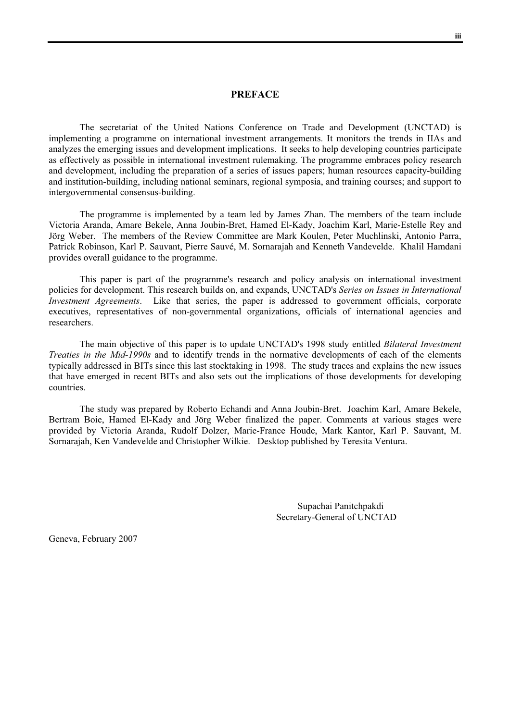# **PREFACE**

The secretariat of the United Nations Conference on Trade and Development (UNCTAD) is implementing a programme on international investment arrangements. It monitors the trends in IIAs and analyzes the emerging issues and development implications. It seeks to help developing countries participate as effectively as possible in international investment rulemaking. The programme embraces policy research and development, including the preparation of a series of issues papers; human resources capacity-building and institution-building, including national seminars, regional symposia, and training courses; and support to intergovernmental consensus-building.

The programme is implemented by a team led by James Zhan. The members of the team include Victoria Aranda, Amare Bekele, Anna Joubin-Bret, Hamed El-Kady, Joachim Karl, Marie-Estelle Rey and Jörg Weber. The members of the Review Committee are Mark Koulen, Peter Muchlinski, Antonio Parra, Patrick Robinson, Karl P. Sauvant, Pierre Sauvé, M. Sornarajah and Kenneth Vandevelde. Khalil Hamdani provides overall guidance to the programme.

This paper is part of the programme's research and policy analysis on international investment policies for development. This research builds on, and expands, UNCTAD's *Series on Issues in International Investment Agreements*. Like that series, the paper is addressed to government officials, corporate executives, representatives of non-governmental organizations, officials of international agencies and researchers.

The main objective of this paper is to update UNCTAD's 1998 study entitled *Bilateral Investment Treaties in the Mid-1990s* and to identify trends in the normative developments of each of the elements typically addressed in BITs since this last stocktaking in 1998. The study traces and explains the new issues that have emerged in recent BITs and also sets out the implications of those developments for developing countries.

The study was prepared by Roberto Echandi and Anna Joubin-Bret. Joachim Karl, Amare Bekele, Bertram Boie, Hamed El-Kady and Jörg Weber finalized the paper. Comments at various stages were provided by Victoria Aranda, Rudolf Dolzer, Marie-France Houde, Mark Kantor, Karl P. Sauvant, M. Sornarajah, Ken Vandevelde and Christopher Wilkie. Desktop published by Teresita Ventura.

> Supachai Panitchpakdi Secretary-General of UNCTAD

Geneva, February 2007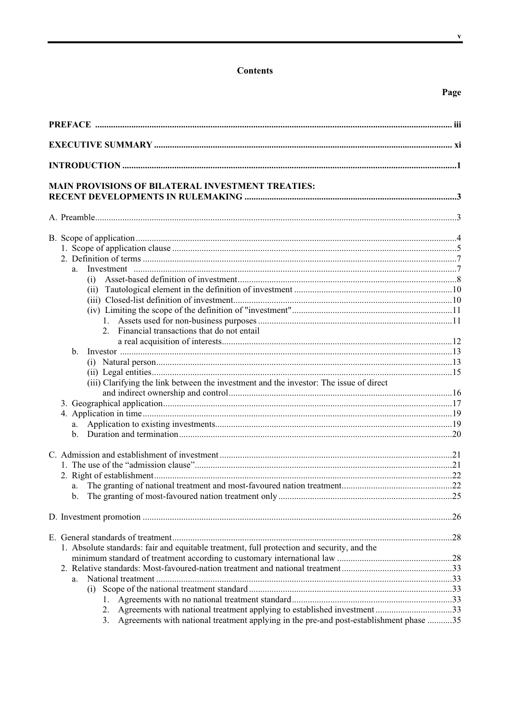# **Contents**

# Page

| <b>MAIN PROVISIONS OF BILATERAL INVESTMENT TREATIES:</b>                                                                                                                                                                                                                                 |  |
|------------------------------------------------------------------------------------------------------------------------------------------------------------------------------------------------------------------------------------------------------------------------------------------|--|
|                                                                                                                                                                                                                                                                                          |  |
| $a_{-}$<br>$\left( 1 \right)$<br>Financial transactions that do not entail<br>b.<br>(iii) Clarifying the link between the investment and the investor: The issue of direct<br>a.                                                                                                         |  |
|                                                                                                                                                                                                                                                                                          |  |
| 1. Absolute standards: fair and equitable treatment, full protection and security, and the<br>(i)<br>1.<br>Agreements with national treatment applying to established investment33<br>2.<br>Agreements with national treatment applying in the pre-and post-establishment phase 35<br>3. |  |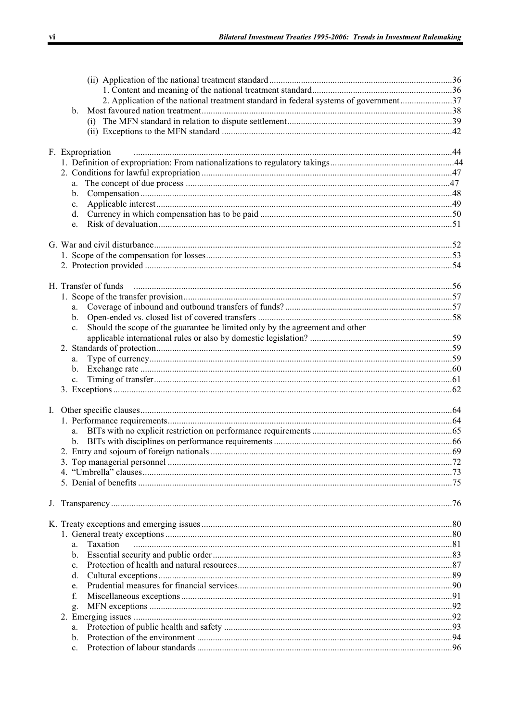|    |                | 2. Application of the national treatment standard in federal systems of government37 |  |
|----|----------------|--------------------------------------------------------------------------------------|--|
|    | $\mathbf{b}$ . |                                                                                      |  |
|    |                |                                                                                      |  |
|    |                |                                                                                      |  |
|    |                |                                                                                      |  |
|    |                | F. Expropriation                                                                     |  |
|    |                |                                                                                      |  |
|    |                |                                                                                      |  |
|    | a.             |                                                                                      |  |
|    | b.             |                                                                                      |  |
|    | $\mathbf{c}$ . |                                                                                      |  |
|    | d.             |                                                                                      |  |
|    | e.             |                                                                                      |  |
|    |                |                                                                                      |  |
|    |                |                                                                                      |  |
|    |                |                                                                                      |  |
|    |                |                                                                                      |  |
|    |                |                                                                                      |  |
|    |                |                                                                                      |  |
|    |                |                                                                                      |  |
|    | a.             |                                                                                      |  |
|    | $\mathbf{b}$ . |                                                                                      |  |
|    | $c_{\cdot}$    | Should the scope of the guarantee be limited only by the agreement and other         |  |
|    |                |                                                                                      |  |
|    |                |                                                                                      |  |
|    | a.             |                                                                                      |  |
|    | b.             |                                                                                      |  |
|    | c.             |                                                                                      |  |
|    |                |                                                                                      |  |
|    |                |                                                                                      |  |
| I. |                |                                                                                      |  |
|    |                |                                                                                      |  |
|    | a.             |                                                                                      |  |
|    | b.             |                                                                                      |  |
|    |                |                                                                                      |  |
|    |                |                                                                                      |  |
|    |                |                                                                                      |  |
|    |                |                                                                                      |  |
|    |                |                                                                                      |  |
|    |                |                                                                                      |  |
|    |                |                                                                                      |  |
|    |                |                                                                                      |  |
|    |                |                                                                                      |  |
|    | a.             | Taxation                                                                             |  |
|    | b.             |                                                                                      |  |
|    | $\mathbf{c}$ . |                                                                                      |  |
|    | d.             |                                                                                      |  |
|    | e.             |                                                                                      |  |
|    | f.             |                                                                                      |  |
|    | g.             |                                                                                      |  |
|    |                |                                                                                      |  |
|    | a.             |                                                                                      |  |
|    | b.             |                                                                                      |  |
|    | $\mathbf{c}$ . |                                                                                      |  |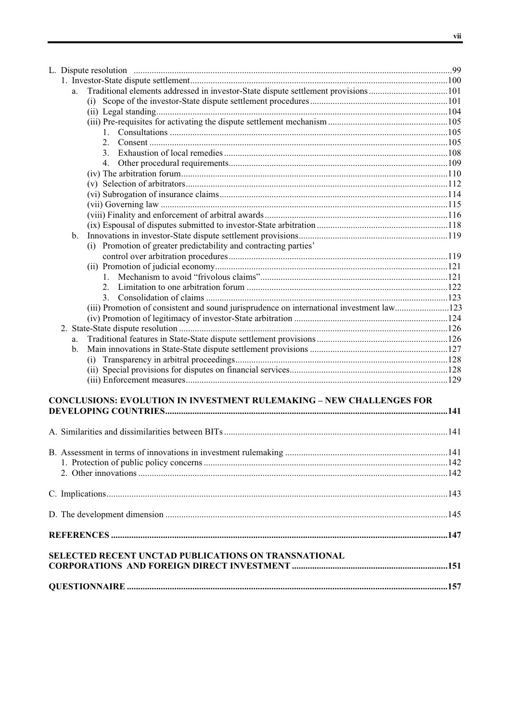| a. | Traditional elements addressed in investor-State dispute settlement provisions101        |  |
|----|------------------------------------------------------------------------------------------|--|
|    | (1)                                                                                      |  |
|    |                                                                                          |  |
|    |                                                                                          |  |
|    | 1.                                                                                       |  |
|    | 2.                                                                                       |  |
|    | 3.                                                                                       |  |
|    | 4.                                                                                       |  |
|    |                                                                                          |  |
|    |                                                                                          |  |
|    |                                                                                          |  |
|    |                                                                                          |  |
|    |                                                                                          |  |
|    |                                                                                          |  |
| b. |                                                                                          |  |
|    | Promotion of greater predictability and contracting parties'<br>(1)                      |  |
|    |                                                                                          |  |
|    |                                                                                          |  |
|    | 1.                                                                                       |  |
|    | 2.                                                                                       |  |
|    | 3.                                                                                       |  |
|    | (iii) Promotion of consistent and sound jurisprudence on international investment law123 |  |
|    |                                                                                          |  |
|    |                                                                                          |  |
| a. |                                                                                          |  |
| b. |                                                                                          |  |
|    | (i)                                                                                      |  |
|    |                                                                                          |  |
|    |                                                                                          |  |
|    | <b>CONCLUSIONS: EVOLUTION IN INVESTMENT RULEMAKING - NEW CHALLENGES FOR</b>              |  |
|    |                                                                                          |  |
|    |                                                                                          |  |
|    |                                                                                          |  |
|    |                                                                                          |  |
|    |                                                                                          |  |
|    |                                                                                          |  |
|    |                                                                                          |  |
|    |                                                                                          |  |
|    |                                                                                          |  |
|    | SELECTED RECENT UNCTAD PUBLICATIONS ON TRANSNATIONAL                                     |  |
|    |                                                                                          |  |
|    |                                                                                          |  |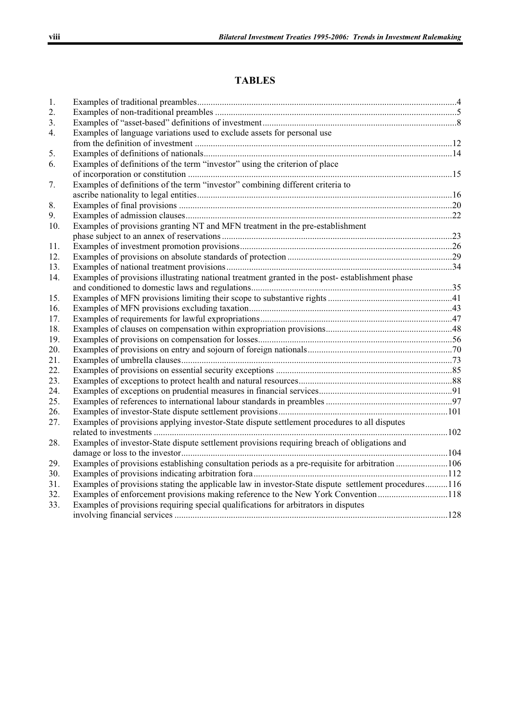# **TABLES**

| 1.               |                                                                                                      |  |
|------------------|------------------------------------------------------------------------------------------------------|--|
| 2.               |                                                                                                      |  |
| $\overline{3}$ . |                                                                                                      |  |
| 4.               | Examples of language variations used to exclude assets for personal use                              |  |
|                  |                                                                                                      |  |
| 5.               |                                                                                                      |  |
| 6.               | Examples of definitions of the term "investor" using the criterion of place                          |  |
|                  |                                                                                                      |  |
| 7.               | Examples of definitions of the term "investor" combining different criteria to                       |  |
|                  |                                                                                                      |  |
| 8.               |                                                                                                      |  |
| 9.               |                                                                                                      |  |
| 10.              | Examples of provisions granting NT and MFN treatment in the pre-establishment                        |  |
|                  |                                                                                                      |  |
| 11.              |                                                                                                      |  |
| 12.              |                                                                                                      |  |
| 13.              |                                                                                                      |  |
| 14.              | Examples of provisions illustrating national treatment granted in the post-establishment phase       |  |
|                  |                                                                                                      |  |
| 15.              |                                                                                                      |  |
| 16.              |                                                                                                      |  |
| 17.              |                                                                                                      |  |
| 18.              |                                                                                                      |  |
| 19.              |                                                                                                      |  |
| 20.              |                                                                                                      |  |
| 21.              |                                                                                                      |  |
| 22.              |                                                                                                      |  |
| 23.              |                                                                                                      |  |
| 24.              |                                                                                                      |  |
| 25.              |                                                                                                      |  |
| 26.              |                                                                                                      |  |
| 27.              | Examples of provisions applying investor-State dispute settlement procedures to all disputes         |  |
|                  |                                                                                                      |  |
| 28.              | Examples of investor-State dispute settlement provisions requiring breach of obligations and         |  |
|                  |                                                                                                      |  |
| 29.              | Examples of provisions establishing consultation periods as a pre-requisite for arbitration 106      |  |
| 30.              |                                                                                                      |  |
| 31.              | Examples of provisions stating the applicable law in investor-State dispute settlement procedures116 |  |
| 32.              | Examples of enforcement provisions making reference to the New York Convention 118                   |  |
| 33.              | Examples of provisions requiring special qualifications for arbitrators in disputes                  |  |
|                  |                                                                                                      |  |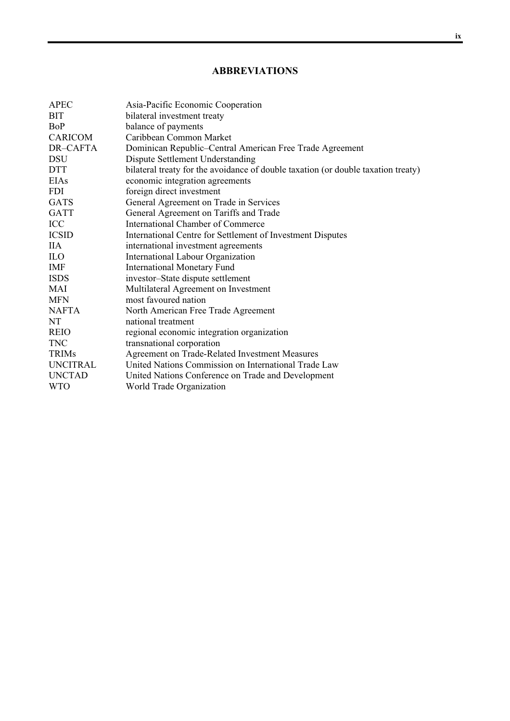# **ABBREVIATIONS**

| <b>APEC</b>             | Asia-Pacific Economic Cooperation                                                 |
|-------------------------|-----------------------------------------------------------------------------------|
| <b>BIT</b>              | bilateral investment treaty                                                       |
| <b>B</b> <sub>o</sub> P | balance of payments                                                               |
| <b>CARICOM</b>          | Caribbean Common Market                                                           |
| DR-CAFTA                | Dominican Republic–Central American Free Trade Agreement                          |
| <b>DSU</b>              | Dispute Settlement Understanding                                                  |
| <b>DTT</b>              | bilateral treaty for the avoidance of double taxation (or double taxation treaty) |
| EIAs                    | economic integration agreements                                                   |
| <b>FDI</b>              | foreign direct investment                                                         |
| <b>GATS</b>             | General Agreement on Trade in Services                                            |
| <b>GATT</b>             | General Agreement on Tariffs and Trade                                            |
| ICC                     | International Chamber of Commerce                                                 |
| <b>ICSID</b>            | International Centre for Settlement of Investment Disputes                        |
| IIA.                    | international investment agreements                                               |
| <b>ILO</b>              | <b>International Labour Organization</b>                                          |
| IMF                     | <b>International Monetary Fund</b>                                                |
| <b>ISDS</b>             | investor-State dispute settlement                                                 |
| MAI                     | Multilateral Agreement on Investment                                              |
| <b>MFN</b>              | most favoured nation                                                              |
| <b>NAFTA</b>            | North American Free Trade Agreement                                               |
| <b>NT</b>               | national treatment                                                                |
| <b>REIO</b>             | regional economic integration organization                                        |
| <b>TNC</b>              | transnational corporation                                                         |
| <b>TRIMs</b>            | Agreement on Trade-Related Investment Measures                                    |
| <b>UNCITRAL</b>         | United Nations Commission on International Trade Law                              |
| <b>UNCTAD</b>           | United Nations Conference on Trade and Development                                |
| <b>WTO</b>              | World Trade Organization                                                          |
|                         |                                                                                   |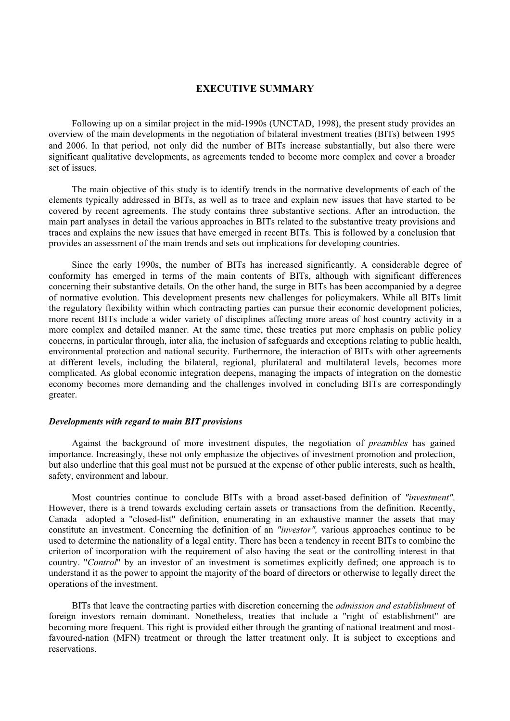# **EXECUTIVE SUMMARY**

Following up on a similar project in the mid-1990s (UNCTAD, 1998), the present study provides an overview of the main developments in the negotiation of bilateral investment treaties (BITs) between 1995 and 2006. In that period, not only did the number of BITs increase substantially, but also there were significant qualitative developments, as agreements tended to become more complex and cover a broader set of issues.

The main objective of this study is to identify trends in the normative developments of each of the elements typically addressed in BITs, as well as to trace and explain new issues that have started to be covered by recent agreements. The study contains three substantive sections. After an introduction, the main part analyses in detail the various approaches in BITs related to the substantive treaty provisions and traces and explains the new issues that have emerged in recent BITs. This is followed by a conclusion that provides an assessment of the main trends and sets out implications for developing countries.

Since the early 1990s, the number of BITs has increased significantly. A considerable degree of conformity has emerged in terms of the main contents of BITs, although with significant differences concerning their substantive details. On the other hand, the surge in BITs has been accompanied by a degree of normative evolution. This development presents new challenges for policymakers. While all BITs limit the regulatory flexibility within which contracting parties can pursue their economic development policies, more recent BITs include a wider variety of disciplines affecting more areas of host country activity in a more complex and detailed manner. At the same time, these treaties put more emphasis on public policy concerns, in particular through, inter alia, the inclusion of safeguards and exceptions relating to public health, environmental protection and national security. Furthermore, the interaction of BITs with other agreements at different levels, including the bilateral, regional, plurilateral and multilateral levels, becomes more complicated. As global economic integration deepens, managing the impacts of integration on the domestic economy becomes more demanding and the challenges involved in concluding BITs are correspondingly greater.

# *Developments with regard to main BIT provisions*

Against the background of more investment disputes, the negotiation of *preambles* has gained importance. Increasingly, these not only emphasize the objectives of investment promotion and protection, but also underline that this goal must not be pursued at the expense of other public interests, such as health, safety, environment and labour.

Most countries continue to conclude BITs with a broad asset-based definition of *"investment"*. However, there is a trend towards excluding certain assets or transactions from the definition. Recently, Canada adopted a "closed-list" definition, enumerating in an exhaustive manner the assets that may constitute an investment. Concerning the definition of an *"investor",* various approaches continue to be used to determine the nationality of a legal entity. There has been a tendency in recent BITs to combine the criterion of incorporation with the requirement of also having the seat or the controlling interest in that country. "*Control*" by an investor of an investment is sometimes explicitly defined; one approach is to understand it as the power to appoint the majority of the board of directors or otherwise to legally direct the operations of the investment.

BITs that leave the contracting parties with discretion concerning the *admission and establishment* of foreign investors remain dominant. Nonetheless, treaties that include a "right of establishment" are becoming more frequent. This right is provided either through the granting of national treatment and mostfavoured-nation (MFN) treatment or through the latter treatment only. It is subject to exceptions and reservations.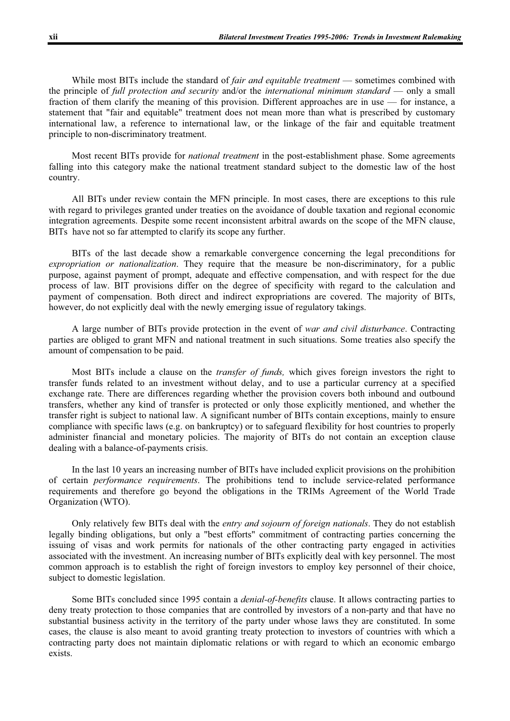While most BITs include the standard of *fair and equitable treatment* — sometimes combined with the principle of *full protection and security* and/or the *international minimum standard* — only a small fraction of them clarify the meaning of this provision. Different approaches are in use — for instance, a statement that "fair and equitable" treatment does not mean more than what is prescribed by customary international law, a reference to international law, or the linkage of the fair and equitable treatment principle to non-discriminatory treatment.

Most recent BITs provide for *national treatment* in the post-establishment phase. Some agreements falling into this category make the national treatment standard subject to the domestic law of the host country.

All BITs under review contain the MFN principle. In most cases, there are exceptions to this rule with regard to privileges granted under treaties on the avoidance of double taxation and regional economic integration agreements. Despite some recent inconsistent arbitral awards on the scope of the MFN clause, BITs have not so far attempted to clarify its scope any further.

BITs of the last decade show a remarkable convergence concerning the legal preconditions for *expropriation or nationalization*. They require that the measure be non-discriminatory, for a public purpose, against payment of prompt, adequate and effective compensation, and with respect for the due process of law. BIT provisions differ on the degree of specificity with regard to the calculation and payment of compensation. Both direct and indirect expropriations are covered. The majority of BITs, however, do not explicitly deal with the newly emerging issue of regulatory takings.

A large number of BITs provide protection in the event of *war and civil disturbance*. Contracting parties are obliged to grant MFN and national treatment in such situations. Some treaties also specify the amount of compensation to be paid.

Most BITs include a clause on the *transfer of funds,* which gives foreign investors the right to transfer funds related to an investment without delay, and to use a particular currency at a specified exchange rate. There are differences regarding whether the provision covers both inbound and outbound transfers, whether any kind of transfer is protected or only those explicitly mentioned, and whether the transfer right is subject to national law. A significant number of BITs contain exceptions, mainly to ensure compliance with specific laws (e.g. on bankruptcy) or to safeguard flexibility for host countries to properly administer financial and monetary policies. The majority of BITs do not contain an exception clause dealing with a balance-of-payments crisis.

In the last 10 years an increasing number of BITs have included explicit provisions on the prohibition of certain *performance requirements*. The prohibitions tend to include service-related performance requirements and therefore go beyond the obligations in the TRIMs Agreement of the World Trade Organization (WTO).

Only relatively few BITs deal with the *entry and sojourn of foreign nationals*. They do not establish legally binding obligations, but only a "best efforts" commitment of contracting parties concerning the issuing of visas and work permits for nationals of the other contracting party engaged in activities associated with the investment. An increasing number of BITs explicitly deal with key personnel. The most common approach is to establish the right of foreign investors to employ key personnel of their choice, subject to domestic legislation.

Some BITs concluded since 1995 contain a *denial-of-benefits* clause. It allows contracting parties to deny treaty protection to those companies that are controlled by investors of a non-party and that have no substantial business activity in the territory of the party under whose laws they are constituted. In some cases, the clause is also meant to avoid granting treaty protection to investors of countries with which a contracting party does not maintain diplomatic relations or with regard to which an economic embargo exists.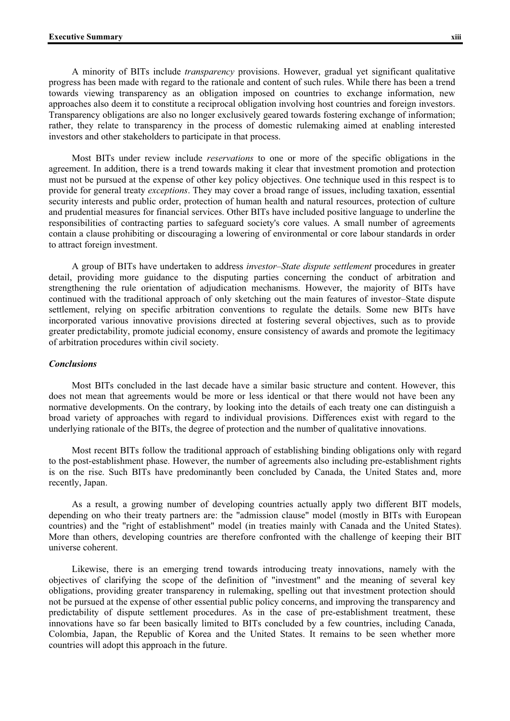A minority of BITs include *transparency* provisions. However, gradual yet significant qualitative progress has been made with regard to the rationale and content of such rules. While there has been a trend towards viewing transparency as an obligation imposed on countries to exchange information, new approaches also deem it to constitute a reciprocal obligation involving host countries and foreign investors. Transparency obligations are also no longer exclusively geared towards fostering exchange of information; rather, they relate to transparency in the process of domestic rulemaking aimed at enabling interested investors and other stakeholders to participate in that process.

Most BITs under review include *reservations* to one or more of the specific obligations in the agreement. In addition, there is a trend towards making it clear that investment promotion and protection must not be pursued at the expense of other key policy objectives. One technique used in this respect is to provide for general treaty *exceptions*. They may cover a broad range of issues, including taxation, essential security interests and public order, protection of human health and natural resources, protection of culture and prudential measures for financial services. Other BITs have included positive language to underline the responsibilities of contracting parties to safeguard society's core values. A small number of agreements contain a clause prohibiting or discouraging a lowering of environmental or core labour standards in order to attract foreign investment.

A group of BITs have undertaken to address *investor–State dispute settlement* procedures in greater detail, providing more guidance to the disputing parties concerning the conduct of arbitration and strengthening the rule orientation of adjudication mechanisms. However, the majority of BITs have continued with the traditional approach of only sketching out the main features of investor–State dispute settlement, relying on specific arbitration conventions to regulate the details. Some new BITs have incorporated various innovative provisions directed at fostering several objectives, such as to provide greater predictability, promote judicial economy, ensure consistency of awards and promote the legitimacy of arbitration procedures within civil society.

#### *Conclusions*

Most BITs concluded in the last decade have a similar basic structure and content. However, this does not mean that agreements would be more or less identical or that there would not have been any normative developments. On the contrary, by looking into the details of each treaty one can distinguish a broad variety of approaches with regard to individual provisions. Differences exist with regard to the underlying rationale of the BITs, the degree of protection and the number of qualitative innovations.

Most recent BITs follow the traditional approach of establishing binding obligations only with regard to the post-establishment phase. However, the number of agreements also including pre-establishment rights is on the rise. Such BITs have predominantly been concluded by Canada, the United States and, more recently, Japan.

As a result, a growing number of developing countries actually apply two different BIT models, depending on who their treaty partners are: the "admission clause" model (mostly in BITs with European countries) and the "right of establishment" model (in treaties mainly with Canada and the United States). More than others, developing countries are therefore confronted with the challenge of keeping their BIT universe coherent.

Likewise, there is an emerging trend towards introducing treaty innovations, namely with the objectives of clarifying the scope of the definition of "investment" and the meaning of several key obligations, providing greater transparency in rulemaking, spelling out that investment protection should not be pursued at the expense of other essential public policy concerns, and improving the transparency and predictability of dispute settlement procedures. As in the case of pre-establishment treatment, these innovations have so far been basically limited to BITs concluded by a few countries, including Canada, Colombia, Japan, the Republic of Korea and the United States. It remains to be seen whether more countries will adopt this approach in the future.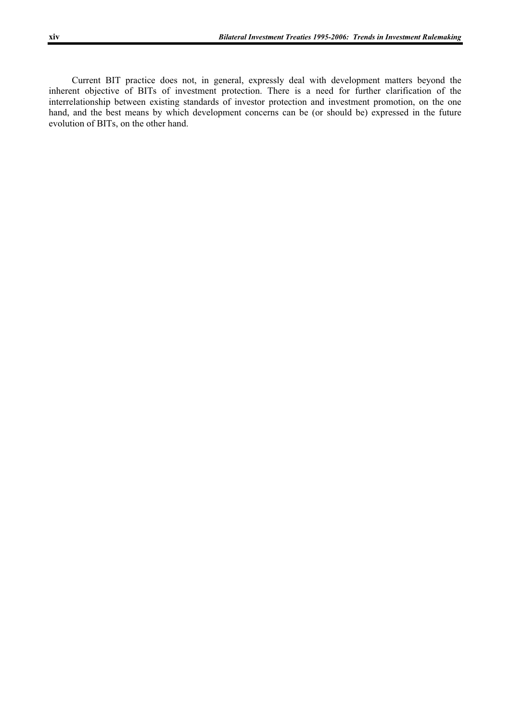Current BIT practice does not, in general, expressly deal with development matters beyond the inherent objective of BITs of investment protection. There is a need for further clarification of the interrelationship between existing standards of investor protection and investment promotion, on the one hand, and the best means by which development concerns can be (or should be) expressed in the future evolution of BITs, on the other hand.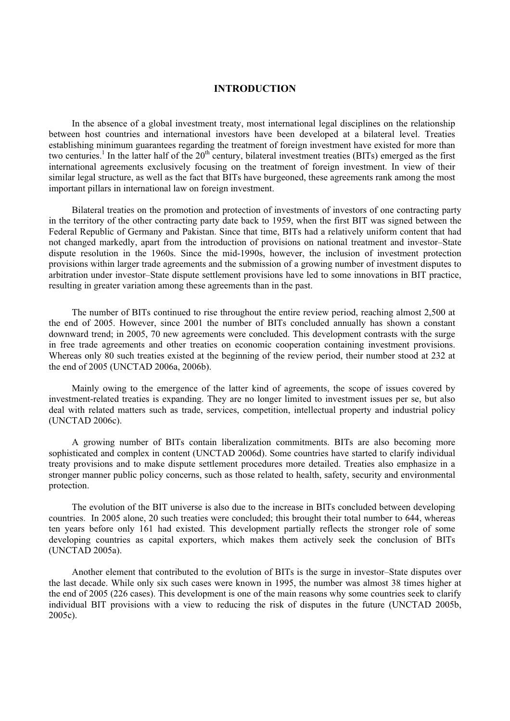# **INTRODUCTION**

In the absence of a global investment treaty, most international legal disciplines on the relationship between host countries and international investors have been developed at a bilateral level. Treaties establishing minimum guarantees regarding the treatment of foreign investment have existed for more than two centuries.<sup>1</sup> In the latter half of the  $20<sup>th</sup>$  century, bilateral investment treaties (BITs) emerged as the first international agreements exclusively focusing on the treatment of foreign investment. In view of their similar legal structure, as well as the fact that BITs have burgeoned, these agreements rank among the most important pillars in international law on foreign investment.

Bilateral treaties on the promotion and protection of investments of investors of one contracting party in the territory of the other contracting party date back to 1959, when the first BIT was signed between the Federal Republic of Germany and Pakistan. Since that time, BITs had a relatively uniform content that had not changed markedly, apart from the introduction of provisions on national treatment and investor–State dispute resolution in the 1960s. Since the mid-1990s, however, the inclusion of investment protection provisions within larger trade agreements and the submission of a growing number of investment disputes to arbitration under investor–State dispute settlement provisions have led to some innovations in BIT practice, resulting in greater variation among these agreements than in the past.

The number of BITs continued to rise throughout the entire review period, reaching almost 2,500 at the end of 2005. However, since 2001 the number of BITs concluded annually has shown a constant downward trend; in 2005, 70 new agreements were concluded. This development contrasts with the surge in free trade agreements and other treaties on economic cooperation containing investment provisions. Whereas only 80 such treaties existed at the beginning of the review period, their number stood at 232 at the end of 2005 (UNCTAD 2006a, 2006b).

Mainly owing to the emergence of the latter kind of agreements, the scope of issues covered by investment-related treaties is expanding. They are no longer limited to investment issues per se, but also deal with related matters such as trade, services, competition, intellectual property and industrial policy (UNCTAD 2006c).

A growing number of BITs contain liberalization commitments. BITs are also becoming more sophisticated and complex in content (UNCTAD 2006d). Some countries have started to clarify individual treaty provisions and to make dispute settlement procedures more detailed. Treaties also emphasize in a stronger manner public policy concerns, such as those related to health, safety, security and environmental protection.

The evolution of the BIT universe is also due to the increase in BITs concluded between developing countries. In 2005 alone, 20 such treaties were concluded; this brought their total number to 644, whereas ten years before only 161 had existed. This development partially reflects the stronger role of some developing countries as capital exporters, which makes them actively seek the conclusion of BITs (UNCTAD 2005a).

Another element that contributed to the evolution of BITs is the surge in investor–State disputes over the last decade. While only six such cases were known in 1995, the number was almost 38 times higher at the end of 2005 (226 cases). This development is one of the main reasons why some countries seek to clarify individual BIT provisions with a view to reducing the risk of disputes in the future (UNCTAD 2005b, 2005c).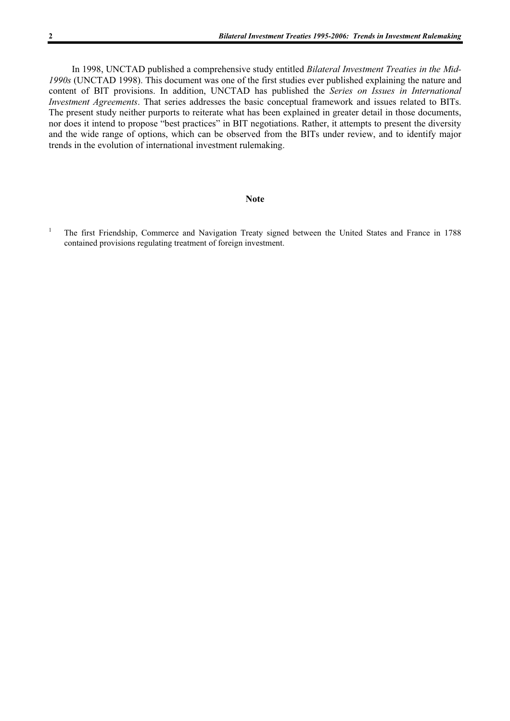In 1998, UNCTAD published a comprehensive study entitled *Bilateral Investment Treaties in the Mid-1990s* (UNCTAD 1998). This document was one of the first studies ever published explaining the nature and content of BIT provisions. In addition, UNCTAD has published the *Series on Issues in International Investment Agreements*. That series addresses the basic conceptual framework and issues related to BITs. The present study neither purports to reiterate what has been explained in greater detail in those documents, nor does it intend to propose "best practices" in BIT negotiations. Rather, it attempts to present the diversity and the wide range of options, which can be observed from the BITs under review, and to identify major trends in the evolution of international investment rulemaking.

#### **Note**

<sup>1</sup> The first Friendship, Commerce and Navigation Treaty signed between the United States and France in 1788 contained provisions regulating treatment of foreign investment.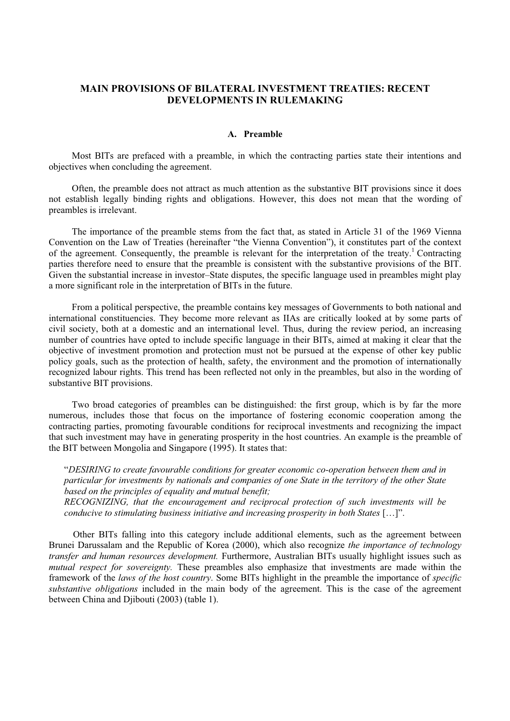# **MAIN PROVISIONS OF BILATERAL INVESTMENT TREATIES: RECENT DEVELOPMENTS IN RULEMAKING**

#### **A. Preamble**

Most BITs are prefaced with a preamble, in which the contracting parties state their intentions and objectives when concluding the agreement.

Often, the preamble does not attract as much attention as the substantive BIT provisions since it does not establish legally binding rights and obligations. However, this does not mean that the wording of preambles is irrelevant.

The importance of the preamble stems from the fact that, as stated in Article 31 of the 1969 Vienna Convention on the Law of Treaties (hereinafter "the Vienna Convention"), it constitutes part of the context of the agreement. Consequently, the preamble is relevant for the interpretation of the treaty.<sup>1</sup> Contracting parties therefore need to ensure that the preamble is consistent with the substantive provisions of the BIT. Given the substantial increase in investor–State disputes, the specific language used in preambles might play a more significant role in the interpretation of BITs in the future.

From a political perspective, the preamble contains key messages of Governments to both national and international constituencies. They become more relevant as IIAs are critically looked at by some parts of civil society, both at a domestic and an international level. Thus, during the review period, an increasing number of countries have opted to include specific language in their BITs, aimed at making it clear that the objective of investment promotion and protection must not be pursued at the expense of other key public policy goals, such as the protection of health, safety, the environment and the promotion of internationally recognized labour rights. This trend has been reflected not only in the preambles, but also in the wording of substantive BIT provisions.

Two broad categories of preambles can be distinguished: the first group, which is by far the more numerous, includes those that focus on the importance of fostering economic cooperation among the contracting parties, promoting favourable conditions for reciprocal investments and recognizing the impact that such investment may have in generating prosperity in the host countries. An example is the preamble of the BIT between Mongolia and Singapore (1995). It states that:

"*DESIRING to create favourable conditions for greater economic co-operation between them and in particular for investments by nationals and companies of one State in the territory of the other State based on the principles of equality and mutual benefit; RECOGNIZING, that the encouragement and reciprocal protection of such investments will be* 

*conducive to stimulating business initiative and increasing prosperity in both States* […]".

Other BITs falling into this category include additional elements, such as the agreement between Brunei Darussalam and the Republic of Korea (2000), which also recognize *the importance of technology transfer and human resources development.* Furthermore, Australian BITs usually highlight issues such as *mutual respect for sovereignty.* These preambles also emphasize that investments are made within the framework of the *laws of the host country*. Some BITs highlight in the preamble the importance of *specific substantive obligations* included in the main body of the agreement. This is the case of the agreement between China and Djibouti (2003) (table 1).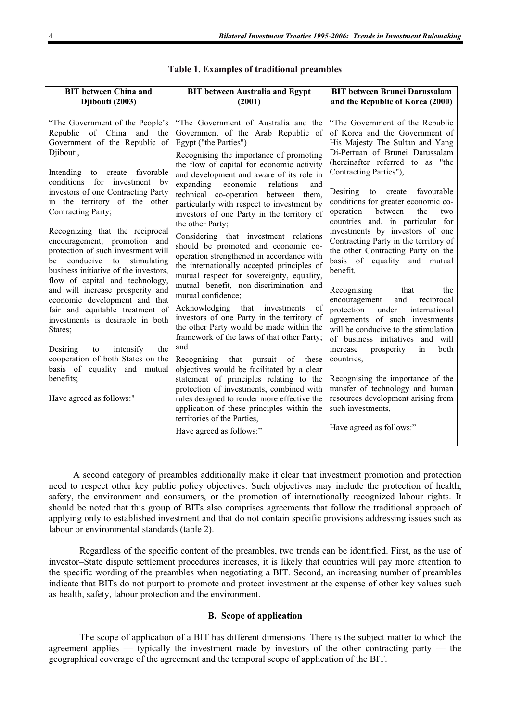| <b>BIT</b> between China and<br>Djibouti (2003)                                                                                                                                                                                                                                                                                                                                                                                                                                                                                                                                                                                                                                                                                                                                                                        | <b>BIT between Australia and Egypt</b><br>(2001)                                                                                                                                                                                                                                                                                                                                                                                                                                                                                                                                                                                                                                                                                                                                                                                                                                                                                                                                                                                                                                                                                                                                                                                                                 | <b>BIT between Brunei Darussalam</b><br>and the Republic of Korea (2000)                                                                                                                                                                                                                                                                                                                                                                                                                                                                                                                                                                                                                                                                                                                                                                                                                                                                                                       |
|------------------------------------------------------------------------------------------------------------------------------------------------------------------------------------------------------------------------------------------------------------------------------------------------------------------------------------------------------------------------------------------------------------------------------------------------------------------------------------------------------------------------------------------------------------------------------------------------------------------------------------------------------------------------------------------------------------------------------------------------------------------------------------------------------------------------|------------------------------------------------------------------------------------------------------------------------------------------------------------------------------------------------------------------------------------------------------------------------------------------------------------------------------------------------------------------------------------------------------------------------------------------------------------------------------------------------------------------------------------------------------------------------------------------------------------------------------------------------------------------------------------------------------------------------------------------------------------------------------------------------------------------------------------------------------------------------------------------------------------------------------------------------------------------------------------------------------------------------------------------------------------------------------------------------------------------------------------------------------------------------------------------------------------------------------------------------------------------|--------------------------------------------------------------------------------------------------------------------------------------------------------------------------------------------------------------------------------------------------------------------------------------------------------------------------------------------------------------------------------------------------------------------------------------------------------------------------------------------------------------------------------------------------------------------------------------------------------------------------------------------------------------------------------------------------------------------------------------------------------------------------------------------------------------------------------------------------------------------------------------------------------------------------------------------------------------------------------|
| "The Government of the People's<br>of China and the<br>Republic<br>Government of the Republic of<br>Djibouti,<br>Intending<br>to create favorable<br>conditions for investment<br>by<br>investors of one Contracting Party<br>in the territory of the other<br>Contracting Party;<br>Recognizing that the reciprocal<br>encouragement, promotion and<br>protection of such investment will<br>be<br>conducive to<br>stimulating<br>business initiative of the investors,<br>flow of capital and technology,<br>and will increase prosperity and<br>economic development and that<br>fair and equitable treatment of<br>investments is desirable in both<br>States:<br>Desiring<br>intensify<br>to<br>the<br>cooperation of both States on the<br>basis of equality and mutual<br>benefits;<br>Have agreed as follows:" | "The Government of Australia and the<br>Government of the Arab Republic of<br>Egypt ("the Parties")<br>Recognising the importance of promoting<br>the flow of capital for economic activity<br>and development and aware of its role in<br>expanding<br>economic<br>relations<br>and<br>technical co-operation between them,<br>particularly with respect to investment by<br>investors of one Party in the territory of<br>the other Party;<br>Considering that investment relations<br>should be promoted and economic co-<br>operation strengthened in accordance with<br>the internationally accepted principles of<br>mutual respect for sovereignty, equality,<br>mutual benefit, non-discrimination and<br>mutual confidence;<br>Acknowledging that investments<br>of<br>investors of one Party in the territory of<br>the other Party would be made within the<br>framework of the laws of that other Party;<br>and<br>Recognising that pursuit<br>of these<br>objectives would be facilitated by a clear<br>statement of principles relating to the<br>protection of investments, combined with<br>rules designed to render more effective the<br>application of these principles within the<br>territories of the Parties,<br>Have agreed as follows:" | "The Government of the Republic<br>of Korea and the Government of<br>His Majesty The Sultan and Yang<br>Di-Pertuan of Brunei Darussalam<br>(hereinafter referred to as "the<br>Contracting Parties"),<br>Desiring<br>favourable<br>to<br>create<br>conditions for greater economic co-<br>the<br>operation<br>between<br>two<br>countries and, in particular for<br>investments by investors of one<br>Contracting Party in the territory of<br>the other Contracting Party on the<br>basis of equality and mutual<br>benefit,<br>Recognising<br>that<br>the<br>encouragement<br>and<br>reciprocal<br>protection<br>international<br>under<br>agreements of such investments<br>will be conducive to the stimulation<br>of business initiatives and will<br>prosperity<br>both<br>increase<br>in<br>countries,<br>Recognising the importance of the<br>transfer of technology and human<br>resources development arising from<br>such investments,<br>Have agreed as follows:" |
|                                                                                                                                                                                                                                                                                                                                                                                                                                                                                                                                                                                                                                                                                                                                                                                                                        |                                                                                                                                                                                                                                                                                                                                                                                                                                                                                                                                                                                                                                                                                                                                                                                                                                                                                                                                                                                                                                                                                                                                                                                                                                                                  |                                                                                                                                                                                                                                                                                                                                                                                                                                                                                                                                                                                                                                                                                                                                                                                                                                                                                                                                                                                |

#### **Table 1. Examples of traditional preambles**

A second category of preambles additionally make it clear that investment promotion and protection need to respect other key public policy objectives. Such objectives may include the protection of health, safety, the environment and consumers, or the promotion of internationally recognized labour rights. It should be noted that this group of BITs also comprises agreements that follow the traditional approach of applying only to established investment and that do not contain specific provisions addressing issues such as labour or environmental standards (table 2).

Regardless of the specific content of the preambles, two trends can be identified. First, as the use of investor–State dispute settlement procedures increases, it is likely that countries will pay more attention to the specific wording of the preambles when negotiating a BIT. Second, an increasing number of preambles indicate that BITs do not purport to promote and protect investment at the expense of other key values such as health, safety, labour protection and the environment.

# **B. Scope of application**

The scope of application of a BIT has different dimensions. There is the subject matter to which the agreement applies — typically the investment made by investors of the other contracting party — the geographical coverage of the agreement and the temporal scope of application of the BIT.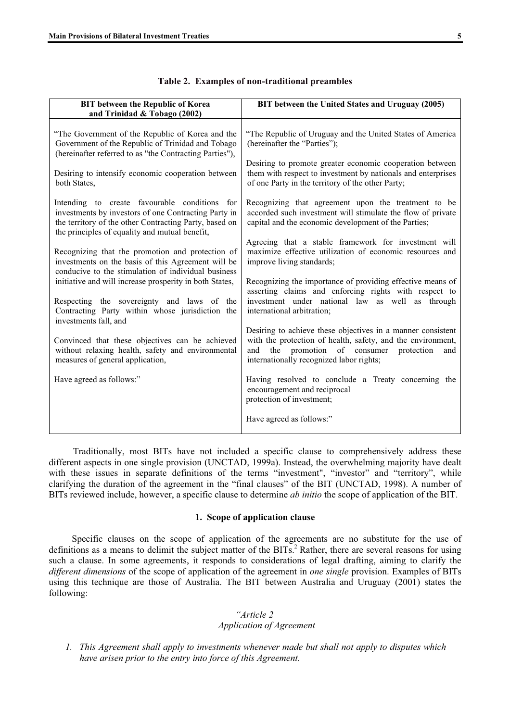| <b>BIT</b> between the Republic of Korea<br>and Trinidad & Tobago (2002)                                                                                                                                          | BIT between the United States and Uruguay (2005)                                                                                                                                                                                   |
|-------------------------------------------------------------------------------------------------------------------------------------------------------------------------------------------------------------------|------------------------------------------------------------------------------------------------------------------------------------------------------------------------------------------------------------------------------------|
| "The Government of the Republic of Korea and the<br>Government of the Republic of Trinidad and Tobago<br>(hereinafter referred to as "the Contracting Parties"),                                                  | "The Republic of Uruguay and the United States of America<br>(hereinafter the "Parties");                                                                                                                                          |
| Desiring to intensify economic cooperation between<br>both States,                                                                                                                                                | Desiring to promote greater economic cooperation between<br>them with respect to investment by nationals and enterprises<br>of one Party in the territory of the other Party;                                                      |
| Intending to create favourable conditions for<br>investments by investors of one Contracting Party in<br>the territory of the other Contracting Party, based on<br>the principles of equality and mutual benefit, | Recognizing that agreement upon the treatment to be<br>accorded such investment will stimulate the flow of private<br>capital and the economic development of the Parties;                                                         |
| Recognizing that the promotion and protection of<br>investments on the basis of this Agreement will be<br>conducive to the stimulation of individual business                                                     | Agreeing that a stable framework for investment will<br>maximize effective utilization of economic resources and<br>improve living standards;                                                                                      |
| initiative and will increase prosperity in both States,<br>Respecting the sovereignty and laws of the<br>Contracting Party within whose jurisdiction the                                                          | Recognizing the importance of providing effective means of<br>asserting claims and enforcing rights with respect to<br>investment under national law as well as through<br>international arbitration;                              |
| investments fall, and<br>Convinced that these objectives can be achieved<br>without relaxing health, safety and environmental<br>measures of general application,                                                 | Desiring to achieve these objectives in a manner consistent<br>with the protection of health, safety, and the environment,<br>promotion of consumer<br>the<br>protection<br>and<br>and<br>internationally recognized labor rights; |
| Have agreed as follows:"                                                                                                                                                                                          | Having resolved to conclude a Treaty concerning the<br>encouragement and reciprocal<br>protection of investment;                                                                                                                   |
|                                                                                                                                                                                                                   | Have agreed as follows:"                                                                                                                                                                                                           |

## **Table 2. Examples of non-traditional preambles**

Traditionally, most BITs have not included a specific clause to comprehensively address these different aspects in one single provision (UNCTAD, 1999a). Instead, the overwhelming majority have dealt with these issues in separate definitions of the terms "investment", "investor" and "territory", while clarifying the duration of the agreement in the "final clauses" of the BIT (UNCTAD, 1998). A number of BITs reviewed include, however, a specific clause to determine *ab initio* the scope of application of the BIT.

# **1. Scope of application clause**

Specific clauses on the scope of application of the agreements are no substitute for the use of definitions as a means to delimit the subject matter of the BITs.<sup>2</sup> Rather, there are several reasons for using such a clause. In some agreements, it responds to considerations of legal drafting, aiming to clarify the *different dimensions* of the scope of application of the agreement in *one single* provision. Examples of BITs using this technique are those of Australia. The BIT between Australia and Uruguay (2001) states the following:

# *"Article 2 Application of Agreement*

*1. This Agreement shall apply to investments whenever made but shall not apply to disputes which have arisen prior to the entry into force of this Agreement.*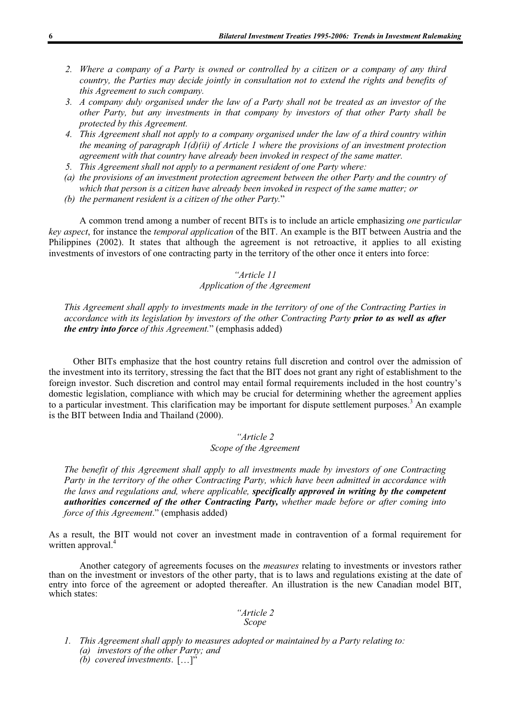- *2. Where a company of a Party is owned or controlled by a citizen or a company of any third country, the Parties may decide jointly in consultation not to extend the rights and benefits of this Agreement to such company.*
- *3. A company duly organised under the law of a Party shall not be treated as an investor of the other Party, but any investments in that company by investors of that other Party shall be protected by this Agreement.*
- *4. This Agreement shall not apply to a company organised under the law of a third country within the meaning of paragraph 1(d)(ii) of Article 1 where the provisions of an investment protection agreement with that country have already been invoked in respect of the same matter.*
- *5. This Agreement shall not apply to a permanent resident of one Party where:*
- *(a) the provisions of an investment protection agreement between the other Party and the country of which that person is a citizen have already been invoked in respect of the same matter; or*
- *(b) the permanent resident is a citizen of the other Party.*"

A common trend among a number of recent BITs is to include an article emphasizing *one particular key aspect*, for instance the *temporal application* of the BIT. An example is the BIT between Austria and the Philippines (2002). It states that although the agreement is not retroactive, it applies to all existing investments of investors of one contracting party in the territory of the other once it enters into force:

# *"Article 11*

# *Application of the Agreement*

*This Agreement shall apply to investments made in the territory of one of the Contracting Parties in accordance with its legislation by investors of the other Contracting Party prior to as well as after the entry into force of this Agreement.*" (emphasis added)

Other BITs emphasize that the host country retains full discretion and control over the admission of the investment into its territory, stressing the fact that the BIT does not grant any right of establishment to the foreign investor. Such discretion and control may entail formal requirements included in the host country's domestic legislation, compliance with which may be crucial for determining whether the agreement applies to a particular investment. This clarification may be important for dispute settlement purposes.<sup>3</sup> An example is the BIT between India and Thailand (2000).

# *"Article 2 Scope of the Agreement*

*The benefit of this Agreement shall apply to all investments made by investors of one Contracting Party in the territory of the other Contracting Party, which have been admitted in accordance with the laws and regulations and, where applicable, specifically approved in writing by the competent authorities concerned of the other Contracting Party, whether made before or after coming into force of this Agreement*." (emphasis added)

As a result, the BIT would not cover an investment made in contravention of a formal requirement for written approval.<sup>4</sup>

Another category of agreements focuses on the *measures* relating to investments or investors rather than on the investment or investors of the other party, that is to laws and regulations existing at the date of entry into force of the agreement or adopted thereafter. An illustration is the new Canadian model BIT, which states:

#### *"Article 2 Scope*

*1. This Agreement shall apply to measures adopted or maintained by a Party relating to: (a) investors of the other Party; and (b) covered investments*. […]"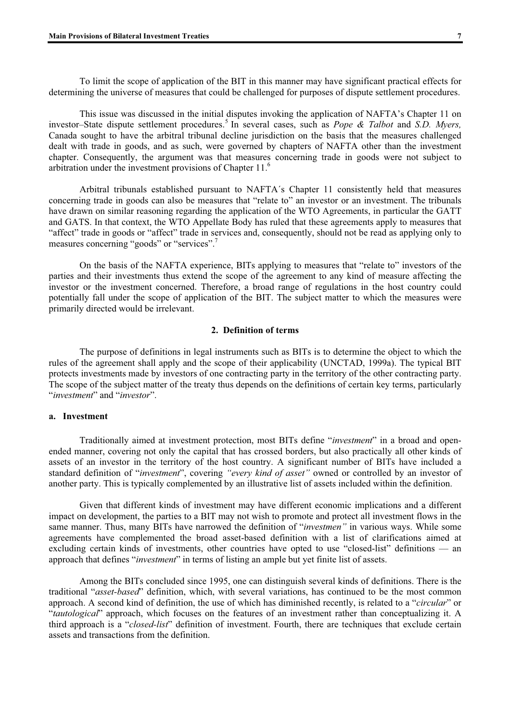To limit the scope of application of the BIT in this manner may have significant practical effects for determining the universe of measures that could be challenged for purposes of dispute settlement procedures.

This issue was discussed in the initial disputes invoking the application of NAFTA's Chapter 11 on investor–State dispute settlement procedures.<sup>5</sup> In several cases, such as *Pope & Talbot* and *S.D. Myers*, Canada sought to have the arbitral tribunal decline jurisdiction on the basis that the measures challenged dealt with trade in goods, and as such, were governed by chapters of NAFTA other than the investment chapter. Consequently, the argument was that measures concerning trade in goods were not subject to arbitration under the investment provisions of Chapter 11.6

Arbitral tribunals established pursuant to NAFTA´s Chapter 11 consistently held that measures concerning trade in goods can also be measures that "relate to" an investor or an investment. The tribunals have drawn on similar reasoning regarding the application of the WTO Agreements, in particular the GATT and GATS. In that context, the WTO Appellate Body has ruled that these agreements apply to measures that "affect" trade in goods or "affect" trade in services and, consequently, should not be read as applying only to measures concerning "goods" or "services".<sup>7</sup>

On the basis of the NAFTA experience, BITs applying to measures that "relate to" investors of the parties and their investments thus extend the scope of the agreement to any kind of measure affecting the investor or the investment concerned. Therefore, a broad range of regulations in the host country could potentially fall under the scope of application of the BIT. The subject matter to which the measures were primarily directed would be irrelevant.

# **2. Definition of terms**

The purpose of definitions in legal instruments such as BITs is to determine the object to which the rules of the agreement shall apply and the scope of their applicability (UNCTAD, 1999a). The typical BIT protects investments made by investors of one contracting party in the territory of the other contracting party. The scope of the subject matter of the treaty thus depends on the definitions of certain key terms, particularly "*investment*" and "*investor*".

# **a. Investment**

Traditionally aimed at investment protection, most BITs define "*investment*" in a broad and openended manner, covering not only the capital that has crossed borders, but also practically all other kinds of assets of an investor in the territory of the host country. A significant number of BITs have included a standard definition of "*investment*", covering *"every kind of asset"* owned or controlled by an investor of another party. This is typically complemented by an illustrative list of assets included within the definition.

Given that different kinds of investment may have different economic implications and a different impact on development, the parties to a BIT may not wish to promote and protect all investment flows in the same manner. Thus, many BITs have narrowed the definition of "*investmen"* in various ways. While some agreements have complemented the broad asset-based definition with a list of clarifications aimed at excluding certain kinds of investments, other countries have opted to use "closed-list" definitions — an approach that defines "*investment*" in terms of listing an ample but yet finite list of assets.

Among the BITs concluded since 1995, one can distinguish several kinds of definitions. There is the traditional "*asset-based*" definition, which, with several variations, has continued to be the most common approach. A second kind of definition, the use of which has diminished recently, is related to a "*circular*" or "*tautological*" approach, which focuses on the features of an investment rather than conceptualizing it. A third approach is a "*closed-list*" definition of investment. Fourth, there are techniques that exclude certain assets and transactions from the definition.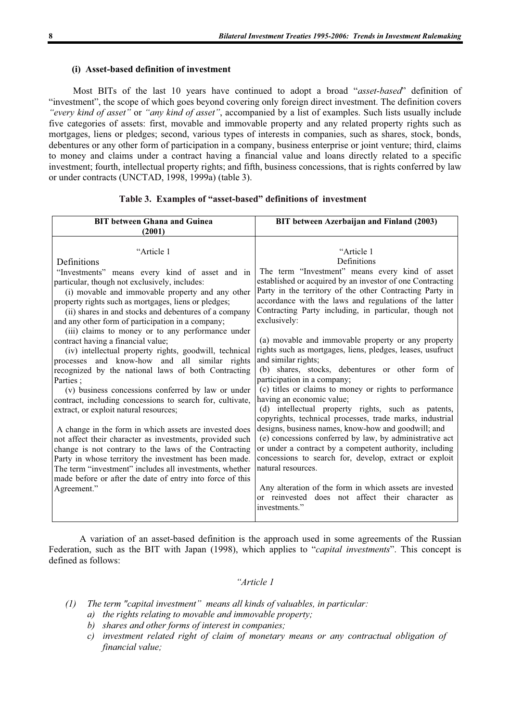#### **(i) Asset-based definition of investment**

Most BITs of the last 10 years have continued to adopt a broad "*asset-based*" definition of "investment", the scope of which goes beyond covering only foreign direct investment. The definition covers *"every kind of asset"* or *"any kind of asset"*, accompanied by a list of examples. Such lists usually include five categories of assets: first, movable and immovable property and any related property rights such as mortgages, liens or pledges; second, various types of interests in companies, such as shares, stock, bonds, debentures or any other form of participation in a company, business enterprise or joint venture; third, claims to money and claims under a contract having a financial value and loans directly related to a specific investment; fourth, intellectual property rights; and fifth, business concessions, that is rights conferred by law or under contracts (UNCTAD, 1998, 1999a) (table 3).

| (2001)                                                                                                                                                                                                                                                                                                                                                                                                                                                                                                                                                                                                                                                                                                                                                                                                                                                                                                                                                                                                                                                                                                                                                                                                                                                                                                                                  |                                                                                                                                                                                                                                                                                                                                                                                                                                                                                                                                                                                                                                                                                                                                                                                                                                                                                                                                                                                                                      |
|-----------------------------------------------------------------------------------------------------------------------------------------------------------------------------------------------------------------------------------------------------------------------------------------------------------------------------------------------------------------------------------------------------------------------------------------------------------------------------------------------------------------------------------------------------------------------------------------------------------------------------------------------------------------------------------------------------------------------------------------------------------------------------------------------------------------------------------------------------------------------------------------------------------------------------------------------------------------------------------------------------------------------------------------------------------------------------------------------------------------------------------------------------------------------------------------------------------------------------------------------------------------------------------------------------------------------------------------|----------------------------------------------------------------------------------------------------------------------------------------------------------------------------------------------------------------------------------------------------------------------------------------------------------------------------------------------------------------------------------------------------------------------------------------------------------------------------------------------------------------------------------------------------------------------------------------------------------------------------------------------------------------------------------------------------------------------------------------------------------------------------------------------------------------------------------------------------------------------------------------------------------------------------------------------------------------------------------------------------------------------|
| "Article 1<br>Definitions<br>"Investments" means every kind of asset and in<br>particular, though not exclusively, includes:<br>(i) movable and immovable property and any other<br>property rights such as mortgages, liens or pledges;<br>(ii) shares in and stocks and debentures of a company<br>exclusively:<br>and any other form of participation in a company;<br>(iii) claims to money or to any performance under<br>contract having a financial value;<br>(iv) intellectual property rights, goodwill, technical<br>and similar rights;<br>processes and know-how and all similar rights<br>recognized by the national laws of both Contracting<br>participation in a company;<br>Parties;<br>(v) business concessions conferred by law or under<br>having an economic value;<br>contract, including concessions to search for, cultivate,<br>extract, or exploit natural resources;<br>A change in the form in which assets are invested does<br>not affect their character as investments, provided such<br>change is not contrary to the laws of the Contracting<br>Party in whose territory the investment has been made.<br>natural resources.<br>The term "investment" includes all investments, whether<br>made before or after the date of entry into force of this<br>Agreement."<br>or reinvested<br>investments." | "Article 1<br>Definitions<br>The term "Investment" means every kind of asset<br>established or acquired by an investor of one Contracting<br>Party in the territory of the other Contracting Party in<br>accordance with the laws and regulations of the latter<br>Contracting Party including, in particular, though not<br>(a) movable and immovable property or any property<br>rights such as mortgages, liens, pledges, leases, usufruct<br>(b) shares, stocks, debentures or other form of<br>(c) titles or claims to money or rights to performance<br>(d) intellectual property rights, such as patents,<br>copyrights, technical processes, trade marks, industrial<br>designs, business names, know-how and goodwill; and<br>(e) concessions conferred by law, by administrative act<br>or under a contract by a competent authority, including<br>concessions to search for, develop, extract or exploit<br>Any alteration of the form in which assets are invested<br>does not affect their character as |

## **Table 3. Examples of "asset-based" definitions of investment**

A variation of an asset-based definition is the approach used in some agreements of the Russian Federation, such as the BIT with Japan (1998), which applies to "*capital investments*". This concept is defined as follows:

# *"Article 1*

- *(1) The term "capital investment" means all kinds of valuables, in particular:* 
	- *a) the rights relating to movable and immovable property;*
	- *b) shares and other forms of interest in companies;*
	- *c) investment related right of claim of monetary means or any contractual obligation of financial value;*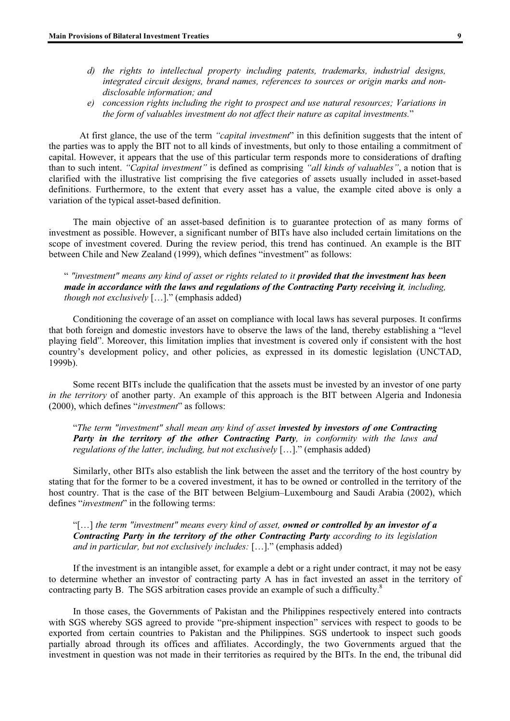- 
- *d) the rights to intellectual property including patents, trademarks, industrial designs, integrated circuit designs, brand names, references to sources or origin marks and nondisclosable information; and*
- *e) concession rights including the right to prospect and use natural resources; Variations in the form of valuables investment do not affect their nature as capital investments.*"

At first glance, the use of the term *"capital investment*" in this definition suggests that the intent of the parties was to apply the BIT not to all kinds of investments, but only to those entailing a commitment of capital. However, it appears that the use of this particular term responds more to considerations of drafting than to such intent. *"Capital investment"* is defined as comprising *"all kinds of valuables"*, a notion that is clarified with the illustrative list comprising the five categories of assets usually included in asset-based definitions. Furthermore, to the extent that every asset has a value, the example cited above is only a variation of the typical asset-based definition.

The main objective of an asset-based definition is to guarantee protection of as many forms of investment as possible. However, a significant number of BITs have also included certain limitations on the scope of investment covered. During the review period, this trend has continued. An example is the BIT between Chile and New Zealand (1999), which defines "investment" as follows:

" *"investment" means any kind of asset or rights related to it provided that the investment has been made in accordance with the laws and regulations of the Contracting Party receiving it, including, though not exclusively* […]." (emphasis added)

Conditioning the coverage of an asset on compliance with local laws has several purposes. It confirms that both foreign and domestic investors have to observe the laws of the land, thereby establishing a "level playing field". Moreover, this limitation implies that investment is covered only if consistent with the host country's development policy, and other policies, as expressed in its domestic legislation (UNCTAD, 1999b).

Some recent BITs include the qualification that the assets must be invested by an investor of one party *in the territory* of another party. An example of this approach is the BIT between Algeria and Indonesia (2000), which defines "*investment*" as follows:

"*The term "investment" shall mean any kind of asset invested by investors of one Contracting Party in the territory of the other Contracting Party, in conformity with the laws and regulations of the latter, including, but not exclusively* [...]." (emphasis added)

Similarly, other BITs also establish the link between the asset and the territory of the host country by stating that for the former to be a covered investment, it has to be owned or controlled in the territory of the host country. That is the case of the BIT between Belgium–Luxembourg and Saudi Arabia (2002), which defines "*investment*" in the following terms:

"[…] *the term "investment" means every kind of asset, owned or controlled by an investor of a Contracting Party in the territory of the other Contracting Party according to its legislation and in particular, but not exclusively includes:* […]." (emphasis added)

If the investment is an intangible asset, for example a debt or a right under contract, it may not be easy to determine whether an investor of contracting party A has in fact invested an asset in the territory of contracting party B. The SGS arbitration cases provide an example of such a difficulty.<sup>8</sup>

In those cases, the Governments of Pakistan and the Philippines respectively entered into contracts with SGS whereby SGS agreed to provide "pre-shipment inspection" services with respect to goods to be exported from certain countries to Pakistan and the Philippines. SGS undertook to inspect such goods partially abroad through its offices and affiliates. Accordingly, the two Governments argued that the investment in question was not made in their territories as required by the BITs. In the end, the tribunal did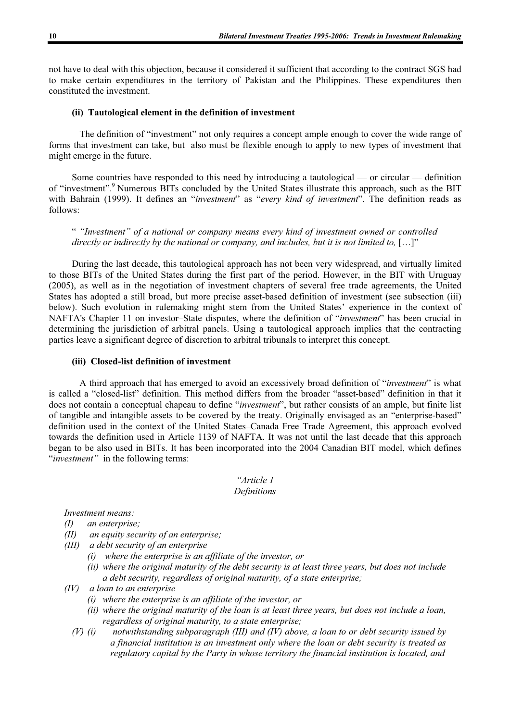not have to deal with this objection, because it considered it sufficient that according to the contract SGS had to make certain expenditures in the territory of Pakistan and the Philippines. These expenditures then constituted the investment.

#### **(ii) Tautological element in the definition of investment**

The definition of "investment" not only requires a concept ample enough to cover the wide range of forms that investment can take, but also must be flexible enough to apply to new types of investment that might emerge in the future.

Some countries have responded to this need by introducing a tautological — or circular — definition of "investment".<sup>9</sup> Numerous BITs concluded by the United States illustrate this approach, such as the BIT with Bahrain (1999). It defines an "*investment*" as "*every kind of investment*". The definition reads as follows:

" *"Investment" of a national or company means every kind of investment owned or controlled directly or indirectly by the national or company, and includes, but it is not limited to,* […]"

During the last decade, this tautological approach has not been very widespread, and virtually limited to those BITs of the United States during the first part of the period. However, in the BIT with Uruguay (2005), as well as in the negotiation of investment chapters of several free trade agreements, the United States has adopted a still broad, but more precise asset-based definition of investment (see subsection (iii) below). Such evolution in rulemaking might stem from the United States' experience in the context of NAFTA's Chapter 11 on investor–State disputes, where the definition of "*investment*" has been crucial in determining the jurisdiction of arbitral panels. Using a tautological approach implies that the contracting parties leave a significant degree of discretion to arbitral tribunals to interpret this concept.

## **(iii) Closed-list definition of investment**

A third approach that has emerged to avoid an excessively broad definition of "*investment*" is what is called a "closed-list" definition. This method differs from the broader "asset-based" definition in that it does not contain a conceptual chapeau to define "*investment*", but rather consists of an ample, but finite list of tangible and intangible assets to be covered by the treaty. Originally envisaged as an "enterprise-based" definition used in the context of the United States–Canada Free Trade Agreement, this approach evolved towards the definition used in Article 1139 of NAFTA. It was not until the last decade that this approach began to be also used in BITs. It has been incorporated into the 2004 Canadian BIT model, which defines "*investment"* in the following terms:

# *"Article 1*

# *Definitions*

*Investment means:*

*(I) an enterprise;* 

- *(II) an equity security of an enterprise;*
- *(III) a debt security of an enterprise* 
	- *(i) where the enterprise is an affiliate of the investor, or*
	- *(ii) where the original maturity of the debt security is at least three years, but does not include a debt security, regardless of original maturity, of a state enterprise;*
- *(IV) a loan to an enterprise* 
	- *(i) where the enterprise is an affiliate of the investor, or*
	- *(ii) where the original maturity of the loan is at least three years, but does not include a loan, regardless of original maturity, to a state enterprise;*
	- *(V) (i) notwithstanding subparagraph (III) and (IV) above, a loan to or debt security issued by a financial institution is an investment only where the loan or debt security is treated as regulatory capital by the Party in whose territory the financial institution is located, and*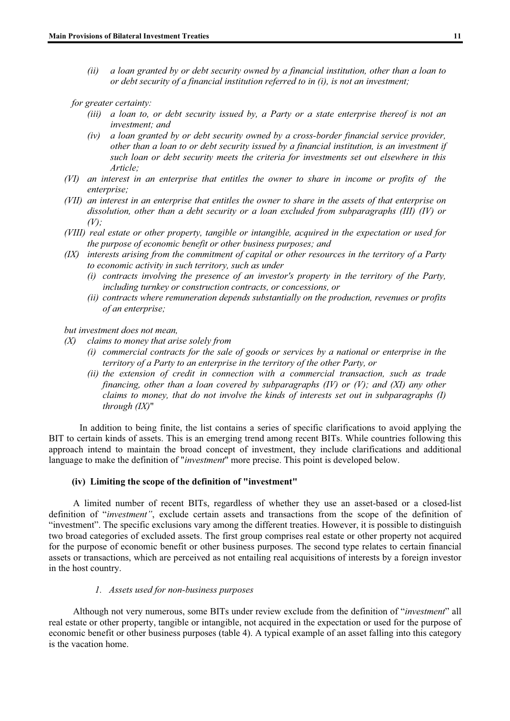*(ii) a loan granted by or debt security owned by a financial institution, other than a loan to or debt security of a financial institution referred to in (i), is not an investment;* 

*for greater certainty:* 

- *(iii) a loan to, or debt security issued by, a Party or a state enterprise thereof is not an investment; and*
- *(iv) a loan granted by or debt security owned by a cross-border financial service provider, other than a loan to or debt security issued by a financial institution, is an investment if such loan or debt security meets the criteria for investments set out elsewhere in this Article;*
- *(VI) an interest in an enterprise that entitles the owner to share in income or profits of the enterprise;*
- *(VII) an interest in an enterprise that entitles the owner to share in the assets of that enterprise on dissolution, other than a debt security or a loan excluded from subparagraphs (III) (IV) or (V);*
- *(VIII) real estate or other property, tangible or intangible, acquired in the expectation or used for the purpose of economic benefit or other business purposes; and*
- *(IX) interests arising from the commitment of capital or other resources in the territory of a Party to economic activity in such territory, such as under* 
	- *(i) contracts involving the presence of an investor's property in the territory of the Party, including turnkey or construction contracts, or concessions, or*
	- *(ii) contracts where remuneration depends substantially on the production, revenues or profits of an enterprise;*

*but investment does not mean,* 

- *(X) claims to money that arise solely from* 
	- *(i) commercial contracts for the sale of goods or services by a national or enterprise in the territory of a Party to an enterprise in the territory of the other Party, or*
	- *(ii) the extension of credit in connection with a commercial transaction, such as trade financing, other than a loan covered by subparagraphs (IV) or (V); and (XI) any other claims to money, that do not involve the kinds of interests set out in subparagraphs (I) through (IX)*"

In addition to being finite, the list contains a series of specific clarifications to avoid applying the BIT to certain kinds of assets. This is an emerging trend among recent BITs. While countries following this approach intend to maintain the broad concept of investment, they include clarifications and additional language to make the definition of "*investment*" more precise. This point is developed below.

# **(iv) Limiting the scope of the definition of "investment"**

A limited number of recent BITs, regardless of whether they use an asset-based or a closed-list definition of "*investment"*, exclude certain assets and transactions from the scope of the definition of "investment". The specific exclusions vary among the different treaties. However, it is possible to distinguish two broad categories of excluded assets. The first group comprises real estate or other property not acquired for the purpose of economic benefit or other business purposes. The second type relates to certain financial assets or transactions, which are perceived as not entailing real acquisitions of interests by a foreign investor in the host country.

## *1. Assets used for non-business purposes*

Although not very numerous, some BITs under review exclude from the definition of "*investment*" all real estate or other property, tangible or intangible, not acquired in the expectation or used for the purpose of economic benefit or other business purposes (table 4). A typical example of an asset falling into this category is the vacation home.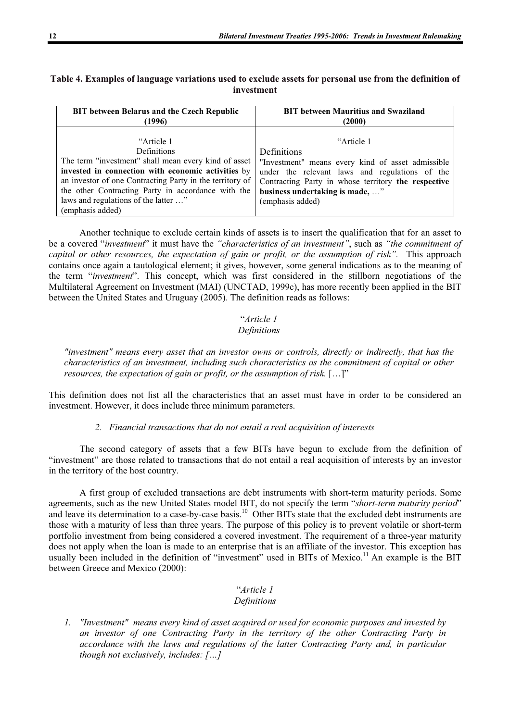# **Table 4. Examples of language variations used to exclude assets for personal use from the definition of investment**

| <b>BIT between Belarus and the Czech Republic</b>                                                                                                                          | <b>BIT between Mauritius and Swaziland</b>                                                                         |
|----------------------------------------------------------------------------------------------------------------------------------------------------------------------------|--------------------------------------------------------------------------------------------------------------------|
| (1996)                                                                                                                                                                     | (2000)                                                                                                             |
| "Article 1<br>Definitions                                                                                                                                                  | "Article 1                                                                                                         |
| The term "investment" shall mean every kind of asset<br>invested in connection with economic activities by                                                                 | Definitions<br>"Investment" means every kind of asset admissible<br>under the relevant laws and regulations of the |
| an investor of one Contracting Party in the territory of<br>the other Contracting Party in accordance with the<br>laws and regulations of the latter "<br>(emphasis added) | Contracting Party in whose territory the respective<br>business undertaking is made, "<br>(emphasis added)         |

Another technique to exclude certain kinds of assets is to insert the qualification that for an asset to be a covered "*investment*" it must have the *"characteristics of an investment"*, such as *"the commitment of capital or other resources, the expectation of gain or profit, or the assumption of risk".* This approach contains once again a tautological element; it gives, however, some general indications as to the meaning of the term "*investment*". This concept, which was first considered in the stillborn negotiations of the Multilateral Agreement on Investment (MAI) (UNCTAD, 1999c), has more recently been applied in the BIT between the United States and Uruguay (2005). The definition reads as follows:

# "*Article 1*

# *Definitions*

*"investment" means every asset that an investor owns or controls, directly or indirectly, that has the characteristics of an investment, including such characteristics as the commitment of capital or other resources, the expectation of gain or profit, or the assumption of risk.* [...]"

This definition does not list all the characteristics that an asset must have in order to be considered an investment. However, it does include three minimum parameters.

# *2. Financial transactions that do not entail a real acquisition of interests*

The second category of assets that a few BITs have begun to exclude from the definition of "investment" are those related to transactions that do not entail a real acquisition of interests by an investor in the territory of the host country.

A first group of excluded transactions are debt instruments with short-term maturity periods. Some agreements, such as the new United States model BIT, do not specify the term "*short-term maturity period*" and leave its determination to a case-by-case basis.<sup>10</sup> Other BITs state that the excluded debt instruments are those with a maturity of less than three years. The purpose of this policy is to prevent volatile or short-term portfolio investment from being considered a covered investment. The requirement of a three-year maturity does not apply when the loan is made to an enterprise that is an affiliate of the investor. This exception has usually been included in the definition of "investment" used in BITs of Mexico.<sup>11</sup> An example is the BIT between Greece and Mexico (2000):

# "*Article 1*

# *Definitions*

*1. "Investment" means every kind of asset acquired or used for economic purposes and invested by an investor of one Contracting Party in the territory of the other Contracting Party in accordance with the laws and regulations of the latter Contracting Party and, in particular though not exclusively, includes: […]*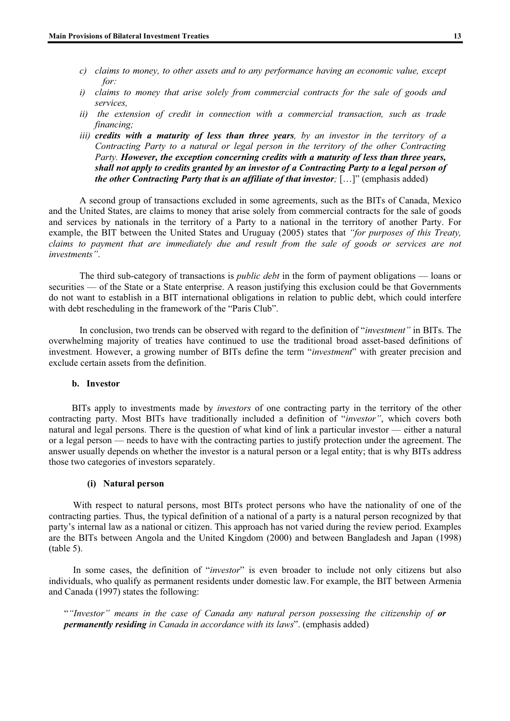- *c) claims to money, to other assets and to any performance having an economic value, except for:*
- *i) claims to money that arise solely from commercial contracts for the sale of goods and services,*
- *ii) the extension of credit in connection with a commercial transaction, such as trade financing;*
- *iii) credits with a maturity of less than three years, by an investor in the territory of a Contracting Party to a natural or legal person in the territory of the other Contracting Party. However, the exception concerning credits with a maturity of less than three years, shall not apply to credits granted by an investor of a Contracting Party to a legal person of the other Contracting Party that is an affiliate of that investor;* [...]" (emphasis added)

A second group of transactions excluded in some agreements, such as the BITs of Canada, Mexico and the United States, are claims to money that arise solely from commercial contracts for the sale of goods and services by nationals in the territory of a Party to a national in the territory of another Party. For example, the BIT between the United States and Uruguay (2005) states that *"for purposes of this Treaty, claims to payment that are immediately due and result from the sale of goods or services are not investments"*.

The third sub-category of transactions is *public debt* in the form of payment obligations — loans or securities — of the State or a State enterprise. A reason justifying this exclusion could be that Governments do not want to establish in a BIT international obligations in relation to public debt, which could interfere with debt rescheduling in the framework of the "Paris Club".

In conclusion, two trends can be observed with regard to the definition of "*investment"* in BITs. The overwhelming majority of treaties have continued to use the traditional broad asset-based definitions of investment. However, a growing number of BITs define the term "*investment*" with greater precision and exclude certain assets from the definition.

#### **b. Investor**

BITs apply to investments made by *investors* of one contracting party in the territory of the other contracting party. Most BITs have traditionally included a definition of "*investor"*, which covers both natural and legal persons. There is the question of what kind of link a particular investor — either a natural or a legal person — needs to have with the contracting parties to justify protection under the agreement. The answer usually depends on whether the investor is a natural person or a legal entity; that is why BITs address those two categories of investors separately.

# **(i) Natural person**

With respect to natural persons, most BITs protect persons who have the nationality of one of the contracting parties. Thus, the typical definition of a national of a party is a natural person recognized by that party's internal law as a national or citizen. This approach has not varied during the review period. Examples are the BITs between Angola and the United Kingdom (2000) and between Bangladesh and Japan (1998) (table 5).

In some cases, the definition of "*investor*" is even broader to include not only citizens but also individuals, who qualify as permanent residents under domestic law. For example, the BIT between Armenia and Canada (1997) states the following:

"*"Investor" means in the case of Canada any natural person possessing the citizenship of or permanently residing in Canada in accordance with its laws*". (emphasis added)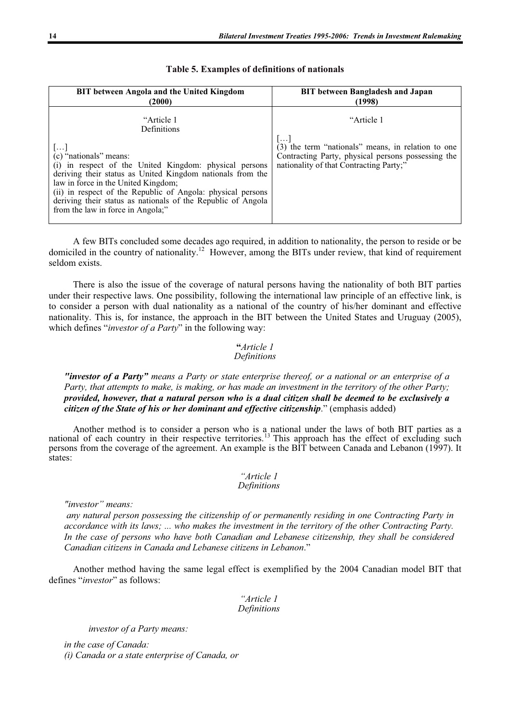| BIT between Angola and the United Kingdom                                                                                                                                                                                                                                                                                                                                                      | <b>BIT</b> between Bangladesh and Japan                                                                                                                                  |
|------------------------------------------------------------------------------------------------------------------------------------------------------------------------------------------------------------------------------------------------------------------------------------------------------------------------------------------------------------------------------------------------|--------------------------------------------------------------------------------------------------------------------------------------------------------------------------|
| (2000)                                                                                                                                                                                                                                                                                                                                                                                         | (1998)                                                                                                                                                                   |
| "Article 1<br>Definitions<br>اءءا<br>(c) "nationals" means:<br>(i) in respect of the United Kingdom: physical persons<br>deriving their status as United Kingdom nationals from the<br>law in force in the United Kingdom;<br>(ii) in respect of the Republic of Angola: physical persons<br>deriving their status as nationals of the Republic of Angola<br>from the law in force in Angola;" | "Article 1<br>Ŀ٠.<br>(3) the term "nationals" means, in relation to one<br>Contracting Party, physical persons possessing the<br>nationality of that Contracting Party;" |

# **Table 5. Examples of definitions of nationals**

A few BITs concluded some decades ago required, in addition to nationality, the person to reside or be domiciled in the country of nationality.<sup>12</sup> However, among the BITs under review, that kind of requirement seldom exists.

There is also the issue of the coverage of natural persons having the nationality of both BIT parties under their respective laws. One possibility, following the international law principle of an effective link, is to consider a person with dual nationality as a national of the country of his/her dominant and effective nationality. This is, for instance, the approach in the BIT between the United States and Uruguay (2005), which defines "*investor of a Party*" in the following way:

#### **"***Article 1 Definitions*

*"investor of a Party" means a Party or state enterprise thereof, or a national or an enterprise of a Party, that attempts to make, is making, or has made an investment in the territory of the other Party; provided, however, that a natural person who is a dual citizen shall be deemed to be exclusively a citizen of the State of his or her dominant and effective citizenship*." (emphasis added)

Another method is to consider a person who is a national under the laws of both BIT parties as a national of each country in their respective territories.<sup>13</sup> This approach has the effect of excluding such persons from the coverage of the agreement. An example is the BIT between Canada and Lebanon (1997). It states:

#### *"Article 1 Definitions*

*"investor" means:* 

 *any natural person possessing the citizenship of or permanently residing in one Contracting Party in accordance with its laws; ... who makes the investment in the territory of the other Contracting Party.*  In the case of persons who have both Canadian and Lebanese citizenship, they shall be considered *Canadian citizens in Canada and Lebanese citizens in Lebanon*."

Another method having the same legal effect is exemplified by the 2004 Canadian model BIT that defines "*investor*" as follows:

# *"Article 1 Definitions*

*investor of a Party means:*

*in the case of Canada: (i) Canada or a state enterprise of Canada, or*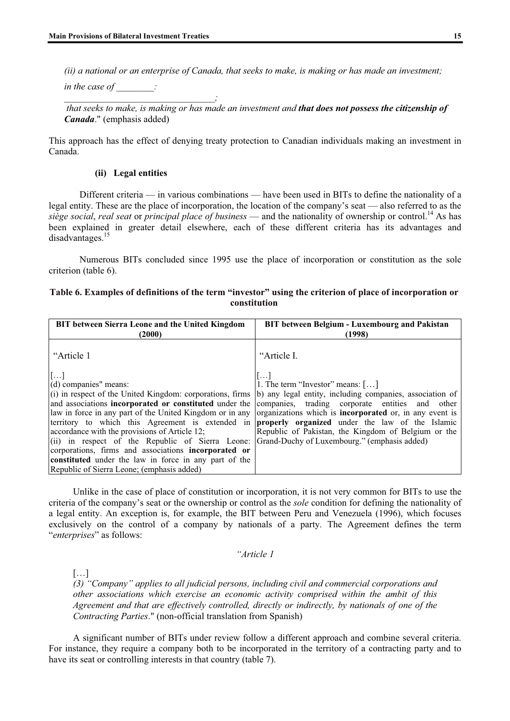*\_\_\_\_\_\_\_\_\_\_\_\_\_\_\_\_\_\_\_\_\_\_\_\_\_\_\_\_\_\_\_\_;*

*(ii) a national or an enterprise of Canada, that seeks to make, is making or has made an investment;* 

*in the case of \_\_\_\_\_\_\_\_:* 

 *that seeks to make, is making or has made an investment and that does not possess the citizenship of Canada*." (emphasis added)

This approach has the effect of denying treaty protection to Canadian individuals making an investment in Canada.

#### **(ii) Legal entities**

Different criteria — in various combinations — have been used in BITs to define the nationality of a legal entity. These are the place of incorporation, the location of the company's seat — also referred to as the *siège social*, *real seat* or *principal place of business* — and the nationality of ownership or control.14 As has been explained in greater detail elsewhere, each of these different criteria has its advantages and disadvantages.<sup>15</sup>

Numerous BITs concluded since 1995 use the place of incorporation or constitution as the sole criterion (table 6).

# **Table 6. Examples of definitions of the term "investor" using the criterion of place of incorporation or constitution**

| BIT between Sierra Leone and the United Kingdom<br>(2000)                                               | BIT between Belgium - Luxembourg and Pakistan<br>(1998)        |
|---------------------------------------------------------------------------------------------------------|----------------------------------------------------------------|
| "Article 1                                                                                              | "Article I.                                                    |
| $\left  \left[ \right] \right $                                                                         |                                                                |
| $(d)$ companies" means:                                                                                 | 1. The term "Investor" means: $[\dots]$                        |
| $(i)$ in respect of the United Kingdom: corporations, firms                                             | (b) any legal entity, including companies, association of      |
| and associations incorporated or constituted under the                                                  | companies, trading corporate entities and<br>other             |
| law in force in any part of the United Kingdom or in any                                                | organizations which is <b>incorporated</b> or, in any event is |
| territory to which this Agreement is extended in <b>properly organized</b> under the law of the Islamic |                                                                |
| accordance with the provisions of Article 12;                                                           | Republic of Pakistan, the Kingdom of Belgium or the            |
| $(iii)$ in respect of the Republic of Sierra Leone:                                                     | Grand-Duchy of Luxembourg." (emphasis added)                   |
| corporations, firms and associations incorporated or                                                    |                                                                |
| constituted under the law in force in any part of the                                                   |                                                                |
| Republic of Sierra Leone; (emphasis added)                                                              |                                                                |

Unlike in the case of place of constitution or incorporation, it is not very common for BITs to use the criteria of the company's seat or the ownership or control as the *sole* condition for defining the nationality of a legal entity. An exception is, for example, the BIT between Peru and Venezuela (1996), which focuses exclusively on the control of a company by nationals of a party. The Agreement defines the term "*enterprises*" as follows:

## *"Article 1*

[…]

*(3) "Company" applies to all judicial persons, including civil and commercial corporations and other associations which exercise an economic activity comprised within the ambit of this Agreement and that are effectively controlled, directly or indirectly, by nationals of one of the Contracting Parties*." (non-official translation from Spanish)

A significant number of BITs under review follow a different approach and combine several criteria. For instance, they require a company both to be incorporated in the territory of a contracting party and to have its seat or controlling interests in that country (table 7).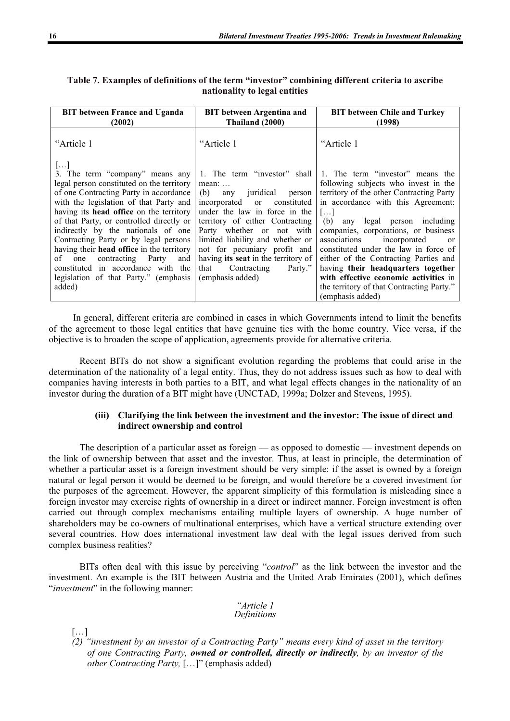| <b>BIT</b> between France and Uganda             | <b>BIT</b> between Argentina and             | <b>BIT between Chile and Turkey</b>       |  |
|--------------------------------------------------|----------------------------------------------|-------------------------------------------|--|
| (2002)                                           | Thailand (2000)                              | (1998)                                    |  |
|                                                  |                                              |                                           |  |
| "Article 1                                       | "Article 1                                   | "Article 1                                |  |
|                                                  |                                              |                                           |  |
| $\lfloor \ldots \rfloor$                         |                                              |                                           |  |
| 3. The term "company" means any                  | 1. The term "investor" shall                 | 1. The term "investor" means the          |  |
| legal person constituted on the territory        | $mean: \ldots$                               | following subjects who invest in the      |  |
| of one Contracting Party in accordance           | juridical person<br>(b)<br>any               | territory of the other Contracting Party  |  |
| with the legislation of that Party and           | constituted<br>incorporated<br><sub>or</sub> | in accordance with this Agreement:        |  |
| having its head office on the territory          | under the law in force in the                | $\lceil  \rceil$                          |  |
| of that Party, or controlled directly or         | territory of either Contracting              | (b)<br>legal person including<br>any      |  |
| indirectly by the nationals of one               | Party whether or not with                    | companies, corporations, or business      |  |
| Contracting Party or by legal persons            | limited liability and whether or             | associations<br>incorporated<br>$\alpha$  |  |
| having their <b>head office</b> in the territory | not for pecuniary profit and                 | constituted under the law in force of     |  |
| of<br>contracting<br>Party<br>one<br>and         | having its seat in the territory of          | either of the Contracting Parties and     |  |
| constituted in accordance with the               | Contracting<br>that<br>Party."               | having their headquarters together        |  |
| legislation of that Party." (emphasis            | (emphasis added)                             | with effective economic activities in     |  |
| added)                                           |                                              | the territory of that Contracting Party." |  |
|                                                  |                                              | (emphasis added)                          |  |

# **Table 7. Examples of definitions of the term "investor" combining different criteria to ascribe nationality to legal entities**

In general, different criteria are combined in cases in which Governments intend to limit the benefits of the agreement to those legal entities that have genuine ties with the home country. Vice versa, if the objective is to broaden the scope of application, agreements provide for alternative criteria.

Recent BITs do not show a significant evolution regarding the problems that could arise in the determination of the nationality of a legal entity. Thus, they do not address issues such as how to deal with companies having interests in both parties to a BIT, and what legal effects changes in the nationality of an investor during the duration of a BIT might have (UNCTAD, 1999a; Dolzer and Stevens, 1995).

# **(iii) Clarifying the link between the investment and the investor: The issue of direct and indirect ownership and control**

The description of a particular asset as foreign — as opposed to domestic — investment depends on the link of ownership between that asset and the investor. Thus, at least in principle, the determination of whether a particular asset is a foreign investment should be very simple: if the asset is owned by a foreign natural or legal person it would be deemed to be foreign, and would therefore be a covered investment for the purposes of the agreement. However, the apparent simplicity of this formulation is misleading since a foreign investor may exercise rights of ownership in a direct or indirect manner. Foreign investment is often carried out through complex mechanisms entailing multiple layers of ownership. A huge number of shareholders may be co-owners of multinational enterprises, which have a vertical structure extending over several countries. How does international investment law deal with the legal issues derived from such complex business realities?

BITs often deal with this issue by perceiving "*control*" as the link between the investor and the investment. An example is the BIT between Austria and the United Arab Emirates (2001), which defines "*investment*" in the following manner:

#### *"Article 1 Definitions*

[…]

*(2) "investment by an investor of a Contracting Party" means every kind of asset in the territory of one Contracting Party, owned or controlled, directly or indirectly, by an investor of the other Contracting Party,* […]" (emphasis added)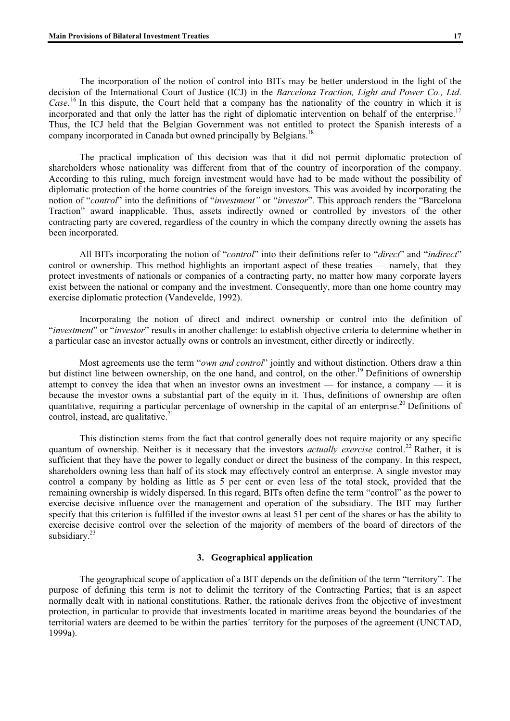The incorporation of the notion of control into BITs may be better understood in the light of the decision of the International Court of Justice (ICJ) in the *Barcelona Traction, Light and Power Co., Ltd*. *Case*. 16 In this dispute, the Court held that a company has the nationality of the country in which it is incorporated and that only the latter has the right of diplomatic intervention on behalf of the enterprise.<sup>17</sup> Thus, the ICJ held that the Belgian Government was not entitled to protect the Spanish interests of a company incorporated in Canada but owned principally by Belgians.<sup>18</sup>

The practical implication of this decision was that it did not permit diplomatic protection of shareholders whose nationality was different from that of the country of incorporation of the company. According to this ruling, much foreign investment would have had to be made without the possibility of diplomatic protection of the home countries of the foreign investors. This was avoided by incorporating the notion of "*control*" into the definitions of "*investment"* or "*investor*". This approach renders the "Barcelona Traction" award inapplicable. Thus, assets indirectly owned or controlled by investors of the other contracting party are covered, regardless of the country in which the company directly owning the assets has been incorporated.

All BITs incorporating the notion of "*control*" into their definitions refer to "*direct*" and "*indirect*" control or ownership. This method highlights an important aspect of these treaties — namely, that they protect investments of nationals or companies of a contracting party, no matter how many corporate layers exist between the national or company and the investment. Consequently, more than one home country may exercise diplomatic protection (Vandevelde, 1992).

Incorporating the notion of direct and indirect ownership or control into the definition of "*investment*" or "*investor*" results in another challenge: to establish objective criteria to determine whether in a particular case an investor actually owns or controls an investment, either directly or indirectly.

Most agreements use the term "*own and control*" jointly and without distinction. Others draw a thin but distinct line between ownership, on the one hand, and control, on the other.<sup>19</sup> Definitions of ownership attempt to convey the idea that when an investor owns an investment — for instance, a company — it is because the investor owns a substantial part of the equity in it. Thus, definitions of ownership are often quantitative, requiring a particular percentage of ownership in the capital of an enterprise.<sup>20</sup> Definitions of control, instead, are qualitative.<sup>21</sup>

This distinction stems from the fact that control generally does not require majority or any specific quantum of ownership. Neither is it necessary that the investors *actually exercise* control.<sup>22</sup> Rather, it is sufficient that they have the power to legally conduct or direct the business of the company. In this respect, shareholders owning less than half of its stock may effectively control an enterprise. A single investor may control a company by holding as little as 5 per cent or even less of the total stock, provided that the remaining ownership is widely dispersed. In this regard, BITs often define the term "control" as the power to exercise decisive influence over the management and operation of the subsidiary. The BIT may further specify that this criterion is fulfilled if the investor owns at least 51 per cent of the shares or has the ability to exercise decisive control over the selection of the majority of members of the board of directors of the subsidiary. $23$ 

# **3. Geographical application**

The geographical scope of application of a BIT depends on the definition of the term "territory". The purpose of defining this term is not to delimit the territory of the Contracting Parties; that is an aspect normally dealt with in national constitutions. Rather, the rationale derives from the objective of investment protection, in particular to provide that investments located in maritime areas beyond the boundaries of the territorial waters are deemed to be within the parties´ territory for the purposes of the agreement (UNCTAD, 1999a).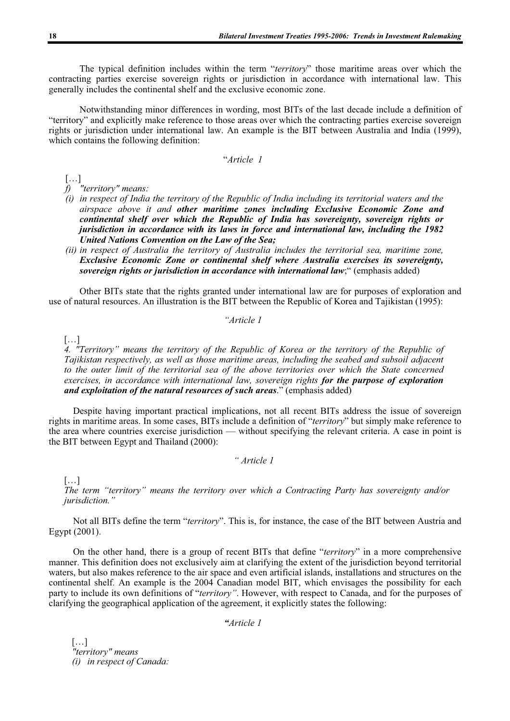The typical definition includes within the term "*territory*" those maritime areas over which the contracting parties exercise sovereign rights or jurisdiction in accordance with international law. This generally includes the continental shelf and the exclusive economic zone.

Notwithstanding minor differences in wording, most BITs of the last decade include a definition of "territory" and explicitly make reference to those areas over which the contracting parties exercise sovereign rights or jurisdiction under international law. An example is the BIT between Australia and India (1999), which contains the following definition:

"*Article 1* 

[…] *f) "territory" means:* 

- *(i) in respect of India the territory of the Republic of India including its territorial waters and the airspace above it and other maritime zones including Exclusive Economic Zone and continental shelf over which the Republic of India has sovereignty, sovereign rights or jurisdiction in accordance with its laws in force and international law, including the 1982 United Nations Convention on the Law of the Sea;*
- *(ii) in respect of Australia the territory of Australia includes the territorial sea, maritime zone, Exclusive Economic Zone or continental shelf where Australia exercises its sovereignty, sovereign rights or jurisdiction in accordance with international law*;" (emphasis added)

Other BITs state that the rights granted under international law are for purposes of exploration and use of natural resources. An illustration is the BIT between the Republic of Korea and Tajikistan (1995):

# *"Article 1*

[…]

*4. "Territory" means the territory of the Republic of Korea or the territory of the Republic of Tajikistan respectively, as well as those maritime areas, including the seabed and subsoil adjacent to the outer limit of the territorial sea of the above territories over which the State concerned exercises, in accordance with international law, sovereign rights for the purpose of exploration and exploitation of the natural resources of such areas*." (emphasis added)

Despite having important practical implications, not all recent BITs address the issue of sovereign rights in maritime areas. In some cases, BITs include a definition of "*territory*" but simply make reference to the area where countries exercise jurisdiction — without specifying the relevant criteria. A case in point is the BIT between Egypt and Thailand (2000):

*" Article 1* 

[…]

*The term "territory" means the territory over which a Contracting Party has sovereignty and/or jurisdiction."*

Not all BITs define the term "*territory*". This is, for instance, the case of the BIT between Austria and Egypt (2001).

On the other hand, there is a group of recent BITs that define "*territory*" in a more comprehensive manner. This definition does not exclusively aim at clarifying the extent of the jurisdiction beyond territorial waters, but also makes reference to the air space and even artificial islands, installations and structures on the continental shelf. An example is the 2004 Canadian model BIT, which envisages the possibility for each party to include its own definitions of "*territory"*. However, with respect to Canada, and for the purposes of clarifying the geographical application of the agreement, it explicitly states the following:

*"Article 1* 

[…] *"territory" means (i) in respect of Canada:*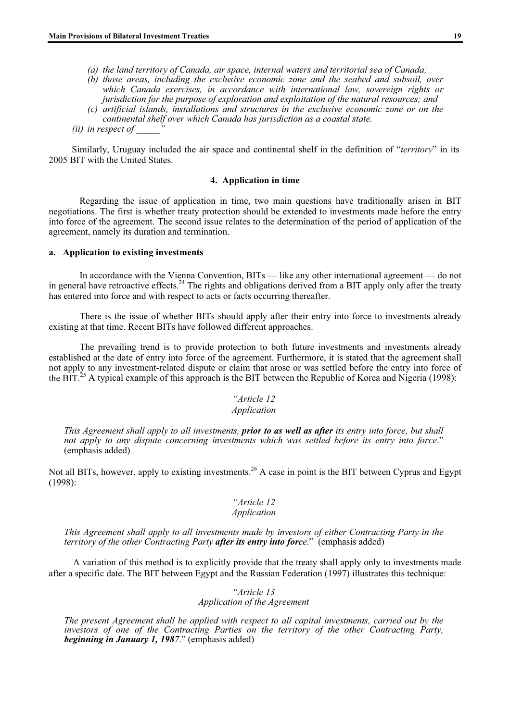- *(a) the land territory of Canada, air space, internal waters and territorial sea of Canada;*
- *(b) those areas, including the exclusive economic zone and the seabed and subsoil, over which Canada exercises, in accordance with international law, sovereign rights or jurisdiction for the purpose of exploration and exploitation of the natural resources; and*
- *(c) artificial islands, installations and structures in the exclusive economic zone or on the continental shelf over which Canada has jurisdiction as a coastal state.*
- *(ii) in respect of \_\_\_\_\_"*

Similarly, Uruguay included the air space and continental shelf in the definition of "*territory*" in its 2005 BIT with the United States.

## **4. Application in time**

Regarding the issue of application in time, two main questions have traditionally arisen in BIT negotiations. The first is whether treaty protection should be extended to investments made before the entry into force of the agreement. The second issue relates to the determination of the period of application of the agreement, namely its duration and termination.

# **a. Application to existing investments**

In accordance with the Vienna Convention, BITs — like any other international agreement — do not in general have retroactive effects.<sup>24</sup> The rights and obligations derived from a BIT apply only after the treaty has entered into force and with respect to acts or facts occurring thereafter.

There is the issue of whether BITs should apply after their entry into force to investments already existing at that time. Recent BITs have followed different approaches.

The prevailing trend is to provide protection to both future investments and investments already established at the date of entry into force of the agreement. Furthermore, it is stated that the agreement shall not apply to any investment-related dispute or claim that arose or was settled before the entry into force of the BIT.<sup>25</sup> A typical example of this approach is the BIT between the Republic of Korea and Nigeria (1998):

#### *"Article 12 Application*

*This Agreement shall apply to all investments, prior to as well as after its entry into force, but shall not apply to any dispute concerning investments which was settled before its entry into force*." (emphasis added)

Not all BITs, however, apply to existing investments.<sup>26</sup> A case in point is the BIT between Cyprus and Egypt (1998):

### *"Article 12 Application*

*This Agreement shall apply to all investments made by investors of either Contracting Party in the territory of the other Contracting Party after its entry into force.*" (emphasis added)

A variation of this method is to explicitly provide that the treaty shall apply only to investments made after a specific date. The BIT between Egypt and the Russian Federation (1997) illustrates this technique:

# *"Article 13 Application of the Agreement*

*The present Agreement shall be applied with respect to all capital investments, carried out by the investors of one of the Contracting Parties on the territory of the other Contracting Party, beginning in January 1, 1987*." (emphasis added)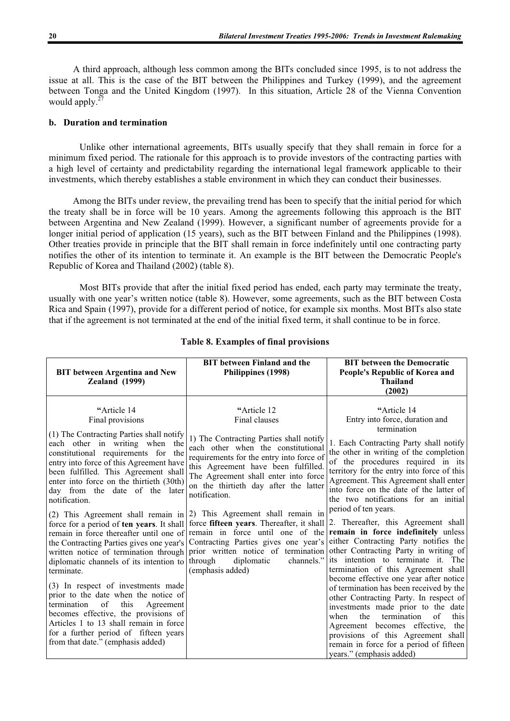A third approach, although less common among the BITs concluded since 1995, is to not address the issue at all. This is the case of the BIT between the Philippines and Turkey (1999), and the agreement between Tonga and the United Kingdom (1997). In this situation, Article 28 of the Vienna Convention would apply. $27$ 

#### **b. Duration and termination**

Unlike other international agreements, BITs usually specify that they shall remain in force for a minimum fixed period. The rationale for this approach is to provide investors of the contracting parties with a high level of certainty and predictability regarding the international legal framework applicable to their investments, which thereby establishes a stable environment in which they can conduct their businesses.

Among the BITs under review, the prevailing trend has been to specify that the initial period for which the treaty shall be in force will be 10 years. Among the agreements following this approach is the BIT between Argentina and New Zealand (1999). However, a significant number of agreements provide for a longer initial period of application (15 years), such as the BIT between Finland and the Philippines (1998). Other treaties provide in principle that the BIT shall remain in force indefinitely until one contracting party notifies the other of its intention to terminate it. An example is the BIT between the Democratic People's Republic of Korea and Thailand (2002) (table 8).

Most BITs provide that after the initial fixed period has ended, each party may terminate the treaty, usually with one year's written notice (table 8). However, some agreements, such as the BIT between Costa Rica and Spain (1997), provide for a different period of notice, for example six months. Most BITs also state that if the agreement is not terminated at the end of the initial fixed term, it shall continue to be in force.

| <b>BIT between Argentina and New</b><br>Zealand (1999)                                                                                                                                                                                                                                                                                                                                                                                                                                                                                                                                                                                                                                                  | <b>BIT</b> between Finland and the<br>Philippines (1998)                                                                                                                                                                                                                                                                                                                                                                                                                                                                                                                                                                                                                                                                                                         | <b>BIT</b> between the Democratic<br>People's Republic of Korea and<br><b>Thailand</b><br>(2002)                                                                                                                                                                                                                                                                                                                                                                                                                                                                                                                                                                                                                                                                                                                                                                                                                                                                                                       |
|---------------------------------------------------------------------------------------------------------------------------------------------------------------------------------------------------------------------------------------------------------------------------------------------------------------------------------------------------------------------------------------------------------------------------------------------------------------------------------------------------------------------------------------------------------------------------------------------------------------------------------------------------------------------------------------------------------|------------------------------------------------------------------------------------------------------------------------------------------------------------------------------------------------------------------------------------------------------------------------------------------------------------------------------------------------------------------------------------------------------------------------------------------------------------------------------------------------------------------------------------------------------------------------------------------------------------------------------------------------------------------------------------------------------------------------------------------------------------------|--------------------------------------------------------------------------------------------------------------------------------------------------------------------------------------------------------------------------------------------------------------------------------------------------------------------------------------------------------------------------------------------------------------------------------------------------------------------------------------------------------------------------------------------------------------------------------------------------------------------------------------------------------------------------------------------------------------------------------------------------------------------------------------------------------------------------------------------------------------------------------------------------------------------------------------------------------------------------------------------------------|
| "Article 14<br>Final provisions<br>(1) The Contracting Parties shall notify<br>each other in writing when the<br>constitutional requirements for the<br>entry into force of this Agreement have<br>been fulfilled. This Agreement shall<br>enter into force on the thirtieth (30th)<br>day from the date of the later<br>notification.<br>diplomatic channels of its intention to through<br>terminate.<br>(3) In respect of investments made<br>prior to the date when the notice of<br>$\sigma$ f<br>termination<br>this<br>Agreement<br>becomes effective, the provisions of<br>Articles 1 to 13 shall remain in force<br>for a further period of fifteen years<br>from that date." (emphasis added) | "Article 12<br>Final clauses<br>1) The Contracting Parties shall notify<br>each other when the constitutional<br>requirements for the entry into force of<br>this Agreement have been fulfilled.<br>The Agreement shall enter into force<br>on the thirtieth day after the latter<br>notification.<br>(2) This Agreement shall remain in (2) This Agreement shall remain in<br>force for a period of ten years. It shall force fifteen years. Thereafter, it shall<br>remain in force thereafter until one of remain in force until one of the<br>the Contracting Parties gives one year's   Contracting Parties gives one year's  <br>written notice of termination through prior written notice of termination<br>diplomatic<br>channels."<br>(emphasis added) | "Article 14<br>Entry into force, duration and<br>termination<br>1. Each Contracting Party shall notify<br>the other in writing of the completion<br>of the procedures required in its<br>territory for the entry into force of this<br>Agreement. This Agreement shall enter<br>into force on the date of the latter of<br>the two notifications for an initial<br>period of ten years.<br>2. Thereafter, this Agreement shall<br>remain in force indefinitely unless<br>either Contracting Party notifies the<br>other Contracting Party in writing of<br>its intention to terminate it. The<br>termination of this Agreement shall<br>become effective one year after notice<br>of termination has been received by the<br>other Contracting Party. In respect of<br>investments made prior to the date<br>of<br>this<br>when<br>the<br>termination<br>Agreement becomes effective, the<br>provisions of this Agreement shall<br>remain in force for a period of fifteen<br>years." (emphasis added) |

# **Table 8. Examples of final provisions**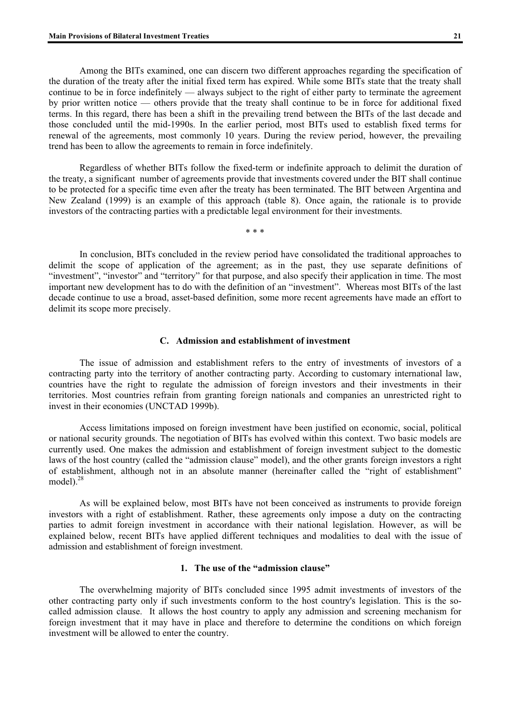Among the BITs examined, one can discern two different approaches regarding the specification of the duration of the treaty after the initial fixed term has expired. While some BITs state that the treaty shall continue to be in force indefinitely — always subject to the right of either party to terminate the agreement by prior written notice — others provide that the treaty shall continue to be in force for additional fixed terms. In this regard, there has been a shift in the prevailing trend between the BITs of the last decade and those concluded until the mid-1990s. In the earlier period, most BITs used to establish fixed terms for renewal of the agreements, most commonly 10 years. During the review period, however, the prevailing trend has been to allow the agreements to remain in force indefinitely.

Regardless of whether BITs follow the fixed-term or indefinite approach to delimit the duration of the treaty, a significant number of agreements provide that investments covered under the BIT shall continue to be protected for a specific time even after the treaty has been terminated. The BIT between Argentina and New Zealand (1999) is an example of this approach (table 8). Once again, the rationale is to provide investors of the contracting parties with a predictable legal environment for their investments.

\* \* \*

In conclusion, BITs concluded in the review period have consolidated the traditional approaches to delimit the scope of application of the agreement; as in the past, they use separate definitions of "investment", "investor" and "territory" for that purpose, and also specify their application in time. The most important new development has to do with the definition of an "investment". Whereas most BITs of the last decade continue to use a broad, asset-based definition, some more recent agreements have made an effort to delimit its scope more precisely.

#### **C. Admission and establishment of investment**

The issue of admission and establishment refers to the entry of investments of investors of a contracting party into the territory of another contracting party. According to customary international law, countries have the right to regulate the admission of foreign investors and their investments in their territories. Most countries refrain from granting foreign nationals and companies an unrestricted right to invest in their economies (UNCTAD 1999b).

Access limitations imposed on foreign investment have been justified on economic, social, political or national security grounds. The negotiation of BITs has evolved within this context. Two basic models are currently used. One makes the admission and establishment of foreign investment subject to the domestic laws of the host country (called the "admission clause" model), and the other grants foreign investors a right of establishment, although not in an absolute manner (hereinafter called the "right of establishment" model $)$ .<sup>28</sup>

As will be explained below, most BITs have not been conceived as instruments to provide foreign investors with a right of establishment. Rather, these agreements only impose a duty on the contracting parties to admit foreign investment in accordance with their national legislation. However, as will be explained below, recent BITs have applied different techniques and modalities to deal with the issue of admission and establishment of foreign investment.

# **1. The use of the "admission clause"**

The overwhelming majority of BITs concluded since 1995 admit investments of investors of the other contracting party only if such investments conform to the host country's legislation. This is the socalled admission clause. It allows the host country to apply any admission and screening mechanism for foreign investment that it may have in place and therefore to determine the conditions on which foreign investment will be allowed to enter the country.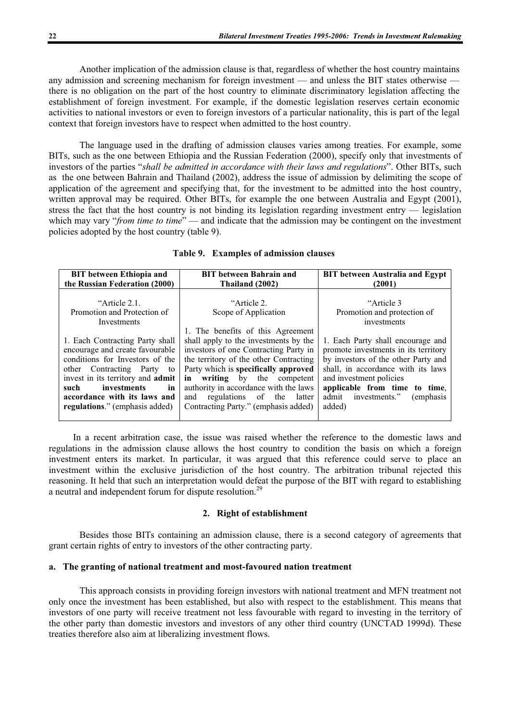Another implication of the admission clause is that, regardless of whether the host country maintains any admission and screening mechanism for foreign investment — and unless the BIT states otherwise there is no obligation on the part of the host country to eliminate discriminatory legislation affecting the establishment of foreign investment. For example, if the domestic legislation reserves certain economic activities to national investors or even to foreign investors of a particular nationality, this is part of the legal context that foreign investors have to respect when admitted to the host country.

The language used in the drafting of admission clauses varies among treaties. For example, some BITs, such as the one between Ethiopia and the Russian Federation (2000), specify only that investments of investors of the parties "*shall be admitted in accordance with their laws and regulations*". Other BITs, such as the one between Bahrain and Thailand (2002), address the issue of admission by delimiting the scope of application of the agreement and specifying that, for the investment to be admitted into the host country, written approval may be required. Other BITs, for example the one between Australia and Egypt (2001), stress the fact that the host country is not binding its legislation regarding investment entry — legislation which may vary "*from time to time*" — and indicate that the admission may be contingent on the investment policies adopted by the host country (table 9).

| <b>BIT</b> between Ethiopia and<br>the Russian Federation (2000)                                                                                                                                                                                                                                                                                 | <b>BIT</b> between Bahrain and<br>Thailand (2002)                                                                                                                                                                                                                                                                                                                                                   | <b>BIT</b> between Australia and Egypt<br>(2001)                                                                                                                                                                                                                                                                                     |  |
|--------------------------------------------------------------------------------------------------------------------------------------------------------------------------------------------------------------------------------------------------------------------------------------------------------------------------------------------------|-----------------------------------------------------------------------------------------------------------------------------------------------------------------------------------------------------------------------------------------------------------------------------------------------------------------------------------------------------------------------------------------------------|--------------------------------------------------------------------------------------------------------------------------------------------------------------------------------------------------------------------------------------------------------------------------------------------------------------------------------------|--|
| "Article 2.1.<br>Promotion and Protection of<br>Investments<br>1. Each Contracting Party shall<br>encourage and create favourable<br>conditions for Investors of the<br>other Contracting Party<br>to<br>invest in its territory and <b>admit</b><br>such<br>investments<br>in<br>accordance with its laws and<br>regulations." (emphasis added) | "Article 2.<br>Scope of Application<br>1. The benefits of this Agreement<br>shall apply to the investments by the<br>investors of one Contracting Party in<br>the territory of the other Contracting<br>Party which is specifically approved<br>in writing by the competent<br>authority in accordance with the laws<br>regulations of the<br>and<br>latter<br>Contracting Party." (emphasis added) | "Article 3<br>Promotion and protection of<br>investments<br>1. Each Party shall encourage and<br>promote investments in its territory<br>by investors of the other Party and<br>shall, in accordance with its laws<br>and investment policies<br>applicable from time to time,<br>admit investments."<br><i>(emphasis)</i><br>added) |  |
|                                                                                                                                                                                                                                                                                                                                                  |                                                                                                                                                                                                                                                                                                                                                                                                     |                                                                                                                                                                                                                                                                                                                                      |  |

|  |  | Table 9. Examples of admission clauses |  |
|--|--|----------------------------------------|--|
|--|--|----------------------------------------|--|

In a recent arbitration case, the issue was raised whether the reference to the domestic laws and regulations in the admission clause allows the host country to condition the basis on which a foreign investment enters its market. In particular, it was argued that this reference could serve to place an investment within the exclusive jurisdiction of the host country. The arbitration tribunal rejected this reasoning. It held that such an interpretation would defeat the purpose of the BIT with regard to establishing a neutral and independent forum for dispute resolution.29

## **2. Right of establishment**

Besides those BITs containing an admission clause, there is a second category of agreements that grant certain rights of entry to investors of the other contracting party.

# **a. The granting of national treatment and most-favoured nation treatment**

This approach consists in providing foreign investors with national treatment and MFN treatment not only once the investment has been established, but also with respect to the establishment. This means that investors of one party will receive treatment not less favourable with regard to investing in the territory of the other party than domestic investors and investors of any other third country (UNCTAD 1999d). These treaties therefore also aim at liberalizing investment flows.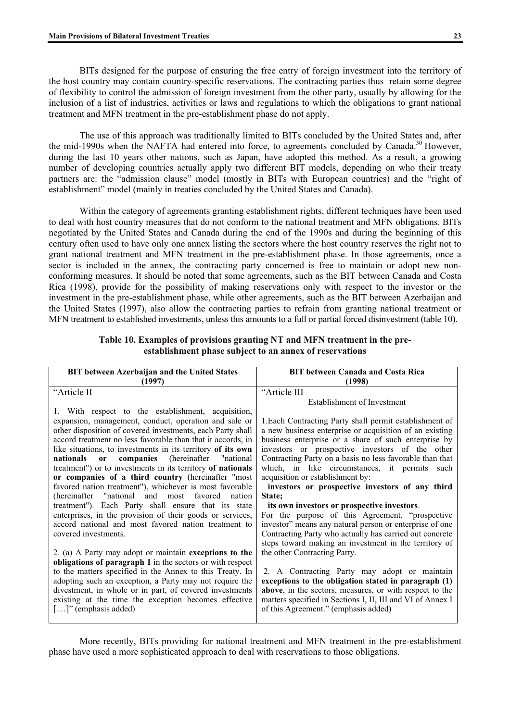BITs designed for the purpose of ensuring the free entry of foreign investment into the territory of the host country may contain country-specific reservations. The contracting parties thus retain some degree of flexibility to control the admission of foreign investment from the other party, usually by allowing for the inclusion of a list of industries, activities or laws and regulations to which the obligations to grant national treatment and MFN treatment in the pre-establishment phase do not apply.

The use of this approach was traditionally limited to BITs concluded by the United States and, after the mid-1990s when the NAFTA had entered into force, to agreements concluded by Canada.<sup>30</sup> However, during the last 10 years other nations, such as Japan, have adopted this method. As a result, a growing number of developing countries actually apply two different BIT models, depending on who their treaty partners are: the "admission clause" model (mostly in BITs with European countries) and the "right of establishment" model (mainly in treaties concluded by the United States and Canada).

Within the category of agreements granting establishment rights, different techniques have been used to deal with host country measures that do not conform to the national treatment and MFN obligations. BITs negotiated by the United States and Canada during the end of the 1990s and during the beginning of this century often used to have only one annex listing the sectors where the host country reserves the right not to grant national treatment and MFN treatment in the pre-establishment phase. In those agreements, once a sector is included in the annex, the contracting party concerned is free to maintain or adopt new nonconforming measures. It should be noted that some agreements, such as the BIT between Canada and Costa Rica (1998), provide for the possibility of making reservations only with respect to the investor or the investment in the pre-establishment phase, while other agreements, such as the BIT between Azerbaijan and the United States (1997), also allow the contracting parties to refrain from granting national treatment or MFN treatment to established investments, unless this amounts to a full or partial forced disinvestment (table 10).

| BIT between Azerbaijan and the United States<br>(1997)                                             | <b>BIT between Canada and Costa Rica</b><br>(1998)                                                 |
|----------------------------------------------------------------------------------------------------|----------------------------------------------------------------------------------------------------|
| "Article II                                                                                        | "Article III                                                                                       |
|                                                                                                    | Establishment of Investment                                                                        |
| 1. With respect to the establishment, acquisition,                                                 |                                                                                                    |
| expansion, management, conduct, operation and sale or                                              | 1. Each Contracting Party shall permit establishment of                                            |
| other disposition of covered investments, each Party shall                                         | a new business enterprise or acquisition of an existing                                            |
| accord treatment no less favorable than that it accords, in                                        | business enterprise or a share of such enterprise by                                               |
| like situations, to investments in its territory of its own                                        | investors or prospective investors of the other                                                    |
| companies (hereinafter "national<br>nationals<br><b>or</b>                                         | Contracting Party on a basis no less favorable than that                                           |
| treatment") or to investments in its territory of nationals                                        | which, in like circumstances, it permits such                                                      |
| or companies of a third country (hereinafter "most                                                 | acquisition or establishment by:                                                                   |
| favored nation treatment"), whichever is most favorable                                            | investors or prospective investors of any third                                                    |
| (hereinafter "national and most favored nation                                                     | State:                                                                                             |
| treatment"). Each Party shall ensure that its state                                                | its own investors or prospective investors.                                                        |
| enterprises, in the provision of their goods or services,                                          | For the purpose of this Agreement, "prospective                                                    |
| accord national and most favored nation treatment to                                               | investor" means any natural person or enterprise of one                                            |
| covered investments.                                                                               | Contracting Party who actually has carried out concrete                                            |
|                                                                                                    | steps toward making an investment in the territory of                                              |
| 2. (a) A Party may adopt or maintain exceptions to the                                             | the other Contracting Party.                                                                       |
| obligations of paragraph 1 in the sectors or with respect                                          |                                                                                                    |
| to the matters specified in the Annex to this Treaty. In                                           | 2. A Contracting Party may adopt or maintain                                                       |
| adopting such an exception, a Party may not require the                                            | exceptions to the obligation stated in paragraph (1)                                               |
| divestment, in whole or in part, of covered investments                                            | above, in the sectors, measures, or with respect to the                                            |
| existing at the time the exception becomes effective<br>$\left[ \ldots \right]$ " (emphasis added) | matters specified in Sections I, II, III and VI of Annex I<br>of this Agreement." (emphasis added) |
|                                                                                                    |                                                                                                    |

**Table 10. Examples of provisions granting NT and MFN treatment in the preestablishment phase subject to an annex of reservations** 

More recently, BITs providing for national treatment and MFN treatment in the pre-establishment phase have used a more sophisticated approach to deal with reservations to those obligations.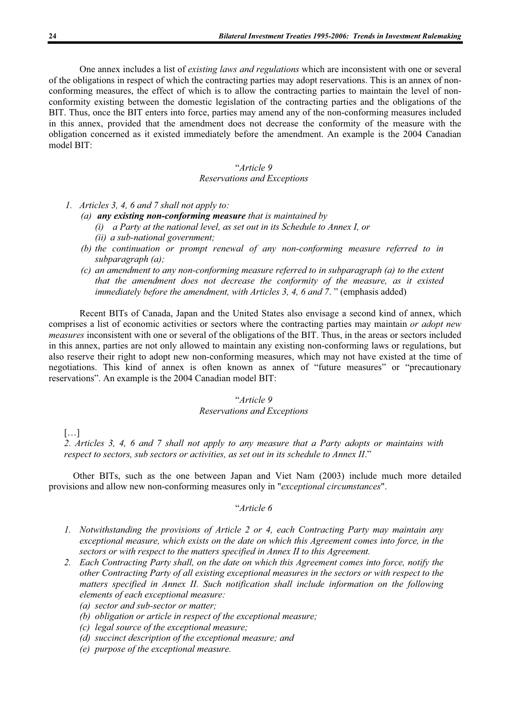One annex includes a list of *existing laws and regulations* which are inconsistent with one or several of the obligations in respect of which the contracting parties may adopt reservations. This is an annex of nonconforming measures, the effect of which is to allow the contracting parties to maintain the level of nonconformity existing between the domestic legislation of the contracting parties and the obligations of the BIT. Thus, once the BIT enters into force, parties may amend any of the non-conforming measures included in this annex, provided that the amendment does not decrease the conformity of the measure with the obligation concerned as it existed immediately before the amendment. An example is the 2004 Canadian model BIT:

# "*Article 9 Reservations and Exceptions*

- *1. Articles 3, 4, 6 and 7 shall not apply to:* 
	- *(a) any existing non-conforming measure that is maintained by (i) a Party at the national level, as set out in its Schedule to Annex I, or (ii) a sub-national government;*
	- *(b) the continuation or prompt renewal of any non-conforming measure referred to in subparagraph (a);*
	- *(c) an amendment to any non-conforming measure referred to in subparagraph (a) to the extent that the amendment does not decrease the conformity of the measure, as it existed immediately before the amendment, with Articles 3, 4, 6 and 7*. " (emphasis added)

Recent BITs of Canada, Japan and the United States also envisage a second kind of annex, which comprises a list of economic activities or sectors where the contracting parties may maintain *or adopt new measures* inconsistent with one or several of the obligations of the BIT. Thus, in the areas or sectors included in this annex, parties are not only allowed to maintain any existing non-conforming laws or regulations, but also reserve their right to adopt new non-conforming measures, which may not have existed at the time of negotiations. This kind of annex is often known as annex of "future measures" or "precautionary reservations". An example is the 2004 Canadian model BIT:

# "*Article 9*

# *Reservations and Exceptions*

 $[\ldots]$ 

*2. Articles 3, 4, 6 and 7 shall not apply to any measure that a Party adopts or maintains with respect to sectors, sub sectors or activities, as set out in its schedule to Annex II*."

Other BITs, such as the one between Japan and Viet Nam (2003) include much more detailed provisions and allow new non-conforming measures only in "*exceptional circumstances*".

#### "*Article 6*

- *1. Notwithstanding the provisions of Article 2 or 4, each Contracting Party may maintain any exceptional measure, which exists on the date on which this Agreement comes into force, in the sectors or with respect to the matters specified in Annex II to this Agreement.*
- *2. Each Contracting Party shall, on the date on which this Agreement comes into force, notify the other Contracting Party of all existing exceptional measures in the sectors or with respect to the matters specified in Annex II. Such notification shall include information on the following elements of each exceptional measure:*
	- *(a) sector and sub-sector or matter;*
	- *(b) obligation or article in respect of the exceptional measure;*
	- *(c) legal source of the exceptional measure;*
	- *(d) succinct description of the exceptional measure; and*
	- *(e) purpose of the exceptional measure.*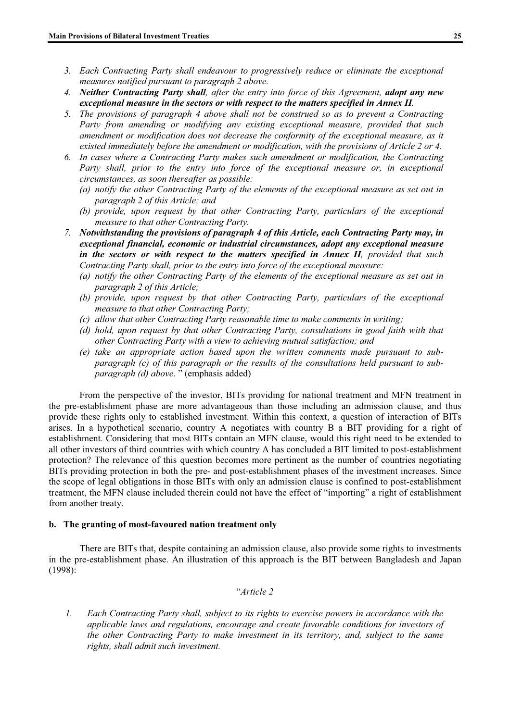- *3. Each Contracting Party shall endeavour to progressively reduce or eliminate the exceptional measures notified pursuant to paragraph 2 above.*
- *4. Neither Contracting Party shall, after the entry into force of this Agreement, adopt any new exceptional measure in the sectors or with respect to the matters specified in Annex II.*
- *5. The provisions of paragraph 4 above shall not be construed so as to prevent a Contracting Party from amending or modifying any existing exceptional measure, provided that such amendment or modification does not decrease the conformity of the exceptional measure, as it existed immediately before the amendment or modification, with the provisions of Article 2 or 4.*
- *6. In cases where a Contracting Party makes such amendment or modification, the Contracting Party shall, prior to the entry into force of the exceptional measure or, in exceptional circumstances, as soon thereafter as possible:* 
	- *(a) notify the other Contracting Party of the elements of the exceptional measure as set out in paragraph 2 of this Article; and*
	- *(b) provide, upon request by that other Contracting Party, particulars of the exceptional measure to that other Contracting Party.*
- *7. Notwithstanding the provisions of paragraph 4 of this Article, each Contracting Party may, in exceptional financial, economic or industrial circumstances, adopt any exceptional measure in the sectors or with respect to the matters specified in Annex II, provided that such Contracting Party shall, prior to the entry into force of the exceptional measure:* 
	- *(a) notify the other Contracting Party of the elements of the exceptional measure as set out in paragraph 2 of this Article;*
	- *(b) provide, upon request by that other Contracting Party, particulars of the exceptional measure to that other Contracting Party;*
	- *(c) allow that other Contracting Party reasonable time to make comments in writing;*
	- *(d) hold, upon request by that other Contracting Party, consultations in good faith with that other Contracting Party with a view to achieving mutual satisfaction; and*
	- *(e) take an appropriate action based upon the written comments made pursuant to subparagraph (c) of this paragraph or the results of the consultations held pursuant to subparagraph (d) above*. " (emphasis added)

From the perspective of the investor, BITs providing for national treatment and MFN treatment in the pre-establishment phase are more advantageous than those including an admission clause, and thus provide these rights only to established investment. Within this context, a question of interaction of BITs arises. In a hypothetical scenario, country A negotiates with country B a BIT providing for a right of establishment. Considering that most BITs contain an MFN clause, would this right need to be extended to all other investors of third countries with which country A has concluded a BIT limited to post-establishment protection? The relevance of this question becomes more pertinent as the number of countries negotiating BITs providing protection in both the pre- and post-establishment phases of the investment increases. Since the scope of legal obligations in those BITs with only an admission clause is confined to post-establishment treatment, the MFN clause included therein could not have the effect of "importing" a right of establishment from another treaty.

#### **b. The granting of most-favoured nation treatment only**

There are BITs that, despite containing an admission clause, also provide some rights to investments in the pre-establishment phase. An illustration of this approach is the BIT between Bangladesh and Japan (1998):

#### "*Article 2*

*1. Each Contracting Party shall, subject to its rights to exercise powers in accordance with the applicable laws and regulations, encourage and create favorable conditions for investors of the other Contracting Party to make investment in its territory, and, subject to the same rights, shall admit such investment.*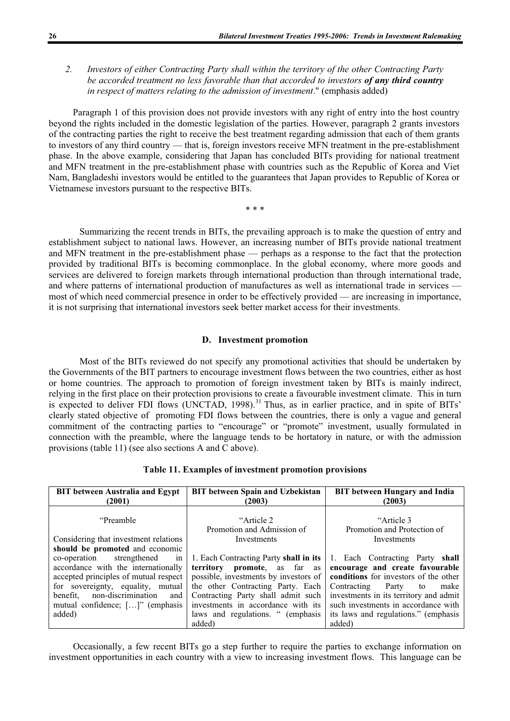# *2. Investors of either Contracting Party shall within the territory of the other Contracting Party be accorded treatment no less favorable than that accorded to investors of any third country in respect of matters relating to the admission of investment*." (emphasis added)

Paragraph 1 of this provision does not provide investors with any right of entry into the host country beyond the rights included in the domestic legislation of the parties. However, paragraph 2 grants investors of the contracting parties the right to receive the best treatment regarding admission that each of them grants to investors of any third country — that is, foreign investors receive MFN treatment in the pre-establishment phase. In the above example, considering that Japan has concluded BITs providing for national treatment and MFN treatment in the pre-establishment phase with countries such as the Republic of Korea and Viet Nam, Bangladeshi investors would be entitled to the guarantees that Japan provides to Republic of Korea or Vietnamese investors pursuant to the respective BITs.

\* \* \*

Summarizing the recent trends in BITs, the prevailing approach is to make the question of entry and establishment subject to national laws. However, an increasing number of BITs provide national treatment and MFN treatment in the pre-establishment phase — perhaps as a response to the fact that the protection provided by traditional BITs is becoming commonplace. In the global economy, where more goods and services are delivered to foreign markets through international production than through international trade, and where patterns of international production of manufactures as well as international trade in services most of which need commercial presence in order to be effectively provided — are increasing in importance, it is not surprising that international investors seek better market access for their investments.

# **D. Investment promotion**

Most of the BITs reviewed do not specify any promotional activities that should be undertaken by the Governments of the BIT partners to encourage investment flows between the two countries, either as host or home countries. The approach to promotion of foreign investment taken by BITs is mainly indirect, relying in the first place on their protection provisions to create a favourable investment climate. This in turn is expected to deliver FDI flows (UNCTAD, 1998).<sup>31</sup> Thus, as in earlier practice, and in spite of BITs' clearly stated objective of promoting FDI flows between the countries, there is only a vague and general commitment of the contracting parties to "encourage" or "promote" investment, usually formulated in connection with the preamble, where the language tends to be hortatory in nature, or with the admission provisions (table 11) (see also sections A and C above).

| <b>BIT between Australia and Egypt</b>                                                                                                                                                                                                                                            | <b>BIT between Spain and Uzbekistan</b>                                                                                                                                                                                                                                         | <b>BIT</b> between Hungary and India                                                                                                                                                                                                                                              |
|-----------------------------------------------------------------------------------------------------------------------------------------------------------------------------------------------------------------------------------------------------------------------------------|---------------------------------------------------------------------------------------------------------------------------------------------------------------------------------------------------------------------------------------------------------------------------------|-----------------------------------------------------------------------------------------------------------------------------------------------------------------------------------------------------------------------------------------------------------------------------------|
| (2001)                                                                                                                                                                                                                                                                            | (2003)                                                                                                                                                                                                                                                                          | (2003)                                                                                                                                                                                                                                                                            |
| "Preamble"                                                                                                                                                                                                                                                                        | "Article 2<br>Promotion and Admission of                                                                                                                                                                                                                                        | "Article 3<br>Promotion and Protection of                                                                                                                                                                                                                                         |
| Considering that investment relations                                                                                                                                                                                                                                             | Investments                                                                                                                                                                                                                                                                     | Investments                                                                                                                                                                                                                                                                       |
| should be promoted and economic<br>co-operation<br>strengthened<br>in<br>accordance with the internationally<br>accepted principles of mutual respect<br>for sovereignty, equality, mutual<br>non-discrimination<br>benefit.<br>and<br>mutual confidence; []" (emphasis<br>added) | 1. Each Contracting Party shall in its<br>territory promote, as far as<br>possible, investments by investors of<br>the other Contracting Party. Each<br>Contracting Party shall admit such<br>investments in accordance with its<br>laws and regulations. " (emphasis<br>added) | 1. Each Contracting Party shall<br>encourage and create favourable<br>conditions for investors of the other<br>Contracting Party<br>make<br>to<br>investments in its territory and admit<br>such investments in accordance with<br>its laws and regulations." (emphasis<br>added) |

**Table 11. Examples of investment promotion provisions** 

Occasionally, a few recent BITs go a step further to require the parties to exchange information on investment opportunities in each country with a view to increasing investment flows. This language can be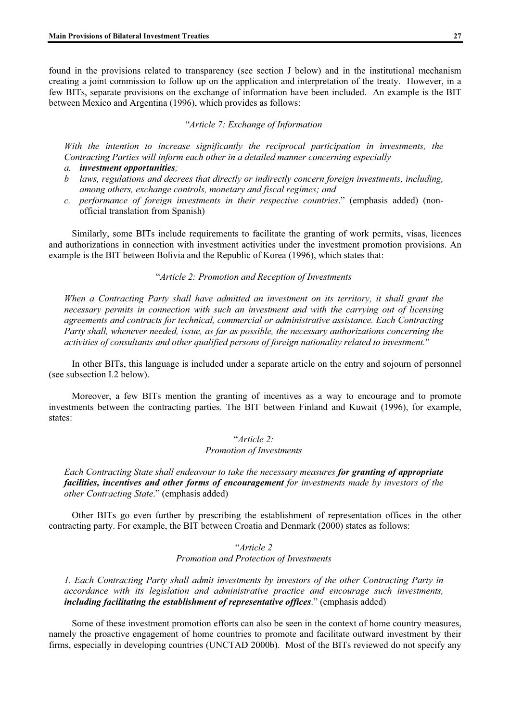found in the provisions related to transparency (see section J below) and in the institutional mechanism creating a joint commission to follow up on the application and interpretation of the treaty. However, in a few BITs, separate provisions on the exchange of information have been included. An example is the BIT between Mexico and Argentina (1996), which provides as follows:

#### "*Article 7: Exchange of Information*

*With the intention to increase significantly the reciprocal participation in investments, the Contracting Parties will inform each other in a detailed manner concerning especially* 

- *a. investment opportunities;*
- *b laws, regulations and decrees that directly or indirectly concern foreign investments, including, among others, exchange controls, monetary and fiscal regimes; and*
- *c. performance of foreign investments in their respective countries*." (emphasis added) (nonofficial translation from Spanish)

Similarly, some BITs include requirements to facilitate the granting of work permits, visas, licences and authorizations in connection with investment activities under the investment promotion provisions. An example is the BIT between Bolivia and the Republic of Korea (1996), which states that:

# "*Article 2: Promotion and Reception of Investments*

*When a Contracting Party shall have admitted an investment on its territory, it shall grant the necessary permits in connection with such an investment and with the carrying out of licensing agreements and contracts for technical, commercial or administrative assistance. Each Contracting Party shall, whenever needed, issue, as far as possible, the necessary authorizations concerning the activities of consultants and other qualified persons of foreign nationality related to investment.*"

In other BITs, this language is included under a separate article on the entry and sojourn of personnel (see subsection I.2 below).

Moreover, a few BITs mention the granting of incentives as a way to encourage and to promote investments between the contracting parties. The BIT between Finland and Kuwait (1996), for example, states:

# "*Article 2:*

*Promotion of Investments* 

*Each Contracting State shall endeavour to take the necessary measures for granting of appropriate facilities, incentives and other forms of encouragement for investments made by investors of the other Contracting State*." (emphasis added)

Other BITs go even further by prescribing the establishment of representation offices in the other contracting party. For example, the BIT between Croatia and Denmark (2000) states as follows:

# "*Article 2 Promotion and Protection of Investments*

*1. Each Contracting Party shall admit investments by investors of the other Contracting Party in accordance with its legislation and administrative practice and encourage such investments, including facilitating the establishment of representative offices*." (emphasis added)

Some of these investment promotion efforts can also be seen in the context of home country measures, namely the proactive engagement of home countries to promote and facilitate outward investment by their firms, especially in developing countries (UNCTAD 2000b). Most of the BITs reviewed do not specify any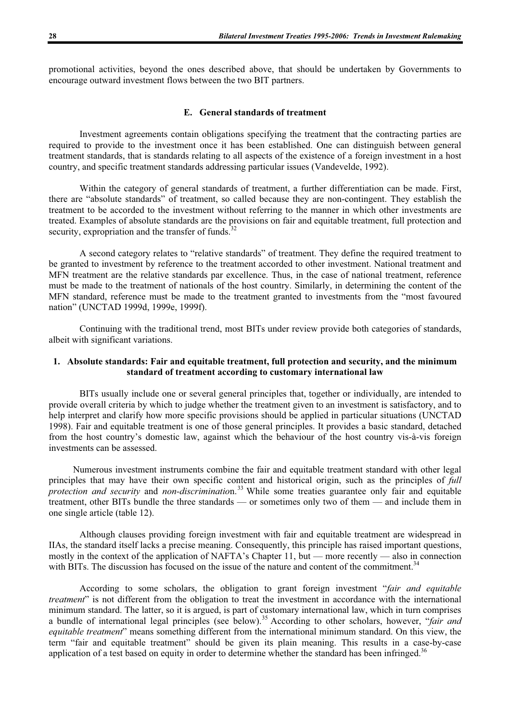promotional activities, beyond the ones described above, that should be undertaken by Governments to encourage outward investment flows between the two BIT partners.

#### **E. General standards of treatment**

Investment agreements contain obligations specifying the treatment that the contracting parties are required to provide to the investment once it has been established. One can distinguish between general treatment standards, that is standards relating to all aspects of the existence of a foreign investment in a host country, and specific treatment standards addressing particular issues (Vandevelde, 1992).

Within the category of general standards of treatment, a further differentiation can be made. First, there are "absolute standards" of treatment, so called because they are non-contingent. They establish the treatment to be accorded to the investment without referring to the manner in which other investments are treated. Examples of absolute standards are the provisions on fair and equitable treatment, full protection and security, expropriation and the transfer of funds. $32$ 

A second category relates to "relative standards" of treatment. They define the required treatment to be granted to investment by reference to the treatment accorded to other investment. National treatment and MFN treatment are the relative standards par excellence. Thus, in the case of national treatment, reference must be made to the treatment of nationals of the host country. Similarly, in determining the content of the MFN standard, reference must be made to the treatment granted to investments from the "most favoured nation" (UNCTAD 1999d, 1999e, 1999f).

Continuing with the traditional trend, most BITs under review provide both categories of standards, albeit with significant variations.

# **1. Absolute standards: Fair and equitable treatment, full protection and security, and the minimum standard of treatment according to customary international law**

BITs usually include one or several general principles that, together or individually, are intended to provide overall criteria by which to judge whether the treatment given to an investment is satisfactory, and to help interpret and clarify how more specific provisions should be applied in particular situations (UNCTAD 1998). Fair and equitable treatment is one of those general principles. It provides a basic standard, detached from the host country's domestic law, against which the behaviour of the host country vis-à-vis foreign investments can be assessed.

Numerous investment instruments combine the fair and equitable treatment standard with other legal principles that may have their own specific content and historical origin, such as the principles of *full protection and security* and *non-discrimination*.<sup>33</sup> While some treaties guarantee only fair and equitable treatment, other BITs bundle the three standards — or sometimes only two of them — and include them in one single article (table 12).

Although clauses providing foreign investment with fair and equitable treatment are widespread in IIAs, the standard itself lacks a precise meaning. Consequently, this principle has raised important questions, mostly in the context of the application of NAFTA's Chapter 11, but — more recently — also in connection with BITs. The discussion has focused on the issue of the nature and content of the commitment.<sup>34</sup>

According to some scholars, the obligation to grant foreign investment "*fair and equitable treatment*" is not different from the obligation to treat the investment in accordance with the international minimum standard. The latter, so it is argued, is part of customary international law, which in turn comprises a bundle of international legal principles (see below).<sup>35</sup> According to other scholars, however, "*fair and equitable treatment*" means something different from the international minimum standard. On this view, the term "fair and equitable treatment" should be given its plain meaning. This results in a case-by-case application of a test based on equity in order to determine whether the standard has been infringed.<sup>36</sup>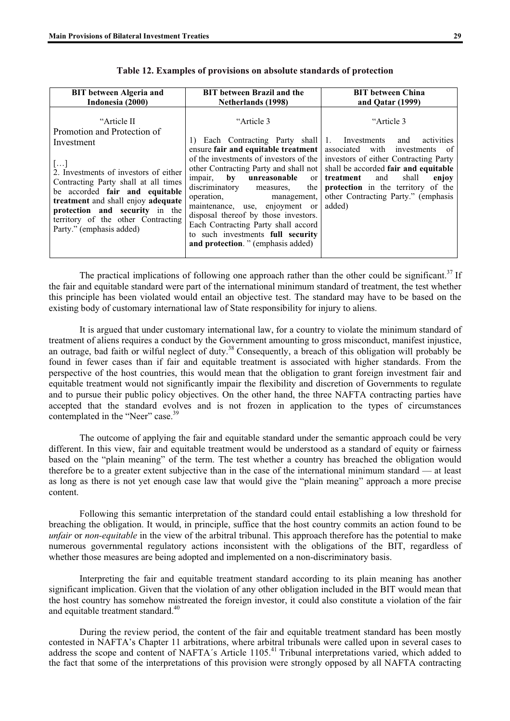| <b>BIT</b> between Algeria and                                                                                                                                                                                                                                                                                                                 | <b>BIT</b> between Brazil and the                                                                                                                                                                                                                                                                                                                                                                                 | <b>BIT</b> between China                                                                                                                                                                                                                                                                                                                                                   |
|------------------------------------------------------------------------------------------------------------------------------------------------------------------------------------------------------------------------------------------------------------------------------------------------------------------------------------------------|-------------------------------------------------------------------------------------------------------------------------------------------------------------------------------------------------------------------------------------------------------------------------------------------------------------------------------------------------------------------------------------------------------------------|----------------------------------------------------------------------------------------------------------------------------------------------------------------------------------------------------------------------------------------------------------------------------------------------------------------------------------------------------------------------------|
| Indonesia (2000)                                                                                                                                                                                                                                                                                                                               | Netherlands (1998)                                                                                                                                                                                                                                                                                                                                                                                                | and Qatar (1999)                                                                                                                                                                                                                                                                                                                                                           |
| "Article II<br>Promotion and Protection of<br>Investment<br>$\left[\ldots\right]$<br>2. Investments of investors of either<br>Contracting Party shall at all times<br>be accorded fair and equitable<br>treatment and shall enjoy adequate<br>protection and security in the<br>territory of the other Contracting<br>Party." (emphasis added) | "Article 3<br>1) Each Contracting Party shall 1. Investments<br>other Contracting Party and shall not<br>impair, by unreasonable<br><sub>or</sub><br>discriminatory measures,<br>the<br>operation, management,<br>maintenance, use, enjoyment or<br>disposal thereof by those investors.<br>Each Contracting Party shall accord<br>to such investments full security<br><b>and protection.</b> " (emphasis added) | "Article 3<br>activities<br>and<br>ensure <b>fair and equitable treatment</b> associated with investments of<br>of the investments of investors of the   investors of either Contracting Party<br>shall be accorded fair and equitable<br>shall<br>treatment<br>and<br>enjoy<br><b>protection</b> in the territory of the<br>other Contracting Party." (emphasis<br>added) |

# **Table 12. Examples of provisions on absolute standards of protection**

The practical implications of following one approach rather than the other could be significant.<sup>37</sup> If the fair and equitable standard were part of the international minimum standard of treatment, the test whether this principle has been violated would entail an objective test. The standard may have to be based on the existing body of customary international law of State responsibility for injury to aliens.

It is argued that under customary international law, for a country to violate the minimum standard of treatment of aliens requires a conduct by the Government amounting to gross misconduct, manifest injustice, an outrage, bad faith or wilful neglect of duty.38 Consequently, a breach of this obligation will probably be found in fewer cases than if fair and equitable treatment is associated with higher standards. From the perspective of the host countries, this would mean that the obligation to grant foreign investment fair and equitable treatment would not significantly impair the flexibility and discretion of Governments to regulate and to pursue their public policy objectives. On the other hand, the three NAFTA contracting parties have accepted that the standard evolves and is not frozen in application to the types of circumstances contemplated in the "Neer" case.<sup>39</sup>

The outcome of applying the fair and equitable standard under the semantic approach could be very different. In this view, fair and equitable treatment would be understood as a standard of equity or fairness based on the "plain meaning" of the term. The test whether a country has breached the obligation would therefore be to a greater extent subjective than in the case of the international minimum standard — at least as long as there is not yet enough case law that would give the "plain meaning" approach a more precise content.

Following this semantic interpretation of the standard could entail establishing a low threshold for breaching the obligation. It would, in principle, suffice that the host country commits an action found to be *unfair* or *non-equitable* in the view of the arbitral tribunal. This approach therefore has the potential to make numerous governmental regulatory actions inconsistent with the obligations of the BIT, regardless of whether those measures are being adopted and implemented on a non-discriminatory basis.

Interpreting the fair and equitable treatment standard according to its plain meaning has another significant implication. Given that the violation of any other obligation included in the BIT would mean that the host country has somehow mistreated the foreign investor, it could also constitute a violation of the fair and equitable treatment standard.<sup>40</sup>

During the review period, the content of the fair and equitable treatment standard has been mostly contested in NAFTA's Chapter 11 arbitrations, where arbitral tribunals were called upon in several cases to address the scope and content of NAFTA's Article 1105.<sup>41</sup> Tribunal interpretations varied, which added to the fact that some of the interpretations of this provision were strongly opposed by all NAFTA contracting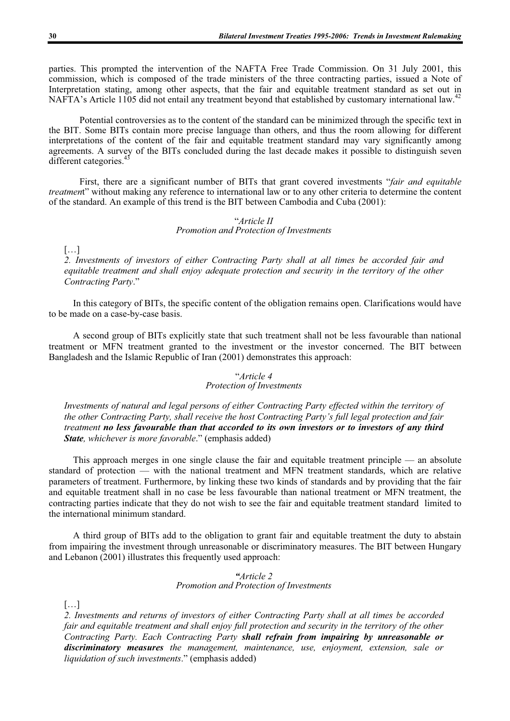parties. This prompted the intervention of the NAFTA Free Trade Commission. On 31 July 2001, this commission, which is composed of the trade ministers of the three contracting parties, issued a Note of Interpretation stating, among other aspects, that the fair and equitable treatment standard as set out in NAFTA's Article 1105 did not entail any treatment beyond that established by customary international law.<sup>42</sup>

Potential controversies as to the content of the standard can be minimized through the specific text in the BIT. Some BITs contain more precise language than others, and thus the room allowing for different interpretations of the content of the fair and equitable treatment standard may vary significantly among agreements. A survey of the BITs concluded during the last decade makes it possible to distinguish seven different categories.<sup>4</sup>

First, there are a significant number of BITs that grant covered investments "*fair and equitable treatment*" without making any reference to international law or to any other criteria to determine the content of the standard. An example of this trend is the BIT between Cambodia and Cuba (2001):

> "*Article II Promotion and Protection of Investments*

[…]

*2. Investments of investors of either Contracting Party shall at all times be accorded fair and equitable treatment and shall enjoy adequate protection and security in the territory of the other Contracting Party*."

In this category of BITs, the specific content of the obligation remains open. Clarifications would have to be made on a case-by-case basis.

A second group of BITs explicitly state that such treatment shall not be less favourable than national treatment or MFN treatment granted to the investment or the investor concerned. The BIT between Bangladesh and the Islamic Republic of Iran (2001) demonstrates this approach:

# "*Article 4 Protection of Investments*

*Investments of natural and legal persons of either Contracting Party effected within the territory of the other Contracting Party, shall receive the host Contracting Party's full legal protection and fair treatment no less favourable than that accorded to its own investors or to investors of any third State, whichever is more favorable*." (emphasis added)

This approach merges in one single clause the fair and equitable treatment principle — an absolute standard of protection — with the national treatment and MFN treatment standards, which are relative parameters of treatment. Furthermore, by linking these two kinds of standards and by providing that the fair and equitable treatment shall in no case be less favourable than national treatment or MFN treatment, the contracting parties indicate that they do not wish to see the fair and equitable treatment standard limited to the international minimum standard.

A third group of BITs add to the obligation to grant fair and equitable treatment the duty to abstain from impairing the investment through unreasonable or discriminatory measures. The BIT between Hungary and Lebanon (2001) illustrates this frequently used approach:

# *"Article 2 Promotion and Protection of Investments*

 $[...]$ 

*2. Investments and returns of investors of either Contracting Party shall at all times be accorded fair and equitable treatment and shall enjoy full protection and security in the territory of the other Contracting Party. Each Contracting Party shall refrain from impairing by unreasonable or discriminatory measures the management, maintenance, use, enjoyment, extension, sale or liquidation of such investments*." (emphasis added)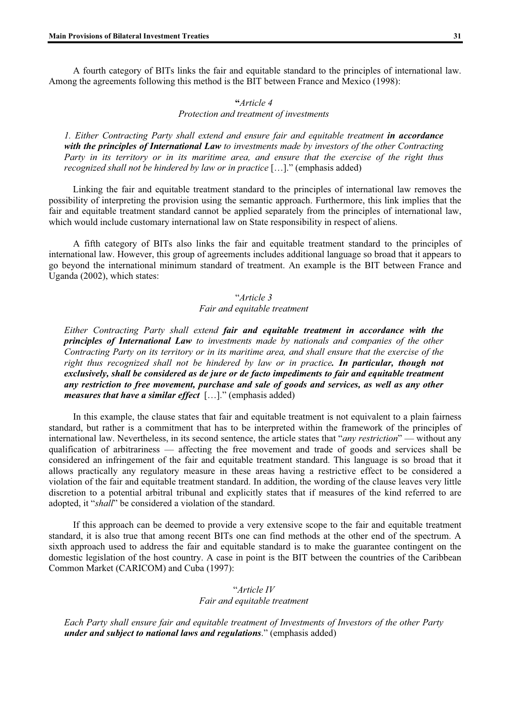A fourth category of BITs links the fair and equitable standard to the principles of international law. Among the agreements following this method is the BIT between France and Mexico (1998):

# **"***Article 4 Protection and treatment of investments*

*1. Either Contracting Party shall extend and ensure fair and equitable treatment in accordance with the principles of International Law to investments made by investors of the other Contracting Party in its territory or in its maritime area, and ensure that the exercise of the right thus recognized shall not be hindered by law or in practice* […]." (emphasis added)

Linking the fair and equitable treatment standard to the principles of international law removes the possibility of interpreting the provision using the semantic approach. Furthermore, this link implies that the fair and equitable treatment standard cannot be applied separately from the principles of international law, which would include customary international law on State responsibility in respect of aliens.

A fifth category of BITs also links the fair and equitable treatment standard to the principles of international law. However, this group of agreements includes additional language so broad that it appears to go beyond the international minimum standard of treatment. An example is the BIT between France and Uganda (2002), which states:

> "*Article 3 Fair and equitable treatment*

*Either Contracting Party shall extend fair and equitable treatment in accordance with the principles of International Law to investments made by nationals and companies of the other Contracting Party on its territory or in its maritime area, and shall ensure that the exercise of the right thus recognized shall not be hindered by law or in practice. In particular, though not exclusively, shall be considered as de jure or de facto impediments to fair and equitable treatment any restriction to free movement, purchase and sale of goods and services, as well as any other measures that have a similar effect* […]." (emphasis added)

In this example, the clause states that fair and equitable treatment is not equivalent to a plain fairness standard, but rather is a commitment that has to be interpreted within the framework of the principles of international law. Nevertheless, in its second sentence, the article states that "*any restriction*" — without any qualification of arbitrariness — affecting the free movement and trade of goods and services shall be considered an infringement of the fair and equitable treatment standard. This language is so broad that it allows practically any regulatory measure in these areas having a restrictive effect to be considered a violation of the fair and equitable treatment standard. In addition, the wording of the clause leaves very little discretion to a potential arbitral tribunal and explicitly states that if measures of the kind referred to are adopted, it "*shall*" be considered a violation of the standard.

If this approach can be deemed to provide a very extensive scope to the fair and equitable treatment standard, it is also true that among recent BITs one can find methods at the other end of the spectrum. A sixth approach used to address the fair and equitable standard is to make the guarantee contingent on the domestic legislation of the host country. A case in point is the BIT between the countries of the Caribbean Common Market (CARICOM) and Cuba (1997):

#### "*Article IV Fair and equitable treatment*

*Each Party shall ensure fair and equitable treatment of Investments of Investors of the other Party under and subject to national laws and regulations*." (emphasis added)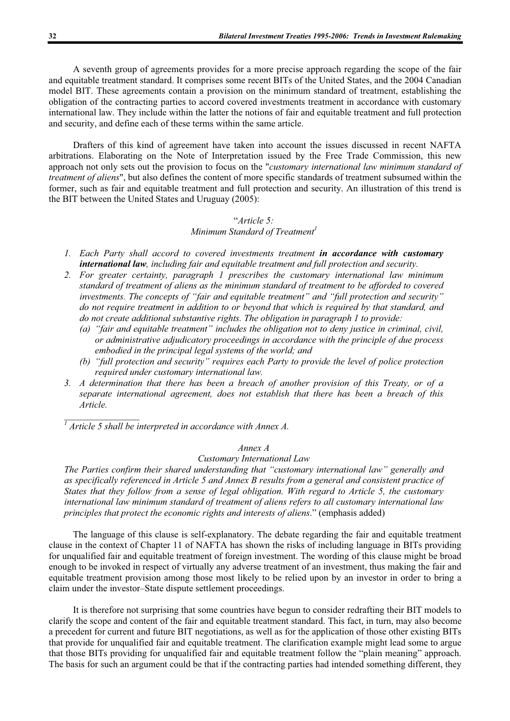A seventh group of agreements provides for a more precise approach regarding the scope of the fair and equitable treatment standard. It comprises some recent BITs of the United States, and the 2004 Canadian model BIT. These agreements contain a provision on the minimum standard of treatment, establishing the obligation of the contracting parties to accord covered investments treatment in accordance with customary international law. They include within the latter the notions of fair and equitable treatment and full protection and security, and define each of these terms within the same article.

Drafters of this kind of agreement have taken into account the issues discussed in recent NAFTA arbitrations. Elaborating on the Note of Interpretation issued by the Free Trade Commission, this new approach not only sets out the provision to focus on the "*customary international law minimum standard of treatment of aliens*", but also defines the content of more specific standards of treatment subsumed within the former, such as fair and equitable treatment and full protection and security. An illustration of this trend is the BIT between the United States and Uruguay (2005):

# "*Article 5:*

#### *Minimum Standard of Treatment*<sup>1</sup>

- *1. Each Party shall accord to covered investments treatment in accordance with customary international law, including fair and equitable treatment and full protection and security.*
- *2. For greater certainty, paragraph 1 prescribes the customary international law minimum standard of treatment of aliens as the minimum standard of treatment to be afforded to covered investments. The concepts of "fair and equitable treatment" and "full protection and security" do not require treatment in addition to or beyond that which is required by that standard, and do not create additional substantive rights. The obligation in paragraph 1 to provide:* 
	- *(a) "fair and equitable treatment" includes the obligation not to deny justice in criminal, civil, or administrative adjudicatory proceedings in accordance with the principle of due process embodied in the principal legal systems of the world; and*
	- *(b) "full protection and security" requires each Party to provide the level of police protection required under customary international law.*
- *3. A determination that there has been a breach of another provision of this Treaty, or of a separate international agreement, does not establish that there has been a breach of this Article.*

*1 Article 5 shall be interpreted in accordance with Annex A.* 

*\_\_\_\_\_\_\_\_\_\_\_\_\_\_\_\_*

#### *Annex A*

#### *Customary International Law*

*The Parties confirm their shared understanding that "customary international law" generally and as specifically referenced in Article 5 and Annex B results from a general and consistent practice of States that they follow from a sense of legal obligation. With regard to Article 5, the customary international law minimum standard of treatment of aliens refers to all customary international law principles that protect the economic rights and interests of aliens*." (emphasis added)

The language of this clause is self-explanatory. The debate regarding the fair and equitable treatment clause in the context of Chapter 11 of NAFTA has shown the risks of including language in BITs providing for unqualified fair and equitable treatment of foreign investment. The wording of this clause might be broad enough to be invoked in respect of virtually any adverse treatment of an investment, thus making the fair and equitable treatment provision among those most likely to be relied upon by an investor in order to bring a claim under the investor–State dispute settlement proceedings.

It is therefore not surprising that some countries have begun to consider redrafting their BIT models to clarify the scope and content of the fair and equitable treatment standard. This fact, in turn, may also become a precedent for current and future BIT negotiations, as well as for the application of those other existing BITs that provide for unqualified fair and equitable treatment. The clarification example might lead some to argue that those BITs providing for unqualified fair and equitable treatment follow the "plain meaning" approach. The basis for such an argument could be that if the contracting parties had intended something different, they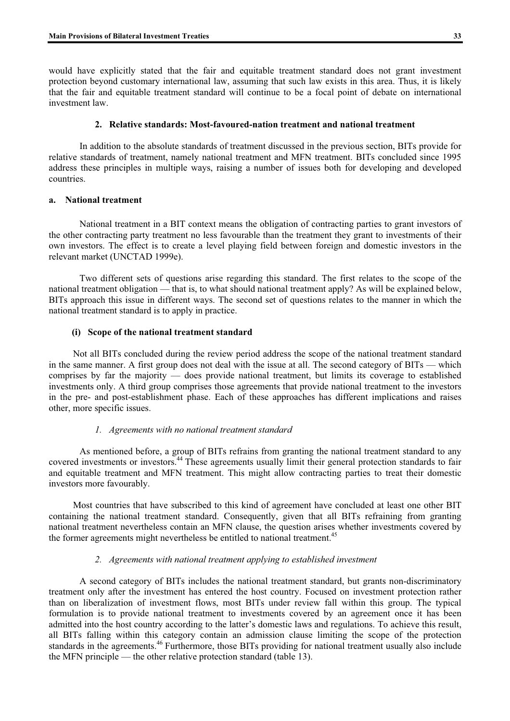would have explicitly stated that the fair and equitable treatment standard does not grant investment protection beyond customary international law, assuming that such law exists in this area. Thus, it is likely that the fair and equitable treatment standard will continue to be a focal point of debate on international investment law.

#### **2. Relative standards: Most-favoured-nation treatment and national treatment**

In addition to the absolute standards of treatment discussed in the previous section, BITs provide for relative standards of treatment, namely national treatment and MFN treatment. BITs concluded since 1995 address these principles in multiple ways, raising a number of issues both for developing and developed countries.

#### **a. National treatment**

National treatment in a BIT context means the obligation of contracting parties to grant investors of the other contracting party treatment no less favourable than the treatment they grant to investments of their own investors. The effect is to create a level playing field between foreign and domestic investors in the relevant market (UNCTAD 1999e).

Two different sets of questions arise regarding this standard. The first relates to the scope of the national treatment obligation — that is, to what should national treatment apply? As will be explained below, BITs approach this issue in different ways. The second set of questions relates to the manner in which the national treatment standard is to apply in practice.

#### **(i) Scope of the national treatment standard**

Not all BITs concluded during the review period address the scope of the national treatment standard in the same manner. A first group does not deal with the issue at all. The second category of BITs — which comprises by far the majority — does provide national treatment, but limits its coverage to established investments only. A third group comprises those agreements that provide national treatment to the investors in the pre- and post-establishment phase. Each of these approaches has different implications and raises other, more specific issues.

#### *1. Agreements with no national treatment standard*

As mentioned before, a group of BITs refrains from granting the national treatment standard to any covered investments or investors.<sup>44</sup> These agreements usually limit their general protection standards to fair and equitable treatment and MFN treatment. This might allow contracting parties to treat their domestic investors more favourably.

Most countries that have subscribed to this kind of agreement have concluded at least one other BIT containing the national treatment standard. Consequently, given that all BITs refraining from granting national treatment nevertheless contain an MFN clause, the question arises whether investments covered by the former agreements might nevertheless be entitled to national treatment.<sup>45</sup>

#### *2. Agreements with national treatment applying to established investment*

A second category of BITs includes the national treatment standard, but grants non-discriminatory treatment only after the investment has entered the host country. Focused on investment protection rather than on liberalization of investment flows, most BITs under review fall within this group. The typical formulation is to provide national treatment to investments covered by an agreement once it has been admitted into the host country according to the latter's domestic laws and regulations. To achieve this result, all BITs falling within this category contain an admission clause limiting the scope of the protection standards in the agreements.<sup>46</sup> Furthermore, those BITs providing for national treatment usually also include the MFN principle — the other relative protection standard (table 13).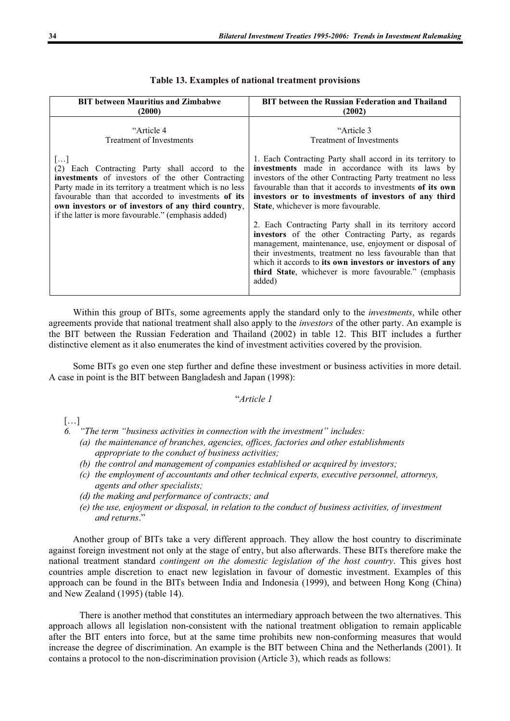| <b>BIT between Mauritius and Zimbabwe</b><br>(2000)                                                                                                                                                                                                                                                                                                 | BIT between the Russian Federation and Thailand<br>(2002)                                                                                                                                                                                                                                                                                                                                          |  |
|-----------------------------------------------------------------------------------------------------------------------------------------------------------------------------------------------------------------------------------------------------------------------------------------------------------------------------------------------------|----------------------------------------------------------------------------------------------------------------------------------------------------------------------------------------------------------------------------------------------------------------------------------------------------------------------------------------------------------------------------------------------------|--|
| "Article 4<br>Treatment of Investments<br>$\left[\ldots\right]$<br>Each Contracting Party shall accord to the<br>(2)<br>investments of investors of the other Contracting<br>Party made in its territory a treatment which is no less<br>favourable than that accorded to investments of its<br>own investors or of investors of any third country, | "Article 3<br><b>Treatment of Investments</b><br>1. Each Contracting Party shall accord in its territory to<br>investments made in accordance with its laws by<br>investors of the other Contracting Party treatment no less<br>favourable than that it accords to investments of its own<br>investors or to investments of investors of any third<br><b>State</b> , whichever is more favourable. |  |
| if the latter is more favourable." (emphasis added)                                                                                                                                                                                                                                                                                                 | 2. Each Contracting Party shall in its territory accord<br><b>investors</b> of the other Contracting Party, as regards<br>management, maintenance, use, enjoyment or disposal of<br>their investments, treatment no less favourable than that<br>which it accords to its own investors or investors of any<br>third State, whichever is more favourable." (emphasis<br>added)                      |  |

# **Table 13. Examples of national treatment provisions**

Within this group of BITs, some agreements apply the standard only to the *investments*, while other agreements provide that national treatment shall also apply to the *investors* of the other party. An example is the BIT between the Russian Federation and Thailand (2002) in table 12. This BIT includes a further distinctive element as it also enumerates the kind of investment activities covered by the provision.

Some BITs go even one step further and define these investment or business activities in more detail. A case in point is the BIT between Bangladesh and Japan (1998):

# "*Article 1*

 $[\dots]$ 

- *6. "The term "business activities in connection with the investment" includes: (a) the maintenance of branches, agencies, offices, factories and other establishments appropriate to the conduct of business activities;* 
	- *(b) the control and management of companies established or acquired by investors;*
	- *(c) the employment of accountants and other technical experts, executive personnel, attorneys, agents and other specialists;*
	- *(d) the making and performance of contracts; and*
	- *(e) the use, enjoyment or disposal, in relation to the conduct of business activities, of investment and returns*."

Another group of BITs take a very different approach. They allow the host country to discriminate against foreign investment not only at the stage of entry, but also afterwards. These BITs therefore make the national treatment standard *contingent on the domestic legislation of the host country*. This gives host countries ample discretion to enact new legislation in favour of domestic investment. Examples of this approach can be found in the BITs between India and Indonesia (1999), and between Hong Kong (China) and New Zealand (1995) (table 14).

There is another method that constitutes an intermediary approach between the two alternatives. This approach allows all legislation non-consistent with the national treatment obligation to remain applicable after the BIT enters into force, but at the same time prohibits new non-conforming measures that would increase the degree of discrimination. An example is the BIT between China and the Netherlands (2001). It contains a protocol to the non-discrimination provision (Article 3), which reads as follows: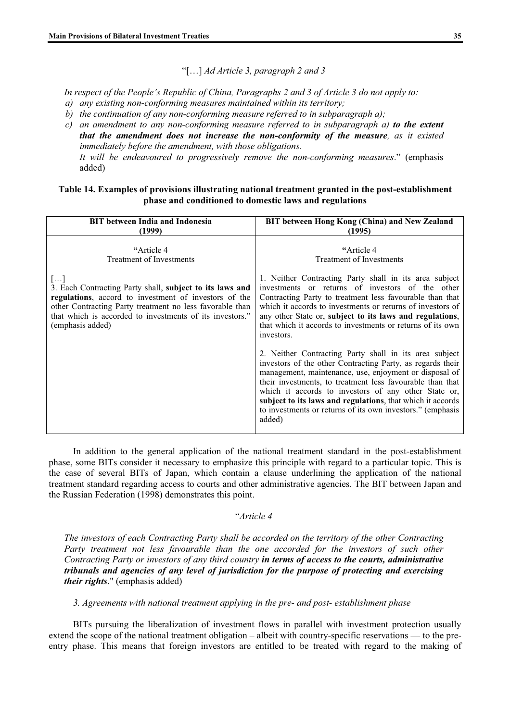"[…] *Ad Article 3, paragraph 2 and 3* 

*In respect of the People's Republic of China, Paragraphs 2 and 3 of Article 3 do not apply to:* 

- *a) any existing non-conforming measures maintained within its territory;*
- *b) the continuation of any non-conforming measure referred to in subparagraph a);*
- *c) an amendment to any non-conforming measure referred to in subparagraph a) to the extent that the amendment does not increase the non-conformity of the measure, as it existed immediately before the amendment, with those obligations. It will be endeavoured to progressively remove the non-conforming measures*." (emphasis added)

# **Table 14. Examples of provisions illustrating national treatment granted in the post-establishment phase and conditioned to domestic laws and regulations**

| <b>BIT</b> between India and Indonesia                                                                                                                                                                                                                              | BIT between Hong Kong (China) and New Zealand                                                                                                                                                                                                                                                                                                                                                                                             |
|---------------------------------------------------------------------------------------------------------------------------------------------------------------------------------------------------------------------------------------------------------------------|-------------------------------------------------------------------------------------------------------------------------------------------------------------------------------------------------------------------------------------------------------------------------------------------------------------------------------------------------------------------------------------------------------------------------------------------|
| (1999)                                                                                                                                                                                                                                                              | (1995)                                                                                                                                                                                                                                                                                                                                                                                                                                    |
| "Article 4                                                                                                                                                                                                                                                          | "Article 4                                                                                                                                                                                                                                                                                                                                                                                                                                |
| <b>Treatment of Investments</b>                                                                                                                                                                                                                                     | <b>Treatment of Investments</b>                                                                                                                                                                                                                                                                                                                                                                                                           |
| []<br>3. Each Contracting Party shall, subject to its laws and<br>regulations, accord to investment of investors of the<br>other Contracting Party treatment no less favorable than<br>that which is accorded to investments of its investors."<br>(emphasis added) | 1. Neither Contracting Party shall in its area subject<br>investments or returns of investors of the other<br>Contracting Party to treatment less favourable than that<br>which it accords to investments or returns of investors of<br>any other State or, subject to its laws and regulations,<br>that which it accords to investments or returns of its own<br>investors.                                                              |
|                                                                                                                                                                                                                                                                     | 2. Neither Contracting Party shall in its area subject<br>investors of the other Contracting Party, as regards their<br>management, maintenance, use, enjoyment or disposal of<br>their investments, to treatment less favourable than that<br>which it accords to investors of any other State or,<br>subject to its laws and regulations, that which it accords<br>to investments or returns of its own investors." (emphasis<br>added) |

In addition to the general application of the national treatment standard in the post-establishment phase, some BITs consider it necessary to emphasize this principle with regard to a particular topic. This is the case of several BITs of Japan, which contain a clause underlining the application of the national treatment standard regarding access to courts and other administrative agencies. The BIT between Japan and the Russian Federation (1998) demonstrates this point.

#### "*Article 4*

*The investors of each Contracting Party shall be accorded on the territory of the other Contracting*  Party treatment not less favourable than the one accorded for the investors of such other *Contracting Party or investors of any third country in terms of access to the courts, administrative tribunals and agencies of any level of jurisdiction for the purpose of protecting and exercising their rights*." (emphasis added)

*3. Agreements with national treatment applying in the pre- and post- establishment phase* 

BITs pursuing the liberalization of investment flows in parallel with investment protection usually extend the scope of the national treatment obligation – albeit with country-specific reservations — to the preentry phase. This means that foreign investors are entitled to be treated with regard to the making of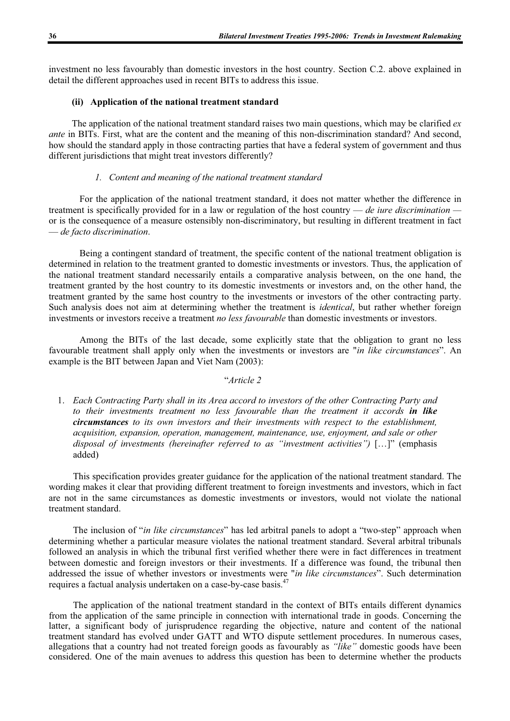investment no less favourably than domestic investors in the host country. Section C.2. above explained in detail the different approaches used in recent BITs to address this issue.

#### **(ii) Application of the national treatment standard**

The application of the national treatment standard raises two main questions, which may be clarified *ex ante* in BITs. First, what are the content and the meaning of this non-discrimination standard? And second, how should the standard apply in those contracting parties that have a federal system of government and thus different jurisdictions that might treat investors differently?

#### *1. Content and meaning of the national treatment standard*

For the application of the national treatment standard, it does not matter whether the difference in treatment is specifically provided for in a law or regulation of the host country — *de iure discrimination*  or is the consequence of a measure ostensibly non-discriminatory, but resulting in different treatment in fact — *de facto discrimination*.

Being a contingent standard of treatment, the specific content of the national treatment obligation is determined in relation to the treatment granted to domestic investments or investors. Thus, the application of the national treatment standard necessarily entails a comparative analysis between, on the one hand, the treatment granted by the host country to its domestic investments or investors and, on the other hand, the treatment granted by the same host country to the investments or investors of the other contracting party. Such analysis does not aim at determining whether the treatment is *identical*, but rather whether foreign investments or investors receive a treatment *no less favourable* than domestic investments or investors.

Among the BITs of the last decade, some explicitly state that the obligation to grant no less favourable treatment shall apply only when the investments or investors are "*in like circumstances*". An example is the BIT between Japan and Viet Nam (2003):

# "*Article 2*

1. *Each Contracting Party shall in its Area accord to investors of the other Contracting Party and to their investments treatment no less favourable than the treatment it accords in like circumstances to its own investors and their investments with respect to the establishment, acquisition, expansion, operation, management, maintenance, use, enjoyment, and sale or other disposal of investments (hereinafter referred to as "investment activities")* […]" (emphasis added)

This specification provides greater guidance for the application of the national treatment standard. The wording makes it clear that providing different treatment to foreign investments and investors, which in fact are not in the same circumstances as domestic investments or investors, would not violate the national treatment standard.

The inclusion of "*in like circumstances*" has led arbitral panels to adopt a "two-step" approach when determining whether a particular measure violates the national treatment standard. Several arbitral tribunals followed an analysis in which the tribunal first verified whether there were in fact differences in treatment between domestic and foreign investors or their investments. If a difference was found, the tribunal then addressed the issue of whether investors or investments were "*in like circumstances*". Such determination requires a factual analysis undertaken on a case-by-case basis.<sup>47</sup>

The application of the national treatment standard in the context of BITs entails different dynamics from the application of the same principle in connection with international trade in goods. Concerning the latter, a significant body of jurisprudence regarding the objective, nature and content of the national treatment standard has evolved under GATT and WTO dispute settlement procedures. In numerous cases, allegations that a country had not treated foreign goods as favourably as *"like"* domestic goods have been considered. One of the main avenues to address this question has been to determine whether the products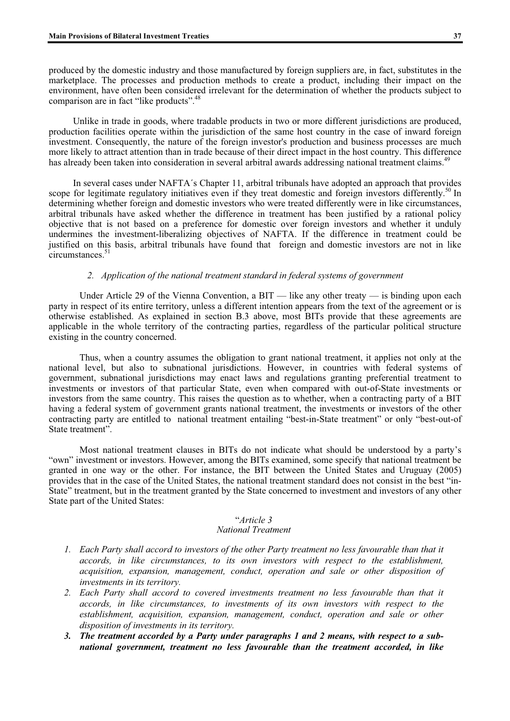produced by the domestic industry and those manufactured by foreign suppliers are, in fact, substitutes in the marketplace. The processes and production methods to create a product, including their impact on the environment, have often been considered irrelevant for the determination of whether the products subject to comparison are in fact "like products".<sup>48</sup>

Unlike in trade in goods, where tradable products in two or more different jurisdictions are produced, production facilities operate within the jurisdiction of the same host country in the case of inward foreign investment. Consequently, the nature of the foreign investor's production and business processes are much more likely to attract attention than in trade because of their direct impact in the host country. This difference has already been taken into consideration in several arbitral awards addressing national treatment claims.<sup>49</sup>

In several cases under NAFTA´s Chapter 11, arbitral tribunals have adopted an approach that provides scope for legitimate regulatory initiatives even if they treat domestic and foreign investors differently.<sup>50</sup> In determining whether foreign and domestic investors who were treated differently were in like circumstances, arbitral tribunals have asked whether the difference in treatment has been justified by a rational policy objective that is not based on a preference for domestic over foreign investors and whether it unduly undermines the investment-liberalizing objectives of NAFTA. If the difference in treatment could be justified on this basis, arbitral tribunals have found that foreign and domestic investors are not in like circumstances.<sup>51</sup>

#### *2. Application of the national treatment standard in federal systems of government*

Under Article 29 of the Vienna Convention, a BIT — like any other treaty — is binding upon each party in respect of its entire territory, unless a different intention appears from the text of the agreement or is otherwise established. As explained in section B.3 above, most BITs provide that these agreements are applicable in the whole territory of the contracting parties, regardless of the particular political structure existing in the country concerned.

Thus, when a country assumes the obligation to grant national treatment, it applies not only at the national level, but also to subnational jurisdictions. However, in countries with federal systems of government, subnational jurisdictions may enact laws and regulations granting preferential treatment to investments or investors of that particular State, even when compared with out-of-State investments or investors from the same country. This raises the question as to whether, when a contracting party of a BIT having a federal system of government grants national treatment, the investments or investors of the other contracting party are entitled to national treatment entailing "best-in-State treatment" or only "best-out-of State treatment".

Most national treatment clauses in BITs do not indicate what should be understood by a party's "own" investment or investors. However, among the BITs examined, some specify that national treatment be granted in one way or the other. For instance, the BIT between the United States and Uruguay (2005) provides that in the case of the United States, the national treatment standard does not consist in the best "in-State" treatment, but in the treatment granted by the State concerned to investment and investors of any other State part of the United States:

#### "*Article 3 National Treatment*

- *1. Each Party shall accord to investors of the other Party treatment no less favourable than that it accords, in like circumstances, to its own investors with respect to the establishment, acquisition, expansion, management, conduct, operation and sale or other disposition of investments in its territory.*
- 2. Each Party shall accord to covered investments treatment no less favourable than that it *accords, in like circumstances, to investments of its own investors with respect to the establishment, acquisition, expansion, management, conduct, operation and sale or other disposition of investments in its territory.*
- *3. The treatment accorded by a Party under paragraphs 1 and 2 means, with respect to a subnational government, treatment no less favourable than the treatment accorded, in like*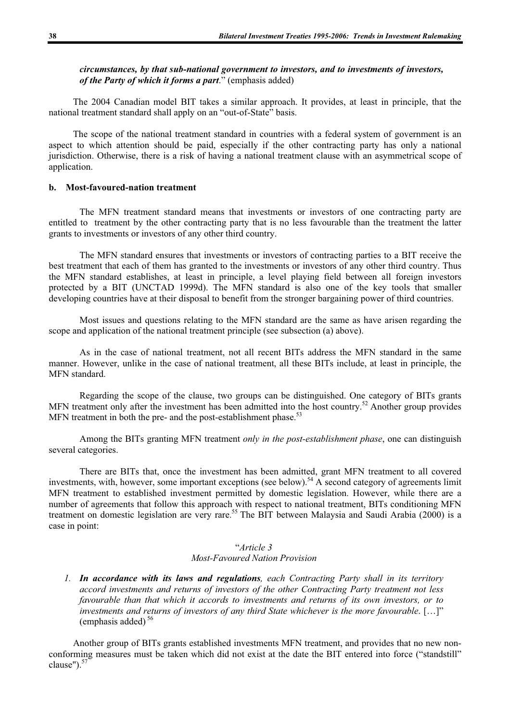# *circumstances, by that sub-national government to investors, and to investments of investors, of the Party of which it forms a part*." (emphasis added)

The 2004 Canadian model BIT takes a similar approach. It provides, at least in principle, that the national treatment standard shall apply on an "out-of-State" basis.

The scope of the national treatment standard in countries with a federal system of government is an aspect to which attention should be paid, especially if the other contracting party has only a national jurisdiction. Otherwise, there is a risk of having a national treatment clause with an asymmetrical scope of application.

#### **b. Most-favoured-nation treatment**

The MFN treatment standard means that investments or investors of one contracting party are entitled to treatment by the other contracting party that is no less favourable than the treatment the latter grants to investments or investors of any other third country.

The MFN standard ensures that investments or investors of contracting parties to a BIT receive the best treatment that each of them has granted to the investments or investors of any other third country. Thus the MFN standard establishes, at least in principle, a level playing field between all foreign investors protected by a BIT (UNCTAD 1999d). The MFN standard is also one of the key tools that smaller developing countries have at their disposal to benefit from the stronger bargaining power of third countries.

Most issues and questions relating to the MFN standard are the same as have arisen regarding the scope and application of the national treatment principle (see subsection (a) above).

As in the case of national treatment, not all recent BITs address the MFN standard in the same manner. However, unlike in the case of national treatment, all these BITs include, at least in principle, the MFN standard.

Regarding the scope of the clause, two groups can be distinguished. One category of BITs grants MFN treatment only after the investment has been admitted into the host country.<sup>52</sup> Another group provides MFN treatment in both the pre- and the post-establishment phase.<sup>53</sup>

Among the BITs granting MFN treatment *only in the post-establishment phase*, one can distinguish several categories.

There are BITs that, once the investment has been admitted, grant MFN treatment to all covered investments, with, however, some important exceptions (see below).<sup>54</sup> A second category of agreements limit MFN treatment to established investment permitted by domestic legislation. However, while there are a number of agreements that follow this approach with respect to national treatment, BITs conditioning MFN treatment on domestic legislation are very rare.<sup>55</sup> The BIT between Malaysia and Saudi Arabia (2000) is a case in point:

#### "*Article 3 Most-Favoured Nation Provision*

*1. In accordance with its laws and regulations, each Contracting Party shall in its territory accord investments and returns of investors of the other Contracting Party treatment not less favourable than that which it accords to investments and returns of its own investors, or to investments and returns of investors of any third State whichever is the more favourable*. […]" (emphasis added) $56$ 

Another group of BITs grants established investments MFN treatment, and provides that no new nonconforming measures must be taken which did not exist at the date the BIT entered into force ("standstill" clause" $)$ .<sup>57</sup>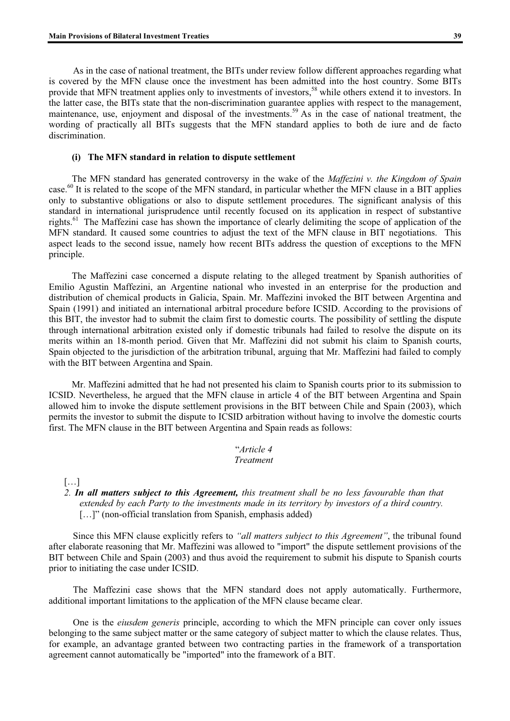As in the case of national treatment, the BITs under review follow different approaches regarding what is covered by the MFN clause once the investment has been admitted into the host country. Some BITs provide that MFN treatment applies only to investments of investors,<sup>58</sup> while others extend it to investors. In the latter case, the BITs state that the non-discrimination guarantee applies with respect to the management, maintenance, use, enjoyment and disposal of the investments.<sup>59</sup> As in the case of national treatment, the wording of practically all BITs suggests that the MFN standard applies to both de iure and de facto discrimination.

#### **(i) The MFN standard in relation to dispute settlement**

The MFN standard has generated controversy in the wake of the *Maffezini v. the Kingdom of Spain*  case.<sup>60</sup> It is related to the scope of the MFN standard, in particular whether the MFN clause in a BIT applies only to substantive obligations or also to dispute settlement procedures. The significant analysis of this standard in international jurisprudence until recently focused on its application in respect of substantive rights.61 The Maffezini case has shown the importance of clearly delimiting the scope of application of the MFN standard. It caused some countries to adjust the text of the MFN clause in BIT negotiations. This aspect leads to the second issue, namely how recent BITs address the question of exceptions to the MFN principle.

The Maffezini case concerned a dispute relating to the alleged treatment by Spanish authorities of Emilio Agustin Maffezini, an Argentine national who invested in an enterprise for the production and distribution of chemical products in Galicia, Spain. Mr. Maffezini invoked the BIT between Argentina and Spain (1991) and initiated an international arbitral procedure before ICSID. According to the provisions of this BIT, the investor had to submit the claim first to domestic courts. The possibility of settling the dispute through international arbitration existed only if domestic tribunals had failed to resolve the dispute on its merits within an 18-month period. Given that Mr. Maffezini did not submit his claim to Spanish courts, Spain objected to the jurisdiction of the arbitration tribunal, arguing that Mr. Maffezini had failed to comply with the BIT between Argentina and Spain.

Mr. Maffezini admitted that he had not presented his claim to Spanish courts prior to its submission to ICSID. Nevertheless, he argued that the MFN clause in article 4 of the BIT between Argentina and Spain allowed him to invoke the dispute settlement provisions in the BIT between Chile and Spain (2003), which permits the investor to submit the dispute to ICSID arbitration without having to involve the domestic courts first. The MFN clause in the BIT between Argentina and Spain reads as follows:

#### "*Article 4 Treatment*

#### […]

# *2. In all matters subject to this Agreement, this treatment shall be no less favourable than that extended by each Party to the investments made in its territory by investors of a third country.* [...]" (non-official translation from Spanish, emphasis added)

Since this MFN clause explicitly refers to *"all matters subject to this Agreement"*, the tribunal found after elaborate reasoning that Mr. Maffezini was allowed to "import" the dispute settlement provisions of the BIT between Chile and Spain (2003) and thus avoid the requirement to submit his dispute to Spanish courts prior to initiating the case under ICSID.

The Maffezini case shows that the MFN standard does not apply automatically. Furthermore, additional important limitations to the application of the MFN clause became clear.

One is the *eiusdem generis* principle, according to which the MFN principle can cover only issues belonging to the same subject matter or the same category of subject matter to which the clause relates. Thus, for example, an advantage granted between two contracting parties in the framework of a transportation agreement cannot automatically be "imported" into the framework of a BIT.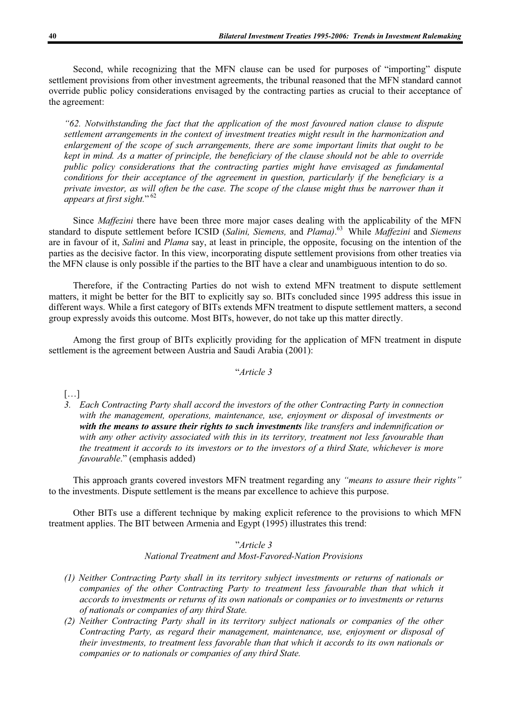Second, while recognizing that the MFN clause can be used for purposes of "importing" dispute settlement provisions from other investment agreements, the tribunal reasoned that the MFN standard cannot override public policy considerations envisaged by the contracting parties as crucial to their acceptance of the agreement:

*"62. Notwithstanding the fact that the application of the most favoured nation clause to dispute settlement arrangements in the context of investment treaties might result in the harmonization and enlargement of the scope of such arrangements, there are some important limits that ought to be kept in mind. As a matter of principle, the beneficiary of the clause should not be able to override public policy considerations that the contracting parties might have envisaged as fundamental conditions for their acceptance of the agreement in question, particularly if the beneficiary is a private investor, as will often be the case. The scope of the clause might thus be narrower than it appears at first sight.*" 62

Since *Maffezini* there have been three more major cases dealing with the applicability of the MFN standard to dispute settlement before ICSID (*Salini, Siemens,* and *Plama)*. 63 While *Maffezini* and *Siemens* are in favour of it, *Salini* and *Plama* say, at least in principle, the opposite, focusing on the intention of the parties as the decisive factor. In this view, incorporating dispute settlement provisions from other treaties via the MFN clause is only possible if the parties to the BIT have a clear and unambiguous intention to do so.

Therefore, if the Contracting Parties do not wish to extend MFN treatment to dispute settlement matters, it might be better for the BIT to explicitly say so. BITs concluded since 1995 address this issue in different ways. While a first category of BITs extends MFN treatment to dispute settlement matters, a second group expressly avoids this outcome. Most BITs, however, do not take up this matter directly.

Among the first group of BITs explicitly providing for the application of MFN treatment in dispute settlement is the agreement between Austria and Saudi Arabia (2001):

# "*Article 3*

 $[\dots]$ 

*3. Each Contracting Party shall accord the investors of the other Contracting Party in connection with the management, operations, maintenance, use, enjoyment or disposal of investments or with the means to assure their rights to such investments like transfers and indemnification or with any other activity associated with this in its territory, treatment not less favourable than the treatment it accords to its investors or to the investors of a third State, whichever is more favourable*." (emphasis added)

This approach grants covered investors MFN treatment regarding any *"means to assure their rights"* to the investments. Dispute settlement is the means par excellence to achieve this purpose.

Other BITs use a different technique by making explicit reference to the provisions to which MFN treatment applies. The BIT between Armenia and Egypt (1995) illustrates this trend:

# "*Article 3 National Treatment and Most-Favored-Nation Provisions*

- *(1) Neither Contracting Party shall in its territory subject investments or returns of nationals or companies of the other Contracting Party to treatment less favourable than that which it accords to investments or returns of its own nationals or companies or to investments or returns of nationals or companies of any third State.*
- *(2) Neither Contracting Party shall in its territory subject nationals or companies of the other Contracting Party, as regard their management, maintenance, use, enjoyment or disposal of their investments, to treatment less favorable than that which it accords to its own nationals or companies or to nationals or companies of any third State.*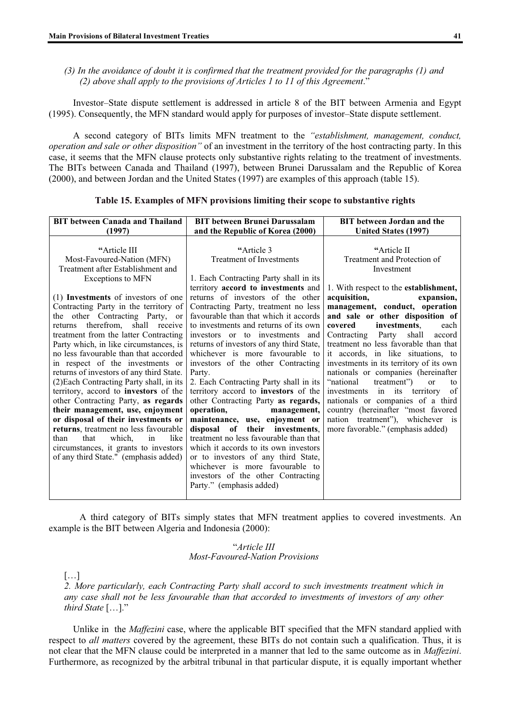*(3) In the avoidance of doubt it is confirmed that the treatment provided for the paragraphs (1) and (2) above shall apply to the provisions of Articles 1 to 11 of this Agreement*."

Investor–State dispute settlement is addressed in article 8 of the BIT between Armenia and Egypt (1995). Consequently, the MFN standard would apply for purposes of investor–State dispute settlement.

A second category of BITs limits MFN treatment to the *"establishment, management, conduct, operation and sale or other disposition"* of an investment in the territory of the host contracting party. In this case, it seems that the MFN clause protects only substantive rights relating to the treatment of investments. The BITs between Canada and Thailand (1997), between Brunei Darussalam and the Republic of Korea (2000), and between Jordan and the United States (1997) are examples of this approach (table 15).

| <b>BIT</b> between Canada and Thailand     | <b>BIT</b> between Brunei Darussalam     | <b>BIT</b> between Jordan and the       |  |
|--------------------------------------------|------------------------------------------|-----------------------------------------|--|
| (1997)                                     | and the Republic of Korea (2000)         | <b>United States (1997)</b>             |  |
|                                            |                                          |                                         |  |
| "Article III                               | "Article 3                               | "Article II                             |  |
| Most-Favoured-Nation (MFN)                 | <b>Treatment of Investments</b>          | Treatment and Protection of             |  |
| Treatment after Establishment and          |                                          | Investment                              |  |
| Exceptions to MFN                          | 1. Each Contracting Party shall in its   |                                         |  |
|                                            | territory accord to investments and      | 1. With respect to the establishment,   |  |
| (1) <b>Investments</b> of investors of one | returns of investors of the other        | acquisition,<br>expansion,              |  |
| Contracting Party in the territory of      | Contracting Party, treatment no less     | management, conduct, operation          |  |
| the other Contracting Party, or            | favourable than that which it accords    | and sale or other disposition of        |  |
| therefrom, shall receive<br>returns        | to investments and returns of its own    | investments,<br>covered<br>each         |  |
| treatment from the latter Contracting      | investors or to investments and          | shall<br>Contracting Party<br>accord    |  |
| Party which, in like circumstances, is     | returns of investors of any third State, | treatment no less favorable than that   |  |
| no less favourable than that accorded      | whichever is more favourable to          | it accords, in like situations, to      |  |
| in respect of the investments or           | investors of the other Contracting       | investments in its territory of its own |  |
| returns of investors of any third State.   | Party.                                   | nationals or companies (hereinafter     |  |
| (2) Each Contracting Party shall, in its   | 2. Each Contracting Party shall in its   | "national<br>treatment")<br>or<br>to    |  |
| territory, accord to investors of the      | territory accord to investors of the     | in its territory<br>of<br>investments   |  |
| other Contracting Party, as regards        | other Contracting Party as regards,      | nationals or companies of a third       |  |
| their management, use, enjoyment           | operation,<br>management,                | country (hereinafter "most favored      |  |
| or disposal of their investments or        | maintenance, use, enjoyment or           | nation treatment"), whichever is        |  |
| returns, treatment no less favourable      | of<br>their<br>investments,<br>disposal  | more favorable." (emphasis added)       |  |
| than<br>that<br>which,<br>like<br>in       | treatment no less favourable than that   |                                         |  |
| circumstances, it grants to investors      | which it accords to its own investors    |                                         |  |
| of any third State." (emphasis added)      | or to investors of any third State,      |                                         |  |
|                                            | whichever is more favourable to          |                                         |  |
|                                            | investors of the other Contracting       |                                         |  |
|                                            | Party." (emphasis added)                 |                                         |  |
|                                            |                                          |                                         |  |

#### **Table 15. Examples of MFN provisions limiting their scope to substantive rights**

A third category of BITs simply states that MFN treatment applies to covered investments. An example is the BIT between Algeria and Indonesia (2000):

#### "*Article III Most-Favoured-Nation Provisions*

[…]

*2. More particularly, each Contracting Party shall accord to such investments treatment which in any case shall not be less favourable than that accorded to investments of investors of any other third State* […]."

Unlike in the *Maffezini* case, where the applicable BIT specified that the MFN standard applied with respect to *all matters* covered by the agreement, these BITs do not contain such a qualification. Thus, it is not clear that the MFN clause could be interpreted in a manner that led to the same outcome as in *Maffezini*. Furthermore, as recognized by the arbitral tribunal in that particular dispute, it is equally important whether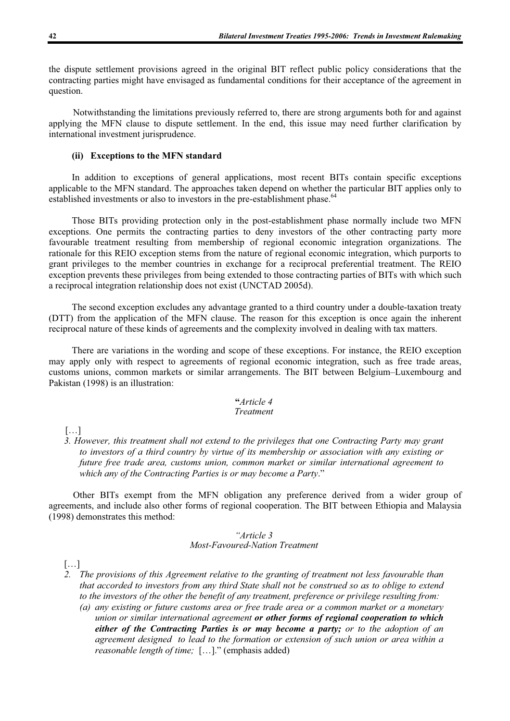the dispute settlement provisions agreed in the original BIT reflect public policy considerations that the contracting parties might have envisaged as fundamental conditions for their acceptance of the agreement in question.

Notwithstanding the limitations previously referred to, there are strong arguments both for and against applying the MFN clause to dispute settlement. In the end, this issue may need further clarification by international investment jurisprudence.

#### **(ii) Exceptions to the MFN standard**

In addition to exceptions of general applications, most recent BITs contain specific exceptions applicable to the MFN standard. The approaches taken depend on whether the particular BIT applies only to established investments or also to investors in the pre-establishment phase.<sup>64</sup>

Those BITs providing protection only in the post-establishment phase normally include two MFN exceptions. One permits the contracting parties to deny investors of the other contracting party more favourable treatment resulting from membership of regional economic integration organizations. The rationale for this REIO exception stems from the nature of regional economic integration, which purports to grant privileges to the member countries in exchange for a reciprocal preferential treatment. The REIO exception prevents these privileges from being extended to those contracting parties of BITs with which such a reciprocal integration relationship does not exist (UNCTAD 2005d).

The second exception excludes any advantage granted to a third country under a double-taxation treaty (DTT) from the application of the MFN clause. The reason for this exception is once again the inherent reciprocal nature of these kinds of agreements and the complexity involved in dealing with tax matters.

There are variations in the wording and scope of these exceptions. For instance, the REIO exception may apply only with respect to agreements of regional economic integration, such as free trade areas, customs unions, common markets or similar arrangements. The BIT between Belgium–Luxembourg and Pakistan (1998) is an illustration:

#### **"***Article 4 Treatment*

 $[\dots]$ 

*3. However, this treatment shall not extend to the privileges that one Contracting Party may grant to investors of a third country by virtue of its membership or association with any existing or future free trade area, customs union, common market or similar international agreement to which any of the Contracting Parties is or may become a Party*."

Other BITs exempt from the MFN obligation any preference derived from a wider group of agreements, and include also other forms of regional cooperation. The BIT between Ethiopia and Malaysia (1998) demonstrates this method:

#### *"Article 3 Most-Favoured-Nation Treatment*

[…]

- *2. The provisions of this Agreement relative to the granting of treatment not less favourable than that accorded to investors from any third State shall not be construed so as to oblige to extend to the investors of the other the benefit of any treatment, preference or privilege resulting from:* 
	- *(a) any existing or future customs area or free trade area or a common market or a monetary union or similar international agreement or other forms of regional cooperation to which either of the Contracting Parties is or may become a party; or to the adoption of an agreement designed to lead to the formation or extension of such union or area within a reasonable length of time;* […]." (emphasis added)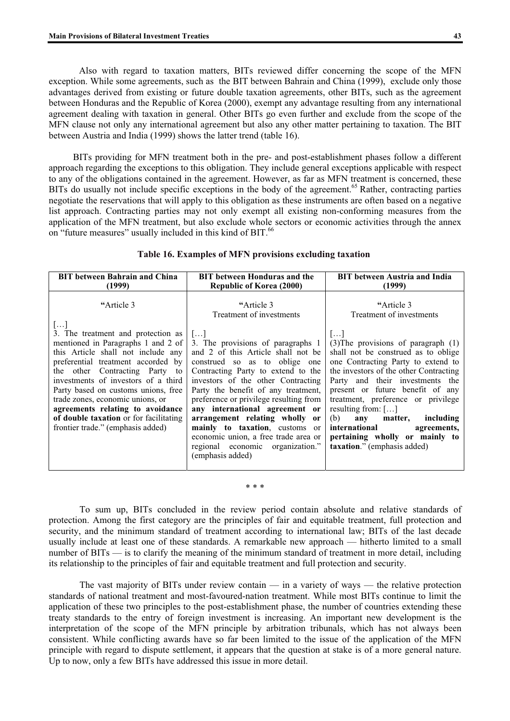Also with regard to taxation matters, BITs reviewed differ concerning the scope of the MFN exception. While some agreements, such as the BIT between Bahrain and China (1999), exclude only those advantages derived from existing or future double taxation agreements, other BITs, such as the agreement between Honduras and the Republic of Korea (2000), exempt any advantage resulting from any international agreement dealing with taxation in general. Other BITs go even further and exclude from the scope of the MFN clause not only any international agreement but also any other matter pertaining to taxation. The BIT between Austria and India (1999) shows the latter trend (table 16).

BITs providing for MFN treatment both in the pre- and post-establishment phases follow a different approach regarding the exceptions to this obligation. They include general exceptions applicable with respect to any of the obligations contained in the agreement. However, as far as MFN treatment is concerned, these BITs do usually not include specific exceptions in the body of the agreement.<sup>65</sup> Rather, contracting parties negotiate the reservations that will apply to this obligation as these instruments are often based on a negative list approach. Contracting parties may not only exempt all existing non-conforming measures from the application of the MFN treatment, but also exclude whole sectors or economic activities through the annex on "future measures" usually included in this kind of BIT.<sup>66</sup>

| <b>BIT</b> between Bahrain and China                                                                                                                                                                                                                                                                                                                                                                                                                                 | <b>BIT</b> between Honduras and the                                                                                                                                                                                                                                                                                                                                                                                                                                                                                                              | <b>BIT</b> between Austria and India                                                                                                                                                                                                                                                                                                                                                                                                                                                            |
|----------------------------------------------------------------------------------------------------------------------------------------------------------------------------------------------------------------------------------------------------------------------------------------------------------------------------------------------------------------------------------------------------------------------------------------------------------------------|--------------------------------------------------------------------------------------------------------------------------------------------------------------------------------------------------------------------------------------------------------------------------------------------------------------------------------------------------------------------------------------------------------------------------------------------------------------------------------------------------------------------------------------------------|-------------------------------------------------------------------------------------------------------------------------------------------------------------------------------------------------------------------------------------------------------------------------------------------------------------------------------------------------------------------------------------------------------------------------------------------------------------------------------------------------|
| (1999)                                                                                                                                                                                                                                                                                                                                                                                                                                                               | <b>Republic of Korea (2000)</b>                                                                                                                                                                                                                                                                                                                                                                                                                                                                                                                  | (1999)                                                                                                                                                                                                                                                                                                                                                                                                                                                                                          |
| "Article 3<br>$\left  \ldots \right $<br>3. The treatment and protection as<br>mentioned in Paragraphs 1 and 2 of<br>this Article shall not include any<br>preferential treatment accorded by<br>the other Contracting Party to<br>investments of investors of a third<br>Party based on customs unions, free<br>trade zones, economic unions, or<br>agreements relating to avoidance<br>of double taxation or for facilitating<br>frontier trade." (emphasis added) | "Article 3<br>Treatment of investments<br>$\left  \ldots \right $<br>3. The provisions of paragraphs 1<br>and 2 of this Article shall not be<br>construed so as to oblige one<br>Contracting Party to extend to the<br>investors of the other Contracting<br>Party the benefit of any treatment,<br>preference or privilege resulting from<br>any international agreement or<br>arrangement relating wholly or<br>mainly to taxation, customs or<br>economic union, a free trade area or<br>regional economic organization."<br>(emphasis added) | "Article 3<br>Treatment of investments<br>[]<br>$(3)$ The provisions of paragraph $(1)$<br>shall not be construed as to oblige<br>one Contracting Party to extend to<br>the investors of the other Contracting<br>Party and their investments the<br>present or future benefit of any<br>treatment, preference or privilege<br>resulting from: $[\dots]$<br>(b)<br>any<br>matter,<br>including<br>international<br>agreements,<br>pertaining wholly or mainly to<br>taxation." (emphasis added) |
|                                                                                                                                                                                                                                                                                                                                                                                                                                                                      |                                                                                                                                                                                                                                                                                                                                                                                                                                                                                                                                                  |                                                                                                                                                                                                                                                                                                                                                                                                                                                                                                 |

# **Table 16. Examples of MFN provisions excluding taxation**

#### \* \* \*

To sum up, BITs concluded in the review period contain absolute and relative standards of protection. Among the first category are the principles of fair and equitable treatment, full protection and security, and the minimum standard of treatment according to international law; BITs of the last decade usually include at least one of these standards. A remarkable new approach — hitherto limited to a small number of BITs — is to clarify the meaning of the minimum standard of treatment in more detail, including its relationship to the principles of fair and equitable treatment and full protection and security.

The vast majority of BITs under review contain — in a variety of ways — the relative protection standards of national treatment and most-favoured-nation treatment. While most BITs continue to limit the application of these two principles to the post-establishment phase, the number of countries extending these treaty standards to the entry of foreign investment is increasing. An important new development is the interpretation of the scope of the MFN principle by arbitration tribunals, which has not always been consistent. While conflicting awards have so far been limited to the issue of the application of the MFN principle with regard to dispute settlement, it appears that the question at stake is of a more general nature. Up to now, only a few BITs have addressed this issue in more detail.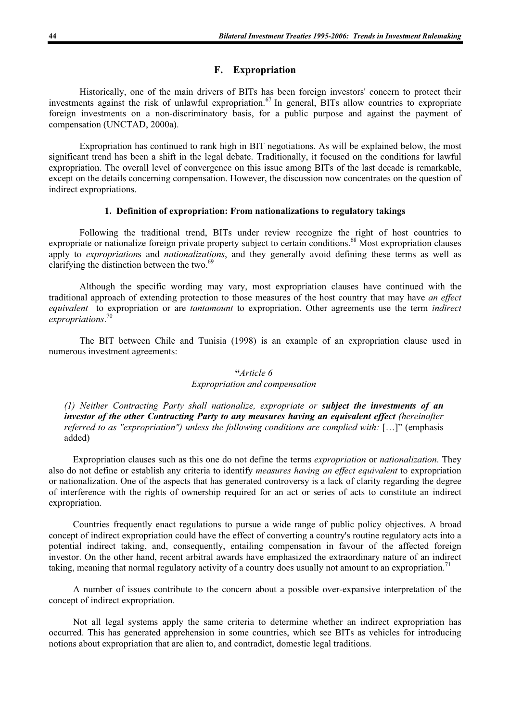# **F. Expropriation**

Historically, one of the main drivers of BITs has been foreign investors' concern to protect their investments against the risk of unlawful expropriation.<sup>67</sup> In general, BITs allow countries to expropriate foreign investments on a non-discriminatory basis, for a public purpose and against the payment of compensation (UNCTAD, 2000a).

Expropriation has continued to rank high in BIT negotiations. As will be explained below, the most significant trend has been a shift in the legal debate. Traditionally, it focused on the conditions for lawful expropriation. The overall level of convergence on this issue among BITs of the last decade is remarkable, except on the details concerning compensation. However, the discussion now concentrates on the question of indirect expropriations.

# **1. Definition of expropriation: From nationalizations to regulatory takings**

Following the traditional trend, BITs under review recognize the right of host countries to expropriate or nationalize foreign private property subject to certain conditions.<sup>68</sup> Most expropriation clauses apply to *expropriation*s and *nationalizations*, and they generally avoid defining these terms as well as clarifying the distinction between the two.<sup>69</sup>

Although the specific wording may vary, most expropriation clauses have continued with the traditional approach of extending protection to those measures of the host country that may have *an effect equivalent* to expropriation or are *tantamount* to expropriation. Other agreements use the term *indirect expropriations*. 70

The BIT between Chile and Tunisia (1998) is an example of an expropriation clause used in numerous investment agreements:

# **"***Article 6 Expropriation and compensation*

*(1) Neither Contracting Party shall nationalize, expropriate or subject the investments of an investor of the other Contracting Party to any measures having an equivalent effect (hereinafter referred to as "expropriation") unless the following conditions are complied with:* […]" (emphasis added)

Expropriation clauses such as this one do not define the terms *expropriation* or *nationalization*. They also do not define or establish any criteria to identify *measures having an effect equivalent* to expropriation or nationalization. One of the aspects that has generated controversy is a lack of clarity regarding the degree of interference with the rights of ownership required for an act or series of acts to constitute an indirect expropriation.

Countries frequently enact regulations to pursue a wide range of public policy objectives. A broad concept of indirect expropriation could have the effect of converting a country's routine regulatory acts into a potential indirect taking, and, consequently, entailing compensation in favour of the affected foreign investor. On the other hand, recent arbitral awards have emphasized the extraordinary nature of an indirect taking, meaning that normal regulatory activity of a country does usually not amount to an expropriation.<sup>71</sup>

A number of issues contribute to the concern about a possible over-expansive interpretation of the concept of indirect expropriation.

Not all legal systems apply the same criteria to determine whether an indirect expropriation has occurred. This has generated apprehension in some countries, which see BITs as vehicles for introducing notions about expropriation that are alien to, and contradict, domestic legal traditions.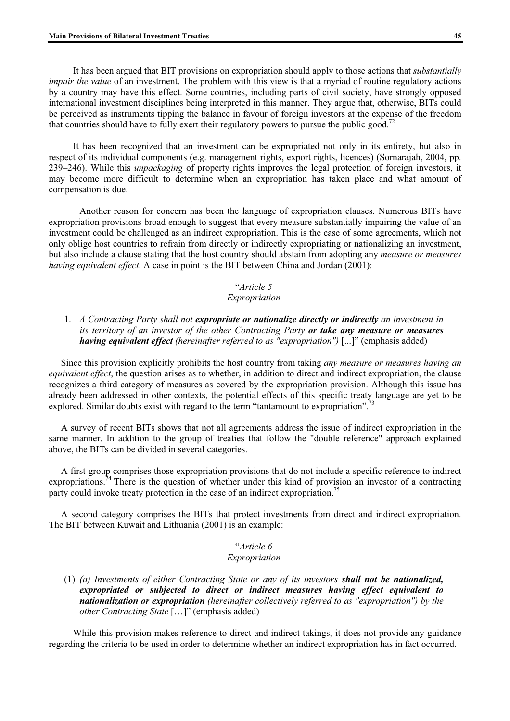It has been argued that BIT provisions on expropriation should apply to those actions that *substantially impair the value* of an investment. The problem with this view is that a myriad of routine regulatory actions by a country may have this effect. Some countries, including parts of civil society, have strongly opposed international investment disciplines being interpreted in this manner. They argue that, otherwise, BITs could be perceived as instruments tipping the balance in favour of foreign investors at the expense of the freedom that countries should have to fully exert their regulatory powers to pursue the public good.<sup>72</sup>

It has been recognized that an investment can be expropriated not only in its entirety, but also in respect of its individual components (e.g. management rights, export rights, licences) (Sornarajah, 2004, pp. 239–246). While this *unpackaging* of property rights improves the legal protection of foreign investors, it may become more difficult to determine when an expropriation has taken place and what amount of compensation is due.

Another reason for concern has been the language of expropriation clauses. Numerous BITs have expropriation provisions broad enough to suggest that every measure substantially impairing the value of an investment could be challenged as an indirect expropriation. This is the case of some agreements, which not only oblige host countries to refrain from directly or indirectly expropriating or nationalizing an investment, but also include a clause stating that the host country should abstain from adopting any *measure or measures having equivalent effect*. A case in point is the BIT between China and Jordan (2001):

# "*Article 5*

# *Expropriation*

# 1. *A Contracting Party shall not expropriate or nationalize directly or indirectly an investment in its territory of an investor of the other Contracting Party or take any measure or measures having equivalent effect (hereinafter referred to as "expropriation")* [...]" (emphasis added)

Since this provision explicitly prohibits the host country from taking *any measure or measures having an equivalent effect*, the question arises as to whether, in addition to direct and indirect expropriation, the clause recognizes a third category of measures as covered by the expropriation provision. Although this issue has already been addressed in other contexts, the potential effects of this specific treaty language are yet to be explored. Similar doubts exist with regard to the term "tantamount to expropriation".<sup>73</sup>

A survey of recent BITs shows that not all agreements address the issue of indirect expropriation in the same manner. In addition to the group of treaties that follow the "double reference" approach explained above, the BITs can be divided in several categories.

A first group comprises those expropriation provisions that do not include a specific reference to indirect expropriations.<sup>74</sup> There is the question of whether under this kind of provision an investor of a contracting party could invoke treaty protection in the case of an indirect expropriation.<sup>75</sup>

A second category comprises the BITs that protect investments from direct and indirect expropriation. The BIT between Kuwait and Lithuania (2001) is an example:

# "*Article 6*

#### *Expropriation*

(1) *(a) Investments of either Contracting State or any of its investors shall not be nationalized, expropriated or subjected to direct or indirect measures having effect equivalent to nationalization or expropriation (hereinafter collectively referred to as "expropriation") by the other Contracting State* […]" (emphasis added)

While this provision makes reference to direct and indirect takings, it does not provide any guidance regarding the criteria to be used in order to determine whether an indirect expropriation has in fact occurred.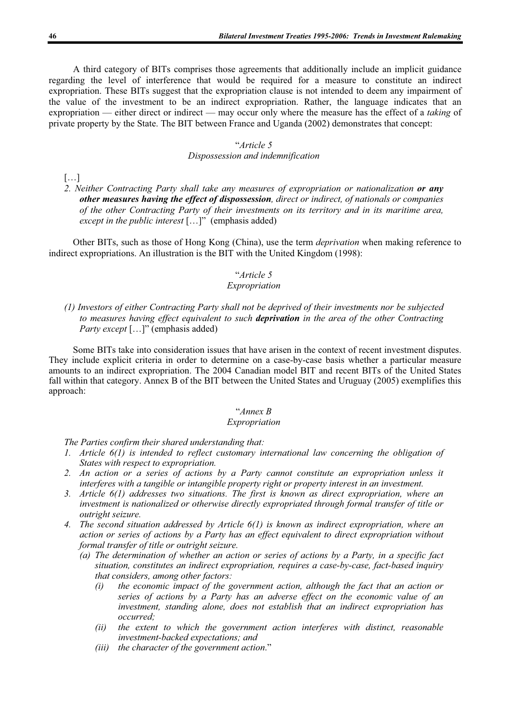A third category of BITs comprises those agreements that additionally include an implicit guidance regarding the level of interference that would be required for a measure to constitute an indirect expropriation. These BITs suggest that the expropriation clause is not intended to deem any impairment of the value of the investment to be an indirect expropriation. Rather, the language indicates that an expropriation — either direct or indirect — may occur only where the measure has the effect of a *taking* of private property by the State. The BIT between France and Uganda (2002) demonstrates that concept:

#### "*Article 5*

# *Dispossession and indemnification*

[…]

*2. Neither Contracting Party shall take any measures of expropriation or nationalization or any other measures having the effect of dispossession, direct or indirect, of nationals or companies of the other Contracting Party of their investments on its territory and in its maritime area, except in the public interest* [...]" (emphasis added)

Other BITs, such as those of Hong Kong (China), use the term *deprivation* when making reference to indirect expropriations. An illustration is the BIT with the United Kingdom (1998):

### "*Article 5*

# *Expropriation*

# *(1) Investors of either Contracting Party shall not be deprived of their investments nor be subjected to measures having effect equivalent to such deprivation in the area of the other Contracting Party except* [...]" (emphasis added)

Some BITs take into consideration issues that have arisen in the context of recent investment disputes. They include explicit criteria in order to determine on a case-by-case basis whether a particular measure amounts to an indirect expropriation. The 2004 Canadian model BIT and recent BITs of the United States fall within that category. Annex B of the BIT between the United States and Uruguay (2005) exemplifies this approach:

#### "*Annex B*

#### *Expropriation*

*The Parties confirm their shared understanding that:*

- *1. Article 6(1) is intended to reflect customary international law concerning the obligation of States with respect to expropriation.*
- *2. An action or a series of actions by a Party cannot constitute an expropriation unless it interferes with a tangible or intangible property right or property interest in an investment.*
- *3. Article 6(1) addresses two situations. The first is known as direct expropriation, where an investment is nationalized or otherwise directly expropriated through formal transfer of title or outright seizure.*
- *4. The second situation addressed by Article 6(1) is known as indirect expropriation, where an action or series of actions by a Party has an effect equivalent to direct expropriation without formal transfer of title or outright seizure.* 
	- *(a) The determination of whether an action or series of actions by a Party, in a specific fact situation, constitutes an indirect expropriation, requires a case-by-case, fact-based inquiry that considers, among other factors:* 
		- *(i) the economic impact of the government action, although the fact that an action or series of actions by a Party has an adverse effect on the economic value of an investment, standing alone, does not establish that an indirect expropriation has occurred;*
		- *(ii) the extent to which the government action interferes with distinct, reasonable investment-backed expectations; and*
		- *(iii) the character of the government action*."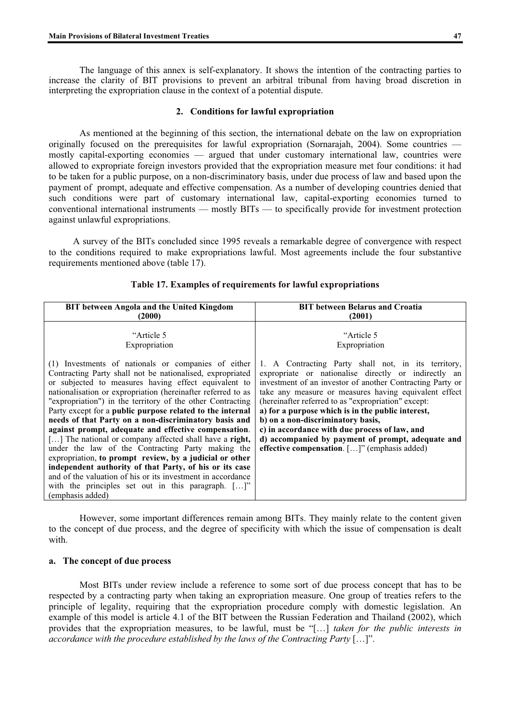The language of this annex is self-explanatory. It shows the intention of the contracting parties to increase the clarity of BIT provisions to prevent an arbitral tribunal from having broad discretion in interpreting the expropriation clause in the context of a potential dispute.

# **2. Conditions for lawful expropriation**

As mentioned at the beginning of this section, the international debate on the law on expropriation originally focused on the prerequisites for lawful expropriation (Sornarajah, 2004). Some countries mostly capital-exporting economies — argued that under customary international law, countries were allowed to expropriate foreign investors provided that the expropriation measure met four conditions: it had to be taken for a public purpose, on a non-discriminatory basis, under due process of law and based upon the payment of prompt, adequate and effective compensation. As a number of developing countries denied that such conditions were part of customary international law, capital-exporting economies turned to conventional international instruments — mostly BITs — to specifically provide for investment protection against unlawful expropriations.

A survey of the BITs concluded since 1995 reveals a remarkable degree of convergence with respect to the conditions required to make expropriations lawful. Most agreements include the four substantive requirements mentioned above (table 17).

| BIT between Angola and the United Kingdom                                                                                                                                                                                                                                                                                                                                                                                                                                                                                                                                                                                                                                                                                                                                                                                                                           | <b>BIT</b> between Belarus and Croatia                                                                                                                                                                                                                                                                                                                                                                                                                                                                                                   |
|---------------------------------------------------------------------------------------------------------------------------------------------------------------------------------------------------------------------------------------------------------------------------------------------------------------------------------------------------------------------------------------------------------------------------------------------------------------------------------------------------------------------------------------------------------------------------------------------------------------------------------------------------------------------------------------------------------------------------------------------------------------------------------------------------------------------------------------------------------------------|------------------------------------------------------------------------------------------------------------------------------------------------------------------------------------------------------------------------------------------------------------------------------------------------------------------------------------------------------------------------------------------------------------------------------------------------------------------------------------------------------------------------------------------|
| (2000)                                                                                                                                                                                                                                                                                                                                                                                                                                                                                                                                                                                                                                                                                                                                                                                                                                                              | (2001)                                                                                                                                                                                                                                                                                                                                                                                                                                                                                                                                   |
|                                                                                                                                                                                                                                                                                                                                                                                                                                                                                                                                                                                                                                                                                                                                                                                                                                                                     |                                                                                                                                                                                                                                                                                                                                                                                                                                                                                                                                          |
|                                                                                                                                                                                                                                                                                                                                                                                                                                                                                                                                                                                                                                                                                                                                                                                                                                                                     |                                                                                                                                                                                                                                                                                                                                                                                                                                                                                                                                          |
| "Article 5"                                                                                                                                                                                                                                                                                                                                                                                                                                                                                                                                                                                                                                                                                                                                                                                                                                                         | "Article 5"                                                                                                                                                                                                                                                                                                                                                                                                                                                                                                                              |
| Expropriation                                                                                                                                                                                                                                                                                                                                                                                                                                                                                                                                                                                                                                                                                                                                                                                                                                                       | Expropriation                                                                                                                                                                                                                                                                                                                                                                                                                                                                                                                            |
|                                                                                                                                                                                                                                                                                                                                                                                                                                                                                                                                                                                                                                                                                                                                                                                                                                                                     |                                                                                                                                                                                                                                                                                                                                                                                                                                                                                                                                          |
| (1) Investments of nationals or companies of either<br>Contracting Party shall not be nationalised, expropriated<br>or subjected to measures having effect equivalent to<br>nationalisation or expropriation (hereinafter referred to as<br>"expropriation") in the territory of the other Contracting<br>Party except for a public purpose related to the internal<br>needs of that Party on a non-discriminatory basis and<br>against prompt, adequate and effective compensation.<br>[] The national or company affected shall have a right,<br>under the law of the Contracting Party making the<br>expropriation, to prompt review, by a judicial or other<br>independent authority of that Party, of his or its case<br>and of the valuation of his or its investment in accordance<br>with the principles set out in this paragraph. []"<br>(emphasis added) | 1. A Contracting Party shall not, in its territory,<br>expropriate or nationalise directly or indirectly an<br>investment of an investor of another Contracting Party or<br>take any measure or measures having equivalent effect<br>(hereinafter referred to as "expropriation" except:<br>a) for a purpose which is in the public interest,<br>b) on a non-discriminatory basis,<br>c) in accordance with due process of law, and<br>d) accompanied by payment of prompt, adequate and<br>effective compensation. []" (emphasis added) |

#### **Table 17. Examples of requirements for lawful expropriations**

However, some important differences remain among BITs. They mainly relate to the content given to the concept of due process, and the degree of specificity with which the issue of compensation is dealt with.

# **a. The concept of due process**

Most BITs under review include a reference to some sort of due process concept that has to be respected by a contracting party when taking an expropriation measure. One group of treaties refers to the principle of legality, requiring that the expropriation procedure comply with domestic legislation. An example of this model is article 4.1 of the BIT between the Russian Federation and Thailand (2002), which provides that the expropriation measures, to be lawful, must be "[…] *taken for the public interests in accordance with the procedure established by the laws of the Contracting Party* […]".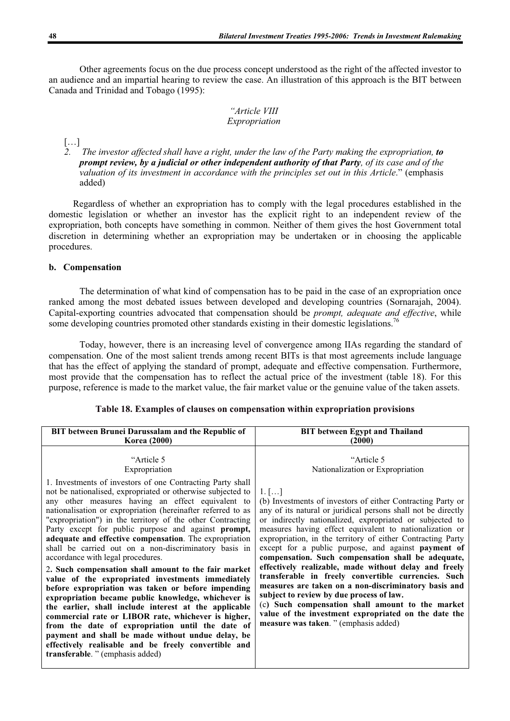Other agreements focus on the due process concept understood as the right of the affected investor to an audience and an impartial hearing to review the case. An illustration of this approach is the BIT between Canada and Trinidad and Tobago (1995):

# *"Article VIII Expropriation*

[…]

2. The investor affected shall have a right, under the law of the Party making the expropriation, to *prompt review, by a judicial or other independent authority of that Party, of its case and of the valuation of its investment in accordance with the principles set out in this Article*." (emphasis added)

Regardless of whether an expropriation has to comply with the legal procedures established in the domestic legislation or whether an investor has the explicit right to an independent review of the expropriation, both concepts have something in common. Neither of them gives the host Government total discretion in determining whether an expropriation may be undertaken or in choosing the applicable procedures.

# **b. Compensation**

The determination of what kind of compensation has to be paid in the case of an expropriation once ranked among the most debated issues between developed and developing countries (Sornarajah, 2004). Capital-exporting countries advocated that compensation should be *prompt, adequate and effective*, while some developing countries promoted other standards existing in their domestic legislations.<sup>76</sup>

Today, however, there is an increasing level of convergence among IIAs regarding the standard of compensation. One of the most salient trends among recent BITs is that most agreements include language that has the effect of applying the standard of prompt, adequate and effective compensation. Furthermore, most provide that the compensation has to reflect the actual price of the investment (table 18). For this purpose, reference is made to the market value, the fair market value or the genuine value of the taken assets.

| BIT between Brunei Darussalam and the Republic of<br><b>Korea</b> (2000)                                                                                                                                                                                                                                                                                                                                                                                                                                                                                                                                                                                                                                                                                                                                                                                                                                                                                                                                                                                                                                  | <b>BIT</b> between Egypt and Thailand<br>(2000)                                                                                                                                                                                                                                                                                                                                                                                                                                                                                                                                                                                                                                                                                                                                                                                                                       |
|-----------------------------------------------------------------------------------------------------------------------------------------------------------------------------------------------------------------------------------------------------------------------------------------------------------------------------------------------------------------------------------------------------------------------------------------------------------------------------------------------------------------------------------------------------------------------------------------------------------------------------------------------------------------------------------------------------------------------------------------------------------------------------------------------------------------------------------------------------------------------------------------------------------------------------------------------------------------------------------------------------------------------------------------------------------------------------------------------------------|-----------------------------------------------------------------------------------------------------------------------------------------------------------------------------------------------------------------------------------------------------------------------------------------------------------------------------------------------------------------------------------------------------------------------------------------------------------------------------------------------------------------------------------------------------------------------------------------------------------------------------------------------------------------------------------------------------------------------------------------------------------------------------------------------------------------------------------------------------------------------|
| "Article 5<br>Expropriation<br>1. Investments of investors of one Contracting Party shall<br>not be nationalised, expropriated or otherwise subjected to<br>any other measures having an effect equivalent to<br>nationalisation or expropriation (hereinafter referred to as<br>"expropriation") in the territory of the other Contracting<br>Party except for public purpose and against prompt,<br>adequate and effective compensation. The expropriation<br>shall be carried out on a non-discriminatory basis in<br>accordance with legal procedures.<br>2. Such compensation shall amount to the fair market<br>value of the expropriated investments immediately<br>before expropriation was taken or before impending<br>expropriation became public knowledge, whichever is<br>the earlier, shall include interest at the applicable<br>commercial rate or LIBOR rate, whichever is higher,<br>from the date of expropriation until the date of<br>payment and shall be made without undue delay, be<br>effectively realisable and be freely convertible and<br>transferable. " (emphasis added) | "Article 5<br>Nationalization or Expropriation<br>$1.$ []<br>(b) Investments of investors of either Contracting Party or<br>any of its natural or juridical persons shall not be directly<br>or indirectly nationalized, expropriated or subjected to<br>measures having effect equivalent to nationalization or<br>expropriation, in the territory of either Contracting Party<br>except for a public purpose, and against payment of<br>compensation. Such compensation shall be adequate,<br>effectively realizable, made without delay and freely<br>transferable in freely convertible currencies. Such<br>measures are taken on a non-discriminatory basis and<br>subject to review by due process of law.<br>(c) Such compensation shall amount to the market<br>value of the investment expropriated on the date the<br>measure was taken. " (emphasis added) |
|                                                                                                                                                                                                                                                                                                                                                                                                                                                                                                                                                                                                                                                                                                                                                                                                                                                                                                                                                                                                                                                                                                           |                                                                                                                                                                                                                                                                                                                                                                                                                                                                                                                                                                                                                                                                                                                                                                                                                                                                       |

# **Table 18. Examples of clauses on compensation within expropriation provisions**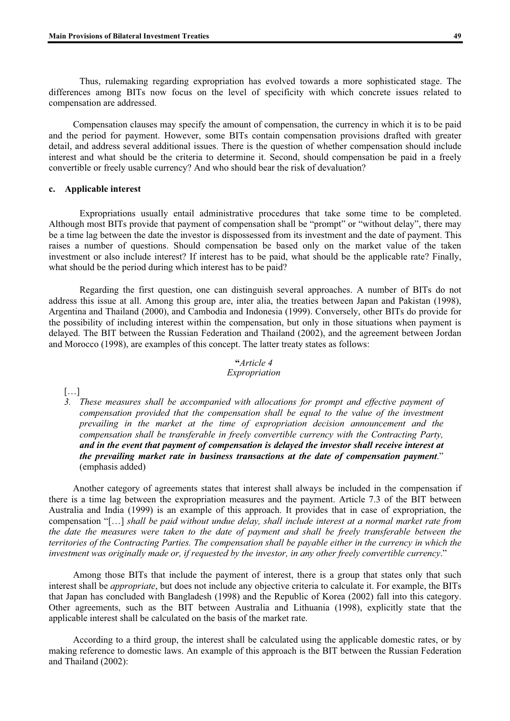Thus, rulemaking regarding expropriation has evolved towards a more sophisticated stage. The differences among BITs now focus on the level of specificity with which concrete issues related to compensation are addressed.

Compensation clauses may specify the amount of compensation, the currency in which it is to be paid and the period for payment. However, some BITs contain compensation provisions drafted with greater detail, and address several additional issues. There is the question of whether compensation should include interest and what should be the criteria to determine it. Second, should compensation be paid in a freely convertible or freely usable currency? And who should bear the risk of devaluation?

#### **c. Applicable interest**

Expropriations usually entail administrative procedures that take some time to be completed. Although most BITs provide that payment of compensation shall be "prompt" or "without delay", there may be a time lag between the date the investor is dispossessed from its investment and the date of payment. This raises a number of questions. Should compensation be based only on the market value of the taken investment or also include interest? If interest has to be paid, what should be the applicable rate? Finally, what should be the period during which interest has to be paid?

Regarding the first question, one can distinguish several approaches. A number of BITs do not address this issue at all. Among this group are, inter alia, the treaties between Japan and Pakistan (1998), Argentina and Thailand (2000), and Cambodia and Indonesia (1999). Conversely, other BITs do provide for the possibility of including interest within the compensation, but only in those situations when payment is delayed. The BIT between the Russian Federation and Thailand (2002), and the agreement between Jordan and Morocco (1998), are examples of this concept. The latter treaty states as follows:

# **"***Article 4 Expropriation*

[…]

*3. These measures shall be accompanied with allocations for prompt and effective payment of compensation provided that the compensation shall be equal to the value of the investment prevailing in the market at the time of expropriation decision announcement and the compensation shall be transferable in freely convertible currency with the Contracting Party, and in the event that payment of compensation is delayed the investor shall receive interest at the prevailing market rate in business transactions at the date of compensation payment*." (emphasis added)

Another category of agreements states that interest shall always be included in the compensation if there is a time lag between the expropriation measures and the payment. Article 7.3 of the BIT between Australia and India (1999) is an example of this approach. It provides that in case of expropriation, the compensation "[…] *shall be paid without undue delay, shall include interest at a normal market rate from the date the measures were taken to the date of payment and shall be freely transferable between the territories of the Contracting Parties. The compensation shall be payable either in the currency in which the investment was originally made or, if requested by the investor, in any other freely convertible currency*."

Among those BITs that include the payment of interest, there is a group that states only that such interest shall be *appropriate*, but does not include any objective criteria to calculate it. For example, the BITs that Japan has concluded with Bangladesh (1998) and the Republic of Korea (2002) fall into this category. Other agreements, such as the BIT between Australia and Lithuania (1998), explicitly state that the applicable interest shall be calculated on the basis of the market rate.

According to a third group, the interest shall be calculated using the applicable domestic rates, or by making reference to domestic laws. An example of this approach is the BIT between the Russian Federation and Thailand (2002):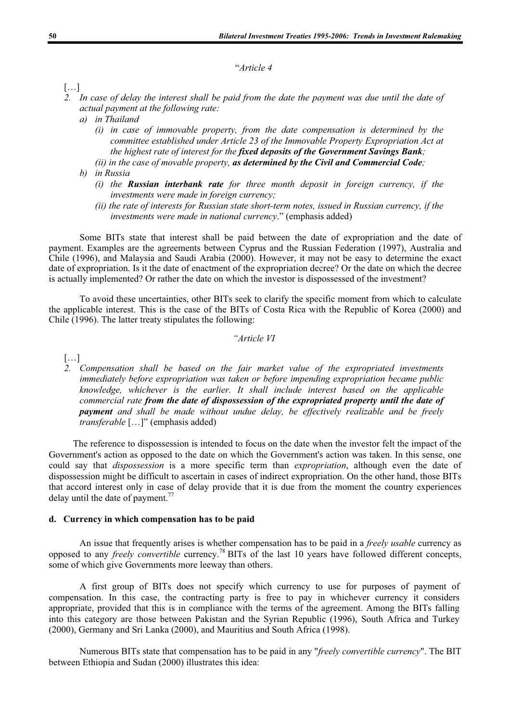#### "*Article 4*

- […]
- *2. In case of delay the interest shall be paid from the date the payment was due until the date of actual payment at the following rate:* 
	- *a) in Thailand* 
		- *(i) in case of immovable property, from the date compensation is determined by the committee established under Article 23 of the Immovable Property Expropriation Act at the highest rate of interest for the fixed deposits of the Government Savings Bank;*
		- *(ii) in the case of movable property, as determined by the Civil and Commercial Code;*
	- *b) in Russia* 
		- *(i) the Russian interbank rate for three month deposit in foreign currency, if the investments were made in foreign currency;*
		- *(ii) the rate of interests for Russian state short-term notes, issued in Russian currency, if the investments were made in national currency*." (emphasis added)

Some BITs state that interest shall be paid between the date of expropriation and the date of payment. Examples are the agreements between Cyprus and the Russian Federation (1997), Australia and Chile (1996), and Malaysia and Saudi Arabia (2000). However, it may not be easy to determine the exact date of expropriation. Is it the date of enactment of the expropriation decree? Or the date on which the decree is actually implemented? Or rather the date on which the investor is dispossessed of the investment?

To avoid these uncertainties, other BITs seek to clarify the specific moment from which to calculate the applicable interest. This is the case of the BITs of Costa Rica with the Republic of Korea (2000) and Chile (1996). The latter treaty stipulates the following:

#### *"Article VI*

[…]

*2. Compensation shall be based on the fair market value of the expropriated investments immediately before expropriation was taken or before impending expropriation became public knowledge, whichever is the earlier. It shall include interest based on the applicable commercial rate from the date of dispossession of the expropriated property until the date of payment and shall be made without undue delay, be effectively realizable and be freely transferable* […]" (emphasis added)

The reference to dispossession is intended to focus on the date when the investor felt the impact of the Government's action as opposed to the date on which the Government's action was taken. In this sense, one could say that *dispossession* is a more specific term than *expropriation*, although even the date of dispossession might be difficult to ascertain in cases of indirect expropriation. On the other hand, those BITs that accord interest only in case of delay provide that it is due from the moment the country experiences delay until the date of payment.<sup>77</sup>

#### **d. Currency in which compensation has to be paid**

An issue that frequently arises is whether compensation has to be paid in a *freely usable* currency as opposed to any *freely convertible* currency.78 BITs of the last 10 years have followed different concepts, some of which give Governments more leeway than others.

A first group of BITs does not specify which currency to use for purposes of payment of compensation. In this case, the contracting party is free to pay in whichever currency it considers appropriate, provided that this is in compliance with the terms of the agreement. Among the BITs falling into this category are those between Pakistan and the Syrian Republic (1996), South Africa and Turkey (2000), Germany and Sri Lanka (2000), and Mauritius and South Africa (1998).

Numerous BITs state that compensation has to be paid in any "*freely convertible currency*". The BIT between Ethiopia and Sudan (2000) illustrates this idea: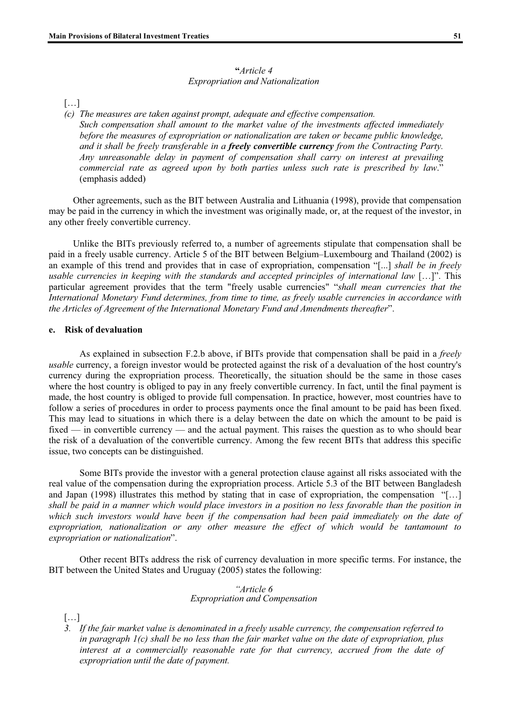# **"***Article 4 Expropriation and Nationalization*

[…]

# *(c) The measures are taken against prompt, adequate and effective compensation. Such compensation shall amount to the market value of the investments affected immediately before the measures of expropriation or nationalization are taken or became public knowledge, and it shall be freely transferable in a freely convertible currency from the Contracting Party. Any unreasonable delay in payment of compensation shall carry on interest at prevailing commercial rate as agreed upon by both parties unless such rate is prescribed by law*." (emphasis added)

Other agreements, such as the BIT between Australia and Lithuania (1998), provide that compensation may be paid in the currency in which the investment was originally made, or, at the request of the investor, in any other freely convertible currency.

Unlike the BITs previously referred to, a number of agreements stipulate that compensation shall be paid in a freely usable currency. Article 5 of the BIT between Belgium–Luxembourg and Thailand (2002) is an example of this trend and provides that in case of expropriation, compensation "[...] *shall be in freely usable currencies in keeping with the standards and accepted principles of international law* […]". This particular agreement provides that the term "freely usable currencies" "*shall mean currencies that the International Monetary Fund determines, from time to time, as freely usable currencies in accordance with the Articles of Agreement of the International Monetary Fund and Amendments thereafter*".

#### **e. Risk of devaluation**

As explained in subsection F.2.b above, if BITs provide that compensation shall be paid in a *freely usable* currency, a foreign investor would be protected against the risk of a devaluation of the host country's currency during the expropriation process. Theoretically, the situation should be the same in those cases where the host country is obliged to pay in any freely convertible currency. In fact, until the final payment is made, the host country is obliged to provide full compensation. In practice, however, most countries have to follow a series of procedures in order to process payments once the final amount to be paid has been fixed. This may lead to situations in which there is a delay between the date on which the amount to be paid is fixed — in convertible currency — and the actual payment. This raises the question as to who should bear the risk of a devaluation of the convertible currency. Among the few recent BITs that address this specific issue, two concepts can be distinguished.

Some BITs provide the investor with a general protection clause against all risks associated with the real value of the compensation during the expropriation process. Article 5.3 of the BIT between Bangladesh and Japan (1998) illustrates this method by stating that in case of expropriation, the compensation "[…] *shall be paid in a manner which would place investors in a position no less favorable than the position in which such investors would have been if the compensation had been paid immediately on the date of expropriation, nationalization or any other measure the effect of which would be tantamount to expropriation or nationalization*".

Other recent BITs address the risk of currency devaluation in more specific terms. For instance, the BIT between the United States and Uruguay (2005) states the following:

#### *"Article 6 Expropriation and Compensation*

[…]

*3. If the fair market value is denominated in a freely usable currency, the compensation referred to in paragraph 1(c) shall be no less than the fair market value on the date of expropriation, plus interest at a commercially reasonable rate for that currency, accrued from the date of expropriation until the date of payment.*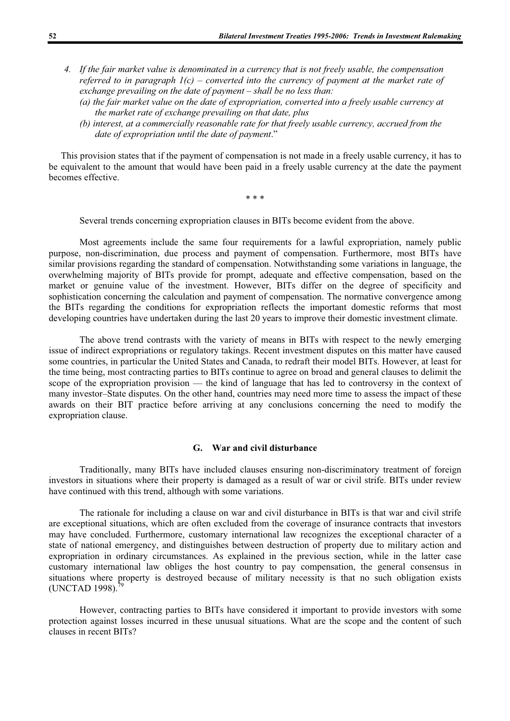- *4. If the fair market value is denominated in a currency that is not freely usable, the compensation referred to in paragraph 1(c) – converted into the currency of payment at the market rate of exchange prevailing on the date of payment – shall be no less than:* 
	- *(a) the fair market value on the date of expropriation, converted into a freely usable currency at the market rate of exchange prevailing on that date, plus*
	- *(b) interest, at a commercially reasonable rate for that freely usable currency, accrued from the date of expropriation until the date of payment*."

This provision states that if the payment of compensation is not made in a freely usable currency, it has to be equivalent to the amount that would have been paid in a freely usable currency at the date the payment becomes effective.

\* \* \*

Several trends concerning expropriation clauses in BITs become evident from the above.

Most agreements include the same four requirements for a lawful expropriation, namely public purpose, non-discrimination, due process and payment of compensation. Furthermore, most BITs have similar provisions regarding the standard of compensation. Notwithstanding some variations in language, the overwhelming majority of BITs provide for prompt, adequate and effective compensation, based on the market or genuine value of the investment. However, BITs differ on the degree of specificity and sophistication concerning the calculation and payment of compensation. The normative convergence among the BITs regarding the conditions for expropriation reflects the important domestic reforms that most developing countries have undertaken during the last 20 years to improve their domestic investment climate.

The above trend contrasts with the variety of means in BITs with respect to the newly emerging issue of indirect expropriations or regulatory takings. Recent investment disputes on this matter have caused some countries, in particular the United States and Canada, to redraft their model BITs. However, at least for the time being, most contracting parties to BITs continue to agree on broad and general clauses to delimit the scope of the expropriation provision — the kind of language that has led to controversy in the context of many investor–State disputes. On the other hand, countries may need more time to assess the impact of these awards on their BIT practice before arriving at any conclusions concerning the need to modify the expropriation clause.

#### **G. War and civil disturbance**

Traditionally, many BITs have included clauses ensuring non-discriminatory treatment of foreign investors in situations where their property is damaged as a result of war or civil strife. BITs under review have continued with this trend, although with some variations.

The rationale for including a clause on war and civil disturbance in BITs is that war and civil strife are exceptional situations, which are often excluded from the coverage of insurance contracts that investors may have concluded. Furthermore, customary international law recognizes the exceptional character of a state of national emergency, and distinguishes between destruction of property due to military action and expropriation in ordinary circumstances. As explained in the previous section, while in the latter case customary international law obliges the host country to pay compensation, the general consensus in situations where property is destroyed because of military necessity is that no such obligation exists (UNCTAD 1998).<sup>7</sup>

However, contracting parties to BITs have considered it important to provide investors with some protection against losses incurred in these unusual situations. What are the scope and the content of such clauses in recent BITs?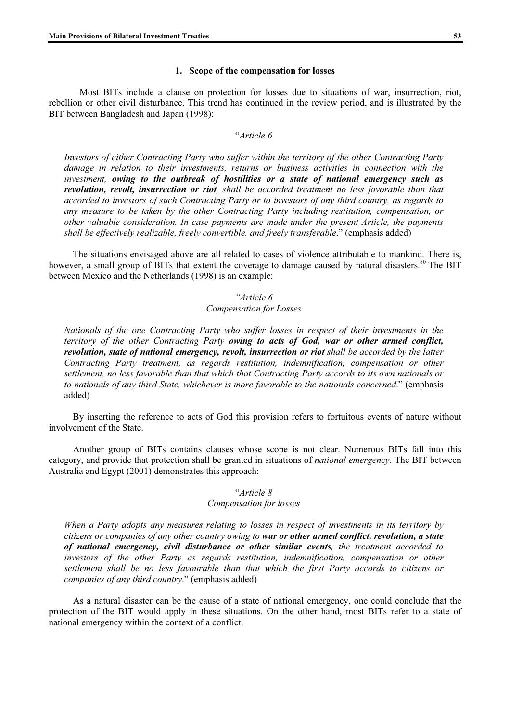#### **1. Scope of the compensation for losses**

Most BITs include a clause on protection for losses due to situations of war, insurrection, riot, rebellion or other civil disturbance. This trend has continued in the review period, and is illustrated by the BIT between Bangladesh and Japan (1998):

# "*Article 6*

*Investors of either Contracting Party who suffer within the territory of the other Contracting Party damage in relation to their investments, returns or business activities in connection with the investment, owing to the outbreak of hostilities or a state of national emergency such as revolution, revolt, insurrection or riot, shall be accorded treatment no less favorable than that accorded to investors of such Contracting Party or to investors of any third country, as regards to any measure to be taken by the other Contracting Party including restitution, compensation, or other valuable consideration. In case payments are made under the present Article, the payments shall be effectively realizable, freely convertible, and freely transferable*." (emphasis added)

The situations envisaged above are all related to cases of violence attributable to mankind. There is, however, a small group of BITs that extent the coverage to damage caused by natural disasters.<sup>80</sup> The BIT between Mexico and the Netherlands (1998) is an example:

# *"Article 6 Compensation for Losses*

*Nationals of the one Contracting Party who suffer losses in respect of their investments in the territory of the other Contracting Party owing to acts of God, war or other armed conflict, revolution, state of national emergency, revolt, insurrection or riot shall be accorded by the latter Contracting Party treatment, as regards restitution, indemnification, compensation or other settlement, no less favorable than that which that Contracting Party accords to its own nationals or to nationals of any third State, whichever is more favorable to the nationals concerned*." (emphasis added)

By inserting the reference to acts of God this provision refers to fortuitous events of nature without involvement of the State.

Another group of BITs contains clauses whose scope is not clear. Numerous BITs fall into this category, and provide that protection shall be granted in situations of *national emergency*. The BIT between Australia and Egypt (2001) demonstrates this approach:

#### "*Article 8*

# *Compensation for losses*

*When a Party adopts any measures relating to losses in respect of investments in its territory by citizens or companies of any other country owing to war or other armed conflict, revolution, a state of national emergency, civil disturbance or other similar events, the treatment accorded to investors of the other Party as regards restitution, indemnification, compensation or other settlement shall be no less favourable than that which the first Party accords to citizens or companies of any third country*." (emphasis added)

As a natural disaster can be the cause of a state of national emergency, one could conclude that the protection of the BIT would apply in these situations. On the other hand, most BITs refer to a state of national emergency within the context of a conflict.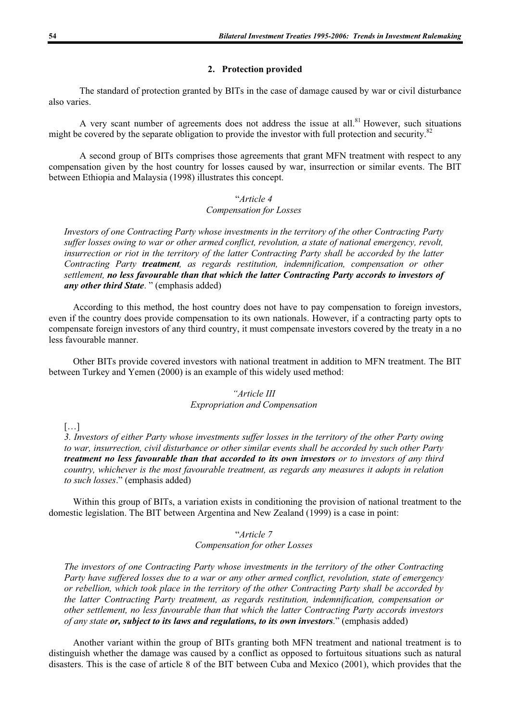#### **2. Protection provided**

The standard of protection granted by BITs in the case of damage caused by war or civil disturbance also varies.

A very scant number of agreements does not address the issue at all.<sup>81</sup> However, such situations might be covered by the separate obligation to provide the investor with full protection and security.<sup>82</sup>

A second group of BITs comprises those agreements that grant MFN treatment with respect to any compensation given by the host country for losses caused by war, insurrection or similar events. The BIT between Ethiopia and Malaysia (1998) illustrates this concept.

#### "*Article 4*

# *Compensation for Losses*

*Investors of one Contracting Party whose investments in the territory of the other Contracting Party suffer losses owing to war or other armed conflict, revolution, a state of national emergency, revolt, insurrection or riot in the territory of the latter Contracting Party shall be accorded by the latter Contracting Party treatment, as regards restitution, indemnification, compensation or other settlement, no less favourable than that which the latter Contracting Party accords to investors of any other third State*. " (emphasis added)

According to this method, the host country does not have to pay compensation to foreign investors, even if the country does provide compensation to its own nationals. However, if a contracting party opts to compensate foreign investors of any third country, it must compensate investors covered by the treaty in a no less favourable manner.

Other BITs provide covered investors with national treatment in addition to MFN treatment. The BIT between Turkey and Yemen (2000) is an example of this widely used method:

# *"Article III Expropriation and Compensation*

# […]

*3. Investors of either Party whose investments suffer losses in the territory of the other Party owing to war, insurrection, civil disturbance or other similar events shall be accorded by such other Party treatment no less favourable than that accorded to its own investors or to investors of any third country, whichever is the most favourable treatment, as regards any measures it adopts in relation to such losses*." (emphasis added)

Within this group of BITs, a variation exists in conditioning the provision of national treatment to the domestic legislation. The BIT between Argentina and New Zealand (1999) is a case in point:

# "*Article 7*

*Compensation for other Losses* 

*The investors of one Contracting Party whose investments in the territory of the other Contracting Party have suffered losses due to a war or any other armed conflict, revolution, state of emergency or rebellion, which took place in the territory of the other Contracting Party shall be accorded by the latter Contracting Party treatment, as regards restitution, indemnification, compensation or other settlement, no less favourable than that which the latter Contracting Party accords investors of any state or, subject to its laws and regulations, to its own investors*." (emphasis added)

Another variant within the group of BITs granting both MFN treatment and national treatment is to distinguish whether the damage was caused by a conflict as opposed to fortuitous situations such as natural disasters. This is the case of article 8 of the BIT between Cuba and Mexico (2001), which provides that the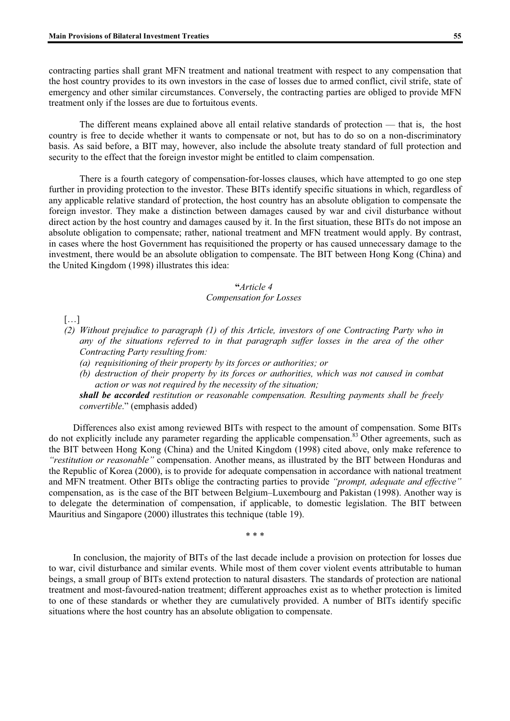contracting parties shall grant MFN treatment and national treatment with respect to any compensation that the host country provides to its own investors in the case of losses due to armed conflict, civil strife, state of emergency and other similar circumstances. Conversely, the contracting parties are obliged to provide MFN treatment only if the losses are due to fortuitous events.

The different means explained above all entail relative standards of protection — that is, the host country is free to decide whether it wants to compensate or not, but has to do so on a non-discriminatory basis. As said before, a BIT may, however, also include the absolute treaty standard of full protection and security to the effect that the foreign investor might be entitled to claim compensation.

There is a fourth category of compensation-for-losses clauses, which have attempted to go one step further in providing protection to the investor. These BITs identify specific situations in which, regardless of any applicable relative standard of protection, the host country has an absolute obligation to compensate the foreign investor. They make a distinction between damages caused by war and civil disturbance without direct action by the host country and damages caused by it. In the first situation, these BITs do not impose an absolute obligation to compensate; rather, national treatment and MFN treatment would apply. By contrast, in cases where the host Government has requisitioned the property or has caused unnecessary damage to the investment, there would be an absolute obligation to compensate. The BIT between Hong Kong (China) and the United Kingdom (1998) illustrates this idea:

# **"***Article 4 Compensation for Losses*

 $[\ldots]$ 

- *(2) Without prejudice to paragraph (1) of this Article, investors of one Contracting Party who in any of the situations referred to in that paragraph suffer losses in the area of the other Contracting Party resulting from:* 
	- *(a) requisitioning of their property by its forces or authorities; or*
	- *(b) destruction of their property by its forces or authorities, which was not caused in combat action or was not required by the necessity of the situation;*

*shall be accorded restitution or reasonable compensation. Resulting payments shall be freely convertible*." (emphasis added)

Differences also exist among reviewed BITs with respect to the amount of compensation. Some BITs do not explicitly include any parameter regarding the applicable compensation.<sup>83</sup> Other agreements, such as the BIT between Hong Kong (China) and the United Kingdom (1998) cited above, only make reference to *"restitution or reasonable"* compensation. Another means, as illustrated by the BIT between Honduras and the Republic of Korea (2000), is to provide for adequate compensation in accordance with national treatment and MFN treatment. Other BITs oblige the contracting parties to provide *"prompt, adequate and effective"* compensation, as is the case of the BIT between Belgium–Luxembourg and Pakistan (1998). Another way is to delegate the determination of compensation, if applicable, to domestic legislation. The BIT between Mauritius and Singapore (2000) illustrates this technique (table 19).

\* \* \*

In conclusion, the majority of BITs of the last decade include a provision on protection for losses due to war, civil disturbance and similar events. While most of them cover violent events attributable to human beings, a small group of BITs extend protection to natural disasters. The standards of protection are national treatment and most-favoured-nation treatment; different approaches exist as to whether protection is limited to one of these standards or whether they are cumulatively provided. A number of BITs identify specific situations where the host country has an absolute obligation to compensate.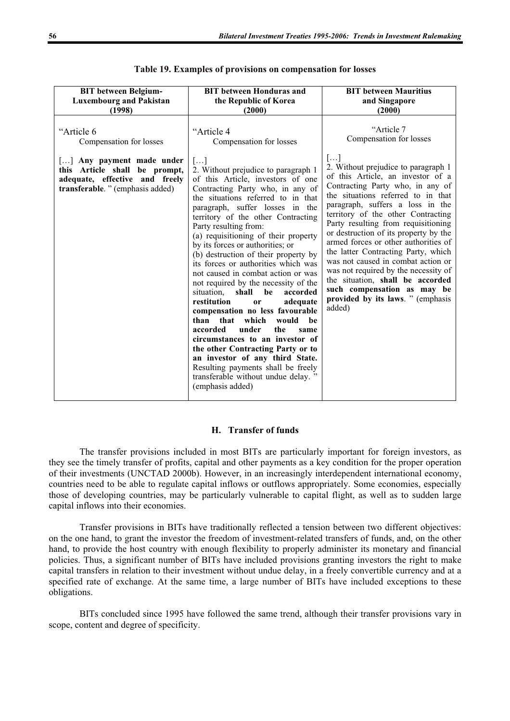| <b>BIT</b> between Belgium-                                                                                                                                               | <b>BIT</b> between Honduras and                                                                                                                                                                                                                                                                                                                                                                                                                                                                                                                                                                                                                                                                                                                                                                                                                                                                                                                                                | <b>BIT</b> between Mauritius                                                                                                                                                                                                                                                                                                                                                                                                                                                                                                                                                                                                               |
|---------------------------------------------------------------------------------------------------------------------------------------------------------------------------|--------------------------------------------------------------------------------------------------------------------------------------------------------------------------------------------------------------------------------------------------------------------------------------------------------------------------------------------------------------------------------------------------------------------------------------------------------------------------------------------------------------------------------------------------------------------------------------------------------------------------------------------------------------------------------------------------------------------------------------------------------------------------------------------------------------------------------------------------------------------------------------------------------------------------------------------------------------------------------|--------------------------------------------------------------------------------------------------------------------------------------------------------------------------------------------------------------------------------------------------------------------------------------------------------------------------------------------------------------------------------------------------------------------------------------------------------------------------------------------------------------------------------------------------------------------------------------------------------------------------------------------|
| <b>Luxembourg and Pakistan</b>                                                                                                                                            | the Republic of Korea                                                                                                                                                                                                                                                                                                                                                                                                                                                                                                                                                                                                                                                                                                                                                                                                                                                                                                                                                          | and Singapore                                                                                                                                                                                                                                                                                                                                                                                                                                                                                                                                                                                                                              |
| (1998)                                                                                                                                                                    | (2000)                                                                                                                                                                                                                                                                                                                                                                                                                                                                                                                                                                                                                                                                                                                                                                                                                                                                                                                                                                         | (2000)                                                                                                                                                                                                                                                                                                                                                                                                                                                                                                                                                                                                                                     |
| "Article 6<br>Compensation for losses<br>[] Any payment made under<br>this Article shall be prompt,<br>adequate, effective and freely<br>transferable. " (emphasis added) | "Article 4<br>Compensation for losses<br>$\lceil \dots \rceil$<br>2. Without prejudice to paragraph 1<br>of this Article, investors of one<br>Contracting Party who, in any of<br>the situations referred to in that<br>paragraph, suffer losses in the<br>territory of the other Contracting<br>Party resulting from:<br>(a) requisitioning of their property<br>by its forces or authorities; or<br>(b) destruction of their property by<br>its forces or authorities which was<br>not caused in combat action or was<br>not required by the necessity of the<br>be<br>situation,<br>shall<br>accorded<br>restitution<br>adequate<br><sub>or</sub><br>compensation no less favourable<br>that<br>which<br>than<br>would<br>be<br>the<br>accorded<br>under<br>same<br>circumstances to an investor of<br>the other Contracting Party or to<br>an investor of any third State.<br>Resulting payments shall be freely<br>transferable without undue delay."<br>(emphasis added) | "Article 7<br>Compensation for losses<br>[]<br>2. Without prejudice to paragraph 1<br>of this Article, an investor of a<br>Contracting Party who, in any of<br>the situations referred to in that<br>paragraph, suffers a loss in the<br>territory of the other Contracting<br>Party resulting from requisitioning<br>or destruction of its property by the<br>armed forces or other authorities of<br>the latter Contracting Party, which<br>was not caused in combat action or<br>was not required by the necessity of<br>the situation, shall be accorded<br>such compensation as may be<br>provided by its laws. " (emphasis<br>added) |

#### **Table 19. Examples of provisions on compensation for losses**

#### **H. Transfer of funds**

The transfer provisions included in most BITs are particularly important for foreign investors, as they see the timely transfer of profits, capital and other payments as a key condition for the proper operation of their investments (UNCTAD 2000b). However, in an increasingly interdependent international economy, countries need to be able to regulate capital inflows or outflows appropriately. Some economies, especially those of developing countries, may be particularly vulnerable to capital flight, as well as to sudden large capital inflows into their economies.

Transfer provisions in BITs have traditionally reflected a tension between two different objectives: on the one hand, to grant the investor the freedom of investment-related transfers of funds, and, on the other hand, to provide the host country with enough flexibility to properly administer its monetary and financial policies. Thus, a significant number of BITs have included provisions granting investors the right to make capital transfers in relation to their investment without undue delay, in a freely convertible currency and at a specified rate of exchange. At the same time, a large number of BITs have included exceptions to these obligations.

BITs concluded since 1995 have followed the same trend, although their transfer provisions vary in scope, content and degree of specificity.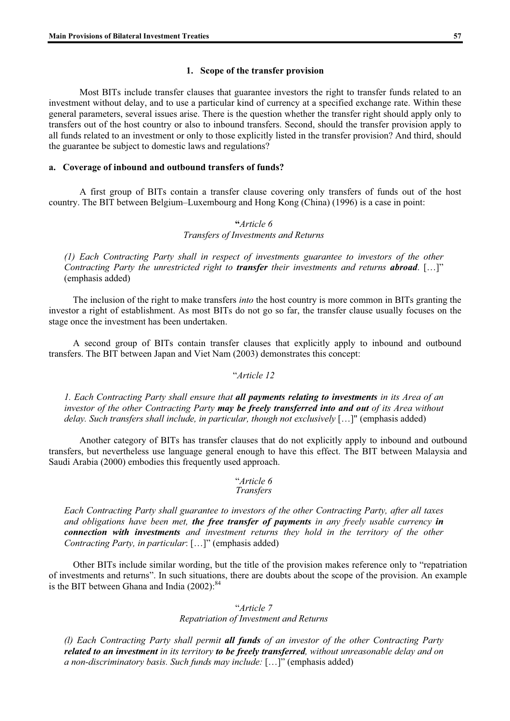#### **1. Scope of the transfer provision**

Most BITs include transfer clauses that guarantee investors the right to transfer funds related to an investment without delay, and to use a particular kind of currency at a specified exchange rate. Within these general parameters, several issues arise. There is the question whether the transfer right should apply only to transfers out of the host country or also to inbound transfers. Second, should the transfer provision apply to all funds related to an investment or only to those explicitly listed in the transfer provision? And third, should the guarantee be subject to domestic laws and regulations?

#### **a. Coverage of inbound and outbound transfers of funds?**

A first group of BITs contain a transfer clause covering only transfers of funds out of the host country. The BIT between Belgium–Luxembourg and Hong Kong (China) (1996) is a case in point:

# **"***Article 6 Transfers of Investments and Returns*

*(1) Each Contracting Party shall in respect of investments guarantee to investors of the other Contracting Party the unrestricted right to transfer their investments and returns abroad*. […]" (emphasis added)

The inclusion of the right to make transfers *into* the host country is more common in BITs granting the investor a right of establishment. As most BITs do not go so far, the transfer clause usually focuses on the stage once the investment has been undertaken.

A second group of BITs contain transfer clauses that explicitly apply to inbound and outbound transfers. The BIT between Japan and Viet Nam (2003) demonstrates this concept:

# "*Article 12*

*1. Each Contracting Party shall ensure that all payments relating to investments in its Area of an investor of the other Contracting Party may be freely transferred into and out of its Area without delay. Such transfers shall include, in particular, though not exclusively* […]" (emphasis added)

Another category of BITs has transfer clauses that do not explicitly apply to inbound and outbound transfers, but nevertheless use language general enough to have this effect. The BIT between Malaysia and Saudi Arabia (2000) embodies this frequently used approach.

#### "*Article 6 Transfers*

*Each Contracting Party shall guarantee to investors of the other Contracting Party, after all taxes and obligations have been met, the free transfer of payments in any freely usable currency in connection with investments and investment returns they hold in the territory of the other Contracting Party, in particular*: […]" (emphasis added)

Other BITs include similar wording, but the title of the provision makes reference only to "repatriation of investments and returns". In such situations, there are doubts about the scope of the provision. An example is the BIT between Ghana and India  $(2002)$ :<sup>84</sup>

#### "*Article 7*

*Repatriation of Investment and Returns* 

*(l) Each Contracting Party shall permit all funds of an investor of the other Contracting Party related to an investment in its territory to be freely transferred, without unreasonable delay and on a non-discriminatory basis. Such funds may include:* […]" (emphasis added)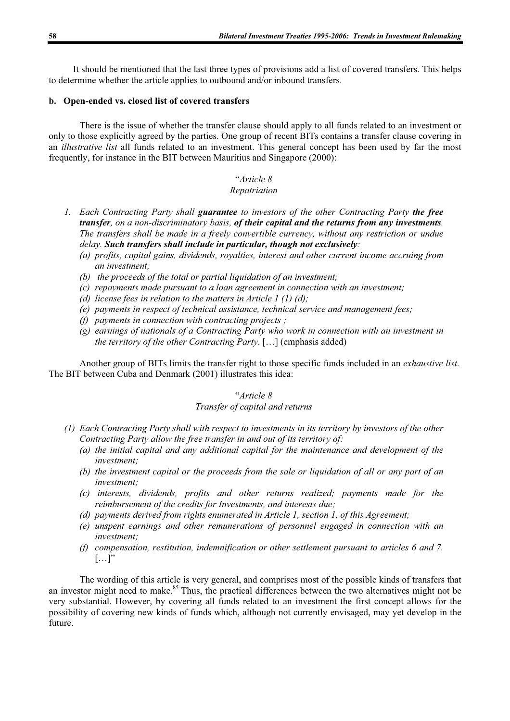It should be mentioned that the last three types of provisions add a list of covered transfers. This helps to determine whether the article applies to outbound and/or inbound transfers.

#### **b. Open-ended vs. closed list of covered transfers**

There is the issue of whether the transfer clause should apply to all funds related to an investment or only to those explicitly agreed by the parties. One group of recent BITs contains a transfer clause covering in an *illustrative list* all funds related to an investment. This general concept has been used by far the most frequently, for instance in the BIT between Mauritius and Singapore (2000):

# "*Article 8*

# *Repatriation*

- *1. Each Contracting Party shall guarantee to investors of the other Contracting Party the free transfer, on a non-discriminatory basis, of their capital and the returns from any investments. The transfers shall be made in a freely convertible currency, without any restriction or undue delay. Such transfers shall include in particular, though not exclusively:*
	- *(a) profits, capital gains, dividends, royalties, interest and other current income accruing from an investment;*
	- *(b) the proceeds of the total or partial liquidation of an investment;*
	- *(c) repayments made pursuant to a loan agreement in connection with an investment;*
	- *(d) license fees in relation to the matters in Article 1 (1) (d);*
	- *(e) payments in respect of technical assistance, technical service and management fees;*
	- *(f) payments in connection with contracting projects ;*
	- *(g) earnings of nationals of a Contracting Party who work in connection with an investment in the territory of the other Contracting Party*. […] (emphasis added)

Another group of BITs limits the transfer right to those specific funds included in an *exhaustive list*. The BIT between Cuba and Denmark (2001) illustrates this idea:

# "*Article 8*

# *Transfer of capital and returns*

- *(1) Each Contracting Party shall with respect to investments in its territory by investors of the other Contracting Party allow the free transfer in and out of its territory of:* 
	- *(a) the initial capital and any additional capital for the maintenance and development of the investment;*
	- *(b) the investment capital or the proceeds from the sale or liquidation of all or any part of an investment;*
	- *(c) interests, dividends, profits and other returns realized; payments made for the reimbursement of the credits for Investments, and interests due;*
	- *(d) payments derived from rights enumerated in Article 1, section 1, of this Agreement;*
	- *(e) unspent earnings and other remunerations of personnel engaged in connection with an investment;*
	- *(f) compensation, restitution, indemnification or other settlement pursuant to articles 6 and 7.*   $[\ldots]$ "

The wording of this article is very general, and comprises most of the possible kinds of transfers that an investor might need to make.<sup>85</sup> Thus, the practical differences between the two alternatives might not be very substantial. However, by covering all funds related to an investment the first concept allows for the possibility of covering new kinds of funds which, although not currently envisaged, may yet develop in the future.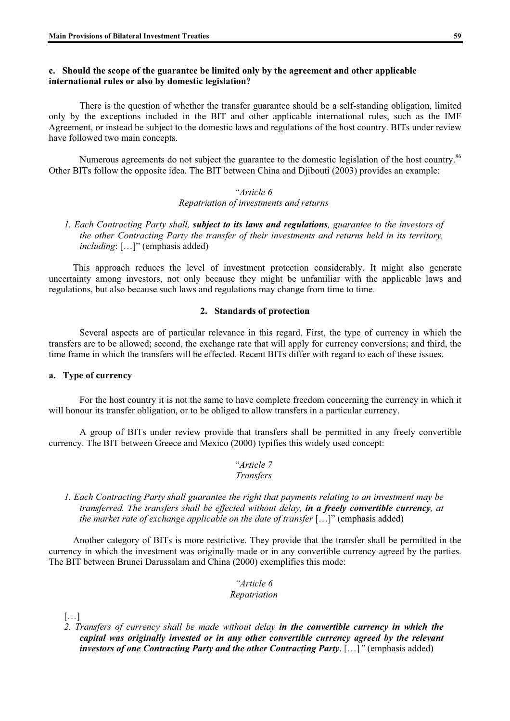# **c. Should the scope of the guarantee be limited only by the agreement and other applicable international rules or also by domestic legislation?**

There is the question of whether the transfer guarantee should be a self-standing obligation, limited only by the exceptions included in the BIT and other applicable international rules, such as the IMF Agreement, or instead be subject to the domestic laws and regulations of the host country. BITs under review have followed two main concepts.

Numerous agreements do not subject the guarantee to the domestic legislation of the host country.<sup>86</sup> Other BITs follow the opposite idea. The BIT between China and Djibouti (2003) provides an example:

> "*Article 6 Repatriation of investments and returns*

*1. Each Contracting Party shall, subject to its laws and regulations, guarantee to the investors of the other Contracting Party the transfer of their investments and returns held in its territory, including*: [...]" (emphasis added)

This approach reduces the level of investment protection considerably. It might also generate uncertainty among investors, not only because they might be unfamiliar with the applicable laws and regulations, but also because such laws and regulations may change from time to time.

#### **2. Standards of protection**

Several aspects are of particular relevance in this regard. First, the type of currency in which the transfers are to be allowed; second, the exchange rate that will apply for currency conversions; and third, the time frame in which the transfers will be effected. Recent BITs differ with regard to each of these issues.

## **a. Type of currency**

For the host country it is not the same to have complete freedom concerning the currency in which it will honour its transfer obligation, or to be obliged to allow transfers in a particular currency.

A group of BITs under review provide that transfers shall be permitted in any freely convertible currency. The BIT between Greece and Mexico (2000) typifies this widely used concept:

## "*Article 7 Transfers*

*1. Each Contracting Party shall guarantee the right that payments relating to an investment may be transferred. The transfers shall be effected without delay, in a freely convertible currency, at the market rate of exchange applicable on the date of transfer* [...]" (emphasis added)

Another category of BITs is more restrictive. They provide that the transfer shall be permitted in the currency in which the investment was originally made or in any convertible currency agreed by the parties. The BIT between Brunei Darussalam and China (2000) exemplifies this mode:

# *"Article 6 Repatriation*

[…]

*2. Transfers of currency shall be made without delay in the convertible currency in which the capital was originally invested or in any other convertible currency agreed by the relevant investors of one Contracting Party and the other Contracting Party.* [...]" (emphasis added)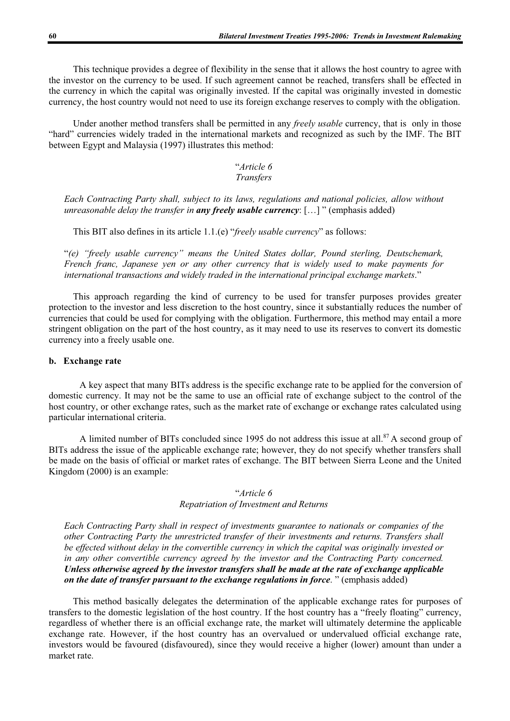This technique provides a degree of flexibility in the sense that it allows the host country to agree with the investor on the currency to be used. If such agreement cannot be reached, transfers shall be effected in the currency in which the capital was originally invested. If the capital was originally invested in domestic currency, the host country would not need to use its foreign exchange reserves to comply with the obligation.

Under another method transfers shall be permitted in any *freely usable* currency, that is only in those "hard" currencies widely traded in the international markets and recognized as such by the IMF. The BIT between Egypt and Malaysia (1997) illustrates this method:

# "*Article 6 Transfers*

*Each Contracting Party shall, subject to its laws, regulations and national policies, allow without unreasonable delay the transfer in any freely usable currency*: […] " (emphasis added)

This BIT also defines in its article 1.1.(e) "*freely usable currency*" as follows:

"*(e) "freely usable currency" means the United States dollar, Pound sterling, Deutschemark, French franc, Japanese yen or any other currency that is widely used to make payments for international transactions and widely traded in the international principal exchange markets*."

This approach regarding the kind of currency to be used for transfer purposes provides greater protection to the investor and less discretion to the host country, since it substantially reduces the number of currencies that could be used for complying with the obligation. Furthermore, this method may entail a more stringent obligation on the part of the host country, as it may need to use its reserves to convert its domestic currency into a freely usable one.

# **b. Exchange rate**

A key aspect that many BITs address is the specific exchange rate to be applied for the conversion of domestic currency. It may not be the same to use an official rate of exchange subject to the control of the host country, or other exchange rates, such as the market rate of exchange or exchange rates calculated using particular international criteria.

A limited number of BITs concluded since 1995 do not address this issue at all.<sup>87</sup> A second group of BITs address the issue of the applicable exchange rate; however, they do not specify whether transfers shall be made on the basis of official or market rates of exchange. The BIT between Sierra Leone and the United Kingdom (2000) is an example:

# "*Article 6 Repatriation of Investment and Returns*

*Each Contracting Party shall in respect of investments guarantee to nationals or companies of the other Contracting Party the unrestricted transfer of their investments and returns. Transfers shall be effected without delay in the convertible currency in which the capital was originally invested or in any other convertible currency agreed by the investor and the Contracting Party concerned. Unless otherwise agreed by the investor transfers shall be made at the rate of exchange applicable on the date of transfer pursuant to the exchange regulations in force.* " (emphasis added)

This method basically delegates the determination of the applicable exchange rates for purposes of transfers to the domestic legislation of the host country. If the host country has a "freely floating" currency, regardless of whether there is an official exchange rate, the market will ultimately determine the applicable exchange rate. However, if the host country has an overvalued or undervalued official exchange rate, investors would be favoured (disfavoured), since they would receive a higher (lower) amount than under a market rate.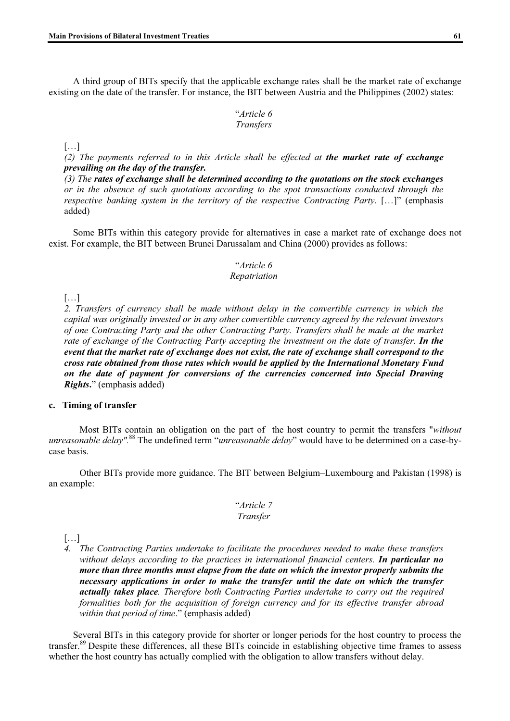A third group of BITs specify that the applicable exchange rates shall be the market rate of exchange existing on the date of the transfer. For instance, the BIT between Austria and the Philippines (2002) states:

# "*Article 6 Transfers*

 $[\ldots]$ 

*(2) The payments referred to in this Article shall be effected at the market rate of exchange prevailing on the day of the transfer.*

*(3) The rates of exchange shall be determined according to the quotations on the stock exchanges or in the absence of such quotations according to the spot transactions conducted through the respective banking system in the territory of the respective Contracting Party*. […]" (emphasis added)

Some BITs within this category provide for alternatives in case a market rate of exchange does not exist. For example, the BIT between Brunei Darussalam and China (2000) provides as follows:

# "*Article 6*

## *Repatriation*

[…]

*2. Transfers of currency shall be made without delay in the convertible currency in which the capital was originally invested or in any other convertible currency agreed by the relevant investors of one Contracting Party and the other Contracting Party. Transfers shall be made at the market rate of exchange of the Contracting Party accepting the investment on the date of transfer. In the event that the market rate of exchange does not exist, the rate of exchange shall correspond to the cross rate obtained from those rates which would be applied by the International Monetary Fund on the date of payment for conversions of the currencies concerned into Special Drawing Rights***.**" (emphasis added)

#### **c. Timing of transfer**

Most BITs contain an obligation on the part of the host country to permit the transfers "*without unreasonable delay".*<sup>88</sup> The undefined term "*unreasonable delay*" would have to be determined on a case-bycase basis.

Other BITs provide more guidance. The BIT between Belgium–Luxembourg and Pakistan (1998) is an example:

## "*Article 7 Transfer*

 $[\ldots]$ 

*4. The Contracting Parties undertake to facilitate the procedures needed to make these transfers without delays according to the practices in international financial centers. In particular no more than three months must elapse from the date on which the investor properly submits the necessary applications in order to make the transfer until the date on which the transfer actually takes place. Therefore both Contracting Parties undertake to carry out the required formalities both for the acquisition of foreign currency and for its effective transfer abroad within that period of time*." (emphasis added)

Several BITs in this category provide for shorter or longer periods for the host country to process the transfer.89 Despite these differences, all these BITs coincide in establishing objective time frames to assess whether the host country has actually complied with the obligation to allow transfers without delay.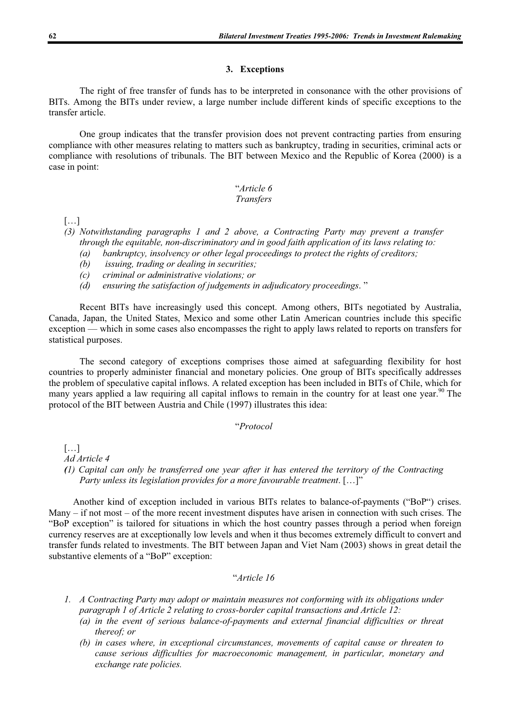#### **3. Exceptions**

The right of free transfer of funds has to be interpreted in consonance with the other provisions of BITs. Among the BITs under review, a large number include different kinds of specific exceptions to the transfer article.

One group indicates that the transfer provision does not prevent contracting parties from ensuring compliance with other measures relating to matters such as bankruptcy, trading in securities, criminal acts or compliance with resolutions of tribunals. The BIT between Mexico and the Republic of Korea (2000) is a case in point:

#### "*Article 6 Transfers*

 $[\dots]$ 

*(3) Notwithstanding paragraphs 1 and 2 above, a Contracting Party may prevent a transfer through the equitable, non-discriminatory and in good faith application of its laws relating to:* 

- *(a) bankruptcy, insolvency or other legal proceedings to protect the rights of creditors;*
- *(b) issuing, trading or dealing in securities;*
- *(c) criminal or administrative violations; or*
- *(d) ensuring the satisfaction of judgements in adjudicatory proceedings*. "

Recent BITs have increasingly used this concept. Among others, BITs negotiated by Australia, Canada, Japan, the United States, Mexico and some other Latin American countries include this specific exception — which in some cases also encompasses the right to apply laws related to reports on transfers for statistical purposes.

The second category of exceptions comprises those aimed at safeguarding flexibility for host countries to properly administer financial and monetary policies. One group of BITs specifically addresses the problem of speculative capital inflows. A related exception has been included in BITs of Chile, which for many years applied a law requiring all capital inflows to remain in the country for at least one year.<sup>90</sup> The protocol of the BIT between Austria and Chile (1997) illustrates this idea:

## "*Protocol*

 $[...]$ *Ad Article 4 (1) Capital can only be transferred one year after it has entered the territory of the Contracting Party unless its legislation provides for a more favourable treatment*. […]"

Another kind of exception included in various BITs relates to balance-of-payments ("BoP") crises. Many – if not most – of the more recent investment disputes have arisen in connection with such crises. The "BoP exception" is tailored for situations in which the host country passes through a period when foreign currency reserves are at exceptionally low levels and when it thus becomes extremely difficult to convert and transfer funds related to investments. The BIT between Japan and Viet Nam (2003) shows in great detail the substantive elements of a "BoP" exception:

# "*Article 16*

- *1. A Contracting Party may adopt or maintain measures not conforming with its obligations under paragraph 1 of Article 2 relating to cross-border capital transactions and Article 12:* 
	- *(a) in the event of serious balance-of-payments and external financial difficulties or threat thereof; or*
	- *(b) in cases where, in exceptional circumstances, movements of capital cause or threaten to cause serious difficulties for macroeconomic management, in particular, monetary and exchange rate policies.*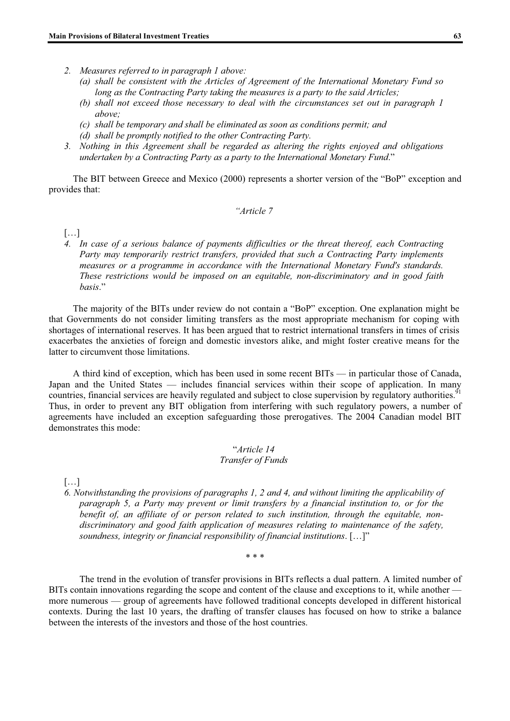- *2. Measures referred to in paragraph 1 above:* 
	- *(a) shall be consistent with the Articles of Agreement of the International Monetary Fund so long as the Contracting Party taking the measures is a party to the said Articles;*
	- *(b) shall not exceed those necessary to deal with the circumstances set out in paragraph 1 above;*
	- *(c) shall be temporary and shall be eliminated as soon as conditions permit; and*
	- *(d) shall be promptly notified to the other Contracting Party.*
- *3. Nothing in this Agreement shall be regarded as altering the rights enjoyed and obligations undertaken by a Contracting Party as a party to the International Monetary Fund*."

The BIT between Greece and Mexico (2000) represents a shorter version of the "BoP" exception and provides that:

# *"Article 7*

[…]

*4. In case of a serious balance of payments difficulties or the threat thereof, each Contracting Party may temporarily restrict transfers, provided that such a Contracting Party implements measures or a programme in accordance with the International Monetary Fund's standards. These restrictions would be imposed on an equitable, non-discriminatory and in good faith basis*."

The majority of the BITs under review do not contain a "BoP" exception. One explanation might be that Governments do not consider limiting transfers as the most appropriate mechanism for coping with shortages of international reserves. It has been argued that to restrict international transfers in times of crisis exacerbates the anxieties of foreign and domestic investors alike, and might foster creative means for the latter to circumvent those limitations.

A third kind of exception, which has been used in some recent BITs — in particular those of Canada, Japan and the United States — includes financial services within their scope of application. In many countries, financial services are heavily regulated and subject to close supervision by regulatory authorities.<sup>91</sup> Thus, in order to prevent any BIT obligation from interfering with such regulatory powers, a number of agreements have included an exception safeguarding those prerogatives. The 2004 Canadian model BIT demonstrates this mode:

# "*Article 14 Transfer of Funds*

 $\lceil$ ...]

*6. Notwithstanding the provisions of paragraphs 1, 2 and 4, and without limiting the applicability of paragraph 5, a Party may prevent or limit transfers by a financial institution to, or for the benefit of, an affiliate of or person related to such institution, through the equitable, nondiscriminatory and good faith application of measures relating to maintenance of the safety, soundness, integrity or financial responsibility of financial institutions*. […]"

\* \* \*

The trend in the evolution of transfer provisions in BITs reflects a dual pattern. A limited number of BITs contain innovations regarding the scope and content of the clause and exceptions to it, while another more numerous — group of agreements have followed traditional concepts developed in different historical contexts. During the last 10 years, the drafting of transfer clauses has focused on how to strike a balance between the interests of the investors and those of the host countries.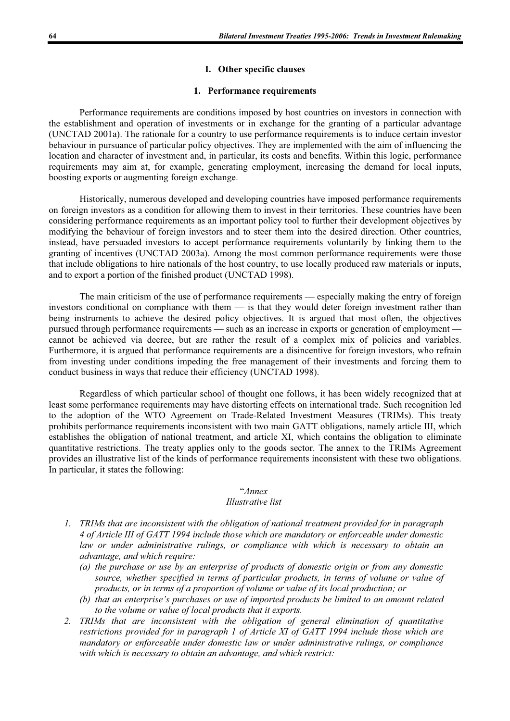#### **I. Other specific clauses**

## **1. Performance requirements**

Performance requirements are conditions imposed by host countries on investors in connection with the establishment and operation of investments or in exchange for the granting of a particular advantage (UNCTAD 2001a). The rationale for a country to use performance requirements is to induce certain investor behaviour in pursuance of particular policy objectives. They are implemented with the aim of influencing the location and character of investment and, in particular, its costs and benefits. Within this logic, performance requirements may aim at, for example, generating employment, increasing the demand for local inputs, boosting exports or augmenting foreign exchange.

Historically, numerous developed and developing countries have imposed performance requirements on foreign investors as a condition for allowing them to invest in their territories. These countries have been considering performance requirements as an important policy tool to further their development objectives by modifying the behaviour of foreign investors and to steer them into the desired direction. Other countries, instead, have persuaded investors to accept performance requirements voluntarily by linking them to the granting of incentives (UNCTAD 2003a). Among the most common performance requirements were those that include obligations to hire nationals of the host country, to use locally produced raw materials or inputs, and to export a portion of the finished product (UNCTAD 1998).

The main criticism of the use of performance requirements — especially making the entry of foreign investors conditional on compliance with them — is that they would deter foreign investment rather than being instruments to achieve the desired policy objectives. It is argued that most often, the objectives pursued through performance requirements — such as an increase in exports or generation of employment cannot be achieved via decree, but are rather the result of a complex mix of policies and variables. Furthermore, it is argued that performance requirements are a disincentive for foreign investors, who refrain from investing under conditions impeding the free management of their investments and forcing them to conduct business in ways that reduce their efficiency (UNCTAD 1998).

Regardless of which particular school of thought one follows, it has been widely recognized that at least some performance requirements may have distorting effects on international trade. Such recognition led to the adoption of the WTO Agreement on Trade-Related Investment Measures (TRIMs). This treaty prohibits performance requirements inconsistent with two main GATT obligations, namely article III, which establishes the obligation of national treatment, and article XI, which contains the obligation to eliminate quantitative restrictions. The treaty applies only to the goods sector. The annex to the TRIMs Agreement provides an illustrative list of the kinds of performance requirements inconsistent with these two obligations. In particular, it states the following:

# "*Annex*

#### *Illustrative list*

- *1. TRIMs that are inconsistent with the obligation of national treatment provided for in paragraph 4 of Article III of GATT 1994 include those which are mandatory or enforceable under domestic law or under administrative rulings, or compliance with which is necessary to obtain an advantage, and which require:* 
	- *(a) the purchase or use by an enterprise of products of domestic origin or from any domestic source, whether specified in terms of particular products, in terms of volume or value of products, or in terms of a proportion of volume or value of its local production; or*
	- *(b) that an enterprise's purchases or use of imported products be limited to an amount related to the volume or value of local products that it exports.*
- *2. TRIMs that are inconsistent with the obligation of general elimination of quantitative restrictions provided for in paragraph 1 of Article XI of GATT 1994 include those which are mandatory or enforceable under domestic law or under administrative rulings, or compliance with which is necessary to obtain an advantage, and which restrict:*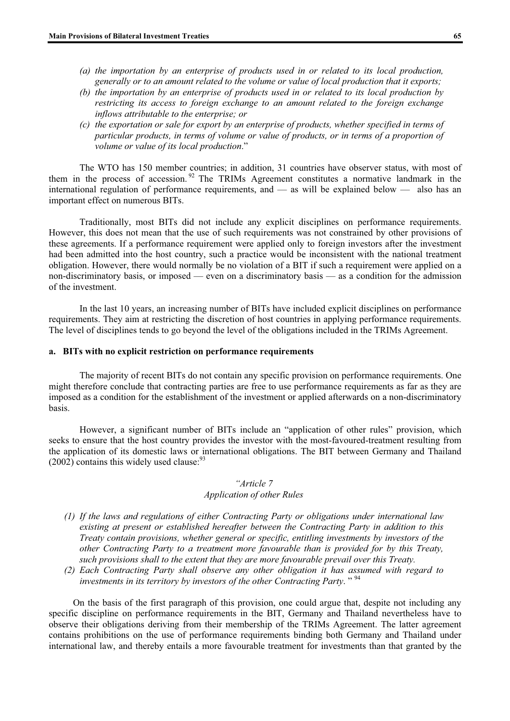- *(a) the importation by an enterprise of products used in or related to its local production, generally or to an amount related to the volume or value of local production that it exports;*
- *(b) the importation by an enterprise of products used in or related to its local production by restricting its access to foreign exchange to an amount related to the foreign exchange inflows attributable to the enterprise; or*
- *(c) the exportation or sale for export by an enterprise of products, whether specified in terms of particular products, in terms of volume or value of products, or in terms of a proportion of volume or value of its local production*."

The WTO has 150 member countries; in addition, 31 countries have observer status, with most of them in the process of accession. 92 The TRIMs Agreement constitutes a normative landmark in the international regulation of performance requirements, and — as will be explained below — also has an important effect on numerous BITs.

Traditionally, most BITs did not include any explicit disciplines on performance requirements. However, this does not mean that the use of such requirements was not constrained by other provisions of these agreements. If a performance requirement were applied only to foreign investors after the investment had been admitted into the host country, such a practice would be inconsistent with the national treatment obligation. However, there would normally be no violation of a BIT if such a requirement were applied on a non-discriminatory basis, or imposed — even on a discriminatory basis — as a condition for the admission of the investment.

In the last 10 years, an increasing number of BITs have included explicit disciplines on performance requirements. They aim at restricting the discretion of host countries in applying performance requirements. The level of disciplines tends to go beyond the level of the obligations included in the TRIMs Agreement.

# **a. BITs with no explicit restriction on performance requirements**

The majority of recent BITs do not contain any specific provision on performance requirements. One might therefore conclude that contracting parties are free to use performance requirements as far as they are imposed as a condition for the establishment of the investment or applied afterwards on a non-discriminatory basis.

However, a significant number of BITs include an "application of other rules" provision, which seeks to ensure that the host country provides the investor with the most-favoured-treatment resulting from the application of its domestic laws or international obligations. The BIT between Germany and Thailand  $(2002)$  contains this widely used clause:<sup>93</sup>

# *"Article 7*

# *Application of other Rules*

- *(1) If the laws and regulations of either Contracting Party or obligations under international law existing at present or established hereafter between the Contracting Party in addition to this Treaty contain provisions, whether general or specific, entitling investments by investors of the other Contracting Party to a treatment more favourable than is provided for by this Treaty, such provisions shall to the extent that they are more favourable prevail over this Treaty.*
- *(2) Each Contracting Party shall observe any other obligation it has assumed with regard to investments in its territory by investors of the other Contracting Party*. " 94

On the basis of the first paragraph of this provision, one could argue that, despite not including any specific discipline on performance requirements in the BIT, Germany and Thailand nevertheless have to observe their obligations deriving from their membership of the TRIMs Agreement. The latter agreement contains prohibitions on the use of performance requirements binding both Germany and Thailand under international law, and thereby entails a more favourable treatment for investments than that granted by the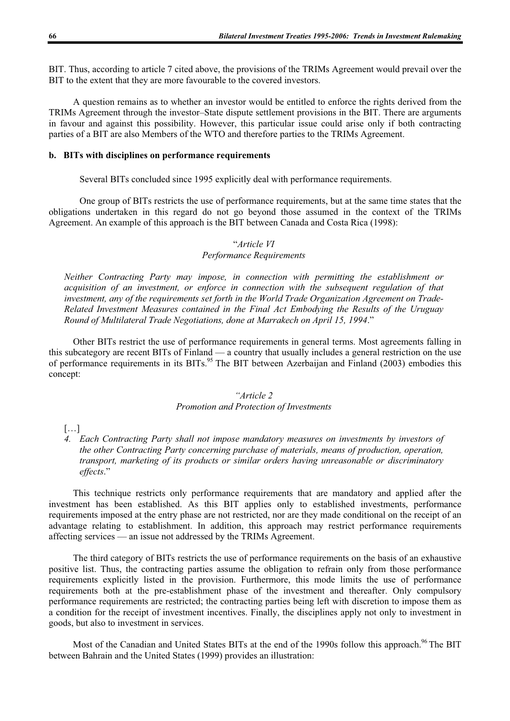BIT. Thus, according to article 7 cited above, the provisions of the TRIMs Agreement would prevail over the BIT to the extent that they are more favourable to the covered investors.

A question remains as to whether an investor would be entitled to enforce the rights derived from the TRIMs Agreement through the investor–State dispute settlement provisions in the BIT. There are arguments in favour and against this possibility. However, this particular issue could arise only if both contracting parties of a BIT are also Members of the WTO and therefore parties to the TRIMs Agreement.

## **b. BITs with disciplines on performance requirements**

Several BITs concluded since 1995 explicitly deal with performance requirements.

One group of BITs restricts the use of performance requirements, but at the same time states that the obligations undertaken in this regard do not go beyond those assumed in the context of the TRIMs Agreement. An example of this approach is the BIT between Canada and Costa Rica (1998):

# "*Article VI*

## *Performance Requirements*

*Neither Contracting Party may impose, in connection with permitting the establishment or acquisition of an investment, or enforce in connection with the subsequent regulation of that investment, any of the requirements set forth in the World Trade Organization Agreement on Trade-Related Investment Measures contained in the Final Act Embodying the Results of the Uruguay Round of Multilateral Trade Negotiations, done at Marrakech on April 15, 1994*."

Other BITs restrict the use of performance requirements in general terms. Most agreements falling in this subcategory are recent BITs of Finland — a country that usually includes a general restriction on the use of performance requirements in its BITs.<sup>95</sup> The BIT between Azerbaijan and Finland (2003) embodies this concept:

# *"Article 2*

# *Promotion and Protection of Investments*

[…]

*4. Each Contracting Party shall not impose mandatory measures on investments by investors of the other Contracting Party concerning purchase of materials, means of production, operation, transport, marketing of its products or similar orders having unreasonable or discriminatory effects*."

This technique restricts only performance requirements that are mandatory and applied after the investment has been established. As this BIT applies only to established investments, performance requirements imposed at the entry phase are not restricted, nor are they made conditional on the receipt of an advantage relating to establishment. In addition, this approach may restrict performance requirements affecting services — an issue not addressed by the TRIMs Agreement.

The third category of BITs restricts the use of performance requirements on the basis of an exhaustive positive list. Thus, the contracting parties assume the obligation to refrain only from those performance requirements explicitly listed in the provision. Furthermore, this mode limits the use of performance requirements both at the pre-establishment phase of the investment and thereafter. Only compulsory performance requirements are restricted; the contracting parties being left with discretion to impose them as a condition for the receipt of investment incentives. Finally, the disciplines apply not only to investment in goods, but also to investment in services.

Most of the Canadian and United States BITs at the end of the 1990s follow this approach.<sup>96</sup> The BIT between Bahrain and the United States (1999) provides an illustration: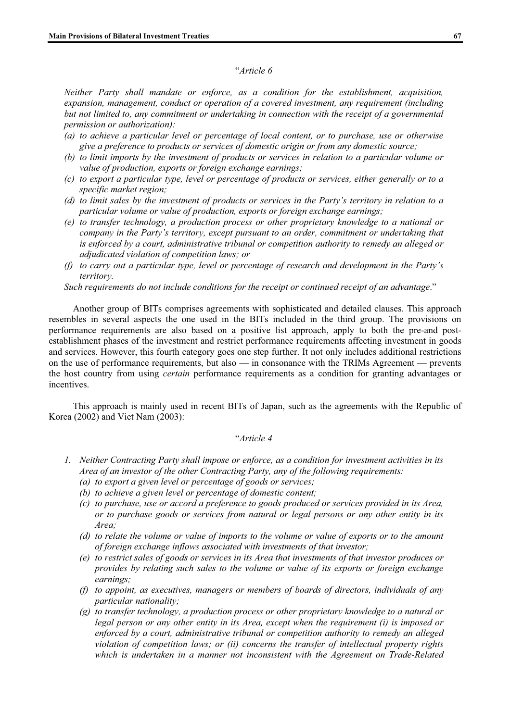## "*Article 6*

*Neither Party shall mandate or enforce, as a condition for the establishment, acquisition, expansion, management, conduct or operation of a covered investment, any requirement (including but not limited to, any commitment or undertaking in connection with the receipt of a governmental permission or authorization):* 

- *(a) to achieve a particular level or percentage of local content, or to purchase, use or otherwise give a preference to products or services of domestic origin or from any domestic source;*
- *(b) to limit imports by the investment of products or services in relation to a particular volume or value of production, exports or foreign exchange earnings;*
- *(c) to export a particular type, level or percentage of products or services, either generally or to a specific market region;*
- *(d) to limit sales by the investment of products or services in the Party's territory in relation to a particular volume or value of production, exports or foreign exchange earnings;*
- *(e) to transfer technology, a production process or other proprietary knowledge to a national or company in the Party's territory, except pursuant to an order, commitment or undertaking that is enforced by a court, administrative tribunal or competition authority to remedy an alleged or adjudicated violation of competition laws; or*
- *(f) to carry out a particular type, level or percentage of research and development in the Party's territory.*

*Such requirements do not include conditions for the receipt or continued receipt of an advantage*."

Another group of BITs comprises agreements with sophisticated and detailed clauses. This approach resembles in several aspects the one used in the BITs included in the third group. The provisions on performance requirements are also based on a positive list approach, apply to both the pre-and postestablishment phases of the investment and restrict performance requirements affecting investment in goods and services. However, this fourth category goes one step further. It not only includes additional restrictions on the use of performance requirements, but also — in consonance with the TRIMs Agreement — prevents the host country from using *certain* performance requirements as a condition for granting advantages or incentives.

This approach is mainly used in recent BITs of Japan, such as the agreements with the Republic of Korea (2002) and Viet Nam (2003):

## "*Article 4*

- *1. Neither Contracting Party shall impose or enforce, as a condition for investment activities in its Area of an investor of the other Contracting Party, any of the following requirements:* 
	- *(a) to export a given level or percentage of goods or services;*
	- *(b) to achieve a given level or percentage of domestic content;*
	- *(c) to purchase, use or accord a preference to goods produced or services provided in its Area, or to purchase goods or services from natural or legal persons or any other entity in its Area;*
	- *(d) to relate the volume or value of imports to the volume or value of exports or to the amount of foreign exchange inflows associated with investments of that investor;*
	- *(e) to restrict sales of goods or services in its Area that investments of that investor produces or provides by relating such sales to the volume or value of its exports or foreign exchange earnings;*
	- *(f) to appoint, as executives, managers or members of boards of directors, individuals of any particular nationality;*
	- *(g) to transfer technology, a production process or other proprietary knowledge to a natural or legal person or any other entity in its Area, except when the requirement (i) is imposed or enforced by a court, administrative tribunal or competition authority to remedy an alleged violation of competition laws; or (ii) concerns the transfer of intellectual property rights which is undertaken in a manner not inconsistent with the Agreement on Trade-Related*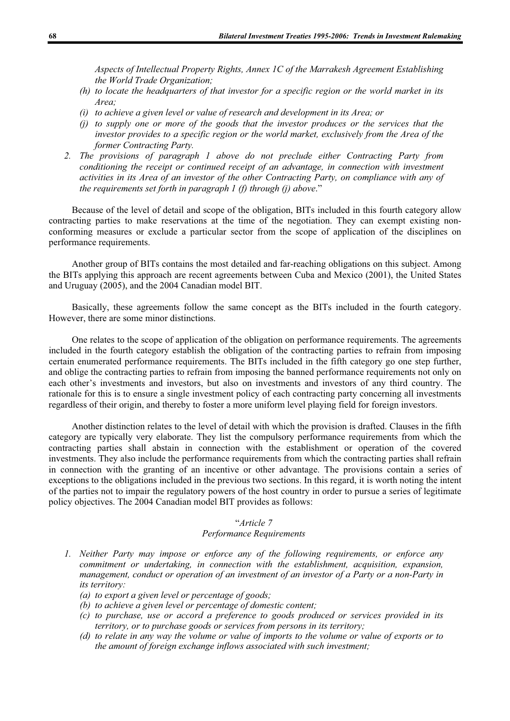*Aspects of Intellectual Property Rights, Annex 1C of the Marrakesh Agreement Establishing the World Trade Organization;* 

- *(h) to locate the headquarters of that investor for a specific region or the world market in its Area;*
- *(i) to achieve a given level or value of research and development in its Area; or*
- *(j) to supply one or more of the goods that the investor produces or the services that the investor provides to a specific region or the world market, exclusively from the Area of the former Contracting Party.*
- *2. The provisions of paragraph 1 above do not preclude either Contracting Party from conditioning the receipt or continued receipt of an advantage, in connection with investment activities in its Area of an investor of the other Contracting Party, on compliance with any of the requirements set forth in paragraph 1 (f) through (j) above*."

Because of the level of detail and scope of the obligation, BITs included in this fourth category allow contracting parties to make reservations at the time of the negotiation. They can exempt existing nonconforming measures or exclude a particular sector from the scope of application of the disciplines on performance requirements.

Another group of BITs contains the most detailed and far-reaching obligations on this subject. Among the BITs applying this approach are recent agreements between Cuba and Mexico (2001), the United States and Uruguay (2005), and the 2004 Canadian model BIT.

Basically, these agreements follow the same concept as the BITs included in the fourth category. However, there are some minor distinctions.

One relates to the scope of application of the obligation on performance requirements. The agreements included in the fourth category establish the obligation of the contracting parties to refrain from imposing certain enumerated performance requirements. The BITs included in the fifth category go one step further, and oblige the contracting parties to refrain from imposing the banned performance requirements not only on each other's investments and investors, but also on investments and investors of any third country. The rationale for this is to ensure a single investment policy of each contracting party concerning all investments regardless of their origin, and thereby to foster a more uniform level playing field for foreign investors.

Another distinction relates to the level of detail with which the provision is drafted. Clauses in the fifth category are typically very elaborate. They list the compulsory performance requirements from which the contracting parties shall abstain in connection with the establishment or operation of the covered investments. They also include the performance requirements from which the contracting parties shall refrain in connection with the granting of an incentive or other advantage. The provisions contain a series of exceptions to the obligations included in the previous two sections. In this regard, it is worth noting the intent of the parties not to impair the regulatory powers of the host country in order to pursue a series of legitimate policy objectives. The 2004 Canadian model BIT provides as follows:

## "*Article 7 Performance Requirements*

- 
- *1. Neither Party may impose or enforce any of the following requirements, or enforce any commitment or undertaking, in connection with the establishment, acquisition, expansion, management, conduct or operation of an investment of an investor of a Party or a non-Party in its territory:* 
	- *(a) to export a given level or percentage of goods;*
	- *(b) to achieve a given level or percentage of domestic content;*
	- *(c) to purchase, use or accord a preference to goods produced or services provided in its territory, or to purchase goods or services from persons in its territory;*
	- *(d) to relate in any way the volume or value of imports to the volume or value of exports or to the amount of foreign exchange inflows associated with such investment;*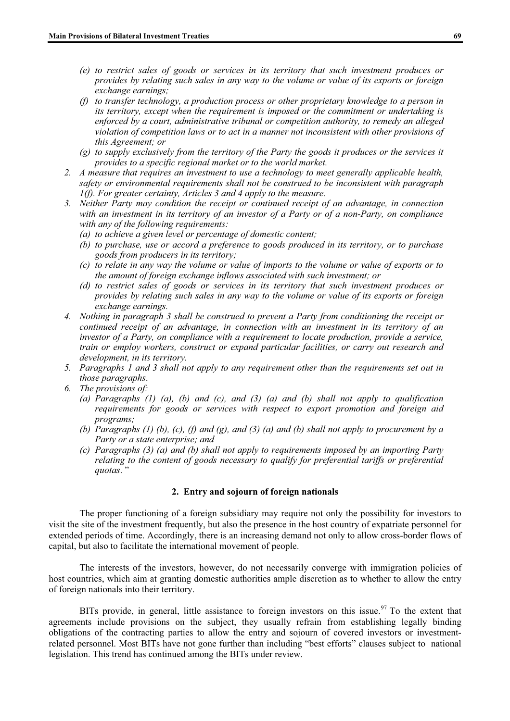- *(e) to restrict sales of goods or services in its territory that such investment produces or provides by relating such sales in any way to the volume or value of its exports or foreign exchange earnings;*
- *(f) to transfer technology, a production process or other proprietary knowledge to a person in its territory, except when the requirement is imposed or the commitment or undertaking is enforced by a court, administrative tribunal or competition authority, to remedy an alleged violation of competition laws or to act in a manner not inconsistent with other provisions of this Agreement; or*
- *(g) to supply exclusively from the territory of the Party the goods it produces or the services it provides to a specific regional market or to the world market.*
- *2. A measure that requires an investment to use a technology to meet generally applicable health, safety or environmental requirements shall not be construed to be inconsistent with paragraph 1(f). For greater certainty, Articles 3 and 4 apply to the measure.*
- *3. Neither Party may condition the receipt or continued receipt of an advantage, in connection with an investment in its territory of an investor of a Party or of a non-Party, on compliance with any of the following requirements:* 
	- *(a) to achieve a given level or percentage of domestic content;*
	- *(b) to purchase, use or accord a preference to goods produced in its territory, or to purchase goods from producers in its territory;*
	- *(c) to relate in any way the volume or value of imports to the volume or value of exports or to the amount of foreign exchange inflows associated with such investment; or*
	- *(d) to restrict sales of goods or services in its territory that such investment produces or provides by relating such sales in any way to the volume or value of its exports or foreign exchange earnings.*
- *4. Nothing in paragraph 3 shall be construed to prevent a Party from conditioning the receipt or continued receipt of an advantage, in connection with an investment in its territory of an investor of a Party, on compliance with a requirement to locate production, provide a service, train or employ workers, construct or expand particular facilities, or carry out research and development, in its territory.*
- *5. Paragraphs 1 and 3 shall not apply to any requirement other than the requirements set out in those paragraphs*.
- *6. The provisions of:* 
	- *(a) Paragraphs (1) (a), (b) and (c), and (3) (a) and (b) shall not apply to qualification requirements for goods or services with respect to export promotion and foreign aid programs;*
	- *(b) Paragraphs (1) (b), (c), (f) and (g), and (3) (a) and (b) shall not apply to procurement by a Party or a state enterprise; and*
	- *(c) Paragraphs (3) (a) and (b) shall not apply to requirements imposed by an importing Party relating to the content of goods necessary to qualify for preferential tariffs or preferential quotas*. "

#### **2. Entry and sojourn of foreign nationals**

The proper functioning of a foreign subsidiary may require not only the possibility for investors to visit the site of the investment frequently, but also the presence in the host country of expatriate personnel for extended periods of time. Accordingly, there is an increasing demand not only to allow cross-border flows of capital, but also to facilitate the international movement of people.

The interests of the investors, however, do not necessarily converge with immigration policies of host countries, which aim at granting domestic authorities ample discretion as to whether to allow the entry of foreign nationals into their territory.

BITs provide, in general, little assistance to foreign investors on this issue.<sup>97</sup> To the extent that agreements include provisions on the subject, they usually refrain from establishing legally binding obligations of the contracting parties to allow the entry and sojourn of covered investors or investmentrelated personnel. Most BITs have not gone further than including "best efforts" clauses subject to national legislation. This trend has continued among the BITs under review.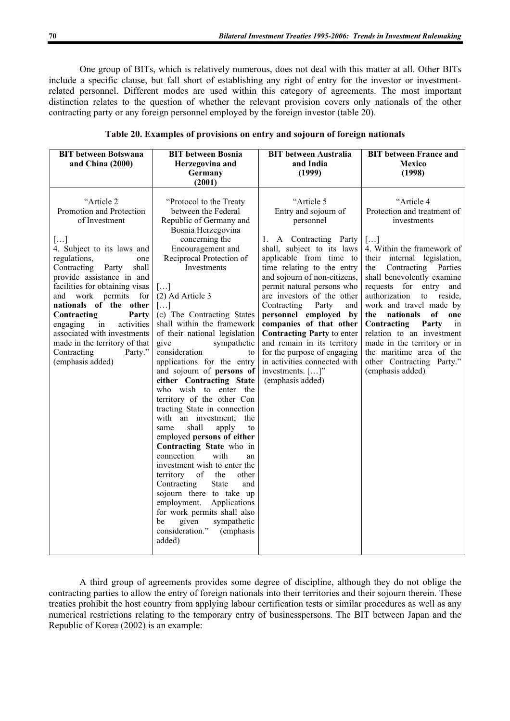One group of BITs, which is relatively numerous, does not deal with this matter at all. Other BITs include a specific clause, but fall short of establishing any right of entry for the investor or investmentrelated personnel. Different modes are used within this category of agreements. The most important distinction relates to the question of whether the relevant provision covers only nationals of the other contracting party or any foreign personnel employed by the foreign investor (table 20).

| <b>BIT</b> between Botswana<br>and China (2000)                                                                                                                                                                                                                                                                                                                                                                                                     | <b>BIT</b> between Bosnia<br>Herzegovina and<br>Germany<br>(2001)                                                                                                                                                                                                                                                                                                                                                                                                                                                                                                                                                                                                                                                                                                                                                                                                                                                                                                                                      | <b>BIT</b> between Australia<br>and India<br>(1999)                                                                                                                                                                                                                                                                                                                                                                                                                                                                        | <b>BIT</b> between France and<br><b>Mexico</b><br>(1998)                                                                                                                                                                                                                                                                                                                                                                                                                                                  |
|-----------------------------------------------------------------------------------------------------------------------------------------------------------------------------------------------------------------------------------------------------------------------------------------------------------------------------------------------------------------------------------------------------------------------------------------------------|--------------------------------------------------------------------------------------------------------------------------------------------------------------------------------------------------------------------------------------------------------------------------------------------------------------------------------------------------------------------------------------------------------------------------------------------------------------------------------------------------------------------------------------------------------------------------------------------------------------------------------------------------------------------------------------------------------------------------------------------------------------------------------------------------------------------------------------------------------------------------------------------------------------------------------------------------------------------------------------------------------|----------------------------------------------------------------------------------------------------------------------------------------------------------------------------------------------------------------------------------------------------------------------------------------------------------------------------------------------------------------------------------------------------------------------------------------------------------------------------------------------------------------------------|-----------------------------------------------------------------------------------------------------------------------------------------------------------------------------------------------------------------------------------------------------------------------------------------------------------------------------------------------------------------------------------------------------------------------------------------------------------------------------------------------------------|
| "Article 2<br>Promotion and Protection<br>of Investment<br>[]<br>4. Subject to its laws and<br>regulations,<br>one<br>Contracting<br>Party<br>shall<br>provide assistance in and<br>facilities for obtaining visas<br>permits<br>work<br>for<br>and<br>nationals of the other<br>Contracting<br>Party<br>activities<br>engaging<br>in<br>associated with investments<br>made in the territory of that<br>Party."<br>Contracting<br>(emphasis added) | "Protocol to the Treaty<br>between the Federal<br>Republic of Germany and<br>Bosnia Herzegovina<br>concerning the<br>Encouragement and<br>Reciprocal Protection of<br>Investments<br>$\lceil \dots \rceil$<br>(2) Ad Article 3<br>$\lceil \dots \rceil$<br>(c) The Contracting States<br>shall within the framework<br>of their national legislation<br>give<br>sympathetic<br>consideration<br>to<br>applications for the entry<br>and sojourn of persons of<br>either Contracting State<br>who wish to enter the<br>territory of the other Con<br>tracting State in connection<br>with an investment; the<br>shall<br>apply<br>same<br>to<br>employed persons of either<br>Contracting State who in<br>connection<br>with<br>an<br>investment wish to enter the<br>territory<br>other<br>of<br>the<br>Contracting<br>State<br>and<br>sojourn there to take up<br>employment.<br>Applications<br>for work permits shall also<br>given<br>sympathetic<br>be<br>consideration."<br>(emphasis)<br>added) | "Article 5<br>Entry and sojourn of<br>personnel<br>1. A Contracting Party<br>shall, subject to its laws<br>applicable from time to<br>time relating to the entry<br>and sojourn of non-citizens,<br>permit natural persons who<br>are investors of the other<br>Contracting<br>Party<br>and<br>personnel employed by<br>companies of that other<br><b>Contracting Party to enter</b><br>and remain in its territory<br>for the purpose of engaging<br>in activities connected with<br>investments. []"<br>(emphasis added) | "Article 4<br>Protection and treatment of<br>investments<br>$\left[\ldots\right]$<br>4. Within the framework of<br>their internal legislation,<br>Contracting<br>Parties<br>the<br>shall benevolently examine<br>requests for entry and<br>authorization<br>to reside,<br>work and travel made by<br>nationals<br>of<br>the<br>one<br>Contracting<br>Party<br>in<br>relation to an investment<br>made in the territory or in<br>the maritime area of the<br>other Contracting Party."<br>(emphasis added) |

**Table 20. Examples of provisions on entry and sojourn of foreign nationals** 

A third group of agreements provides some degree of discipline, although they do not oblige the contracting parties to allow the entry of foreign nationals into their territories and their sojourn therein. These treaties prohibit the host country from applying labour certification tests or similar procedures as well as any numerical restrictions relating to the temporary entry of businesspersons. The BIT between Japan and the Republic of Korea (2002) is an example: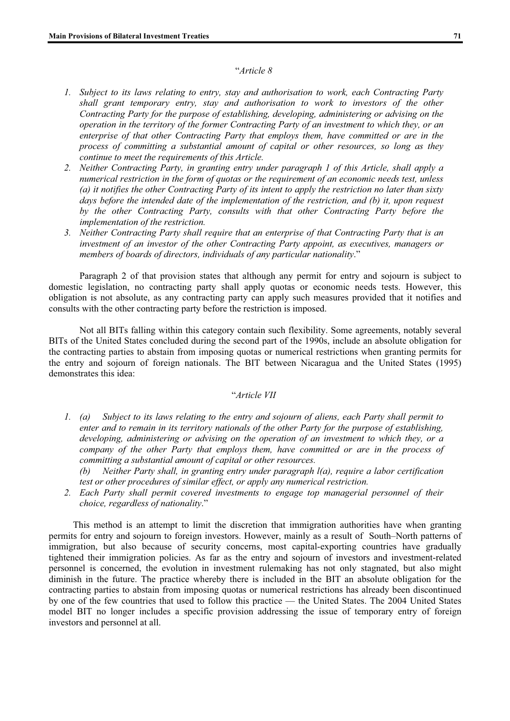## "*Article 8*

- *1. Subject to its laws relating to entry, stay and authorisation to work, each Contracting Party shall grant temporary entry, stay and authorisation to work to investors of the other Contracting Party for the purpose of establishing, developing, administering or advising on the operation in the territory of the former Contracting Party of an investment to which they, or an enterprise of that other Contracting Party that employs them, have committed or are in the process of committing a substantial amount of capital or other resources, so long as they continue to meet the requirements of this Article.*
- *2. Neither Contracting Party, in granting entry under paragraph 1 of this Article, shall apply a numerical restriction in the form of quotas or the requirement of an economic needs test, unless (a) it notifies the other Contracting Party of its intent to apply the restriction no later than sixty days before the intended date of the implementation of the restriction, and (b) it, upon request by the other Contracting Party, consults with that other Contracting Party before the implementation of the restriction.*
- *3. Neither Contracting Party shall require that an enterprise of that Contracting Party that is an investment of an investor of the other Contracting Party appoint, as executives, managers or members of boards of directors, individuals of any particular nationality*."

Paragraph 2 of that provision states that although any permit for entry and sojourn is subject to domestic legislation, no contracting party shall apply quotas or economic needs tests. However, this obligation is not absolute, as any contracting party can apply such measures provided that it notifies and consults with the other contracting party before the restriction is imposed.

Not all BITs falling within this category contain such flexibility. Some agreements, notably several BITs of the United States concluded during the second part of the 1990s, include an absolute obligation for the contracting parties to abstain from imposing quotas or numerical restrictions when granting permits for the entry and sojourn of foreign nationals. The BIT between Nicaragua and the United States (1995) demonstrates this idea:

## "*Article VII*

*1. (a) Subject to its laws relating to the entry and sojourn of aliens, each Party shall permit to enter and to remain in its territory nationals of the other Party for the purpose of establishing, developing, administering or advising on the operation of an investment to which they, or a company of the other Party that employs them, have committed or are in the process of committing a substantial amount of capital or other resources.* 

 *(b) Neither Party shall, in granting entry under paragraph l(a), require a labor certification test or other procedures of similar effect, or apply any numerical restriction.* 

*2. Each Party shall permit covered investments to engage top managerial personnel of their choice, regardless of nationality*."

This method is an attempt to limit the discretion that immigration authorities have when granting permits for entry and sojourn to foreign investors. However, mainly as a result of South–North patterns of immigration, but also because of security concerns, most capital-exporting countries have gradually tightened their immigration policies. As far as the entry and sojourn of investors and investment-related personnel is concerned, the evolution in investment rulemaking has not only stagnated, but also might diminish in the future. The practice whereby there is included in the BIT an absolute obligation for the contracting parties to abstain from imposing quotas or numerical restrictions has already been discontinued by one of the few countries that used to follow this practice — the United States. The 2004 United States model BIT no longer includes a specific provision addressing the issue of temporary entry of foreign investors and personnel at all.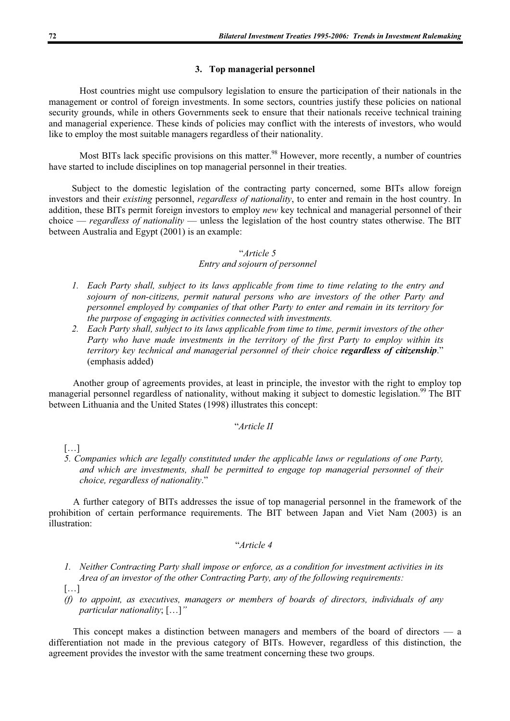#### **3. Top managerial personnel**

Host countries might use compulsory legislation to ensure the participation of their nationals in the management or control of foreign investments. In some sectors, countries justify these policies on national security grounds, while in others Governments seek to ensure that their nationals receive technical training and managerial experience. These kinds of policies may conflict with the interests of investors, who would like to employ the most suitable managers regardless of their nationality.

Most BITs lack specific provisions on this matter.<sup>98</sup> However, more recently, a number of countries have started to include disciplines on top managerial personnel in their treaties.

Subject to the domestic legislation of the contracting party concerned, some BITs allow foreign investors and their *existing* personnel, *regardless of nationality*, to enter and remain in the host country. In addition, these BITs permit foreign investors to employ *new* key technical and managerial personnel of their choice — *regardless of nationality* — unless the legislation of the host country states otherwise. The BIT between Australia and Egypt (2001) is an example:

> "*Article 5 Entry and sojourn of personnel*

- *1. Each Party shall, subject to its laws applicable from time to time relating to the entry and sojourn of non-citizens, permit natural persons who are investors of the other Party and personnel employed by companies of that other Party to enter and remain in its territory for the purpose of engaging in activities connected with investments.*
- *2. Each Party shall, subject to its laws applicable from time to time, permit investors of the other Party who have made investments in the territory of the first Party to employ within its territory key technical and managerial personnel of their choice <i>regardless of citizenship*." (emphasis added)

Another group of agreements provides, at least in principle, the investor with the right to employ top managerial personnel regardless of nationality, without making it subject to domestic legislation.<sup>99</sup> The BIT between Lithuania and the United States (1998) illustrates this concept:

# "*Article II*

 $[...]$ 

*5. Companies which are legally constituted under the applicable laws or regulations of one Party, and which are investments, shall be permitted to engage top managerial personnel of their choice, regardless of nationality*."

A further category of BITs addresses the issue of top managerial personnel in the framework of the prohibition of certain performance requirements. The BIT between Japan and Viet Nam (2003) is an illustration:

#### "*Article 4*

*1. Neither Contracting Party shall impose or enforce, as a condition for investment activities in its Area of an investor of the other Contracting Party, any of the following requirements:* 

[…]

*(f) to appoint, as executives, managers or members of boards of directors, individuals of any particular nationality*; […]*"*

This concept makes a distinction between managers and members of the board of directors — a differentiation not made in the previous category of BITs. However, regardless of this distinction, the agreement provides the investor with the same treatment concerning these two groups.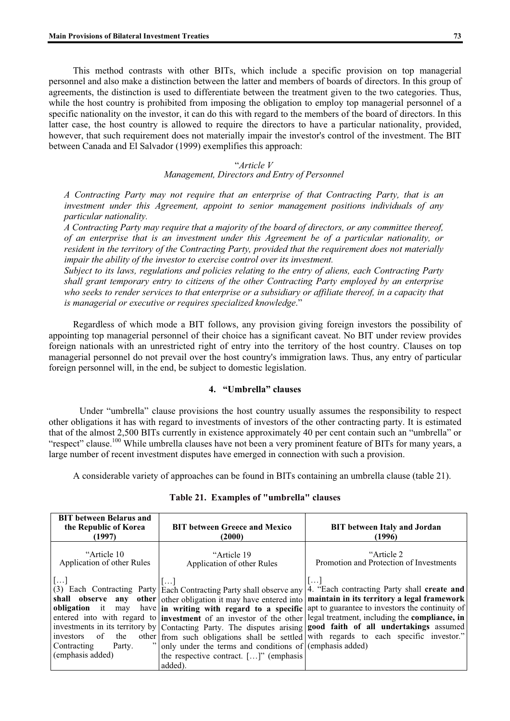This method contrasts with other BITs, which include a specific provision on top managerial personnel and also make a distinction between the latter and members of boards of directors. In this group of agreements, the distinction is used to differentiate between the treatment given to the two categories. Thus, while the host country is prohibited from imposing the obligation to employ top managerial personnel of a specific nationality on the investor, it can do this with regard to the members of the board of directors. In this latter case, the host country is allowed to require the directors to have a particular nationality, provided, however, that such requirement does not materially impair the investor's control of the investment. The BIT between Canada and El Salvador (1999) exemplifies this approach:

#### "*Article V Management, Directors and Entry of Personnel*

*A Contracting Party may not require that an enterprise of that Contracting Party, that is an investment under this Agreement, appoint to senior management positions individuals of any particular nationality.* 

*A Contracting Party may require that a majority of the board of directors, or any committee thereof, of an enterprise that is an investment under this Agreement be of a particular nationality, or resident in the territory of the Contracting Party, provided that the requirement does not materially impair the ability of the investor to exercise control over its investment.* 

*Subject to its laws, regulations and policies relating to the entry of aliens, each Contracting Party shall grant temporary entry to citizens of the other Contracting Party employed by an enterprise who seeks to render services to that enterprise or a subsidiary or affiliate thereof, in a capacity that is managerial or executive or requires specialized knowledge*."

Regardless of which mode a BIT follows, any provision giving foreign investors the possibility of appointing top managerial personnel of their choice has a significant caveat. No BIT under review provides foreign nationals with an unrestricted right of entry into the territory of the host country. Clauses on top managerial personnel do not prevail over the host country's immigration laws. Thus, any entry of particular foreign personnel will, in the end, be subject to domestic legislation.

# **4. "Umbrella" clauses**

Under "umbrella" clause provisions the host country usually assumes the responsibility to respect other obligations it has with regard to investments of investors of the other contracting party. It is estimated that of the almost 2,500 BITs currently in existence approximately 40 per cent contain such an "umbrella" or "respect" clause.<sup>100</sup> While umbrella clauses have not been a very prominent feature of BITs for many years, a large number of recent investment disputes have emerged in connection with such a provision.

A considerable variety of approaches can be found in BITs containing an umbrella clause (table 21).

| <b>BIT</b> between Belarus and<br>the Republic of Korea<br>(1997) | <b>BIT</b> between Greece and Mexico<br>(2000)                                                                                                                                                                                                                                 | <b>BIT</b> between Italy and Jordan<br>(1996)                                                                                                                                                                                                                                                                                                                                                                                                                                                                                                                       |  |  |  |
|-------------------------------------------------------------------|--------------------------------------------------------------------------------------------------------------------------------------------------------------------------------------------------------------------------------------------------------------------------------|---------------------------------------------------------------------------------------------------------------------------------------------------------------------------------------------------------------------------------------------------------------------------------------------------------------------------------------------------------------------------------------------------------------------------------------------------------------------------------------------------------------------------------------------------------------------|--|--|--|
| "Article 10"<br>Application of other Rules                        | "Article 19"<br>Application of other Rules                                                                                                                                                                                                                                     | "Article 2<br>Promotion and Protection of Investments                                                                                                                                                                                                                                                                                                                                                                                                                                                                                                               |  |  |  |
| []<br>investors of the<br>Contracting Party.<br>(emphasis added)  | $[\ldots]$<br>(3) Each Contracting Party Each Contracting Party shall observe any<br>shall observe any other other obligation it may have entered into<br>only under the terms and conditions of (emphasis added)<br>the respective contract. $[\dots]$ " (emphasis<br>added). | $\lfloor \ldots \rfloor$<br>4. "Each contracting Party shall create and<br>maintain in its territory a legal framework<br>obligation it may have in writing with regard to a specific apt to guarantee to investors the continuity of<br>entered into with regard to investment of an investor of the other legal treatment, including the compliance, in<br>investments in its territory by Contacting Party. The disputes arising good faith of all undertakings assumed<br>other from such obligations shall be settled with regards to each specific investor." |  |  |  |

**Table 21. Examples of "umbrella" clauses**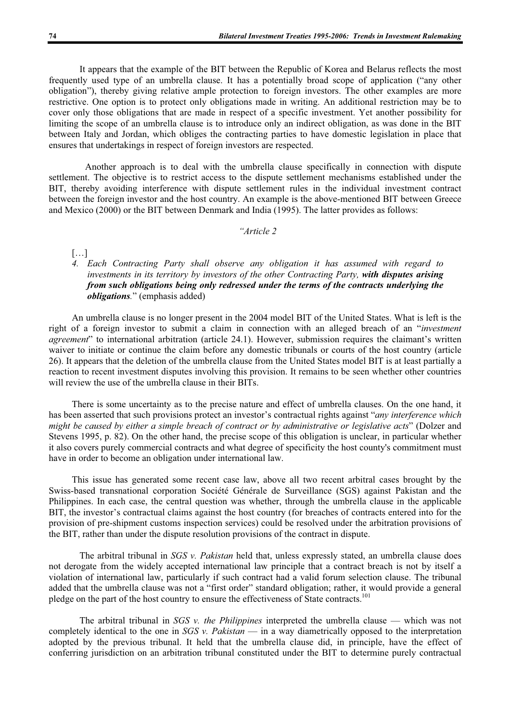It appears that the example of the BIT between the Republic of Korea and Belarus reflects the most frequently used type of an umbrella clause. It has a potentially broad scope of application ("any other obligation"), thereby giving relative ample protection to foreign investors. The other examples are more restrictive. One option is to protect only obligations made in writing. An additional restriction may be to cover only those obligations that are made in respect of a specific investment. Yet another possibility for limiting the scope of an umbrella clause is to introduce only an indirect obligation, as was done in the BIT between Italy and Jordan, which obliges the contracting parties to have domestic legislation in place that ensures that undertakings in respect of foreign investors are respected.

Another approach is to deal with the umbrella clause specifically in connection with dispute settlement. The objective is to restrict access to the dispute settlement mechanisms established under the BIT, thereby avoiding interference with dispute settlement rules in the individual investment contract between the foreign investor and the host country. An example is the above-mentioned BIT between Greece and Mexico (2000) or the BIT between Denmark and India (1995). The latter provides as follows:

# *"Article 2*

 $\lceil$ ...]

# *4. Each Contracting Party shall observe any obligation it has assumed with regard to investments in its territory by investors of the other Contracting Party, with disputes arising from such obligations being only redressed under the terms of the contracts underlying the obligations.*" (emphasis added)

An umbrella clause is no longer present in the 2004 model BIT of the United States. What is left is the right of a foreign investor to submit a claim in connection with an alleged breach of an "*investment agreement*" to international arbitration (article 24.1). However, submission requires the claimant's written waiver to initiate or continue the claim before any domestic tribunals or courts of the host country (article 26). It appears that the deletion of the umbrella clause from the United States model BIT is at least partially a reaction to recent investment disputes involving this provision. It remains to be seen whether other countries will review the use of the umbrella clause in their BITs.

There is some uncertainty as to the precise nature and effect of umbrella clauses. On the one hand, it has been asserted that such provisions protect an investor's contractual rights against "*any interference which might be caused by either a simple breach of contract or by administrative or legislative acts*" (Dolzer and Stevens 1995, p. 82). On the other hand, the precise scope of this obligation is unclear, in particular whether it also covers purely commercial contracts and what degree of specificity the host county's commitment must have in order to become an obligation under international law.

This issue has generated some recent case law, above all two recent arbitral cases brought by the Swiss-based transnational corporation Société Générale de Surveillance (SGS) against Pakistan and the Philippines. In each case, the central question was whether, through the umbrella clause in the applicable BIT, the investor's contractual claims against the host country (for breaches of contracts entered into for the provision of pre-shipment customs inspection services) could be resolved under the arbitration provisions of the BIT, rather than under the dispute resolution provisions of the contract in dispute.

The arbitral tribunal in *SGS v. Pakistan* held that, unless expressly stated, an umbrella clause does not derogate from the widely accepted international law principle that a contract breach is not by itself a violation of international law, particularly if such contract had a valid forum selection clause. The tribunal added that the umbrella clause was not a "first order" standard obligation; rather, it would provide a general pledge on the part of the host country to ensure the effectiveness of State contracts.<sup>101</sup>

The arbitral tribunal in *SGS v. the Philippines* interpreted the umbrella clause — which was not completely identical to the one in *SGS v. Pakistan* — in a way diametrically opposed to the interpretation adopted by the previous tribunal. It held that the umbrella clause did, in principle, have the effect of conferring jurisdiction on an arbitration tribunal constituted under the BIT to determine purely contractual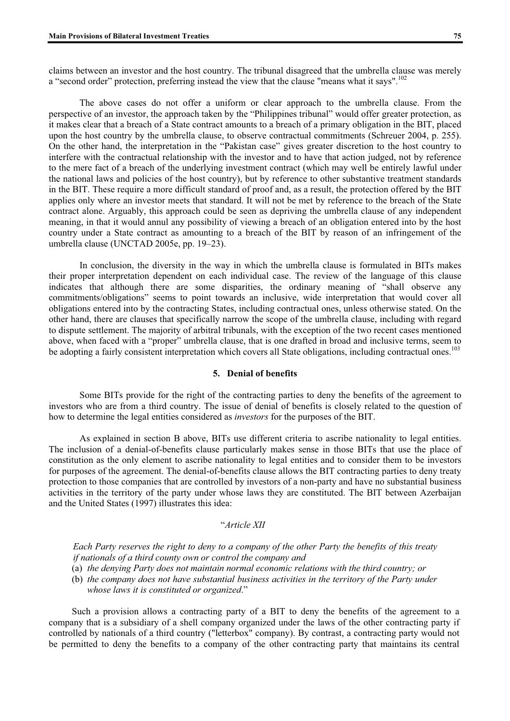claims between an investor and the host country. The tribunal disagreed that the umbrella clause was merely a "second order" protection, preferring instead the view that the clause "means what it says".<sup>102</sup>

The above cases do not offer a uniform or clear approach to the umbrella clause. From the perspective of an investor, the approach taken by the "Philippines tribunal" would offer greater protection, as it makes clear that a breach of a State contract amounts to a breach of a primary obligation in the BIT, placed upon the host country by the umbrella clause, to observe contractual commitments (Schreuer 2004, p. 255). On the other hand, the interpretation in the "Pakistan case" gives greater discretion to the host country to interfere with the contractual relationship with the investor and to have that action judged, not by reference to the mere fact of a breach of the underlying investment contract (which may well be entirely lawful under the national laws and policies of the host country), but by reference to other substantive treatment standards in the BIT. These require a more difficult standard of proof and, as a result, the protection offered by the BIT applies only where an investor meets that standard. It will not be met by reference to the breach of the State contract alone. Arguably, this approach could be seen as depriving the umbrella clause of any independent meaning, in that it would annul any possibility of viewing a breach of an obligation entered into by the host country under a State contract as amounting to a breach of the BIT by reason of an infringement of the umbrella clause (UNCTAD 2005e, pp. 19–23).

In conclusion, the diversity in the way in which the umbrella clause is formulated in BITs makes their proper interpretation dependent on each individual case. The review of the language of this clause indicates that although there are some disparities, the ordinary meaning of "shall observe any commitments/obligations" seems to point towards an inclusive, wide interpretation that would cover all obligations entered into by the contracting States, including contractual ones, unless otherwise stated. On the other hand, there are clauses that specifically narrow the scope of the umbrella clause, including with regard to dispute settlement. The majority of arbitral tribunals, with the exception of the two recent cases mentioned above, when faced with a "proper" umbrella clause, that is one drafted in broad and inclusive terms, seem to be adopting a fairly consistent interpretation which covers all State obligations, including contractual ones.<sup>103</sup>

#### **5. Denial of benefits**

Some BITs provide for the right of the contracting parties to deny the benefits of the agreement to investors who are from a third country. The issue of denial of benefits is closely related to the question of how to determine the legal entities considered as *investors* for the purposes of the BIT.

As explained in section B above, BITs use different criteria to ascribe nationality to legal entities. The inclusion of a denial-of-benefits clause particularly makes sense in those BITs that use the place of constitution as the only element to ascribe nationality to legal entities and to consider them to be investors for purposes of the agreement. The denial-of-benefits clause allows the BIT contracting parties to deny treaty protection to those companies that are controlled by investors of a non-party and have no substantial business activities in the territory of the party under whose laws they are constituted. The BIT between Azerbaijan and the United States (1997) illustrates this idea:

#### "*Article XII*

*Each Party reserves the right to deny to a company of the other Party the benefits of this treaty if nationals of a third county own or control the company and* 

- (a) *the denying Party does not maintain normal economic relations with the third country; or*
- (b) *the company does not have substantial business activities in the territory of the Party under whose laws it is constituted or organized*."

 Such a provision allows a contracting party of a BIT to deny the benefits of the agreement to a company that is a subsidiary of a shell company organized under the laws of the other contracting party if controlled by nationals of a third country ("letterbox" company). By contrast, a contracting party would not be permitted to deny the benefits to a company of the other contracting party that maintains its central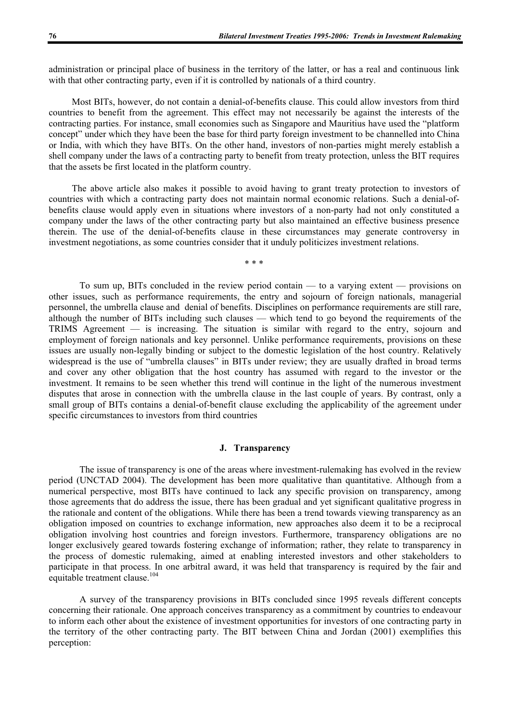administration or principal place of business in the territory of the latter, or has a real and continuous link with that other contracting party, even if it is controlled by nationals of a third country.

 Most BITs, however, do not contain a denial-of-benefits clause. This could allow investors from third countries to benefit from the agreement. This effect may not necessarily be against the interests of the contracting parties. For instance, small economies such as Singapore and Mauritius have used the "platform concept" under which they have been the base for third party foreign investment to be channelled into China or India, with which they have BITs. On the other hand, investors of non-parties might merely establish a shell company under the laws of a contracting party to benefit from treaty protection, unless the BIT requires that the assets be first located in the platform country.

 The above article also makes it possible to avoid having to grant treaty protection to investors of countries with which a contracting party does not maintain normal economic relations. Such a denial-ofbenefits clause would apply even in situations where investors of a non-party had not only constituted a company under the laws of the other contracting party but also maintained an effective business presence therein. The use of the denial-of-benefits clause in these circumstances may generate controversy in investment negotiations, as some countries consider that it unduly politicizes investment relations.

\* \* \*

To sum up, BITs concluded in the review period contain — to a varying extent — provisions on other issues, such as performance requirements, the entry and sojourn of foreign nationals, managerial personnel, the umbrella clause and denial of benefits. Disciplines on performance requirements are still rare, although the number of BITs including such clauses — which tend to go beyond the requirements of the TRIMS Agreement — is increasing. The situation is similar with regard to the entry, sojourn and employment of foreign nationals and key personnel. Unlike performance requirements, provisions on these issues are usually non-legally binding or subject to the domestic legislation of the host country. Relatively widespread is the use of "umbrella clauses" in BITs under review; they are usually drafted in broad terms and cover any other obligation that the host country has assumed with regard to the investor or the investment. It remains to be seen whether this trend will continue in the light of the numerous investment disputes that arose in connection with the umbrella clause in the last couple of years. By contrast, only a small group of BITs contains a denial-of-benefit clause excluding the applicability of the agreement under specific circumstances to investors from third countries

## **J. Transparency**

The issue of transparency is one of the areas where investment-rulemaking has evolved in the review period (UNCTAD 2004). The development has been more qualitative than quantitative. Although from a numerical perspective, most BITs have continued to lack any specific provision on transparency, among those agreements that do address the issue, there has been gradual and yet significant qualitative progress in the rationale and content of the obligations. While there has been a trend towards viewing transparency as an obligation imposed on countries to exchange information, new approaches also deem it to be a reciprocal obligation involving host countries and foreign investors. Furthermore, transparency obligations are no longer exclusively geared towards fostering exchange of information; rather, they relate to transparency in the process of domestic rulemaking, aimed at enabling interested investors and other stakeholders to participate in that process. In one arbitral award, it was held that transparency is required by the fair and equitable treatment clause.<sup>104</sup>

A survey of the transparency provisions in BITs concluded since 1995 reveals different concepts concerning their rationale. One approach conceives transparency as a commitment by countries to endeavour to inform each other about the existence of investment opportunities for investors of one contracting party in the territory of the other contracting party. The BIT between China and Jordan (2001) exemplifies this perception: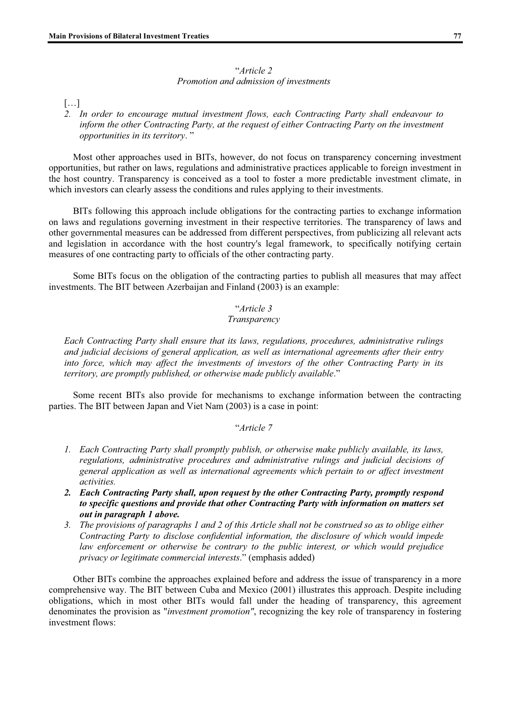## "*Article 2 Promotion and admission of investments*

[…]

# *2. In order to encourage mutual investment flows, each Contracting Party shall endeavour to inform the other Contracting Party, at the request of either Contracting Party on the investment opportunities in its territory*. "

Most other approaches used in BITs, however, do not focus on transparency concerning investment opportunities, but rather on laws, regulations and administrative practices applicable to foreign investment in the host country. Transparency is conceived as a tool to foster a more predictable investment climate, in which investors can clearly assess the conditions and rules applying to their investments.

BITs following this approach include obligations for the contracting parties to exchange information on laws and regulations governing investment in their respective territories. The transparency of laws and other governmental measures can be addressed from different perspectives, from publicizing all relevant acts and legislation in accordance with the host country's legal framework, to specifically notifying certain measures of one contracting party to officials of the other contracting party.

Some BITs focus on the obligation of the contracting parties to publish all measures that may affect investments. The BIT between Azerbaijan and Finland (2003) is an example:

# "*Article 3*

## *Transparency*

*Each Contracting Party shall ensure that its laws, regulations, procedures, administrative rulings and judicial decisions of general application, as well as international agreements after their entry into force, which may affect the investments of investors of the other Contracting Party in its territory, are promptly published, or otherwise made publicly available*."

Some recent BITs also provide for mechanisms to exchange information between the contracting parties. The BIT between Japan and Viet Nam (2003) is a case in point:

## "*Article 7*

- *1. Each Contracting Party shall promptly publish, or otherwise make publicly available, its laws, regulations, administrative procedures and administrative rulings and judicial decisions of general application as well as international agreements which pertain to or affect investment activities.*
- *2. Each Contracting Party shall, upon request by the other Contracting Party, promptly respond to specific questions and provide that other Contracting Party with information on matters set out in paragraph 1 above.*
- *3. The provisions of paragraphs 1 and 2 of this Article shall not be construed so as to oblige either Contracting Party to disclose confidential information, the disclosure of which would impede law enforcement or otherwise be contrary to the public interest, or which would prejudice privacy or legitimate commercial interests*." (emphasis added)

Other BITs combine the approaches explained before and address the issue of transparency in a more comprehensive way. The BIT between Cuba and Mexico (2001) illustrates this approach. Despite including obligations, which in most other BITs would fall under the heading of transparency, this agreement denominates the provision as "*investment promotion"*, recognizing the key role of transparency in fostering investment flows: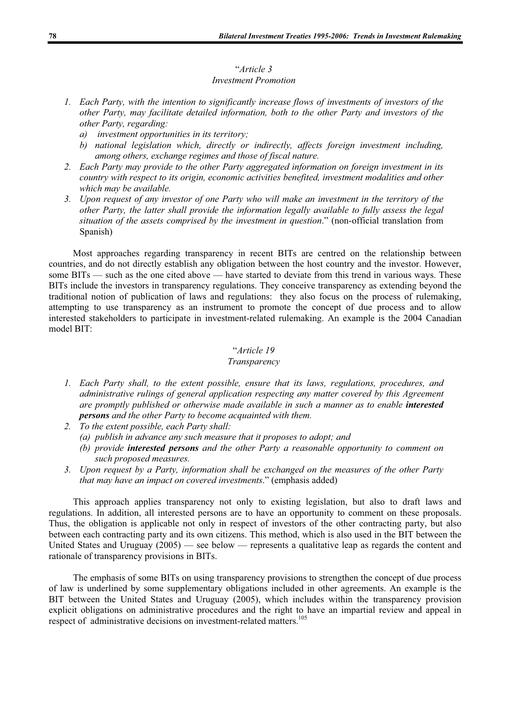#### "*Article 3 Investment Promotion*

- *1. Each Party, with the intention to significantly increase flows of investments of investors of the other Party, may facilitate detailed information, both to the other Party and investors of the other Party, regarding:* 
	- *a) investment opportunities in its territory;*
	- *b) national legislation which, directly or indirectly, affects foreign investment including, among others, exchange regimes and those of fiscal nature.*
- *2. Each Party may provide to the other Party aggregated information on foreign investment in its country with respect to its origin, economic activities benefited, investment modalities and other which may be available.*
- *3. Upon request of any investor of one Party who will make an investment in the territory of the other Party, the latter shall provide the information legally available to fully assess the legal situation of the assets comprised by the investment in question*." (non-official translation from Spanish)

Most approaches regarding transparency in recent BITs are centred on the relationship between countries, and do not directly establish any obligation between the host country and the investor. However, some BITs — such as the one cited above — have started to deviate from this trend in various ways. These BITs include the investors in transparency regulations. They conceive transparency as extending beyond the traditional notion of publication of laws and regulations: they also focus on the process of rulemaking, attempting to use transparency as an instrument to promote the concept of due process and to allow interested stakeholders to participate in investment-related rulemaking. An example is the 2004 Canadian model BIT:

# "*Article 19*

# *Transparency*

- *1. Each Party shall, to the extent possible, ensure that its laws, regulations, procedures, and administrative rulings of general application respecting any matter covered by this Agreement are promptly published or otherwise made available in such a manner as to enable interested persons and the other Party to become acquainted with them.*
- *2. To the extent possible, each Party shall:* 
	- *(a) publish in advance any such measure that it proposes to adopt; and*
	- *(b) provide interested persons and the other Party a reasonable opportunity to comment on such proposed measures.*
- *3. Upon request by a Party, information shall be exchanged on the measures of the other Party that may have an impact on covered investments*." (emphasis added)

This approach applies transparency not only to existing legislation, but also to draft laws and regulations. In addition, all interested persons are to have an opportunity to comment on these proposals. Thus, the obligation is applicable not only in respect of investors of the other contracting party, but also between each contracting party and its own citizens. This method, which is also used in the BIT between the United States and Uruguay (2005) — see below — represents a qualitative leap as regards the content and rationale of transparency provisions in BITs.

The emphasis of some BITs on using transparency provisions to strengthen the concept of due process of law is underlined by some supplementary obligations included in other agreements. An example is the BIT between the United States and Uruguay (2005), which includes within the transparency provision explicit obligations on administrative procedures and the right to have an impartial review and appeal in respect of administrative decisions on investment-related matters.<sup>105</sup>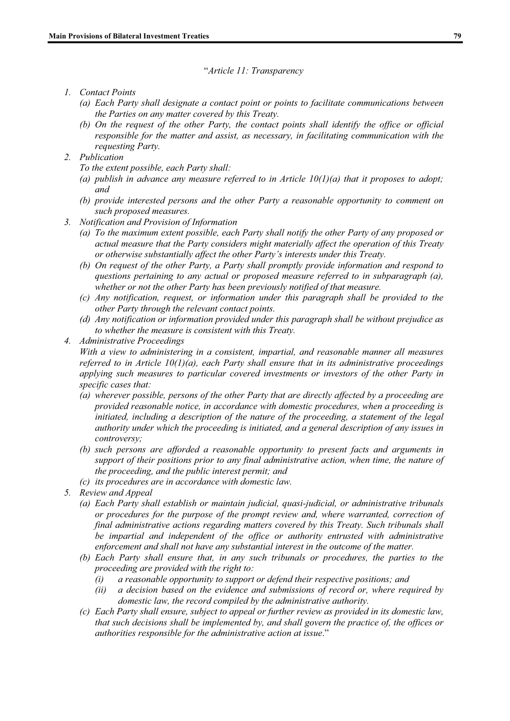"*Article 11: Transparency* 

- *1. Contact Points* 
	- *(a) Each Party shall designate a contact point or points to facilitate communications between the Parties on any matter covered by this Treaty.*
	- *(b) On the request of the other Party, the contact points shall identify the office or official responsible for the matter and assist, as necessary, in facilitating communication with the requesting Party.*
- *2. Publication*

 *To the extent possible, each Party shall:* 

- *(a) publish in advance any measure referred to in Article 10(1)(a) that it proposes to adopt; and*
- *(b) provide interested persons and the other Party a reasonable opportunity to comment on such proposed measures.*
- *3. Notification and Provision of Information* 
	- *(a) To the maximum extent possible, each Party shall notify the other Party of any proposed or actual measure that the Party considers might materially affect the operation of this Treaty or otherwise substantially affect the other Party's interests under this Treaty.*
	- *(b) On request of the other Party, a Party shall promptly provide information and respond to questions pertaining to any actual or proposed measure referred to in subparagraph (a), whether or not the other Party has been previously notified of that measure.*
	- *(c) Any notification, request, or information under this paragraph shall be provided to the other Party through the relevant contact points.*
	- *(d) Any notification or information provided under this paragraph shall be without prejudice as to whether the measure is consistent with this Treaty.*
- *4. Administrative Proceedings*

 *With a view to administering in a consistent, impartial, and reasonable manner all measures referred to in Article 10(1)(a), each Party shall ensure that in its administrative proceedings applying such measures to particular covered investments or investors of the other Party in specific cases that:* 

- *(a) wherever possible, persons of the other Party that are directly affected by a proceeding are provided reasonable notice, in accordance with domestic procedures, when a proceeding is initiated, including a description of the nature of the proceeding, a statement of the legal authority under which the proceeding is initiated, and a general description of any issues in controversy;*
- *(b) such persons are afforded a reasonable opportunity to present facts and arguments in support of their positions prior to any final administrative action, when time, the nature of the proceeding, and the public interest permit; and*
- *(c) its procedures are in accordance with domestic law.*
- *5. Review and Appeal* 
	- *(a) Each Party shall establish or maintain judicial, quasi-judicial, or administrative tribunals or procedures for the purpose of the prompt review and, where warranted, correction of final administrative actions regarding matters covered by this Treaty. Such tribunals shall be impartial and independent of the office or authority entrusted with administrative enforcement and shall not have any substantial interest in the outcome of the matter.*
	- *(b) Each Party shall ensure that, in any such tribunals or procedures, the parties to the proceeding are provided with the right to:* 
		- *(i) a reasonable opportunity to support or defend their respective positions; and*
		- *(ii) a decision based on the evidence and submissions of record or, where required by domestic law, the record compiled by the administrative authority.*
	- *(c) Each Party shall ensure, subject to appeal or further review as provided in its domestic law, that such decisions shall be implemented by, and shall govern the practice of, the offices or authorities responsible for the administrative action at issue*."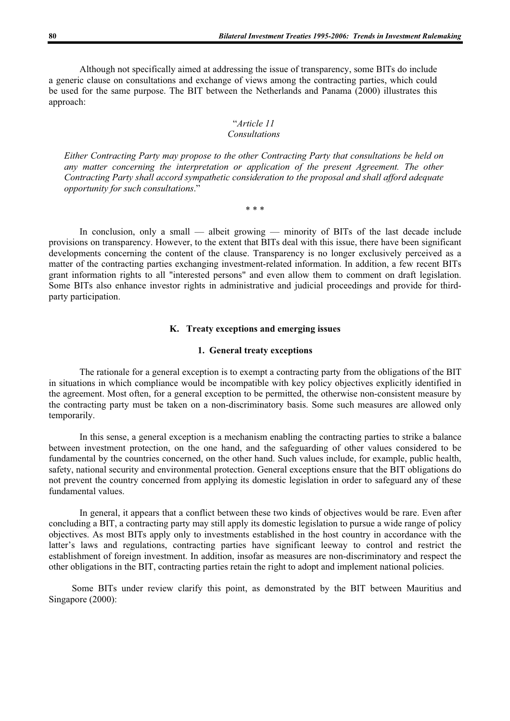Although not specifically aimed at addressing the issue of transparency, some BITs do include a generic clause on consultations and exchange of views among the contracting parties, which could be used for the same purpose. The BIT between the Netherlands and Panama (2000) illustrates this approach:

#### "*Article 11 Consultations*

*Either Contracting Party may propose to the other Contracting Party that consultations be held on*  any matter concerning the interpretation or application of the present Agreement. The other *Contracting Party shall accord sympathetic consideration to the proposal and shall afford adequate opportunity for such consultations*."

\* \* \*

In conclusion, only a small — albeit growing — minority of BITs of the last decade include provisions on transparency. However, to the extent that BITs deal with this issue, there have been significant developments concerning the content of the clause. Transparency is no longer exclusively perceived as a matter of the contracting parties exchanging investment-related information. In addition, a few recent BITs grant information rights to all "interested persons" and even allow them to comment on draft legislation. Some BITs also enhance investor rights in administrative and judicial proceedings and provide for thirdparty participation.

## **K. Treaty exceptions and emerging issues**

#### **1. General treaty exceptions**

The rationale for a general exception is to exempt a contracting party from the obligations of the BIT in situations in which compliance would be incompatible with key policy objectives explicitly identified in the agreement. Most often, for a general exception to be permitted, the otherwise non-consistent measure by the contracting party must be taken on a non-discriminatory basis. Some such measures are allowed only temporarily.

In this sense, a general exception is a mechanism enabling the contracting parties to strike a balance between investment protection, on the one hand, and the safeguarding of other values considered to be fundamental by the countries concerned, on the other hand. Such values include, for example, public health, safety, national security and environmental protection. General exceptions ensure that the BIT obligations do not prevent the country concerned from applying its domestic legislation in order to safeguard any of these fundamental values.

In general, it appears that a conflict between these two kinds of objectives would be rare. Even after concluding a BIT, a contracting party may still apply its domestic legislation to pursue a wide range of policy objectives. As most BITs apply only to investments established in the host country in accordance with the latter's laws and regulations, contracting parties have significant leeway to control and restrict the establishment of foreign investment. In addition, insofar as measures are non-discriminatory and respect the other obligations in the BIT, contracting parties retain the right to adopt and implement national policies.

Some BITs under review clarify this point, as demonstrated by the BIT between Mauritius and Singapore (2000):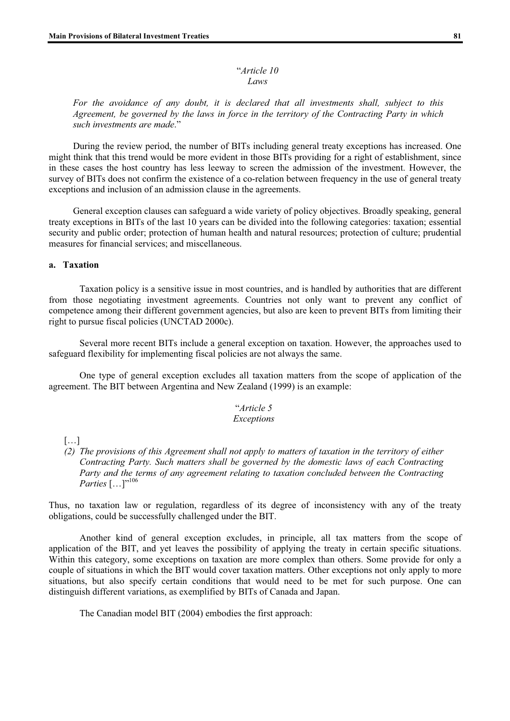#### "*Article 10 Laws*

*For the avoidance of any doubt, it is declared that all investments shall, subject to this Agreement, be governed by the laws in force in the territory of the Contracting Party in which such investments are made*."

During the review period, the number of BITs including general treaty exceptions has increased. One might think that this trend would be more evident in those BITs providing for a right of establishment, since in these cases the host country has less leeway to screen the admission of the investment. However, the survey of BITs does not confirm the existence of a co-relation between frequency in the use of general treaty exceptions and inclusion of an admission clause in the agreements.

General exception clauses can safeguard a wide variety of policy objectives. Broadly speaking, general treaty exceptions in BITs of the last 10 years can be divided into the following categories: taxation; essential security and public order; protection of human health and natural resources; protection of culture; prudential measures for financial services; and miscellaneous.

#### **a. Taxation**

Taxation policy is a sensitive issue in most countries, and is handled by authorities that are different from those negotiating investment agreements. Countries not only want to prevent any conflict of competence among their different government agencies, but also are keen to prevent BITs from limiting their right to pursue fiscal policies (UNCTAD 2000c).

Several more recent BITs include a general exception on taxation. However, the approaches used to safeguard flexibility for implementing fiscal policies are not always the same.

One type of general exception excludes all taxation matters from the scope of application of the agreement. The BIT between Argentina and New Zealand (1999) is an example:

## "*Article 5 Exceptions*

[…]

*(2) The provisions of this Agreement shall not apply to matters of taxation in the territory of either Contracting Party. Such matters shall be governed by the domestic laws of each Contracting Party and the terms of any agreement relating to taxation concluded between the Contracting Parties* [...]"<sup>106</sup>

Thus, no taxation law or regulation, regardless of its degree of inconsistency with any of the treaty obligations, could be successfully challenged under the BIT.

Another kind of general exception excludes, in principle, all tax matters from the scope of application of the BIT, and yet leaves the possibility of applying the treaty in certain specific situations. Within this category, some exceptions on taxation are more complex than others. Some provide for only a couple of situations in which the BIT would cover taxation matters. Other exceptions not only apply to more situations, but also specify certain conditions that would need to be met for such purpose. One can distinguish different variations, as exemplified by BITs of Canada and Japan.

The Canadian model BIT (2004) embodies the first approach: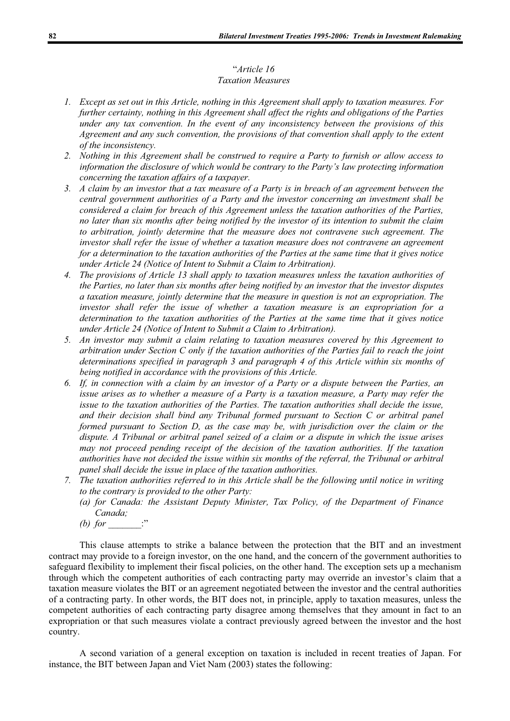## "*Article 16 Taxation Measures*

- *1. Except as set out in this Article, nothing in this Agreement shall apply to taxation measures. For further certainty, nothing in this Agreement shall affect the rights and obligations of the Parties under any tax convention. In the event of any inconsistency between the provisions of this Agreement and any such convention, the provisions of that convention shall apply to the extent of the inconsistency.*
- *2. Nothing in this Agreement shall be construed to require a Party to furnish or allow access to information the disclosure of which would be contrary to the Party's law protecting information concerning the taxation affairs of a taxpayer.*
- *3. A claim by an investor that a tax measure of a Party is in breach of an agreement between the central government authorities of a Party and the investor concerning an investment shall be considered a claim for breach of this Agreement unless the taxation authorities of the Parties, no later than six months after being notified by the investor of its intention to submit the claim to arbitration, jointly determine that the measure does not contravene such agreement. The investor shall refer the issue of whether a taxation measure does not contravene an agreement for a determination to the taxation authorities of the Parties at the same time that it gives notice under Article 24 (Notice of Intent to Submit a Claim to Arbitration).*
- *4. The provisions of Article 13 shall apply to taxation measures unless the taxation authorities of the Parties, no later than six months after being notified by an investor that the investor disputes a taxation measure, jointly determine that the measure in question is not an expropriation. The investor shall refer the issue of whether a taxation measure is an expropriation for a determination to the taxation authorities of the Parties at the same time that it gives notice under Article 24 (Notice of Intent to Submit a Claim to Arbitration).*
- *5. An investor may submit a claim relating to taxation measures covered by this Agreement to arbitration under Section C only if the taxation authorities of the Parties fail to reach the joint determinations specified in paragraph 3 and paragraph 4 of this Article within six months of being notified in accordance with the provisions of this Article.*
- *6. If, in connection with a claim by an investor of a Party or a dispute between the Parties, an issue arises as to whether a measure of a Party is a taxation measure, a Party may refer the issue to the taxation authorities of the Parties. The taxation authorities shall decide the issue, and their decision shall bind any Tribunal formed pursuant to Section C or arbitral panel formed pursuant to Section D, as the case may be, with jurisdiction over the claim or the dispute. A Tribunal or arbitral panel seized of a claim or a dispute in which the issue arises may not proceed pending receipt of the decision of the taxation authorities. If the taxation authorities have not decided the issue within six months of the referral, the Tribunal or arbitral panel shall decide the issue in place of the taxation authorities.*
- *7. The taxation authorities referred to in this Article shall be the following until notice in writing to the contrary is provided to the other Party:* 
	- *(a) for Canada: the Assistant Deputy Minister, Tax Policy, of the Department of Finance Canada;*
	- *(b) for \_\_\_\_\_\_\_*:"

This clause attempts to strike a balance between the protection that the BIT and an investment contract may provide to a foreign investor, on the one hand, and the concern of the government authorities to safeguard flexibility to implement their fiscal policies, on the other hand. The exception sets up a mechanism through which the competent authorities of each contracting party may override an investor's claim that a taxation measure violates the BIT or an agreement negotiated between the investor and the central authorities of a contracting party. In other words, the BIT does not, in principle, apply to taxation measures, unless the competent authorities of each contracting party disagree among themselves that they amount in fact to an expropriation or that such measures violate a contract previously agreed between the investor and the host country.

A second variation of a general exception on taxation is included in recent treaties of Japan. For instance, the BIT between Japan and Viet Nam (2003) states the following: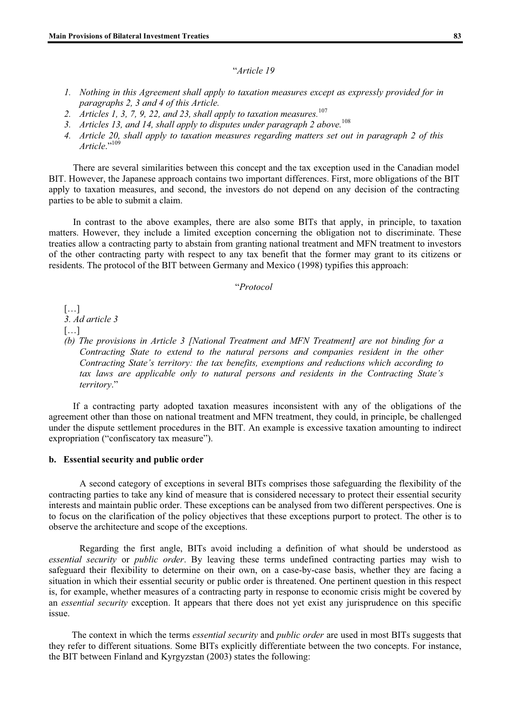## "*Article 19*

- *1. Nothing in this Agreement shall apply to taxation measures except as expressly provided for in paragraphs 2, 3 and 4 of this Article.*
- *2. Articles 1, 3, 7, 9, 22, and 23, shall apply to taxation measures.*<sup>107</sup>
- *3. Articles 13, and 14, shall apply to disputes under paragraph 2 above.*<sup>108</sup>
- *4. Article 20, shall apply to taxation measures regarding matters set out in paragraph 2 of this Article*."<sup>109</sup>

There are several similarities between this concept and the tax exception used in the Canadian model BIT. However, the Japanese approach contains two important differences. First, more obligations of the BIT apply to taxation measures, and second, the investors do not depend on any decision of the contracting parties to be able to submit a claim.

In contrast to the above examples, there are also some BITs that apply, in principle, to taxation matters. However, they include a limited exception concerning the obligation not to discriminate. These treaties allow a contracting party to abstain from granting national treatment and MFN treatment to investors of the other contracting party with respect to any tax benefit that the former may grant to its citizens or residents. The protocol of the BIT between Germany and Mexico (1998) typifies this approach:

# "*Protocol*

 $[\ldots]$ *3. Ad article 3*  […]

*(b) The provisions in Article 3 [National Treatment and MFN Treatment] are not binding for a Contracting State to extend to the natural persons and companies resident in the other Contracting State's territory: the tax benefits, exemptions and reductions which according to tax laws are applicable only to natural persons and residents in the Contracting State's territory*."

If a contracting party adopted taxation measures inconsistent with any of the obligations of the agreement other than those on national treatment and MFN treatment, they could, in principle, be challenged under the dispute settlement procedures in the BIT. An example is excessive taxation amounting to indirect expropriation ("confiscatory tax measure").

## **b. Essential security and public order**

A second category of exceptions in several BITs comprises those safeguarding the flexibility of the contracting parties to take any kind of measure that is considered necessary to protect their essential security interests and maintain public order. These exceptions can be analysed from two different perspectives. One is to focus on the clarification of the policy objectives that these exceptions purport to protect. The other is to observe the architecture and scope of the exceptions.

Regarding the first angle, BITs avoid including a definition of what should be understood as *essential security* or *public order*. By leaving these terms undefined contracting parties may wish to safeguard their flexibility to determine on their own, on a case-by-case basis, whether they are facing a situation in which their essential security or public order is threatened. One pertinent question in this respect is, for example, whether measures of a contracting party in response to economic crisis might be covered by an *essential security* exception. It appears that there does not yet exist any jurisprudence on this specific issue.

The context in which the terms *essential security* and *public order* are used in most BITs suggests that they refer to different situations. Some BITs explicitly differentiate between the two concepts. For instance, the BIT between Finland and Kyrgyzstan (2003) states the following: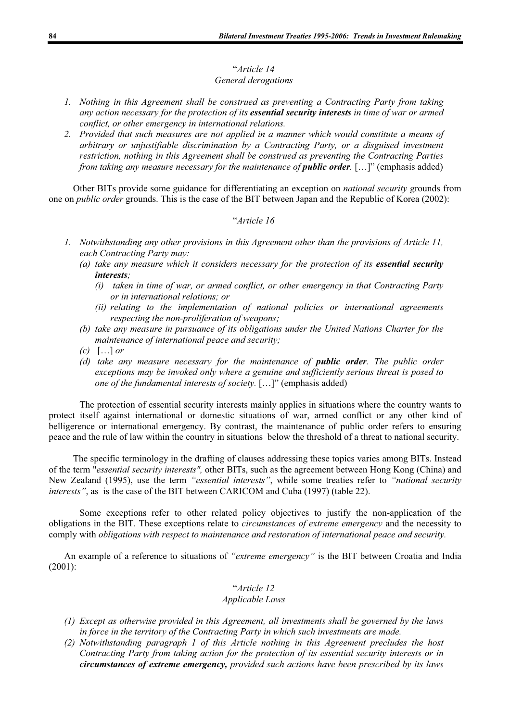# "*Article 14*

- *General derogations*
- *1. Nothing in this Agreement shall be construed as preventing a Contracting Party from taking any action necessary for the protection of its essential security interests in time of war or armed conflict, or other emergency in international relations.*
- *2. Provided that such measures are not applied in a manner which would constitute a means of arbitrary or unjustifiable discrimination by a Contracting Party, or a disguised investment restriction, nothing in this Agreement shall be construed as preventing the Contracting Parties from taking any measure necessary for the maintenance of <i>public order*. [...]" (emphasis added)

Other BITs provide some guidance for differentiating an exception on *national security* grounds from one on *public order* grounds. This is the case of the BIT between Japan and the Republic of Korea (2002):

# "*Article 16*

- *1. Notwithstanding any other provisions in this Agreement other than the provisions of Article 11, each Contracting Party may:* 
	- *(a) take any measure which it considers necessary for the protection of its essential security interests;*
		- *(i) taken in time of war, or armed conflict, or other emergency in that Contracting Party or in international relations; or*
		- *(ii) relating to the implementation of national policies or international agreements respecting the non-proliferation of weapons;*
	- *(b) take any measure in pursuance of its obligations under the United Nations Charter for the maintenance of international peace and security;*
	- *(c)* […] *or*
	- *(d) take any measure necessary for the maintenance of public order. The public order exceptions may be invoked only where a genuine and sufficiently serious threat is posed to one of the fundamental interests of society.* [...]" (emphasis added)

The protection of essential security interests mainly applies in situations where the country wants to protect itself against international or domestic situations of war, armed conflict or any other kind of belligerence or international emergency. By contrast, the maintenance of public order refers to ensuring peace and the rule of law within the country in situations below the threshold of a threat to national security.

The specific terminology in the drafting of clauses addressing these topics varies among BITs. Instead of the term "*essential security interests",* other BITs, such as the agreement between Hong Kong (China) and New Zealand (1995), use the term *"essential interests"*, while some treaties refer to *"national security interests"*, as is the case of the BIT between CARICOM and Cuba (1997) (table 22).

Some exceptions refer to other related policy objectives to justify the non-application of the obligations in the BIT. These exceptions relate to *circumstances of extreme emergency* and the necessity to comply with *obligations with respect to maintenance and restoration of international peace and security.*

An example of a reference to situations of *"extreme emergency"* is the BIT between Croatia and India (2001):

# "*Article 12 Applicable Laws*

- *(1) Except as otherwise provided in this Agreement, all investments shall be governed by the laws in force in the territory of the Contracting Party in which such investments are made.*
- *(2) Notwithstanding paragraph 1 of this Article nothing in this Agreement precludes the host Contracting Party from taking action for the protection of its essential security interests or in circumstances of extreme emergency, provided such actions have been prescribed by its laws*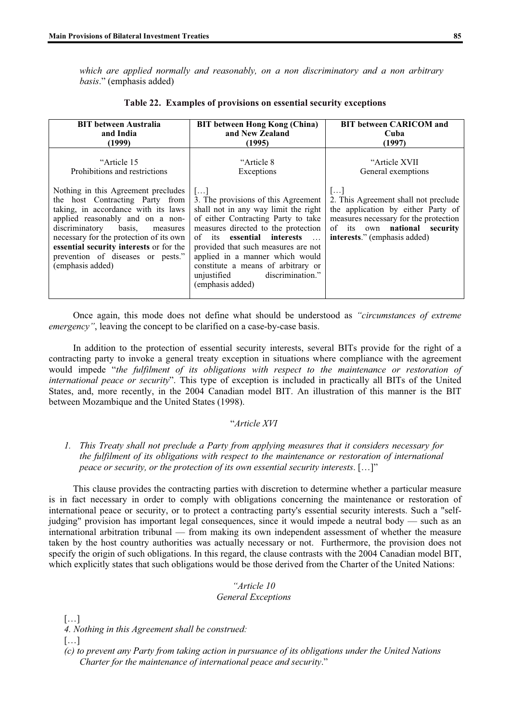*which are applied normally and reasonably, on a non discriminatory and a non arbitrary basis*." (emphasis added)

| <b>BIT</b> between Australia                                                                                                                                                                                                                                                                                                                                                          | <b>BIT between Hong Kong (China)</b>                                                                                                                                                                                                                                                                                                                                                             | <b>BIT between CARICOM and</b>                                                                                                                                                                                                                      |  |  |  |
|---------------------------------------------------------------------------------------------------------------------------------------------------------------------------------------------------------------------------------------------------------------------------------------------------------------------------------------------------------------------------------------|--------------------------------------------------------------------------------------------------------------------------------------------------------------------------------------------------------------------------------------------------------------------------------------------------------------------------------------------------------------------------------------------------|-----------------------------------------------------------------------------------------------------------------------------------------------------------------------------------------------------------------------------------------------------|--|--|--|
| and India                                                                                                                                                                                                                                                                                                                                                                             | and New Zealand                                                                                                                                                                                                                                                                                                                                                                                  | Cuba                                                                                                                                                                                                                                                |  |  |  |
| (1999)                                                                                                                                                                                                                                                                                                                                                                                | (1995)                                                                                                                                                                                                                                                                                                                                                                                           | (1997)                                                                                                                                                                                                                                              |  |  |  |
| "Article 15<br>Prohibitions and restrictions<br>Nothing in this Agreement precludes<br>the host Contracting Party from<br>taking, in accordance with its laws<br>applied reasonably and on a non-<br>discriminatory basis,<br>measures<br>necessary for the protection of its own<br>essential security interests or for the<br>prevention of diseases or pests."<br>(emphasis added) | "Article 8<br>Exceptions<br>  <br>3. The provisions of this Agreement<br>shall not in any way limit the right<br>of either Contracting Party to take<br>measures directed to the protection<br>of its essential interests<br>provided that such measures are not<br>applied in a manner which would<br>constitute a means of arbitrary or<br>discrimination."<br>unjustified<br>(emphasis added) | "Article XVII<br>General exemptions<br>$\lceil \dots \rceil$<br>2. This Agreement shall not preclude<br>the application by either Party of<br>measures necessary for the protection<br>of its own national security<br>interests." (emphasis added) |  |  |  |

#### **Table 22. Examples of provisions on essential security exceptions**

Once again, this mode does not define what should be understood as *"circumstances of extreme emergency*", leaving the concept to be clarified on a case-by-case basis.

In addition to the protection of essential security interests, several BITs provide for the right of a contracting party to invoke a general treaty exception in situations where compliance with the agreement would impede "*the fulfilment of its obligations with respect to the maintenance or restoration of international peace or security*". This type of exception is included in practically all BITs of the United States, and, more recently, in the 2004 Canadian model BIT. An illustration of this manner is the BIT between Mozambique and the United States (1998).

#### "*Article XVI*

*1. This Treaty shall not preclude a Party from applying measures that it considers necessary for the fulfilment of its obligations with respect to the maintenance or restoration of international peace or security, or the protection of its own essential security interests*. […]"

This clause provides the contracting parties with discretion to determine whether a particular measure is in fact necessary in order to comply with obligations concerning the maintenance or restoration of international peace or security, or to protect a contracting party's essential security interests. Such a "selfjudging" provision has important legal consequences, since it would impede a neutral body — such as an international arbitration tribunal — from making its own independent assessment of whether the measure taken by the host country authorities was actually necessary or not. Furthermore, the provision does not specify the origin of such obligations. In this regard, the clause contrasts with the 2004 Canadian model BIT, which explicitly states that such obligations would be those derived from the Charter of the United Nations:

#### *"Article 10 General Exceptions*

[…]

- *4. Nothing in this Agreement shall be construed:*
- […]
- *(c) to prevent any Party from taking action in pursuance of its obligations under the United Nations Charter for the maintenance of international peace and security*."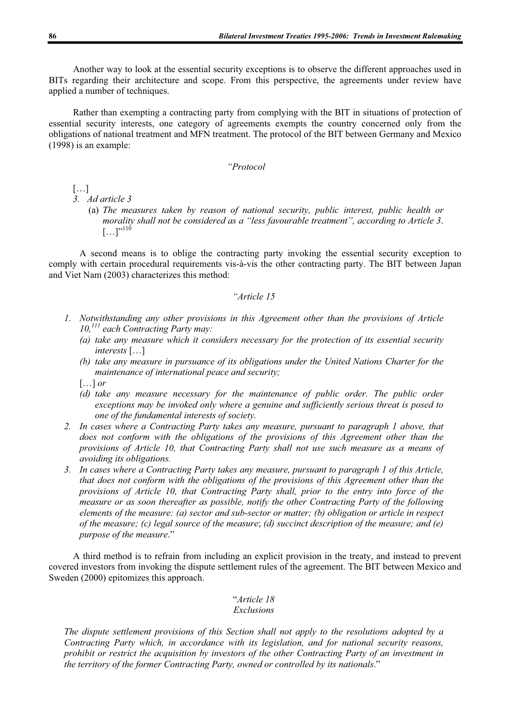Another way to look at the essential security exceptions is to observe the different approaches used in BITs regarding their architecture and scope. From this perspective, the agreements under review have applied a number of techniques.

Rather than exempting a contracting party from complying with the BIT in situations of protection of essential security interests, one category of agreements exempts the country concerned only from the obligations of national treatment and MFN treatment. The protocol of the BIT between Germany and Mexico (1998) is an example:

#### *"Protocol*

[…]

- *3. Ad article 3* 
	- (a) *The measures taken by reason of national security, public interest, public health or morality shall not be considered as a "less favourable treatment", according to Article 3*.  $[...]^{110}$

A second means is to oblige the contracting party invoking the essential security exception to comply with certain procedural requirements vis-à-vis the other contracting party. The BIT between Japan and Viet Nam (2003) characterizes this method:

## *"Article 15*

- *1. Notwithstanding any other provisions in this Agreement other than the provisions of Article 10,111 each Contracting Party may:* 
	- *(a) take any measure which it considers necessary for the protection of its essential security interests* […]
	- *(b) take any measure in pursuance of its obligations under the United Nations Charter for the maintenance of international peace and security;*

[…] *or*

- *(d) take any measure necessary for the maintenance of public order. The public order exceptions may be invoked only where a genuine and sufficiently serious threat is posed to one of the fundamental interests of society.*
- *2. In cases where a Contracting Party takes any measure, pursuant to paragraph 1 above, that does not conform with the obligations of the provisions of this Agreement other than the provisions of Article 10, that Contracting Party shall not use such measure as a means of avoiding its obligations.*
- *3. In cases where a Contracting Party takes any measure, pursuant to paragraph 1 of this Article, that does not conform with the obligations of the provisions of this Agreement other than the provisions of Article 10, that Contracting Party shall, prior to the entry into force of the measure or as soon thereafter as possible, notify the other Contracting Party of the following elements of the measure: (a) sector and sub-sector or matter; (b) obligation or article in respect of the measure; (c) legal source of the measure*; *(d) succinct description of the measure; and (e) purpose of the measure*."

A third method is to refrain from including an explicit provision in the treaty, and instead to prevent covered investors from invoking the dispute settlement rules of the agreement. The BIT between Mexico and Sweden (2000) epitomizes this approach.

#### "*Article 18 Exclusions*

*The dispute settlement provisions of this Section shall not apply to the resolutions adopted by a Contracting Party which, in accordance with its legislation, and for national security reasons, prohibit or restrict the acquisition by investors of the other Contracting Party of an investment in the territory of the former Contracting Party, owned or controlled by its nationals*."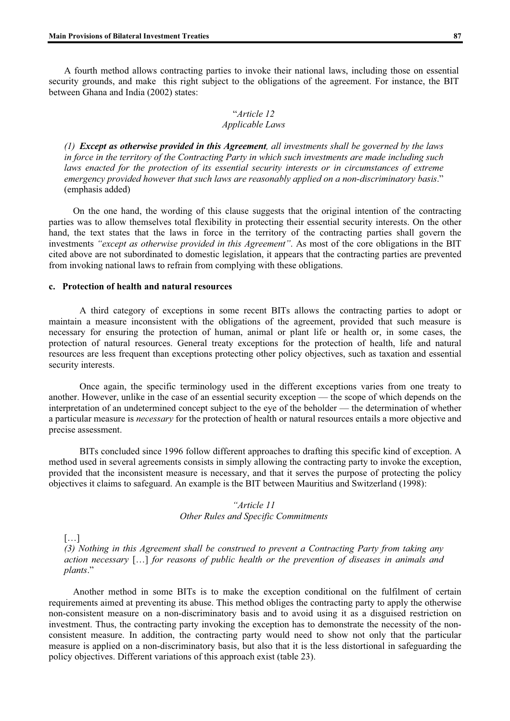A fourth method allows contracting parties to invoke their national laws, including those on essential security grounds, and make this right subject to the obligations of the agreement. For instance, the BIT between Ghana and India (2002) states:

# "*Article 12 Applicable Laws*

*(1) Except as otherwise provided in this Agreement, all investments shall be governed by the laws in force in the territory of the Contracting Party in which such investments are made including such laws enacted for the protection of its essential security interests or in circumstances of extreme emergency provided however that such laws are reasonably applied on a non-discriminatory basis*." (emphasis added)

On the one hand, the wording of this clause suggests that the original intention of the contracting parties was to allow themselves total flexibility in protecting their essential security interests. On the other hand, the text states that the laws in force in the territory of the contracting parties shall govern the investments *"except as otherwise provided in this Agreement"*. As most of the core obligations in the BIT cited above are not subordinated to domestic legislation, it appears that the contracting parties are prevented from invoking national laws to refrain from complying with these obligations.

# **c. Protection of health and natural resources**

A third category of exceptions in some recent BITs allows the contracting parties to adopt or maintain a measure inconsistent with the obligations of the agreement, provided that such measure is necessary for ensuring the protection of human, animal or plant life or health or, in some cases, the protection of natural resources. General treaty exceptions for the protection of health, life and natural resources are less frequent than exceptions protecting other policy objectives, such as taxation and essential security interests.

Once again, the specific terminology used in the different exceptions varies from one treaty to another. However, unlike in the case of an essential security exception — the scope of which depends on the interpretation of an undetermined concept subject to the eye of the beholder — the determination of whether a particular measure is *necessary* for the protection of health or natural resources entails a more objective and precise assessment.

BITs concluded since 1996 follow different approaches to drafting this specific kind of exception. A method used in several agreements consists in simply allowing the contracting party to invoke the exception, provided that the inconsistent measure is necessary, and that it serves the purpose of protecting the policy objectives it claims to safeguard. An example is the BIT between Mauritius and Switzerland (1998):

# *"Article 11 Other Rules and Specific Commitments*

 $[\ldots]$ 

*(3) Nothing in this Agreement shall be construed to prevent a Contracting Party from taking any action necessary* […] *for reasons of public health or the prevention of diseases in animals and plants*."

Another method in some BITs is to make the exception conditional on the fulfilment of certain requirements aimed at preventing its abuse. This method obliges the contracting party to apply the otherwise non-consistent measure on a non-discriminatory basis and to avoid using it as a disguised restriction on investment. Thus, the contracting party invoking the exception has to demonstrate the necessity of the nonconsistent measure. In addition, the contracting party would need to show not only that the particular measure is applied on a non-discriminatory basis, but also that it is the less distortional in safeguarding the policy objectives. Different variations of this approach exist (table 23).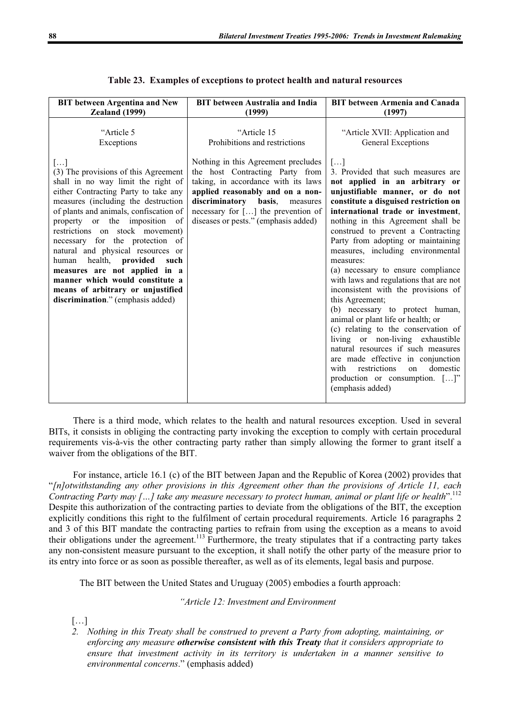| <b>BIT between Argentina and New</b><br>Zealand (1999)                                                                                                                                                                                                                                                                                                                                                                                                                                               | <b>BIT</b> between Australia and India<br>(1999)                                                                                                                                                                                                                                                                        | <b>BIT</b> between Armenia and Canada<br>(1997)                                                                                                                                                                                                                                                                                                                                                                                                                                                                             |
|------------------------------------------------------------------------------------------------------------------------------------------------------------------------------------------------------------------------------------------------------------------------------------------------------------------------------------------------------------------------------------------------------------------------------------------------------------------------------------------------------|-------------------------------------------------------------------------------------------------------------------------------------------------------------------------------------------------------------------------------------------------------------------------------------------------------------------------|-----------------------------------------------------------------------------------------------------------------------------------------------------------------------------------------------------------------------------------------------------------------------------------------------------------------------------------------------------------------------------------------------------------------------------------------------------------------------------------------------------------------------------|
| "Article 5<br>Exceptions<br>$[ \ldots ]$<br>(3) The provisions of this Agreement<br>shall in no way limit the right of<br>either Contracting Party to take any<br>measures (including the destruction<br>of plants and animals, confiscation of<br>property or the imposition of<br>restrictions on stock movement)<br>necessary for the protection of<br>natural and physical resources or<br>health, provided<br>human<br>such<br>measures are not applied in a<br>manner which would constitute a | "Article 15<br>Prohibitions and restrictions<br>Nothing in this Agreement precludes<br>the host Contracting Party from<br>taking, in accordance with its laws<br>applied reasonably and on a non-<br>discriminatory<br>basis,<br>measures<br>necessary for [] the prevention of<br>diseases or pests." (emphasis added) | "Article XVII: Application and<br>General Exceptions<br>$\left[\ldots\right]$<br>3. Provided that such measures are<br>not applied in an arbitrary or<br>unjustifiable manner, or do not<br>constitute a disguised restriction on<br>international trade or investment,<br>nothing in this Agreement shall be<br>construed to prevent a Contracting<br>Party from adopting or maintaining<br>measures, including environmental<br>measures:<br>(a) necessary to ensure compliance<br>with laws and regulations that are not |
| means of arbitrary or unjustified<br>discrimination." (emphasis added)                                                                                                                                                                                                                                                                                                                                                                                                                               |                                                                                                                                                                                                                                                                                                                         | inconsistent with the provisions of<br>this Agreement;<br>(b) necessary to protect human,<br>animal or plant life or health; or<br>(c) relating to the conservation of<br>living or non-living exhaustible<br>natural resources if such measures<br>are made effective in conjunction<br>restrictions<br>domestic<br>with<br>on<br>production or consumption. []"<br>(emphasis added)                                                                                                                                       |

|  |  | Table 23. Examples of exceptions to protect health and natural resources |  |  |  |  |
|--|--|--------------------------------------------------------------------------|--|--|--|--|
|--|--|--------------------------------------------------------------------------|--|--|--|--|

There is a third mode, which relates to the health and natural resources exception. Used in several BITs, it consists in obliging the contracting party invoking the exception to comply with certain procedural requirements vis-à-vis the other contracting party rather than simply allowing the former to grant itself a waiver from the obligations of the BIT.

For instance, article 16.1 (c) of the BIT between Japan and the Republic of Korea (2002) provides that "*[n]otwithstanding any other provisions in this Agreement other than the provisions of Article 11, each Contracting Party may […] take any measure necessary to protect human, animal or plant life or health*".112 Despite this authorization of the contracting parties to deviate from the obligations of the BIT, the exception explicitly conditions this right to the fulfilment of certain procedural requirements. Article 16 paragraphs 2 and 3 of this BIT mandate the contracting parties to refrain from using the exception as a means to avoid their obligations under the agreement.<sup>113</sup> Furthermore, the treaty stipulates that if a contracting party takes any non-consistent measure pursuant to the exception, it shall notify the other party of the measure prior to its entry into force or as soon as possible thereafter, as well as of its elements, legal basis and purpose.

The BIT between the United States and Uruguay (2005) embodies a fourth approach:

*"Article 12: Investment and Environment* 

[…]

*2. Nothing in this Treaty shall be construed to prevent a Party from adopting, maintaining, or enforcing any measure otherwise consistent with this Treaty that it considers appropriate to ensure that investment activity in its territory is undertaken in a manner sensitive to environmental concerns*." (emphasis added)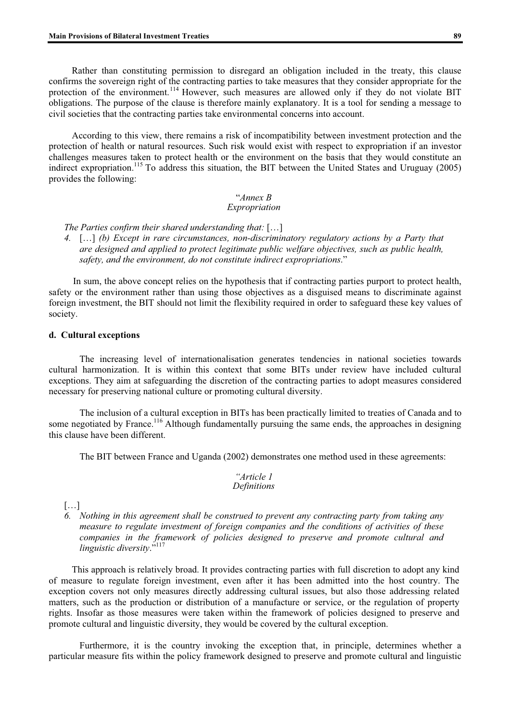Rather than constituting permission to disregard an obligation included in the treaty, this clause confirms the sovereign right of the contracting parties to take measures that they consider appropriate for the protection of the environment.<sup>114</sup> However, such measures are allowed only if they do not violate BIT obligations. The purpose of the clause is therefore mainly explanatory. It is a tool for sending a message to civil societies that the contracting parties take environmental concerns into account.

According to this view, there remains a risk of incompatibility between investment protection and the protection of health or natural resources. Such risk would exist with respect to expropriation if an investor challenges measures taken to protect health or the environment on the basis that they would constitute an indirect expropriation.115 To address this situation, the BIT between the United States and Uruguay (2005) provides the following:

#### "*Annex B Expropriation*

*The Parties confirm their shared understanding that:* […]

*4.* […] *(b) Except in rare circumstances, non-discriminatory regulatory actions by a Party that are designed and applied to protect legitimate public welfare objectives, such as public health, safety, and the environment, do not constitute indirect expropriations*."

In sum, the above concept relies on the hypothesis that if contracting parties purport to protect health, safety or the environment rather than using those objectives as a disguised means to discriminate against foreign investment, the BIT should not limit the flexibility required in order to safeguard these key values of society.

## **d. Cultural exceptions**

The increasing level of internationalisation generates tendencies in national societies towards cultural harmonization. It is within this context that some BITs under review have included cultural exceptions. They aim at safeguarding the discretion of the contracting parties to adopt measures considered necessary for preserving national culture or promoting cultural diversity.

The inclusion of a cultural exception in BITs has been practically limited to treaties of Canada and to some negotiated by France.<sup>116</sup> Although fundamentally pursuing the same ends, the approaches in designing this clause have been different.

The BIT between France and Uganda (2002) demonstrates one method used in these agreements:

# *"Article 1 Definitions*

[…]

*6. Nothing in this agreement shall be construed to prevent any contracting party from taking any measure to regulate investment of foreign companies and the conditions of activities of these companies in the framework of policies designed to preserve and promote cultural and linguistic diversity*."117

 This approach is relatively broad. It provides contracting parties with full discretion to adopt any kind of measure to regulate foreign investment, even after it has been admitted into the host country. The exception covers not only measures directly addressing cultural issues, but also those addressing related matters, such as the production or distribution of a manufacture or service, or the regulation of property rights. Insofar as those measures were taken within the framework of policies designed to preserve and promote cultural and linguistic diversity, they would be covered by the cultural exception.

Furthermore, it is the country invoking the exception that, in principle, determines whether a particular measure fits within the policy framework designed to preserve and promote cultural and linguistic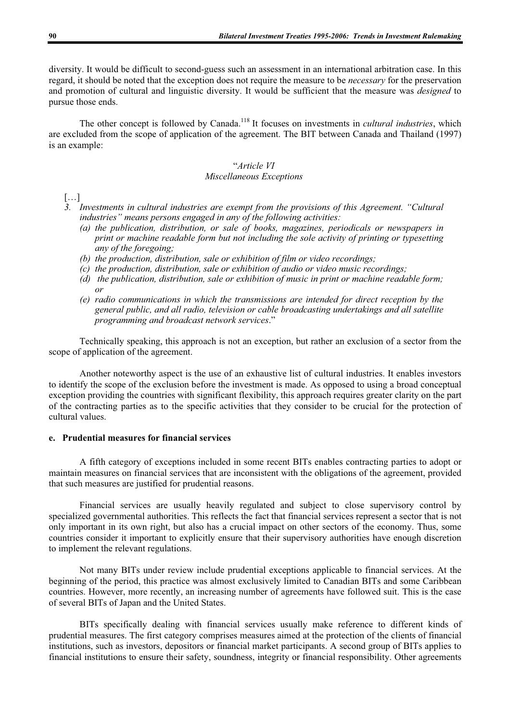diversity. It would be difficult to second-guess such an assessment in an international arbitration case. In this regard, it should be noted that the exception does not require the measure to be *necessary* for the preservation and promotion of cultural and linguistic diversity. It would be sufficient that the measure was *designed* to pursue those ends.

The other concept is followed by Canada.118 It focuses on investments in *cultural industries*, which are excluded from the scope of application of the agreement. The BIT between Canada and Thailand (1997) is an example:

# "*Article VI Miscellaneous Exceptions*

[…]

- *3. Investments in cultural industries are exempt from the provisions of this Agreement. "Cultural industries" means persons engaged in any of the following activities:* 
	- *(a) the publication, distribution, or sale of books, magazines, periodicals or newspapers in print or machine readable form but not including the sole activity of printing or typesetting any of the foregoing;*
	- *(b) the production, distribution, sale or exhibition of film or video recordings;*
	- *(c) the production, distribution, sale or exhibition of audio or video music recordings;*
	- *(d) the publication, distribution, sale or exhibition of music in print or machine readable form; or*
	- *(e) radio communications in which the transmissions are intended for direct reception by the general public, and all radio, television or cable broadcasting undertakings and all satellite programming and broadcast network services*."

Technically speaking, this approach is not an exception, but rather an exclusion of a sector from the scope of application of the agreement.

Another noteworthy aspect is the use of an exhaustive list of cultural industries. It enables investors to identify the scope of the exclusion before the investment is made. As opposed to using a broad conceptual exception providing the countries with significant flexibility, this approach requires greater clarity on the part of the contracting parties as to the specific activities that they consider to be crucial for the protection of cultural values.

## **e. Prudential measures for financial services**

A fifth category of exceptions included in some recent BITs enables contracting parties to adopt or maintain measures on financial services that are inconsistent with the obligations of the agreement, provided that such measures are justified for prudential reasons.

Financial services are usually heavily regulated and subject to close supervisory control by specialized governmental authorities. This reflects the fact that financial services represent a sector that is not only important in its own right, but also has a crucial impact on other sectors of the economy. Thus, some countries consider it important to explicitly ensure that their supervisory authorities have enough discretion to implement the relevant regulations.

Not many BITs under review include prudential exceptions applicable to financial services. At the beginning of the period, this practice was almost exclusively limited to Canadian BITs and some Caribbean countries. However, more recently, an increasing number of agreements have followed suit. This is the case of several BITs of Japan and the United States.

BITs specifically dealing with financial services usually make reference to different kinds of prudential measures. The first category comprises measures aimed at the protection of the clients of financial institutions, such as investors, depositors or financial market participants. A second group of BITs applies to financial institutions to ensure their safety, soundness, integrity or financial responsibility. Other agreements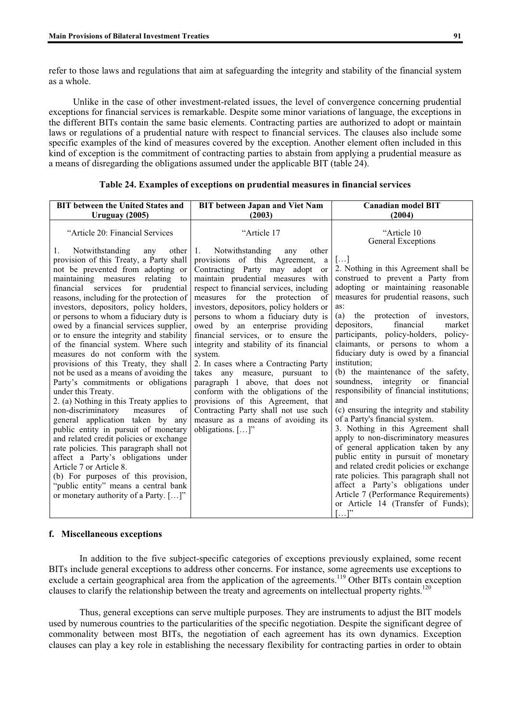refer to those laws and regulations that aim at safeguarding the integrity and stability of the financial system as a whole.

Unlike in the case of other investment-related issues, the level of convergence concerning prudential exceptions for financial services is remarkable. Despite some minor variations of language, the exceptions in the different BITs contain the same basic elements. Contracting parties are authorized to adopt or maintain laws or regulations of a prudential nature with respect to financial services. The clauses also include some specific examples of the kind of measures covered by the exception. Another element often included in this kind of exception is the commitment of contracting parties to abstain from applying a prudential measure as a means of disregarding the obligations assumed under the applicable BIT (table 24).

| <b>BIT between the United States and</b>                                                                                                                                                                                                                                                                                                                                                                                                                                                                                                                                                                                                                                                                                                                                                                                                                             | <b>BIT</b> between Japan and Viet Nam                                                                                                                                                                                                                                                                                                                                                                                                                                                                                                                                                                                                                                                                                                                                          | <b>Canadian model BIT</b>                                                                                                                                                                                                                                                                                                                                                                                                                                                                                                                                                                                                                                                                                                |  |  |  |
|----------------------------------------------------------------------------------------------------------------------------------------------------------------------------------------------------------------------------------------------------------------------------------------------------------------------------------------------------------------------------------------------------------------------------------------------------------------------------------------------------------------------------------------------------------------------------------------------------------------------------------------------------------------------------------------------------------------------------------------------------------------------------------------------------------------------------------------------------------------------|--------------------------------------------------------------------------------------------------------------------------------------------------------------------------------------------------------------------------------------------------------------------------------------------------------------------------------------------------------------------------------------------------------------------------------------------------------------------------------------------------------------------------------------------------------------------------------------------------------------------------------------------------------------------------------------------------------------------------------------------------------------------------------|--------------------------------------------------------------------------------------------------------------------------------------------------------------------------------------------------------------------------------------------------------------------------------------------------------------------------------------------------------------------------------------------------------------------------------------------------------------------------------------------------------------------------------------------------------------------------------------------------------------------------------------------------------------------------------------------------------------------------|--|--|--|
| Uruguay (2005)                                                                                                                                                                                                                                                                                                                                                                                                                                                                                                                                                                                                                                                                                                                                                                                                                                                       | (2003)                                                                                                                                                                                                                                                                                                                                                                                                                                                                                                                                                                                                                                                                                                                                                                         | (2004)                                                                                                                                                                                                                                                                                                                                                                                                                                                                                                                                                                                                                                                                                                                   |  |  |  |
| "Article 20: Financial Services"<br>Notwithstanding<br>other<br>any<br>1.<br>provision of this Treaty, a Party shall<br>not be prevented from adopting or<br>relating<br>maintaining measures<br>to<br>financial<br>services<br>for<br>prudential<br>reasons, including for the protection of<br>investors, depositors, policy holders,<br>or persons to whom a fiduciary duty is<br>owed by a financial services supplier,<br>or to ensure the integrity and stability<br>of the financial system. Where such<br>measures do not conform with the<br>provisions of this Treaty, they shall<br>not be used as a means of avoiding the<br>Party's commitments or obligations<br>under this Treaty.<br>2. (a) Nothing in this Treaty applies to<br>non-discriminatory<br>measures<br>of<br>general application taken by<br>any<br>public entity in pursuit of monetary | "Article 17<br>Notwithstanding<br>other<br>1.<br>any<br>provisions of this Agreement,<br>a<br>Contracting Party may adopt<br>or<br>maintain prudential measures with<br>respect to financial services, including<br>measures for<br>the protection<br>of<br>investors, depositors, policy holders or<br>persons to whom a fiduciary duty is<br>owed by an enterprise providing<br>financial services, or to ensure the<br>integrity and stability of its financial<br>system.<br>2. In cases where a Contracting Party<br>measure, pursuant to<br>takes any<br>paragraph 1 above, that does not<br>conform with the obligations of the<br>provisions of this Agreement, that<br>Contracting Party shall not use such<br>measure as a means of avoiding its<br>obligations. []" | "Article 10<br>General Exceptions<br>$\left  \ldots \right $<br>2. Nothing in this Agreement shall be<br>construed to prevent a Party from<br>adopting or maintaining reasonable<br>measures for prudential reasons, such<br>as:<br>(a)<br>the protection of investors,<br>depositors,<br>financial<br>market<br>participants, policy-holders,<br>policy-<br>claimants, or persons to whom a<br>fiduciary duty is owed by a financial<br>institution;<br>(b) the maintenance of the safety,<br>soundness,<br>integrity<br><b>or</b><br>financial<br>responsibility of financial institutions;<br>and<br>(c) ensuring the integrity and stability<br>of a Party's financial system.<br>3. Nothing in this Agreement shall |  |  |  |
| and related credit policies or exchange                                                                                                                                                                                                                                                                                                                                                                                                                                                                                                                                                                                                                                                                                                                                                                                                                              |                                                                                                                                                                                                                                                                                                                                                                                                                                                                                                                                                                                                                                                                                                                                                                                | apply to non-discriminatory measures                                                                                                                                                                                                                                                                                                                                                                                                                                                                                                                                                                                                                                                                                     |  |  |  |
| rate policies. This paragraph shall not<br>affect a Party's obligations under<br>Article 7 or Article 8.                                                                                                                                                                                                                                                                                                                                                                                                                                                                                                                                                                                                                                                                                                                                                             |                                                                                                                                                                                                                                                                                                                                                                                                                                                                                                                                                                                                                                                                                                                                                                                | of general application taken by any<br>public entity in pursuit of monetary<br>and related credit policies or exchange                                                                                                                                                                                                                                                                                                                                                                                                                                                                                                                                                                                                   |  |  |  |
| (b) For purposes of this provision,<br>"public entity" means a central bank<br>or monetary authority of a Party. []"                                                                                                                                                                                                                                                                                                                                                                                                                                                                                                                                                                                                                                                                                                                                                 |                                                                                                                                                                                                                                                                                                                                                                                                                                                                                                                                                                                                                                                                                                                                                                                | rate policies. This paragraph shall not<br>affect a Party's obligations under<br>Article 7 (Performance Requirements)<br>or Article 14 (Transfer of Funds);<br>$\ldots$ ]"                                                                                                                                                                                                                                                                                                                                                                                                                                                                                                                                               |  |  |  |

|  |  |  |  | Table 24. Examples of exceptions on prudential measures in financial services |  |  |
|--|--|--|--|-------------------------------------------------------------------------------|--|--|
|  |  |  |  |                                                                               |  |  |

## **f. Miscellaneous exceptions**

In addition to the five subject-specific categories of exceptions previously explained, some recent BITs include general exceptions to address other concerns. For instance, some agreements use exceptions to exclude a certain geographical area from the application of the agreements.<sup>119</sup> Other BITs contain exception clauses to clarify the relationship between the treaty and agreements on intellectual property rights.<sup>120</sup>

Thus, general exceptions can serve multiple purposes. They are instruments to adjust the BIT models used by numerous countries to the particularities of the specific negotiation. Despite the significant degree of commonality between most BITs, the negotiation of each agreement has its own dynamics. Exception clauses can play a key role in establishing the necessary flexibility for contracting parties in order to obtain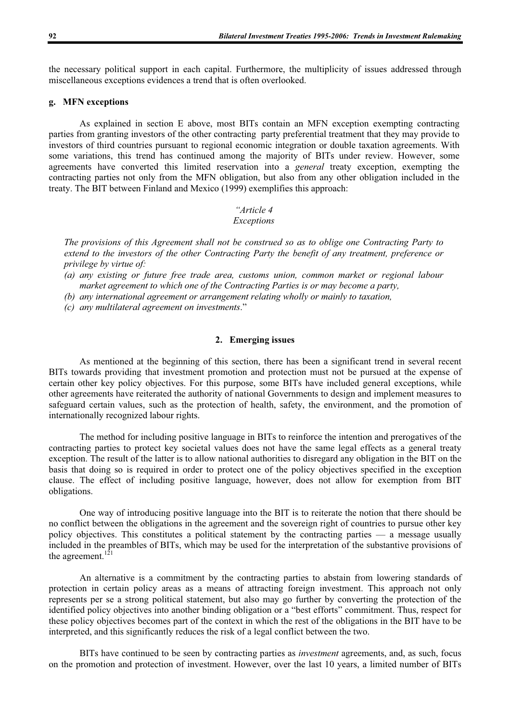the necessary political support in each capital. Furthermore, the multiplicity of issues addressed through miscellaneous exceptions evidences a trend that is often overlooked.

#### **g. MFN exceptions**

As explained in section E above, most BITs contain an MFN exception exempting contracting parties from granting investors of the other contracting party preferential treatment that they may provide to investors of third countries pursuant to regional economic integration or double taxation agreements. With some variations, this trend has continued among the majority of BITs under review. However, some agreements have converted this limited reservation into a *general* treaty exception, exempting the contracting parties not only from the MFN obligation, but also from any other obligation included in the treaty. The BIT between Finland and Mexico (1999) exemplifies this approach:

## *"Article 4 Exceptions*

# *The provisions of this Agreement shall not be construed so as to oblige one Contracting Party to extend to the investors of the other Contracting Party the benefit of any treatment, preference or privilege by virtue of:*

- *(a) any existing or future free trade area, customs union, common market or regional labour market agreement to which one of the Contracting Parties is or may become a party,*
- *(b) any international agreement or arrangement relating wholly or mainly to taxation,*
- *(c) any multilateral agreement on investments*."

## **2. Emerging issues**

As mentioned at the beginning of this section, there has been a significant trend in several recent BITs towards providing that investment promotion and protection must not be pursued at the expense of certain other key policy objectives. For this purpose, some BITs have included general exceptions, while other agreements have reiterated the authority of national Governments to design and implement measures to safeguard certain values, such as the protection of health, safety, the environment, and the promotion of internationally recognized labour rights.

The method for including positive language in BITs to reinforce the intention and prerogatives of the contracting parties to protect key societal values does not have the same legal effects as a general treaty exception. The result of the latter is to allow national authorities to disregard any obligation in the BIT on the basis that doing so is required in order to protect one of the policy objectives specified in the exception clause. The effect of including positive language, however, does not allow for exemption from BIT obligations.

One way of introducing positive language into the BIT is to reiterate the notion that there should be no conflict between the obligations in the agreement and the sovereign right of countries to pursue other key policy objectives. This constitutes a political statement by the contracting parties — a message usually included in the preambles of BITs, which may be used for the interpretation of the substantive provisions of the agreement. $^{121}$ 

An alternative is a commitment by the contracting parties to abstain from lowering standards of protection in certain policy areas as a means of attracting foreign investment. This approach not only represents per se a strong political statement, but also may go further by converting the protection of the identified policy objectives into another binding obligation or a "best efforts" commitment. Thus, respect for these policy objectives becomes part of the context in which the rest of the obligations in the BIT have to be interpreted, and this significantly reduces the risk of a legal conflict between the two.

BITs have continued to be seen by contracting parties as *investment* agreements, and, as such, focus on the promotion and protection of investment. However, over the last 10 years, a limited number of BITs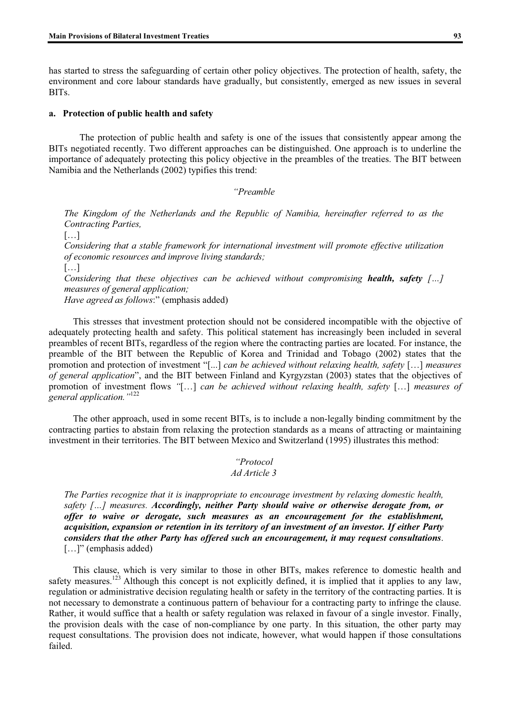has started to stress the safeguarding of certain other policy objectives. The protection of health, safety, the environment and core labour standards have gradually, but consistently, emerged as new issues in several BITs.

#### **a. Protection of public health and safety**

The protection of public health and safety is one of the issues that consistently appear among the BITs negotiated recently. Two different approaches can be distinguished. One approach is to underline the importance of adequately protecting this policy objective in the preambles of the treaties. The BIT between Namibia and the Netherlands (2002) typifies this trend:

#### *"Preamble*

*The Kingdom of the Netherlands and the Republic of Namibia, hereinafter referred to as the Contracting Parties,* 

[…]

*Considering that a stable framework for international investment will promote effective utilization of economic resources and improve living standards;* 

 $[\dots]$ 

*Considering that these objectives can be achieved without compromising <i>health, safety* […] *measures of general application;* 

*Have agreed as follows*:" (emphasis added)

This stresses that investment protection should not be considered incompatible with the objective of adequately protecting health and safety. This political statement has increasingly been included in several preambles of recent BITs, regardless of the region where the contracting parties are located. For instance, the preamble of the BIT between the Republic of Korea and Trinidad and Tobago (2002) states that the promotion and protection of investment "[...] *can be achieved without relaxing health, safety* […] *measures of general application*", and the BIT between Finland and Kyrgyzstan (2003) states that the objectives of promotion of investment flows *"*[…] *can be achieved without relaxing health, safety* […] *measures of general application."*<sup>122</sup>

The other approach, used in some recent BITs, is to include a non-legally binding commitment by the contracting parties to abstain from relaxing the protection standards as a means of attracting or maintaining investment in their territories. The BIT between Mexico and Switzerland (1995) illustrates this method:

#### *"Protocol Ad Article 3*

*The Parties recognize that it is inappropriate to encourage investment by relaxing domestic health, safety […] measures. Accordingly, neither Party should waive or otherwise derogate from, or offer to waive or derogate, such measures as an encouragement for the establishment, acquisition, expansion or retention in its territory of an investment of an investor. If either Party considers that the other Party has offered such an encouragement, it may request consultations*. [...]" (emphasis added)

This clause, which is very similar to those in other BITs, makes reference to domestic health and safety measures.<sup>123</sup> Although this concept is not explicitly defined, it is implied that it applies to any law, regulation or administrative decision regulating health or safety in the territory of the contracting parties. It is not necessary to demonstrate a continuous pattern of behaviour for a contracting party to infringe the clause. Rather, it would suffice that a health or safety regulation was relaxed in favour of a single investor. Finally, the provision deals with the case of non-compliance by one party. In this situation, the other party may request consultations. The provision does not indicate, however, what would happen if those consultations failed.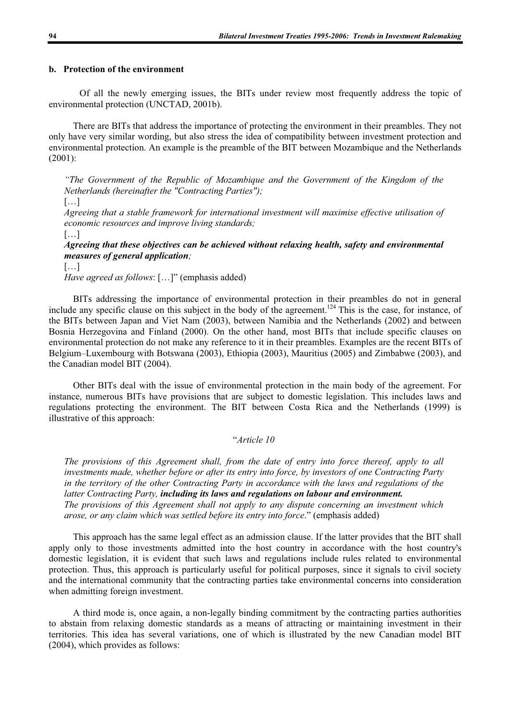#### **b. Protection of the environment**

Of all the newly emerging issues, the BITs under review most frequently address the topic of environmental protection (UNCTAD, 2001b).

There are BITs that address the importance of protecting the environment in their preambles. They not only have very similar wording, but also stress the idea of compatibility between investment protection and environmental protection. An example is the preamble of the BIT between Mozambique and the Netherlands (2001):

*"The Government of the Republic of Mozambique and the Government of the Kingdom of the Netherlands (hereinafter the "Contracting Parties");* 

 $[...]$ 

*Agreeing that a stable framework for international investment will maximise effective utilisation of economic resources and improve living standards;* 

[…]

*Agreeing that these objectives can be achieved without relaxing health, safety and environmental measures of general application;*

 $[\dots]$ 

*Have agreed as follows*: […]" (emphasis added)

BITs addressing the importance of environmental protection in their preambles do not in general include any specific clause on this subject in the body of the agreement.<sup>124</sup> This is the case, for instance, of the BITs between Japan and Viet Nam (2003), between Namibia and the Netherlands (2002) and between Bosnia Herzegovina and Finland (2000). On the other hand, most BITs that include specific clauses on environmental protection do not make any reference to it in their preambles. Examples are the recent BITs of Belgium–Luxembourg with Botswana (2003), Ethiopia (2003), Mauritius (2005) and Zimbabwe (2003), and the Canadian model BIT (2004).

Other BITs deal with the issue of environmental protection in the main body of the agreement. For instance, numerous BITs have provisions that are subject to domestic legislation. This includes laws and regulations protecting the environment. The BIT between Costa Rica and the Netherlands (1999) is illustrative of this approach:

## "*Article 10*

*The provisions of this Agreement shall, from the date of entry into force thereof, apply to all investments made, whether before or after its entry into force, by investors of one Contracting Party in the territory of the other Contracting Party in accordance with the laws and regulations of the latter Contracting Party, including its laws and regulations on labour and environment. The provisions of this Agreement shall not apply to any dispute concerning an investment which arose, or any claim which was settled before its entry into force*." (emphasis added)

This approach has the same legal effect as an admission clause. If the latter provides that the BIT shall apply only to those investments admitted into the host country in accordance with the host country's domestic legislation, it is evident that such laws and regulations include rules related to environmental protection. Thus, this approach is particularly useful for political purposes, since it signals to civil society and the international community that the contracting parties take environmental concerns into consideration when admitting foreign investment.

A third mode is, once again, a non-legally binding commitment by the contracting parties authorities to abstain from relaxing domestic standards as a means of attracting or maintaining investment in their territories. This idea has several variations, one of which is illustrated by the new Canadian model BIT (2004), which provides as follows: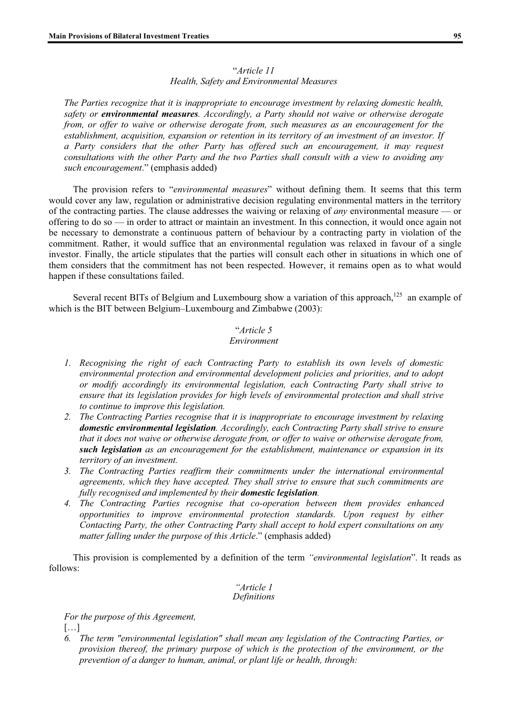## "*Article 11 Health, Safety and Environmental Measures*

*The Parties recognize that it is inappropriate to encourage investment by relaxing domestic health, safety or environmental measures. Accordingly, a Party should not waive or otherwise derogate from, or offer to waive or otherwise derogate from, such measures as an encouragement for the establishment, acquisition, expansion or retention in its territory of an investment of an investor. If a Party considers that the other Party has offered such an encouragement, it may request consultations with the other Party and the two Parties shall consult with a view to avoiding any such encouragement*." (emphasis added)

The provision refers to "*environmental measures*" without defining them. It seems that this term would cover any law, regulation or administrative decision regulating environmental matters in the territory of the contracting parties. The clause addresses the waiving or relaxing of *any* environmental measure — or offering to do so — in order to attract or maintain an investment. In this connection, it would once again not be necessary to demonstrate a continuous pattern of behaviour by a contracting party in violation of the commitment. Rather, it would suffice that an environmental regulation was relaxed in favour of a single investor. Finally, the article stipulates that the parties will consult each other in situations in which one of them considers that the commitment has not been respected. However, it remains open as to what would happen if these consultations failed.

Several recent BITs of Belgium and Luxembourg show a variation of this approach, $125$  an example of which is the BIT between Belgium–Luxembourg and Zimbabwe (2003):

## "*Article 5*

## *Environment*

- *1. Recognising the right of each Contracting Party to establish its own levels of domestic environmental protection and environmental development policies and priorities, and to adopt or modify accordingly its environmental legislation, each Contracting Party shall strive to ensure that its legislation provides for high levels of environmental protection and shall strive to continue to improve this legislation.*
- *2. The Contracting Parties recognise that it is inappropriate to encourage investment by relaxing domestic environmental legislation. Accordingly, each Contracting Party shall strive to ensure that it does not waive or otherwise derogate from, or offer to waive or otherwise derogate from, such legislation as an encouragement for the establishment, maintenance or expansion in its territory of an investment.*
- *3. The Contracting Parties reaffirm their commitments under the international environmental agreements, which they have accepted. They shall strive to ensure that such commitments are fully recognised and implemented by their domestic legislation.*
- *4. The Contracting Parties recognise that co-operation between them provides enhanced opportunities to improve environmental protection standards. Upon request by either Contacting Party, the other Contracting Party shall accept to hold expert consultations on any matter falling under the purpose of this Article*." (emphasis added)

This provision is complemented by a definition of the term *"environmental legislation*". It reads as follows:

#### *"Article 1 Definitions*

*For the purpose of this Agreement,* 

[…]

*6. The term "environmental legislation" shall mean any legislation of the Contracting Parties, or provision thereof, the primary purpose of which is the protection of the environment, or the prevention of a danger to human, animal, or plant life or health, through:*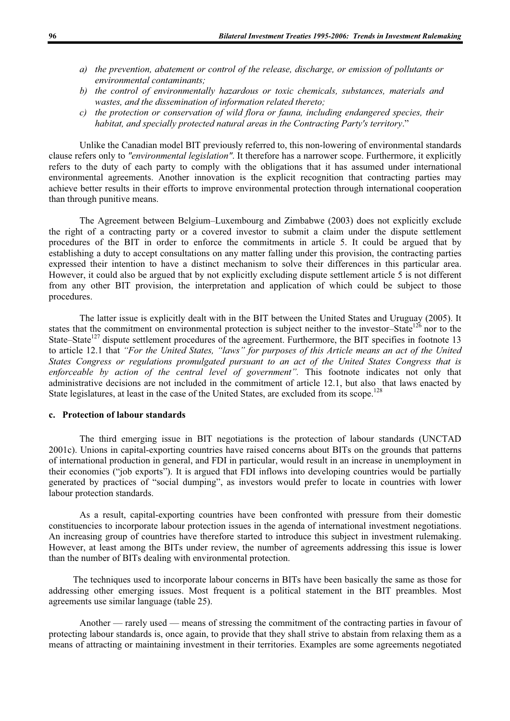- *a) the prevention, abatement or control of the release, discharge, or emission of pollutants or environmental contaminants;*
- *b) the control of environmentally hazardous or toxic chemicals, substances, materials and wastes, and the dissemination of information related thereto;*
- *c) the protection or conservation of wild flora or fauna, including endangered species, their habitat, and specially protected natural areas in the Contracting Party's territory*."

Unlike the Canadian model BIT previously referred to, this non-lowering of environmental standards clause refers only to *"environmental legislation"*. It therefore has a narrower scope. Furthermore, it explicitly refers to the duty of each party to comply with the obligations that it has assumed under international environmental agreements. Another innovation is the explicit recognition that contracting parties may achieve better results in their efforts to improve environmental protection through international cooperation than through punitive means.

The Agreement between Belgium–Luxembourg and Zimbabwe (2003) does not explicitly exclude the right of a contracting party or a covered investor to submit a claim under the dispute settlement procedures of the BIT in order to enforce the commitments in article 5. It could be argued that by establishing a duty to accept consultations on any matter falling under this provision, the contracting parties expressed their intention to have a distinct mechanism to solve their differences in this particular area. However, it could also be argued that by not explicitly excluding dispute settlement article 5 is not different from any other BIT provision, the interpretation and application of which could be subject to those procedures.

The latter issue is explicitly dealt with in the BIT between the United States and Uruguay (2005). It states that the commitment on environmental protection is subject neither to the investor–State<sup>126</sup> nor to the State–State<sup>127</sup> dispute settlement procedures of the agreement. Furthermore, the BIT specifies in footnote 13 to article 12.1 that *"For the United States, "laws" for purposes of this Article means an act of the United States Congress or regulations promulgated pursuant to an act of the United States Congress that is enforceable by action of the central level of government".* This footnote indicates not only that administrative decisions are not included in the commitment of article 12.1, but also that laws enacted by State legislatures, at least in the case of the United States, are excluded from its scope.<sup>128</sup>

#### **c. Protection of labour standards**

The third emerging issue in BIT negotiations is the protection of labour standards (UNCTAD 2001c). Unions in capital-exporting countries have raised concerns about BITs on the grounds that patterns of international production in general, and FDI in particular, would result in an increase in unemployment in their economies ("job exports"). It is argued that FDI inflows into developing countries would be partially generated by practices of "social dumping", as investors would prefer to locate in countries with lower labour protection standards.

As a result, capital-exporting countries have been confronted with pressure from their domestic constituencies to incorporate labour protection issues in the agenda of international investment negotiations. An increasing group of countries have therefore started to introduce this subject in investment rulemaking. However, at least among the BITs under review, the number of agreements addressing this issue is lower than the number of BITs dealing with environmental protection.

The techniques used to incorporate labour concerns in BITs have been basically the same as those for addressing other emerging issues. Most frequent is a political statement in the BIT preambles. Most agreements use similar language (table 25).

Another — rarely used — means of stressing the commitment of the contracting parties in favour of protecting labour standards is, once again, to provide that they shall strive to abstain from relaxing them as a means of attracting or maintaining investment in their territories. Examples are some agreements negotiated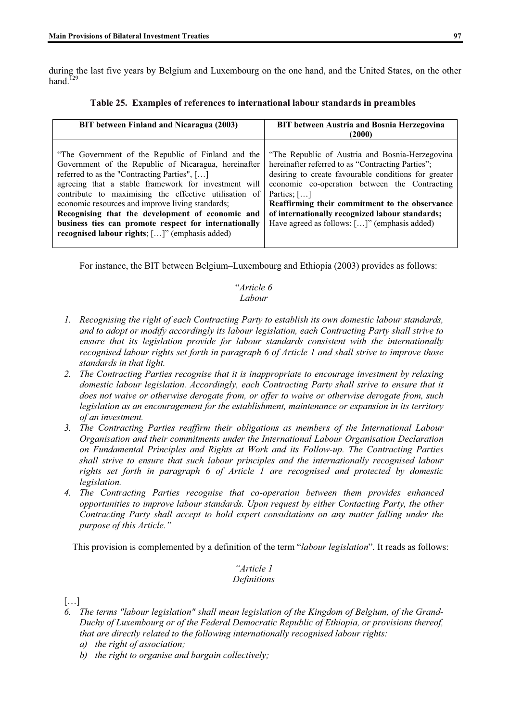during the last five years by Belgium and Luxembourg on the one hand, and the United States, on the other hand. $129$ 

| BIT between Finland and Nicaragua (2003)                                                                                                                                                                                                                                                                                                                                                                                                                                                               | BIT between Austria and Bosnia Herzegovina<br>(2000)                                                                                                                                                                                                                                                                                                                                      |
|--------------------------------------------------------------------------------------------------------------------------------------------------------------------------------------------------------------------------------------------------------------------------------------------------------------------------------------------------------------------------------------------------------------------------------------------------------------------------------------------------------|-------------------------------------------------------------------------------------------------------------------------------------------------------------------------------------------------------------------------------------------------------------------------------------------------------------------------------------------------------------------------------------------|
| "The Government of the Republic of Finland and the<br>Government of the Republic of Nicaragua, hereinafter<br>referred to as the "Contracting Parties", []<br>agreeing that a stable framework for investment will<br>contribute to maximising the effective utilisation of<br>economic resources and improve living standards;<br>Recognising that the development of economic and<br>business ties can promote respect for internationally<br><b>recognised labour rights</b> ; []" (emphasis added) | "The Republic of Austria and Bosnia-Herzegovina"<br>hereinafter referred to as "Contracting Parties";<br>desiring to create favourable conditions for greater<br>economic co-operation between the Contracting<br>Parties; $[\dots]$<br>Reaffirming their commitment to the observance<br>of internationally recognized labour standards;<br>Have agreed as follows: []" (emphasis added) |

|  | Table 25. Examples of references to international labour standards in preambles |  |  |
|--|---------------------------------------------------------------------------------|--|--|
|  |                                                                                 |  |  |

For instance, the BIT between Belgium–Luxembourg and Ethiopia (2003) provides as follows:

## "*Article 6 Labour*

- *1. Recognising the right of each Contracting Party to establish its own domestic labour standards, and to adopt or modify accordingly its labour legislation, each Contracting Party shall strive to ensure that its legislation provide for labour standards consistent with the internationally recognised labour rights set forth in paragraph 6 of Article 1 and shall strive to improve those standards in that light.*
- *2. The Contracting Parties recognise that it is inappropriate to encourage investment by relaxing domestic labour legislation. Accordingly, each Contracting Party shall strive to ensure that it does not waive or otherwise derogate from, or offer to waive or otherwise derogate from, such legislation as an encouragement for the establishment, maintenance or expansion in its territory of an investment.*
- *3. The Contracting Parties reaffirm their obligations as members of the International Labour Organisation and their commitments under the International Labour Organisation Declaration on Fundamental Principles and Rights at Work and its Follow-up. The Contracting Parties shall strive to ensure that such labour principles and the internationally recognised labour rights set forth in paragraph 6 of Article 1 are recognised and protected by domestic legislation.*
- *4. The Contracting Parties recognise that co-operation between them provides enhanced opportunities to improve labour standards. Upon request by either Contacting Party, the other Contracting Party shall accept to hold expert consultations on any matter falling under the purpose of this Article."*

This provision is complemented by a definition of the term "*labour legislation*". It reads as follows:

## *"Article 1 Definitions*

[…]

- *6. The terms "labour legislation" shall mean legislation of the Kingdom of Belgium, of the Grand-Duchy of Luxembourg or of the Federal Democratic Republic of Ethiopia, or provisions thereof, that are directly related to the following internationally recognised labour rights:* 
	- *a) the right of association;*
	- *b) the right to organise and bargain collectively;*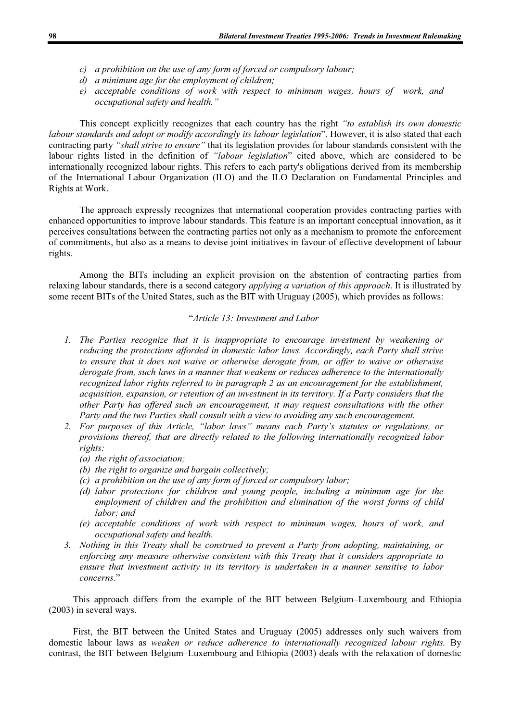- *c) a prohibition on the use of any form of forced or compulsory labour;*
- *d) a minimum age for the employment of children;*
- *e) acceptable conditions of work with respect to minimum wages, hours of work, and occupational safety and health."*

This concept explicitly recognizes that each country has the right *"to establish its own domestic labour standards and adopt or modify accordingly its labour legislation*". However, it is also stated that each contracting party *"shall strive to ensure"* that its legislation provides for labour standards consistent with the labour rights listed in the definition of *"labour legislation*" cited above, which are considered to be internationally recognized labour rights. This refers to each party's obligations derived from its membership of the International Labour Organization (ILO) and the ILO Declaration on Fundamental Principles and Rights at Work.

The approach expressly recognizes that international cooperation provides contracting parties with enhanced opportunities to improve labour standards. This feature is an important conceptual innovation, as it perceives consultations between the contracting parties not only as a mechanism to promote the enforcement of commitments, but also as a means to devise joint initiatives in favour of effective development of labour rights.

Among the BITs including an explicit provision on the abstention of contracting parties from relaxing labour standards, there is a second category *applying a variation of this approach*. It is illustrated by some recent BITs of the United States, such as the BIT with Uruguay (2005), which provides as follows:

#### "*Article 13: Investment and Labor*

- *1. The Parties recognize that it is inappropriate to encourage investment by weakening or*  reducing the protections afforded in domestic labor laws. Accordingly, each Party shall strive *to ensure that it does not waive or otherwise derogate from, or offer to waive or otherwise derogate from, such laws in a manner that weakens or reduces adherence to the internationally recognized labor rights referred to in paragraph 2 as an encouragement for the establishment, acquisition, expansion, or retention of an investment in its territory. If a Party considers that the other Party has offered such an encouragement, it may request consultations with the other Party and the two Parties shall consult with a view to avoiding any such encouragement.*
- *2. For purposes of this Article, "labor laws" means each Party's statutes or regulations, or provisions thereof, that are directly related to the following internationally recognized labor rights:*
	- *(a) the right of association;*
	- *(b) the right to organize and bargain collectively;*
	- *(c) a prohibition on the use of any form of forced or compulsory labor;*
	- *(d) labor protections for children and young people, including a minimum age for the employment of children and the prohibition and elimination of the worst forms of child labor; and*
	- *(e) acceptable conditions of work with respect to minimum wages, hours of work, and occupational safety and health.*
- *3. Nothing in this Treaty shall be construed to prevent a Party from adopting, maintaining, or enforcing any measure otherwise consistent with this Treaty that it considers appropriate to ensure that investment activity in its territory is undertaken in a manner sensitive to labor concerns*."

This approach differs from the example of the BIT between Belgium–Luxembourg and Ethiopia (2003) in several ways.

First, the BIT between the United States and Uruguay (2005) addresses only such waivers from domestic labour laws as *weaken or reduce adherence to internationally recognized labour rights.* By contrast, the BIT between Belgium–Luxembourg and Ethiopia (2003) deals with the relaxation of domestic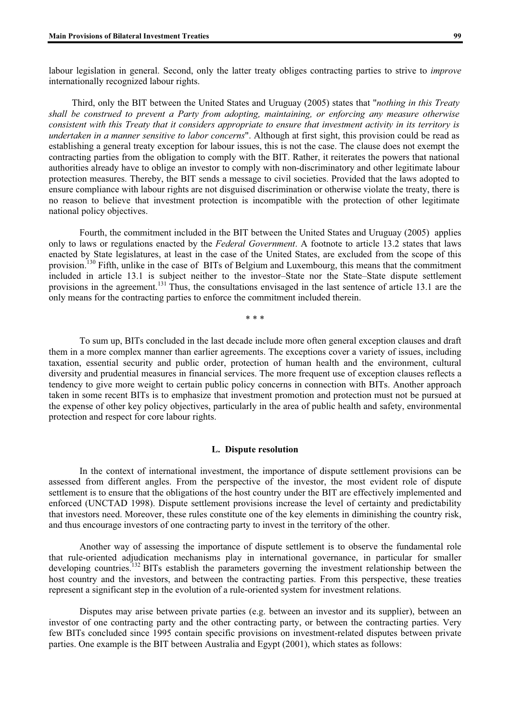labour legislation in general. Second, only the latter treaty obliges contracting parties to strive to *improve* internationally recognized labour rights.

 Third, only the BIT between the United States and Uruguay (2005) states that "*nothing in this Treaty shall be construed to prevent a Party from adopting, maintaining, or enforcing any measure otherwise consistent with this Treaty that it considers appropriate to ensure that investment activity in its territory is undertaken in a manner sensitive to labor concerns*". Although at first sight, this provision could be read as establishing a general treaty exception for labour issues, this is not the case. The clause does not exempt the contracting parties from the obligation to comply with the BIT. Rather, it reiterates the powers that national authorities already have to oblige an investor to comply with non-discriminatory and other legitimate labour protection measures. Thereby, the BIT sends a message to civil societies. Provided that the laws adopted to ensure compliance with labour rights are not disguised discrimination or otherwise violate the treaty, there is no reason to believe that investment protection is incompatible with the protection of other legitimate national policy objectives.

Fourth, the commitment included in the BIT between the United States and Uruguay (2005) applies only to laws or regulations enacted by the *Federal Government*. A footnote to article 13.2 states that laws enacted by State legislatures, at least in the case of the United States, are excluded from the scope of this provision.<sup>130</sup> Fifth, unlike in the case of BITs of Belgium and Luxembourg, this means that the commitment included in article 13.1 is subject neither to the investor–State nor the State–State dispute settlement provisions in the agreement.131 Thus, the consultations envisaged in the last sentence of article 13.1 are the only means for the contracting parties to enforce the commitment included therein.

\* \* \*

To sum up, BITs concluded in the last decade include more often general exception clauses and draft them in a more complex manner than earlier agreements. The exceptions cover a variety of issues, including taxation, essential security and public order, protection of human health and the environment, cultural diversity and prudential measures in financial services. The more frequent use of exception clauses reflects a tendency to give more weight to certain public policy concerns in connection with BITs. Another approach taken in some recent BITs is to emphasize that investment promotion and protection must not be pursued at the expense of other key policy objectives, particularly in the area of public health and safety, environmental protection and respect for core labour rights.

#### **L. Dispute resolution**

In the context of international investment, the importance of dispute settlement provisions can be assessed from different angles. From the perspective of the investor, the most evident role of dispute settlement is to ensure that the obligations of the host country under the BIT are effectively implemented and enforced (UNCTAD 1998). Dispute settlement provisions increase the level of certainty and predictability that investors need. Moreover, these rules constitute one of the key elements in diminishing the country risk, and thus encourage investors of one contracting party to invest in the territory of the other.

Another way of assessing the importance of dispute settlement is to observe the fundamental role that rule-oriented adjudication mechanisms play in international governance, in particular for smaller developing countries.<sup>132</sup> BITs establish the parameters governing the investment relationship between the host country and the investors, and between the contracting parties. From this perspective, these treaties represent a significant step in the evolution of a rule-oriented system for investment relations.

Disputes may arise between private parties (e.g. between an investor and its supplier), between an investor of one contracting party and the other contracting party, or between the contracting parties. Very few BITs concluded since 1995 contain specific provisions on investment-related disputes between private parties. One example is the BIT between Australia and Egypt (2001), which states as follows: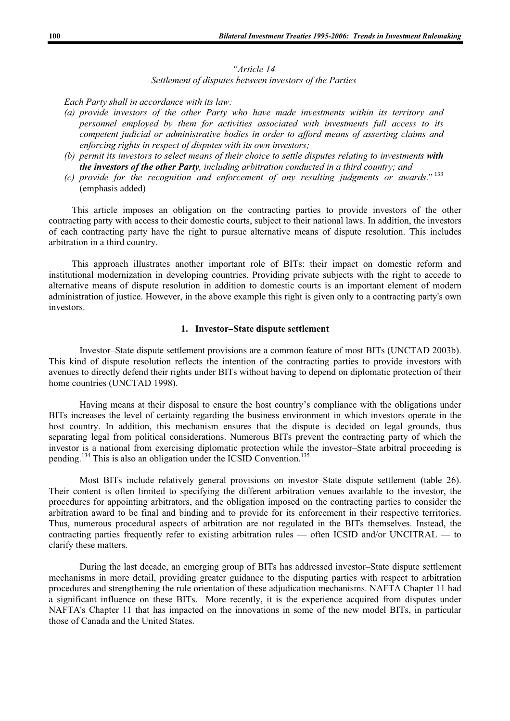#### *"Article 14*

*Settlement of disputes between investors of the Parties* 

*Each Party shall in accordance with its law:* 

- *(a) provide investors of the other Party who have made investments within its territory and personnel employed by them for activities associated with investments full access to its competent judicial or administrative bodies in order to afford means of asserting claims and enforcing rights in respect of disputes with its own investors;*
- *(b) permit its investors to select means of their choice to settle disputes relating to investments with the investors of the other Party, including arbitration conducted in a third country; and*
- *(c) provide for the recognition and enforcement of any resulting judgments or awards*." <sup>133</sup> (emphasis added)

This article imposes an obligation on the contracting parties to provide investors of the other contracting party with access to their domestic courts, subject to their national laws. In addition, the investors of each contracting party have the right to pursue alternative means of dispute resolution. This includes arbitration in a third country.

This approach illustrates another important role of BITs: their impact on domestic reform and institutional modernization in developing countries. Providing private subjects with the right to accede to alternative means of dispute resolution in addition to domestic courts is an important element of modern administration of justice. However, in the above example this right is given only to a contracting party's own investors.

#### **1. Investor–State dispute settlement**

Investor–State dispute settlement provisions are a common feature of most BITs (UNCTAD 2003b). This kind of dispute resolution reflects the intention of the contracting parties to provide investors with avenues to directly defend their rights under BITs without having to depend on diplomatic protection of their home countries (UNCTAD 1998).

Having means at their disposal to ensure the host country's compliance with the obligations under BITs increases the level of certainty regarding the business environment in which investors operate in the host country. In addition, this mechanism ensures that the dispute is decided on legal grounds, thus separating legal from political considerations. Numerous BITs prevent the contracting party of which the investor is a national from exercising diplomatic protection while the investor–State arbitral proceeding is pending.<sup>134</sup> This is also an obligation under the ICSID Convention.<sup>135</sup>

Most BITs include relatively general provisions on investor–State dispute settlement (table 26). Their content is often limited to specifying the different arbitration venues available to the investor, the procedures for appointing arbitrators, and the obligation imposed on the contracting parties to consider the arbitration award to be final and binding and to provide for its enforcement in their respective territories. Thus, numerous procedural aspects of arbitration are not regulated in the BITs themselves. Instead, the contracting parties frequently refer to existing arbitration rules — often ICSID and/or UNCITRAL — to clarify these matters.

During the last decade, an emerging group of BITs has addressed investor–State dispute settlement mechanisms in more detail, providing greater guidance to the disputing parties with respect to arbitration procedures and strengthening the rule orientation of these adjudication mechanisms. NAFTA Chapter 11 had a significant influence on these BITs. More recently, it is the experience acquired from disputes under NAFTA's Chapter 11 that has impacted on the innovations in some of the new model BITs, in particular those of Canada and the United States.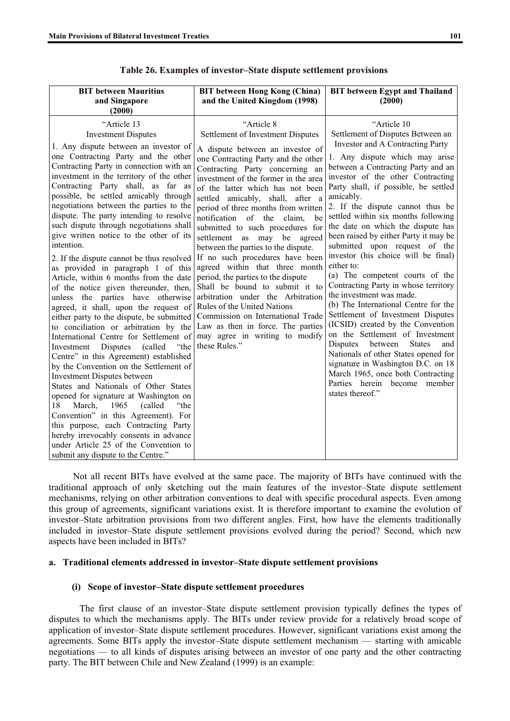| <b>BIT</b> between Mauritius<br>and Singapore<br>(2000)                                                                                                                                                                                                                                                                                                                                                                                                                                                                                                                                                                                                                                                                                                                                                                                                                                                                                                                                                                                                                                                                                                                                                                                                                                                                                                                                          | <b>BIT between Hong Kong (China)</b><br>and the United Kingdom (1998)                                                                                                                                                                                                                                                                                                                                                                                                                                                                                                                                                                                                                                                                                                                                            | <b>BIT</b> between Egypt and Thailand<br>(2000)                                                                                                                                                                                                                                                                                                                                                                                                                                                                                                                                                                                                                                                                                                                                                                                                                                                                                                                                         |
|--------------------------------------------------------------------------------------------------------------------------------------------------------------------------------------------------------------------------------------------------------------------------------------------------------------------------------------------------------------------------------------------------------------------------------------------------------------------------------------------------------------------------------------------------------------------------------------------------------------------------------------------------------------------------------------------------------------------------------------------------------------------------------------------------------------------------------------------------------------------------------------------------------------------------------------------------------------------------------------------------------------------------------------------------------------------------------------------------------------------------------------------------------------------------------------------------------------------------------------------------------------------------------------------------------------------------------------------------------------------------------------------------|------------------------------------------------------------------------------------------------------------------------------------------------------------------------------------------------------------------------------------------------------------------------------------------------------------------------------------------------------------------------------------------------------------------------------------------------------------------------------------------------------------------------------------------------------------------------------------------------------------------------------------------------------------------------------------------------------------------------------------------------------------------------------------------------------------------|-----------------------------------------------------------------------------------------------------------------------------------------------------------------------------------------------------------------------------------------------------------------------------------------------------------------------------------------------------------------------------------------------------------------------------------------------------------------------------------------------------------------------------------------------------------------------------------------------------------------------------------------------------------------------------------------------------------------------------------------------------------------------------------------------------------------------------------------------------------------------------------------------------------------------------------------------------------------------------------------|
| "Article 13<br><b>Investment Disputes</b><br>1. Any dispute between an investor of<br>one Contracting Party and the other<br>Contracting Party in connection with an<br>investment in the territory of the other<br>Contracting Party shall, as far as<br>possible, be settled amicably through<br>negotiations between the parties to the<br>dispute. The party intending to resolve<br>such dispute through negotiations shall<br>give written notice to the other of its<br>intention.<br>2. If the dispute cannot be thus resolved<br>as provided in paragraph 1 of this<br>Article, within 6 months from the date<br>of the notice given thereunder, then,<br>unless the parties have otherwise<br>agreed, it shall, upon the request of<br>either party to the dispute, be submitted<br>to conciliation or arbitration by the<br>International Centre for Settlement of<br><b>Disputes</b><br>(called)<br>"the<br>Investment<br>Centre" in this Agreement) established<br>by the Convention on the Settlement of<br><b>Investment Disputes between</b><br>States and Nationals of Other States<br>opened for signature at Washington on<br>March,<br>1965<br>(called<br>"the<br>18<br>Convention" in this Agreement). For<br>this purpose, each Contracting Party<br>hereby irrevocably consents in advance<br>under Article 25 of the Convention to<br>submit any dispute to the Centre." | "Article 8<br>Settlement of Investment Disputes<br>A dispute between an investor of<br>one Contracting Party and the other<br>Contracting Party concerning an<br>investment of the former in the area<br>of the latter which has not been<br>settled amicably, shall, after a<br>period of three months from written<br>notification of the claim,<br>be<br>submitted to such procedures for<br>settlement as may be agreed<br>between the parties to the dispute.<br>If no such procedures have been<br>agreed within that three month<br>period, the parties to the dispute<br>Shall be bound to submit it to<br>arbitration under the Arbitration<br>Rules of the United Nations<br>Commission on International Trade<br>Law as then in force. The parties<br>may agree in writing to modify<br>these Rules." | "Article 10<br>Settlement of Disputes Between an<br>Investor and A Contracting Party<br>1. Any dispute which may arise<br>between a Contracting Party and an<br>investor of the other Contracting<br>Party shall, if possible, be settled<br>amicably.<br>2. If the dispute cannot thus be<br>settled within six months following<br>the date on which the dispute has<br>been raised by either Party it may be<br>submitted upon request of the<br>investor (his choice will be final)<br>either to:<br>(a) The competent courts of the<br>Contracting Party in whose territory<br>the investment was made.<br>(b) The International Centre for the<br>Settlement of Investment Disputes<br>(ICSID) created by the Convention<br>on the Settlement of Investment<br>between<br><b>States</b><br>Disputes<br>and<br>Nationals of other States opened for<br>signature in Washington D.C. on 18<br>March 1965, once both Contracting<br>Parties herein become member<br>states thereof." |

|  |  |  | Table 26. Examples of investor-State dispute settlement provisions |
|--|--|--|--------------------------------------------------------------------|
|--|--|--|--------------------------------------------------------------------|

Not all recent BITs have evolved at the same pace. The majority of BITs have continued with the traditional approach of only sketching out the main features of the investor–State dispute settlement mechanisms, relying on other arbitration conventions to deal with specific procedural aspects. Even among this group of agreements, significant variations exist. It is therefore important to examine the evolution of investor–State arbitration provisions from two different angles. First, how have the elements traditionally included in investor–State dispute settlement provisions evolved during the period? Second, which new aspects have been included in BITs?

#### **a. Traditional elements addressed in investor–State dispute settlement provisions**

#### **(i) Scope of investor–State dispute settlement procedures**

The first clause of an investor–State dispute settlement provision typically defines the types of disputes to which the mechanisms apply. The BITs under review provide for a relatively broad scope of application of investor–State dispute settlement procedures. However, significant variations exist among the agreements. Some BITs apply the investor–State dispute settlement mechanism — starting with amicable negotiations — to all kinds of disputes arising between an investor of one party and the other contracting party. The BIT between Chile and New Zealand (1999) is an example: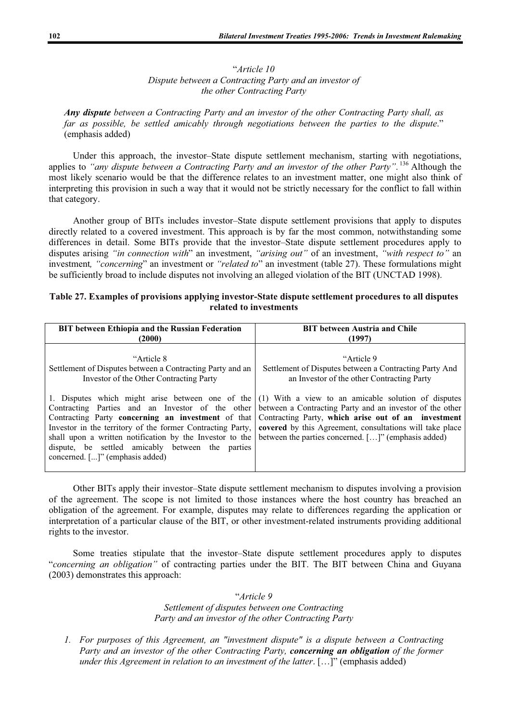## "*Article 10 Dispute between a Contracting Party and an investor of the other Contracting Party*

*Any dispute between a Contracting Party and an investor of the other Contracting Party shall, as far as possible, be settled amicably through negotiations between the parties to the dispute*." (emphasis added)

Under this approach, the investor–State dispute settlement mechanism, starting with negotiations, applies to "any dispute between a Contracting Party and an investor of the other Party".<sup>136</sup> Although the most likely scenario would be that the difference relates to an investment matter, one might also think of interpreting this provision in such a way that it would not be strictly necessary for the conflict to fall within that category.

Another group of BITs includes investor–State dispute settlement provisions that apply to disputes directly related to a covered investment. This approach is by far the most common, notwithstanding some differences in detail. Some BITs provide that the investor–State dispute settlement procedures apply to disputes arising *"in connection with*" an investment, *"arising out"* of an investment, *"with respect to"* an investment*, "concerning*" an investment or *"related to*" an investment (table 27). These formulations might be sufficiently broad to include disputes not involving an alleged violation of the BIT (UNCTAD 1998).

## **Table 27. Examples of provisions applying investor-State dispute settlement procedures to all disputes related to investments**

| BIT between Ethiopia and the Russian Federation                                                              | <b>BIT</b> between Austria and Chile                                                                      |
|--------------------------------------------------------------------------------------------------------------|-----------------------------------------------------------------------------------------------------------|
| (2000)                                                                                                       | (1997)                                                                                                    |
| "Article 8                                                                                                   | "Article 9                                                                                                |
| Settlement of Disputes between a Contracting Party and an                                                    | Settlement of Disputes between a Contracting Party And                                                    |
| Investor of the Other Contracting Party                                                                      | an Investor of the other Contracting Party                                                                |
| Investor in the territory of the former Contracting Party,                                                   | 1. Disputes which might arise between one of the $(1)$ With a view to an amicable solution of disputes    |
| shall upon a written notification by the Investor to the between the parties concerned. []" (emphasis added) | Contracting Parties and an Investor of the other between a Contracting Party and an investor of the other |
| dispute, be settled amicably between the parties                                                             | Contracting Party concerning an investment of that   Contracting Party, which arise out of an investment  |
| concerned. []" (emphasis added)                                                                              | covered by this Agreement, consultations will take place                                                  |

Other BITs apply their investor–State dispute settlement mechanism to disputes involving a provision of the agreement. The scope is not limited to those instances where the host country has breached an obligation of the agreement. For example, disputes may relate to differences regarding the application or interpretation of a particular clause of the BIT, or other investment-related instruments providing additional rights to the investor.

Some treaties stipulate that the investor–State dispute settlement procedures apply to disputes "*concerning an obligation"* of contracting parties under the BIT. The BIT between China and Guyana (2003) demonstrates this approach:

> "*Article 9 Settlement of disputes between one Contracting Party and an investor of the other Contracting Party*

*1. For purposes of this Agreement, an "investment dispute" is a dispute between a Contracting Party and an investor of the other Contracting Party, concerning an obligation of the former under this Agreement in relation to an investment of the latter*. […]" (emphasis added)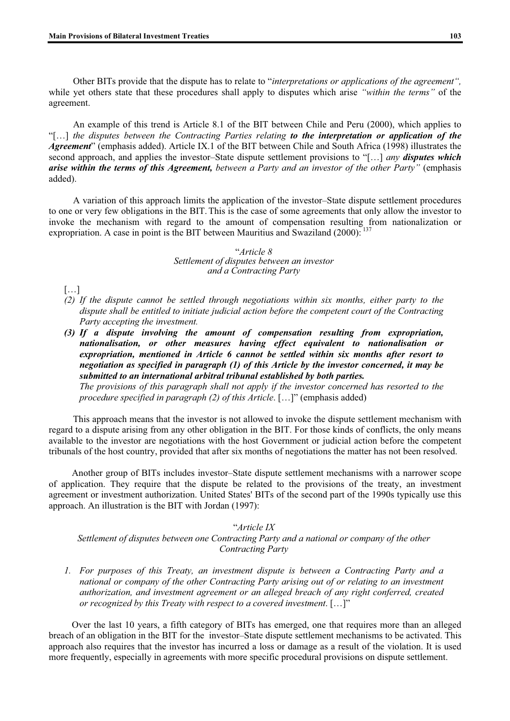Other BITs provide that the dispute has to relate to "*interpretations or applications of the agreement",* while yet others state that these procedures shall apply to disputes which arise *"within the terms"* of the agreement.

An example of this trend is Article 8.1 of the BIT between Chile and Peru (2000), which applies to "[…] *the disputes between the Contracting Parties relating to the interpretation or application of the Agreement*" (emphasis added). Article IX.1 of the BIT between Chile and South Africa (1998) illustrates the second approach, and applies the investor–State dispute settlement provisions to "[…] *any disputes which arise within the terms of this Agreement, between a Party and an investor of the other Party"* (emphasis added).

A variation of this approach limits the application of the investor–State dispute settlement procedures to one or very few obligations in the BIT.This is the case of some agreements that only allow the investor to invoke the mechanism with regard to the amount of compensation resulting from nationalization or expropriation. A case in point is the BIT between Mauritius and Swaziland  $(2000)$ :  $^{137}$ 

> "*Article 8 Settlement of disputes between an investor and a Contracting Party*

[…]

- *(2) If the dispute cannot be settled through negotiations within six months, either party to the dispute shall be entitled to initiate judicial action before the competent court of the Contracting Party accepting the investment.*
- *(3) If a dispute involving the amount of compensation resulting from expropriation, nationalisation, or other measures having effect equivalent to nationalisation or expropriation, mentioned in Article 6 cannot be settled within six months after resort to negotiation as specified in paragraph (1) of this Article by the investor concerned, it may be submitted to an international arbitral tribunal established by both parties.*

 *The provisions of this paragraph shall not apply if the investor concerned has resorted to the procedure specified in paragraph (2) of this Article*. […]" (emphasis added)

This approach means that the investor is not allowed to invoke the dispute settlement mechanism with regard to a dispute arising from any other obligation in the BIT. For those kinds of conflicts, the only means available to the investor are negotiations with the host Government or judicial action before the competent tribunals of the host country, provided that after six months of negotiations the matter has not been resolved.

Another group of BITs includes investor–State dispute settlement mechanisms with a narrower scope of application. They require that the dispute be related to the provisions of the treaty, an investment agreement or investment authorization. United States' BITs of the second part of the 1990s typically use this approach. An illustration is the BIT with Jordan (1997):

"*Article IX Settlement of disputes between one Contracting Party and a national or company of the other Contracting Party* 

*1. For purposes of this Treaty, an investment dispute is between a Contracting Party and a national or company of the other Contracting Party arising out of or relating to an investment authorization, and investment agreement or an alleged breach of any right conferred, created or recognized by this Treaty with respect to a covered investment*. […]"

Over the last 10 years, a fifth category of BITs has emerged, one that requires more than an alleged breach of an obligation in the BIT for the investor–State dispute settlement mechanisms to be activated. This approach also requires that the investor has incurred a loss or damage as a result of the violation. It is used more frequently, especially in agreements with more specific procedural provisions on dispute settlement.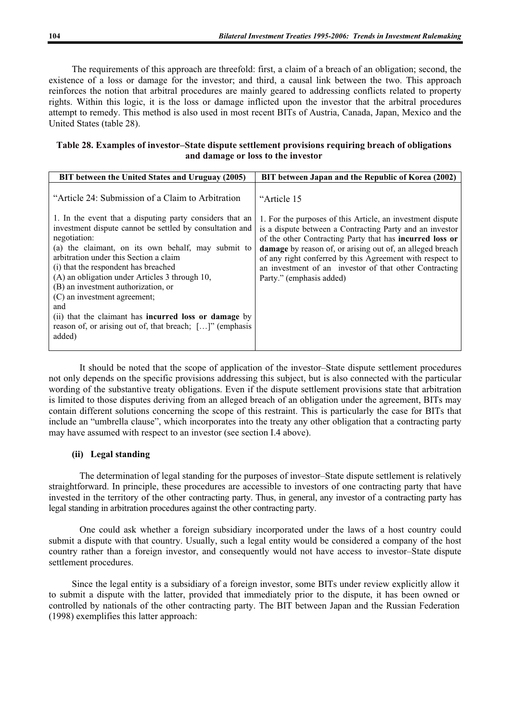The requirements of this approach are threefold: first, a claim of a breach of an obligation; second, the existence of a loss or damage for the investor; and third, a causal link between the two. This approach reinforces the notion that arbitral procedures are mainly geared to addressing conflicts related to property rights. Within this logic, it is the loss or damage inflicted upon the investor that the arbitral procedures attempt to remedy. This method is also used in most recent BITs of Austria, Canada, Japan, Mexico and the United States (table 28).

| Table 28. Examples of investor–State dispute settlement provisions requiring breach of obligations |
|----------------------------------------------------------------------------------------------------|
| and damage or loss to the investor                                                                 |

| BIT between the United States and Uruguay (2005)                                                                                                                                                                                                                                                                                                                                                                                                                                                                                          | BIT between Japan and the Republic of Korea (2002)                                                                                                                                                                                                                                                                                                                                                               |
|-------------------------------------------------------------------------------------------------------------------------------------------------------------------------------------------------------------------------------------------------------------------------------------------------------------------------------------------------------------------------------------------------------------------------------------------------------------------------------------------------------------------------------------------|------------------------------------------------------------------------------------------------------------------------------------------------------------------------------------------------------------------------------------------------------------------------------------------------------------------------------------------------------------------------------------------------------------------|
| "Article 24: Submission of a Claim to Arbitration"<br>1. In the event that a disputing party considers that an<br>investment dispute cannot be settled by consultation and<br>negotiation:<br>(a) the claimant, on its own behalf, may submit to<br>arbitration under this Section a claim<br>(i) that the respondent has breached<br>(A) an obligation under Articles 3 through 10,<br>(B) an investment authorization, or<br>(C) an investment agreement;<br>and<br>(ii) that the claimant has <b>incurred</b> loss or <b>damage</b> by | "Article 15<br>1. For the purposes of this Article, an investment dispute<br>is a dispute between a Contracting Party and an investor<br>of the other Contracting Party that has incurred loss or<br>damage by reason of, or arising out of, an alleged breach<br>of any right conferred by this Agreement with respect to<br>an investment of an investor of that other Contracting<br>Party." (emphasis added) |
| reason of, or arising out of, that breach; []" (emphasis<br>added)                                                                                                                                                                                                                                                                                                                                                                                                                                                                        |                                                                                                                                                                                                                                                                                                                                                                                                                  |

It should be noted that the scope of application of the investor–State dispute settlement procedures not only depends on the specific provisions addressing this subject, but is also connected with the particular wording of the substantive treaty obligations. Even if the dispute settlement provisions state that arbitration is limited to those disputes deriving from an alleged breach of an obligation under the agreement, BITs may contain different solutions concerning the scope of this restraint. This is particularly the case for BITs that include an "umbrella clause", which incorporates into the treaty any other obligation that a contracting party may have assumed with respect to an investor (see section I.4 above).

#### **(ii) Legal standing**

The determination of legal standing for the purposes of investor–State dispute settlement is relatively straightforward. In principle, these procedures are accessible to investors of one contracting party that have invested in the territory of the other contracting party. Thus, in general, any investor of a contracting party has legal standing in arbitration procedures against the other contracting party.

One could ask whether a foreign subsidiary incorporated under the laws of a host country could submit a dispute with that country. Usually, such a legal entity would be considered a company of the host country rather than a foreign investor, and consequently would not have access to investor–State dispute settlement procedures.

Since the legal entity is a subsidiary of a foreign investor, some BITs under review explicitly allow it to submit a dispute with the latter, provided that immediately prior to the dispute, it has been owned or controlled by nationals of the other contracting party. The BIT between Japan and the Russian Federation (1998) exemplifies this latter approach: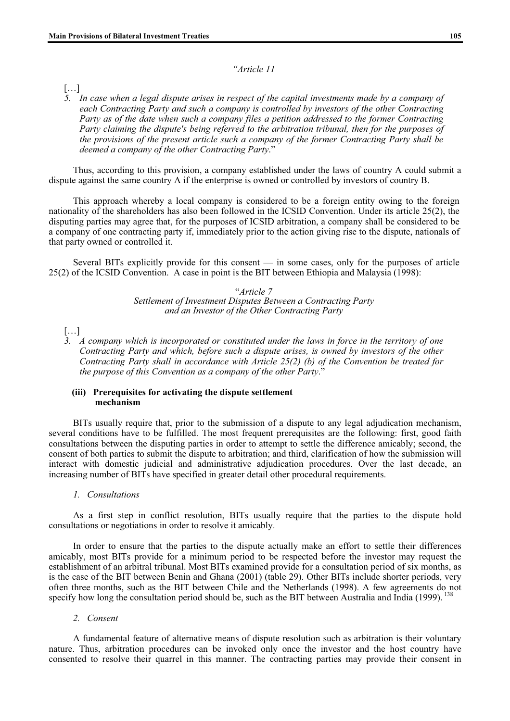## *"Article 11*

[…]

*5. In case when a legal dispute arises in respect of the capital investments made by a company of each Contracting Party and such a company is controlled by investors of the other Contracting Party as of the date when such a company files a petition addressed to the former Contracting Party claiming the dispute's being referred to the arbitration tribunal, then for the purposes of the provisions of the present article such a company of the former Contracting Party shall be deemed a company of the other Contracting Party*."

Thus, according to this provision, a company established under the laws of country A could submit a dispute against the same country A if the enterprise is owned or controlled by investors of country B.

This approach whereby a local company is considered to be a foreign entity owing to the foreign nationality of the shareholders has also been followed in the ICSID Convention. Under its article 25(2), the disputing parties may agree that, for the purposes of ICSID arbitration, a company shall be considered to be a company of one contracting party if, immediately prior to the action giving rise to the dispute, nationals of that party owned or controlled it.

Several BITs explicitly provide for this consent — in some cases, only for the purposes of article 25(2) of the ICSID Convention. A case in point is the BIT between Ethiopia and Malaysia (1998):

> "*Article 7 Settlement of Investment Disputes Between a Contracting Party and an Investor of the Other Contracting Party*

[…]

*3. A company which is incorporated or constituted under the laws in force in the territory of one Contracting Party and which, before such a dispute arises, is owned by investors of the other Contracting Party shall in accordance with Article 25(2) (b) of the Convention be treated for the purpose of this Convention as a company of the other Party*."

#### **(iii) Prerequisites for activating the dispute settlement mechanism**

BITs usually require that, prior to the submission of a dispute to any legal adjudication mechanism, several conditions have to be fulfilled. The most frequent prerequisites are the following: first, good faith consultations between the disputing parties in order to attempt to settle the difference amicably; second, the consent of both parties to submit the dispute to arbitration; and third, clarification of how the submission will interact with domestic judicial and administrative adjudication procedures. Over the last decade, an increasing number of BITs have specified in greater detail other procedural requirements.

#### *1. Consultations*

As a first step in conflict resolution, BITs usually require that the parties to the dispute hold consultations or negotiations in order to resolve it amicably.

In order to ensure that the parties to the dispute actually make an effort to settle their differences amicably, most BITs provide for a minimum period to be respected before the investor may request the establishment of an arbitral tribunal. Most BITs examined provide for a consultation period of six months, as is the case of the BIT between Benin and Ghana (2001) (table 29). Other BITs include shorter periods, very often three months, such as the BIT between Chile and the Netherlands (1998). A few agreements do not specify how long the consultation period should be, such as the BIT between Australia and India (1999). <sup>138</sup>

#### *2. Consent*

A fundamental feature of alternative means of dispute resolution such as arbitration is their voluntary nature. Thus, arbitration procedures can be invoked only once the investor and the host country have consented to resolve their quarrel in this manner. The contracting parties may provide their consent in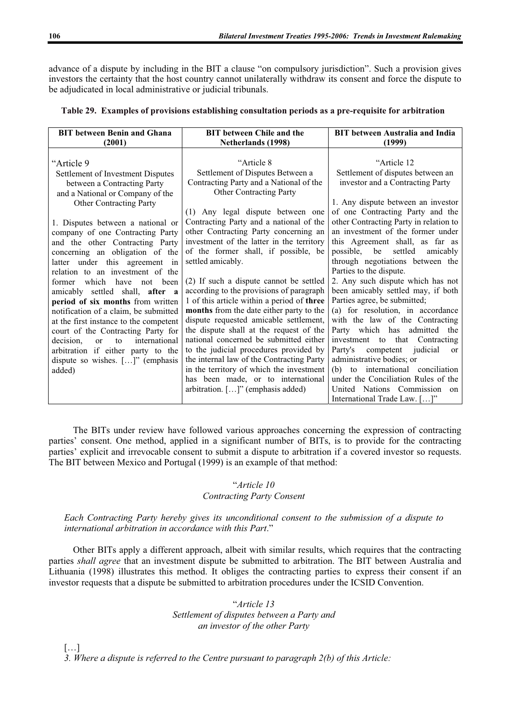advance of a dispute by including in the BIT a clause "on compulsory jurisdiction". Such a provision gives investors the certainty that the host country cannot unilaterally withdraw its consent and force the dispute to be adjudicated in local administrative or judicial tribunals.

|  |  | Table 29. Examples of provisions establishing consultation periods as a pre-requisite for arbitration |
|--|--|-------------------------------------------------------------------------------------------------------|
|  |  |                                                                                                       |

| (2001)                                                                                                                                                                                                                                                                                                                                                                                                                                                                                                                                                                                                                                                                                                                                                             | Netherlands (1998)                                                                                                                                                                                                                                                                                                                                                                                                                                                                                                                                                                                                                                                                                                                                                                                                                                                                    | (1999)                                                                                                                                                                                                                                                                                                                                                                                                                                                                                                                                                                                                                                                                                                                                                                                                                                                                          |
|--------------------------------------------------------------------------------------------------------------------------------------------------------------------------------------------------------------------------------------------------------------------------------------------------------------------------------------------------------------------------------------------------------------------------------------------------------------------------------------------------------------------------------------------------------------------------------------------------------------------------------------------------------------------------------------------------------------------------------------------------------------------|---------------------------------------------------------------------------------------------------------------------------------------------------------------------------------------------------------------------------------------------------------------------------------------------------------------------------------------------------------------------------------------------------------------------------------------------------------------------------------------------------------------------------------------------------------------------------------------------------------------------------------------------------------------------------------------------------------------------------------------------------------------------------------------------------------------------------------------------------------------------------------------|---------------------------------------------------------------------------------------------------------------------------------------------------------------------------------------------------------------------------------------------------------------------------------------------------------------------------------------------------------------------------------------------------------------------------------------------------------------------------------------------------------------------------------------------------------------------------------------------------------------------------------------------------------------------------------------------------------------------------------------------------------------------------------------------------------------------------------------------------------------------------------|
| "Article 9<br>Settlement of Investment Disputes<br>between a Contracting Party<br>and a National or Company of the<br><b>Other Contracting Party</b><br>1. Disputes between a national or<br>company of one Contracting Party<br>and the other Contracting Party<br>concerning an obligation of the<br>latter under this agreement<br>in<br>relation to an investment of the<br>former which<br>have<br>not been<br>amicably settled shall, after a<br>period of six months from written<br>notification of a claim, be submitted<br>at the first instance to the competent<br>court of the Contracting Party for<br>international<br>decision.<br>to<br><sub>or</sub><br>arbitration if either party to the<br>dispute so wishes. $[\dots]$ " (emphasis<br>added) | "Article 8<br>Settlement of Disputes Between a<br>Contracting Party and a National of the<br>Other Contracting Party<br>(1) Any legal dispute between one<br>Contracting Party and a national of the<br>other Contracting Party concerning an<br>investment of the latter in the territory<br>of the former shall, if possible, be<br>settled amicably.<br>(2) If such a dispute cannot be settled<br>according to the provisions of paragraph<br>1 of this article within a period of three<br>months from the date either party to the<br>dispute requested amicable settlement,<br>the dispute shall at the request of the<br>national concerned be submitted either<br>to the judicial procedures provided by<br>the internal law of the Contracting Party<br>in the territory of which the investment<br>has been made, or to international<br>arbitration. []" (emphasis added) | "Article 12<br>Settlement of disputes between an<br>investor and a Contracting Party<br>1. Any dispute between an investor<br>of one Contracting Party and the<br>other Contracting Party in relation to<br>an investment of the former under<br>this Agreement shall, as far as<br>possible.<br>be<br>settled<br>amicably<br>through negotiations between the<br>Parties to the dispute.<br>2. Any such dispute which has not<br>been amicably settled may, if both<br>Parties agree, be submitted;<br>(a) for resolution, in accordance<br>with the law of the Contracting<br>Party which has admitted<br>the<br>investment to that Contracting<br>judicial<br>Party's<br>competent<br><sub>or</sub><br>administrative bodies; or<br>(b) to international conciliation<br>under the Conciliation Rules of the<br>United Nations Commission on<br>International Trade Law. []" |

The BITs under review have followed various approaches concerning the expression of contracting parties' consent. One method, applied in a significant number of BITs, is to provide for the contracting parties' explicit and irrevocable consent to submit a dispute to arbitration if a covered investor so requests. The BIT between Mexico and Portugal (1999) is an example of that method:

## "*Article 10*

## *Contracting Party Consent*

*Each Contracting Party hereby gives its unconditional consent to the submission of a dispute to international arbitration in accordance with this Part*."

Other BITs apply a different approach, albeit with similar results, which requires that the contracting parties *shall agree* that an investment dispute be submitted to arbitration. The BIT between Australia and Lithuania (1998) illustrates this method. It obliges the contracting parties to express their consent if an investor requests that a dispute be submitted to arbitration procedures under the ICSID Convention.

> "*Article 13 Settlement of disputes between a Party and an investor of the other Party*

[…]

*3. Where a dispute is referred to the Centre pursuant to paragraph 2(b) of this Article:*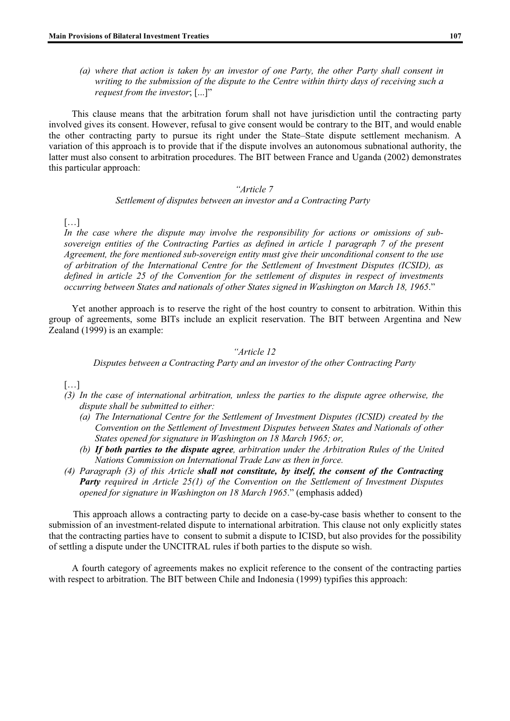*(a) where that action is taken by an investor of one Party, the other Party shall consent in writing to the submission of the dispute to the Centre within thirty days of receiving such a request from the investor*; [...]"

This clause means that the arbitration forum shall not have jurisdiction until the contracting party involved gives its consent. However, refusal to give consent would be contrary to the BIT, and would enable the other contracting party to pursue its right under the State–State dispute settlement mechanism. A variation of this approach is to provide that if the dispute involves an autonomous subnational authority, the latter must also consent to arbitration procedures. The BIT between France and Uganda (2002) demonstrates this particular approach:

#### *"Article 7*

#### *Settlement of disputes between an investor and a Contracting Party*

 $[\ldots]$ 

*In the case where the dispute may involve the responsibility for actions or omissions of subsovereign entities of the Contracting Parties as defined in article 1 paragraph 7 of the present Agreement, the fore mentioned sub-sovereign entity must give their unconditional consent to the use of arbitration of the International Centre for the Settlement of Investment Disputes (ICSID), as defined in article 25 of the Convention for the settlement of disputes in respect of investments occurring between States and nationals of other States signed in Washington on March 18, 1965*."

Yet another approach is to reserve the right of the host country to consent to arbitration. Within this group of agreements, some BITs include an explicit reservation. The BIT between Argentina and New Zealand (1999) is an example:

## *"Article 12*

*Disputes between a Contracting Party and an investor of the other Contracting Party* 

 $[\dots]$ 

- *(3) In the case of international arbitration, unless the parties to the dispute agree otherwise, the dispute shall be submitted to either:* 
	- *(a) The International Centre for the Settlement of Investment Disputes (ICSID) created by the Convention on the Settlement of Investment Disputes between States and Nationals of other States opened for signature in Washington on 18 March 1965; or,*
	- *(b) If both parties to the dispute agree, arbitration under the Arbitration Rules of the United Nations Commission on International Trade Law as then in force.*
- *(4) Paragraph (3) of this Article shall not constitute, by itself, the consent of the Contracting Party required in Article 25(1) of the Convention on the Settlement of Investment Disputes opened for signature in Washington on 18 March 1965*." (emphasis added)

This approach allows a contracting party to decide on a case-by-case basis whether to consent to the submission of an investment-related dispute to international arbitration. This clause not only explicitly states that the contracting parties have to consent to submit a dispute to ICISD, but also provides for the possibility of settling a dispute under the UNCITRAL rules if both parties to the dispute so wish.

A fourth category of agreements makes no explicit reference to the consent of the contracting parties with respect to arbitration. The BIT between Chile and Indonesia (1999) typifies this approach: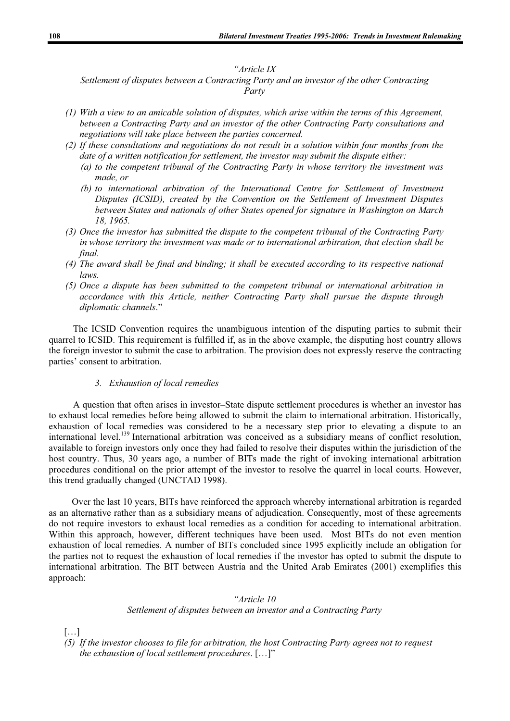*"Article IX* 

*Settlement of disputes between a Contracting Party and an investor of the other Contracting Party*

- *(1) With a view to an amicable solution of disputes, which arise within the terms of this Agreement, between a Contracting Party and an investor of the other Contracting Party consultations and negotiations will take place between the parties concerned.*
- *(2) If these consultations and negotiations do not result in a solution within four months from the date of a written notification for settlement, the investor may submit the dispute either:* 
	- *(a) to the competent tribunal of the Contracting Party in whose territory the investment was made, or*
	- *(b) to international arbitration of the International Centre for Settlement of Investment Disputes (ICSID), created by the Convention on the Settlement of Investment Disputes between States and nationals of other States opened for signature in Washington on March 18, 1965.*
- *(3) Once the investor has submitted the dispute to the competent tribunal of the Contracting Party in whose territory the investment was made or to international arbitration, that election shall be final.*
- *(4) The award shall be final and binding; it shall be executed according to its respective national laws.*
- *(5) Once a dispute has been submitted to the competent tribunal or international arbitration in accordance with this Article, neither Contracting Party shall pursue the dispute through diplomatic channels*."

The ICSID Convention requires the unambiguous intention of the disputing parties to submit their quarrel to ICSID. This requirement is fulfilled if, as in the above example, the disputing host country allows the foreign investor to submit the case to arbitration. The provision does not expressly reserve the contracting parties' consent to arbitration.

#### *3. Exhaustion of local remedies*

A question that often arises in investor–State dispute settlement procedures is whether an investor has to exhaust local remedies before being allowed to submit the claim to international arbitration. Historically, exhaustion of local remedies was considered to be a necessary step prior to elevating a dispute to an international level.139 International arbitration was conceived as a subsidiary means of conflict resolution, available to foreign investors only once they had failed to resolve their disputes within the jurisdiction of the host country. Thus, 30 years ago, a number of BITs made the right of invoking international arbitration procedures conditional on the prior attempt of the investor to resolve the quarrel in local courts. However, this trend gradually changed (UNCTAD 1998).

Over the last 10 years, BITs have reinforced the approach whereby international arbitration is regarded as an alternative rather than as a subsidiary means of adjudication. Consequently, most of these agreements do not require investors to exhaust local remedies as a condition for acceding to international arbitration. Within this approach, however, different techniques have been used. Most BITs do not even mention exhaustion of local remedies. A number of BITs concluded since 1995 explicitly include an obligation for the parties not to request the exhaustion of local remedies if the investor has opted to submit the dispute to international arbitration. The BIT between Austria and the United Arab Emirates (2001) exemplifies this approach:

## *"Article 10 Settlement of disputes between an investor and a Contracting Party*

 $[\dots]$ 

*(5) If the investor chooses to file for arbitration, the host Contracting Party agrees not to request the exhaustion of local settlement procedures*. […]"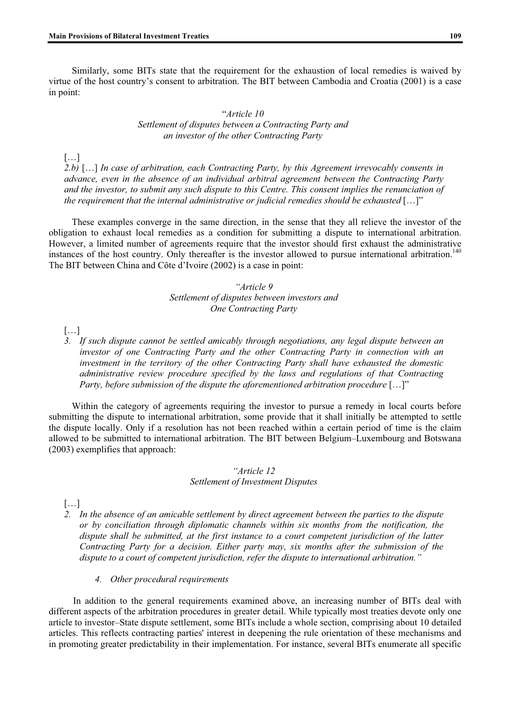Similarly, some BITs state that the requirement for the exhaustion of local remedies is waived by virtue of the host country's consent to arbitration. The BIT between Cambodia and Croatia (2001) is a case in point:

## "*Article 10 Settlement of disputes between a Contracting Party and an investor of the other Contracting Party*

[…]

*2.b)* […] *In case of arbitration, each Contracting Party, by this Agreement irrevocably consents in advance, even in the absence of an individual arbitral agreement between the Contracting Party and the investor, to submit any such dispute to this Centre. This consent implies the renunciation of the requirement that the internal administrative or judicial remedies should be exhausted* [...]"

These examples converge in the same direction, in the sense that they all relieve the investor of the obligation to exhaust local remedies as a condition for submitting a dispute to international arbitration. However, a limited number of agreements require that the investor should first exhaust the administrative instances of the host country. Only thereafter is the investor allowed to pursue international arbitration.<sup>140</sup> The BIT between China and Côte d'Ivoire (2002) is a case in point:

> *"Article 9 Settlement of disputes between investors and One Contracting Party*

[…]

*3. If such dispute cannot be settled amicably through negotiations, any legal dispute between an investor of one Contracting Party and the other Contracting Party in connection with an investment in the territory of the other Contracting Party shall have exhausted the domestic administrative review procedure specified by the laws and regulations of that Contracting Party, before submission of the dispute the aforementioned arbitration procedure* [...]"

Within the category of agreements requiring the investor to pursue a remedy in local courts before submitting the dispute to international arbitration, some provide that it shall initially be attempted to settle the dispute locally. Only if a resolution has not been reached within a certain period of time is the claim allowed to be submitted to international arbitration. The BIT between Belgium–Luxembourg and Botswana (2003) exemplifies that approach:

## *"Article 12 Settlement of Investment Disputes*

 $[\dots]$ 

- *2. In the absence of an amicable settlement by direct agreement between the parties to the dispute or by conciliation through diplomatic channels within six months from the notification, the dispute shall be submitted, at the first instance to a court competent jurisdiction of the latter Contracting Party for a decision. Either party may, six months after the submission of the dispute to a court of competent jurisdiction, refer the dispute to international arbitration."*
	- *4. Other procedural requirements*

In addition to the general requirements examined above, an increasing number of BITs deal with different aspects of the arbitration procedures in greater detail. While typically most treaties devote only one article to investor–State dispute settlement, some BITs include a whole section, comprising about 10 detailed articles. This reflects contracting parties' interest in deepening the rule orientation of these mechanisms and in promoting greater predictability in their implementation. For instance, several BITs enumerate all specific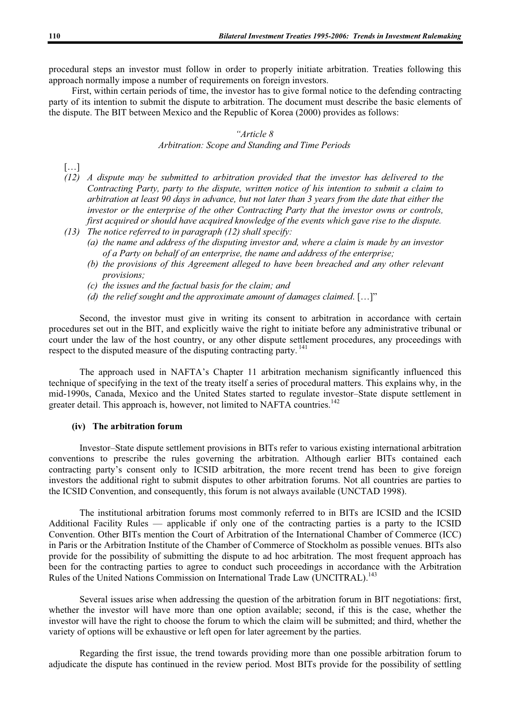procedural steps an investor must follow in order to properly initiate arbitration. Treaties following this approach normally impose a number of requirements on foreign investors.

First, within certain periods of time, the investor has to give formal notice to the defending contracting party of its intention to submit the dispute to arbitration. The document must describe the basic elements of the dispute. The BIT between Mexico and the Republic of Korea (2000) provides as follows:

## *"Article 8*

## *Arbitration: Scope and Standing and Time Periods*

[…]

- *(12) A dispute may be submitted to arbitration provided that the investor has delivered to the Contracting Party, party to the dispute, written notice of his intention to submit a claim to arbitration at least 90 days in advance, but not later than 3 years from the date that either the investor or the enterprise of the other Contracting Party that the investor owns or controls, first acquired or should have acquired knowledge of the events which gave rise to the dispute. (13) The notice referred to in paragraph (12) shall specify:* 
	- *(a) the name and address of the disputing investor and, where a claim is made by an investor of a Party on behalf of an enterprise, the name and address of the enterprise;*
	- *(b) the provisions of this Agreement alleged to have been breached and any other relevant provisions;*
	- *(c) the issues and the factual basis for the claim; and*
	- *(d) the relief sought and the approximate amount of damages claimed*. […]"

Second, the investor must give in writing its consent to arbitration in accordance with certain procedures set out in the BIT, and explicitly waive the right to initiate before any administrative tribunal or court under the law of the host country, or any other dispute settlement procedures, any proceedings with respect to the disputed measure of the disputing contracting party. <sup>141</sup>

The approach used in NAFTA's Chapter 11 arbitration mechanism significantly influenced this technique of specifying in the text of the treaty itself a series of procedural matters. This explains why, in the mid-1990s, Canada, Mexico and the United States started to regulate investor–State dispute settlement in greater detail. This approach is, however, not limited to NAFTA countries.<sup>142</sup>

#### **(iv) The arbitration forum**

Investor–State dispute settlement provisions in BITs refer to various existing international arbitration conventions to prescribe the rules governing the arbitration. Although earlier BITs contained each contracting party's consent only to ICSID arbitration, the more recent trend has been to give foreign investors the additional right to submit disputes to other arbitration forums. Not all countries are parties to the ICSID Convention, and consequently, this forum is not always available (UNCTAD 1998).

The institutional arbitration forums most commonly referred to in BITs are ICSID and the ICSID Additional Facility Rules — applicable if only one of the contracting parties is a party to the ICSID Convention. Other BITs mention the Court of Arbitration of the International Chamber of Commerce (ICC) in Paris or the Arbitration Institute of the Chamber of Commerce of Stockholm as possible venues. BITs also provide for the possibility of submitting the dispute to ad hoc arbitration. The most frequent approach has been for the contracting parties to agree to conduct such proceedings in accordance with the Arbitration Rules of the United Nations Commission on International Trade Law (UNCITRAL).<sup>143</sup>

Several issues arise when addressing the question of the arbitration forum in BIT negotiations: first, whether the investor will have more than one option available; second, if this is the case, whether the investor will have the right to choose the forum to which the claim will be submitted; and third, whether the variety of options will be exhaustive or left open for later agreement by the parties.

Regarding the first issue, the trend towards providing more than one possible arbitration forum to adjudicate the dispute has continued in the review period. Most BITs provide for the possibility of settling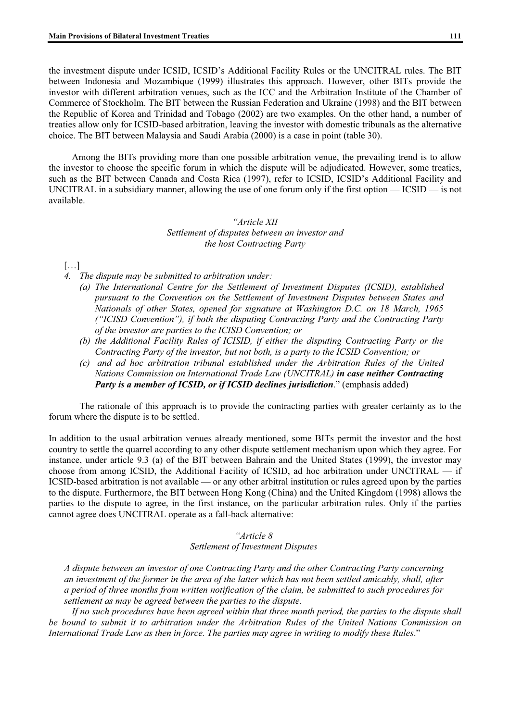the investment dispute under ICSID, ICSID's Additional Facility Rules or the UNCITRAL rules. The BIT between Indonesia and Mozambique (1999) illustrates this approach. However, other BITs provide the investor with different arbitration venues, such as the ICC and the Arbitration Institute of the Chamber of Commerce of Stockholm. The BIT between the Russian Federation and Ukraine (1998) and the BIT between the Republic of Korea and Trinidad and Tobago (2002) are two examples. On the other hand, a number of treaties allow only for ICSID-based arbitration, leaving the investor with domestic tribunals as the alternative choice. The BIT between Malaysia and Saudi Arabia (2000) is a case in point (table 30).

Among the BITs providing more than one possible arbitration venue, the prevailing trend is to allow the investor to choose the specific forum in which the dispute will be adjudicated. However, some treaties, such as the BIT between Canada and Costa Rica (1997), refer to ICSID, ICSID's Additional Facility and UNCITRAL in a subsidiary manner, allowing the use of one forum only if the first option — ICSID — is not available.

## *"Article XII Settlement of disputes between an investor and the host Contracting Party*

[…]

- *4. The dispute may be submitted to arbitration under:* 
	- *(a) The International Centre for the Settlement of Investment Disputes (ICSID), established pursuant to the Convention on the Settlement of Investment Disputes between States and Nationals of other States, opened for signature at Washington D.C. on 18 March, 1965 ("ICISD Convention"), if both the disputing Contracting Party and the Contracting Party of the investor are parties to the ICISD Convention; or*
	- *(b) the Additional Facility Rules of ICISID, if either the disputing Contracting Party or the Contracting Party of the investor, but not both, is a party to the ICSID Convention; or*
	- *(c) and ad hoc arbitration tribunal established under the Arbitration Rules of the United Nations Commission on International Trade Law (UNCITRAL) in case neither Contracting Party is a member of ICSID, or if ICSID declines jurisdiction.*" (emphasis added)

The rationale of this approach is to provide the contracting parties with greater certainty as to the forum where the dispute is to be settled.

In addition to the usual arbitration venues already mentioned, some BITs permit the investor and the host country to settle the quarrel according to any other dispute settlement mechanism upon which they agree. For instance, under article 9.3 (a) of the BIT between Bahrain and the United States (1999), the investor may choose from among ICSID, the Additional Facility of ICSID, ad hoc arbitration under UNCITRAL — if ICSID-based arbitration is not available — or any other arbitral institution or rules agreed upon by the parties to the dispute. Furthermore, the BIT between Hong Kong (China) and the United Kingdom (1998) allows the parties to the dispute to agree, in the first instance, on the particular arbitration rules. Only if the parties cannot agree does UNCITRAL operate as a fall-back alternative:

#### *"Article 8*

*Settlement of Investment Disputes* 

*A dispute between an investor of one Contracting Party and the other Contracting Party concerning an investment of the former in the area of the latter which has not been settled amicably, shall, after a period of three months from written notification of the claim, be submitted to such procedures for settlement as may be agreed between the parties to the dispute.*

*If no such procedures have been agreed within that three month period, the parties to the dispute shall be bound to submit it to arbitration under the Arbitration Rules of the United Nations Commission on International Trade Law as then in force. The parties may agree in writing to modify these Rules*."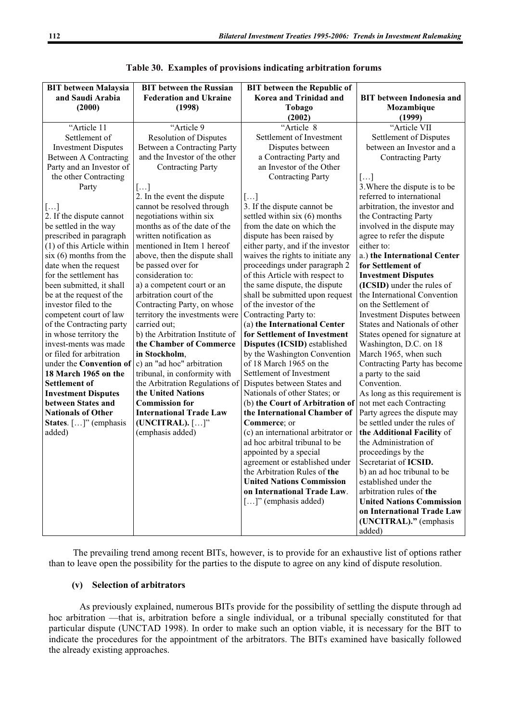| <b>BIT</b> between Malaysia    | <b>BIT</b> between the Russian  | <b>BIT</b> between the Republic of |                                  |
|--------------------------------|---------------------------------|------------------------------------|----------------------------------|
| and Saudi Arabia               | <b>Federation and Ukraine</b>   | Korea and Trinidad and             | <b>BIT</b> between Indonesia and |
| (2000)                         | (1998)                          | <b>Tobago</b>                      | Mozambique                       |
|                                |                                 | (2002)                             | (1999)                           |
| "Article 11                    | "Article 9                      | "Article 8                         | "Article VII                     |
| Settlement of                  | <b>Resolution of Disputes</b>   | Settlement of Investment           | Settlement of Disputes           |
| <b>Investment Disputes</b>     | Between a Contracting Party     | Disputes between                   | between an Investor and a        |
| Between A Contracting          | and the Investor of the other   | a Contracting Party and            | <b>Contracting Party</b>         |
| Party and an Investor of       | <b>Contracting Party</b>        | an Investor of the Other           |                                  |
| the other Contracting          |                                 | <b>Contracting Party</b>           | $\left[\ldots\right]$            |
| Party                          | $[]$                            |                                    | 3. Where the dispute is to be    |
|                                | 2. In the event the dispute     | []                                 | referred to international        |
| []                             | cannot be resolved through      | 3. If the dispute cannot be        | arbitration, the investor and    |
| 2. If the dispute cannot       | negotiations within six         | settled within six (6) months      | the Contracting Party            |
| be settled in the way          | months as of the date of the    | from the date on which the         | involved in the dispute may      |
| prescribed in paragraph        | written notification as         | dispute has been raised by         | agree to refer the dispute       |
| (1) of this Article within     | mentioned in Item 1 hereof      | either party, and if the investor  | either to:                       |
| $six(6)$ months from the       | above, then the dispute shall   | waives the rights to initiate any  | a.) the International Center     |
| date when the request          | be passed over for              | proceedings under paragraph 2      | for Settlement of                |
| for the settlement has         | consideration to:               | of this Article with respect to    | <b>Investment Disputes</b>       |
| been submitted, it shall       | a) a competent court or an      | the same dispute, the dispute      | (ICSID) under the rules of       |
| be at the request of the       | arbitration court of the        | shall be submitted upon request    | the International Convention     |
| investor filed to the          | Contracting Party, on whose     | of the investor of the             | on the Settlement of             |
| competent court of law         | territory the investments were  | Contracting Party to:              | Investment Disputes between      |
| of the Contracting party       | carried out;                    | (a) the International Center       | States and Nationals of other    |
| in whose territory the         | b) the Arbitration Institute of | for Settlement of Investment       | States opened for signature at   |
| invest-ments was made          | the Chamber of Commerce         | Disputes (ICSID) established       | Washington, D.C. on 18           |
| or filed for arbitration       | in Stockholm,                   | by the Washington Convention       | March 1965, when such            |
| under the Convention of        | c) an "ad hoc" arbitration      | of 18 March 1965 on the            | Contracting Party has become     |
| 18 March 1965 on the           | tribunal, in conformity with    | Settlement of Investment           | a party to the said              |
| <b>Settlement of</b>           | the Arbitration Regulations of  | Disputes between States and        | Convention.                      |
| <b>Investment Disputes</b>     | the United Nations              | Nationals of other States; or      | As long as this requirement is   |
| between States and             | <b>Commission for</b>           | (b) the Court of Arbitration of    | not met each Contracting         |
| <b>Nationals of Other</b>      | <b>International Trade Law</b>  | the International Chamber of       | Party agrees the dispute may     |
| States. $[\ldots]$ " (emphasis | (UNCITRAL). []"                 | Commerce; or                       | be settled under the rules of    |
| added)                         | (emphasis added)                | (c) an international arbitrator or | the Additional Facility of       |
|                                |                                 | ad hoc arbitral tribunal to be     | the Administration of            |
|                                |                                 | appointed by a special             | proceedings by the               |
|                                |                                 | agreement or established under     | Secretariat of ICSID.            |
|                                |                                 | the Arbitration Rules of the       | b) an ad hoc tribunal to be      |
|                                |                                 | <b>United Nations Commission</b>   | established under the            |
|                                |                                 | on International Trade Law.        | arbitration rules of the         |
|                                |                                 | []" (emphasis added)               | <b>United Nations Commission</b> |
|                                |                                 |                                    | on International Trade Law       |
|                                |                                 |                                    | (UNCITRAL)." (emphasis           |
|                                |                                 |                                    | added)                           |

**Table 30. Examples of provisions indicating arbitration forums**

The prevailing trend among recent BITs, however, is to provide for an exhaustive list of options rather than to leave open the possibility for the parties to the dispute to agree on any kind of dispute resolution.

## **(v) Selection of arbitrators**

As previously explained, numerous BITs provide for the possibility of settling the dispute through ad hoc arbitration —that is, arbitration before a single individual, or a tribunal specially constituted for that particular dispute (UNCTAD 1998). In order to make such an option viable, it is necessary for the BIT to indicate the procedures for the appointment of the arbitrators. The BITs examined have basically followed the already existing approaches.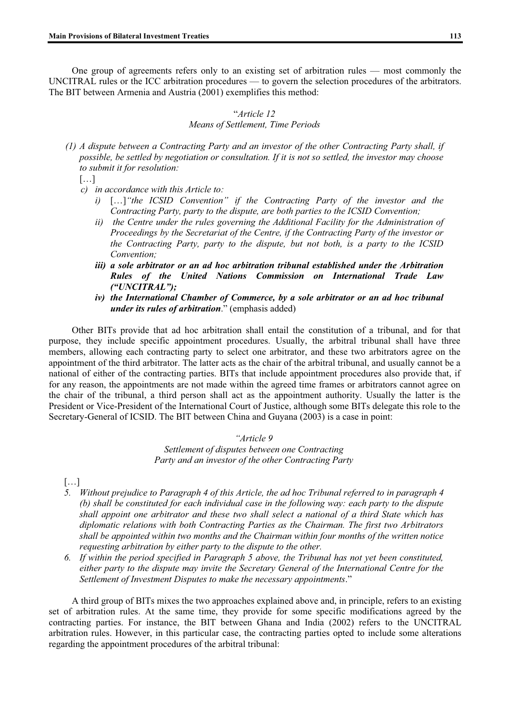One group of agreements refers only to an existing set of arbitration rules — most commonly the UNCITRAL rules or the ICC arbitration procedures — to govern the selection procedures of the arbitrators. The BIT between Armenia and Austria (2001) exemplifies this method:

## "*Article 12 Means of Settlement, Time Periods*

- *(1) A dispute between a Contracting Party and an investor of the other Contracting Party shall, if possible, be settled by negotiation or consultation. If it is not so settled, the investor may choose to submit it for resolution:* 
	- […]
	- *c) in accordance with this Article to:* 
		- *i)* […]*"the ICSID Convention" if the Contracting Party of the investor and the Contracting Party, party to the dispute, are both parties to the ICSID Convention;*
		- *ii)* the Centre under the rules governing the Additional Facility for the Administration of *Proceedings by the Secretariat of the Centre, if the Contracting Party of the investor or the Contracting Party, party to the dispute, but not both, is a party to the ICSID Convention;*
		- *iii) a sole arbitrator or an ad hoc arbitration tribunal established under the Arbitration Rules of the United Nations Commission on International Trade Law ("UNCITRAL");*
		- *iv)* the International Chamber of Commerce, by a sole arbitrator or an ad hoc tribunal *under its rules of arbitration*." (emphasis added)

Other BITs provide that ad hoc arbitration shall entail the constitution of a tribunal, and for that purpose, they include specific appointment procedures. Usually, the arbitral tribunal shall have three members, allowing each contracting party to select one arbitrator, and these two arbitrators agree on the appointment of the third arbitrator. The latter acts as the chair of the arbitral tribunal, and usually cannot be a national of either of the contracting parties. BITs that include appointment procedures also provide that, if for any reason, the appointments are not made within the agreed time frames or arbitrators cannot agree on the chair of the tribunal, a third person shall act as the appointment authority. Usually the latter is the President or Vice-President of the International Court of Justice, although some BITs delegate this role to the Secretary-General of ICSID. The BIT between China and Guyana (2003) is a case in point:

#### *"Article 9 Settlement of disputes between one Contracting Party and an investor of the other Contracting Party*

[…]

- *5. Without prejudice to Paragraph 4 of this Article, the ad hoc Tribunal referred to in paragraph 4 (b) shall be constituted for each individual case in the following way: each party to the dispute shall appoint one arbitrator and these two shall select a national of a third State which has diplomatic relations with both Contracting Parties as the Chairman. The first two Arbitrators shall be appointed within two months and the Chairman within four months of the written notice requesting arbitration by either party to the dispute to the other.*
- *6. If within the period specified in Paragraph 5 above, the Tribunal has not yet been constituted, either party to the dispute may invite the Secretary General of the International Centre for the Settlement of Investment Disputes to make the necessary appointments*."

A third group of BITs mixes the two approaches explained above and, in principle, refers to an existing set of arbitration rules. At the same time, they provide for some specific modifications agreed by the contracting parties. For instance, the BIT between Ghana and India (2002) refers to the UNCITRAL arbitration rules. However, in this particular case, the contracting parties opted to include some alterations regarding the appointment procedures of the arbitral tribunal: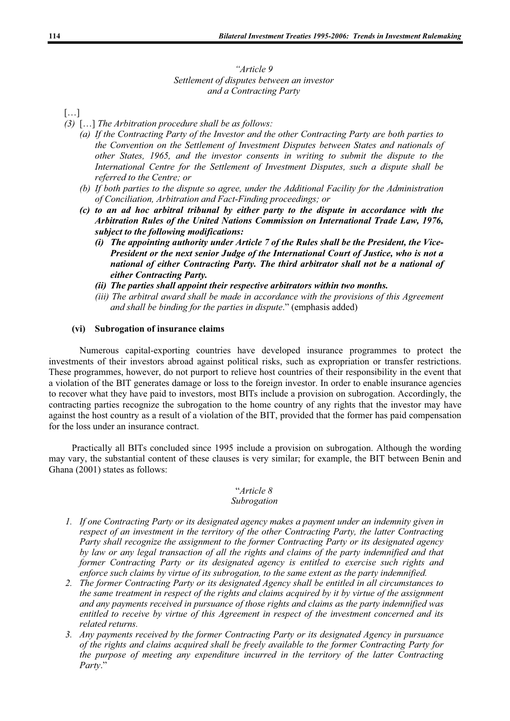## *"Article 9 Settlement of disputes between an investor and a Contracting Party*

- […]
- *(3)* […] *The Arbitration procedure shall be as follows:* 
	- *(a) If the Contracting Party of the Investor and the other Contracting Party are both parties to the Convention on the Settlement of Investment Disputes between States and nationals of other States, 1965, and the investor consents in writing to submit the dispute to the International Centre for the Settlement of Investment Disputes, such a dispute shall be referred to the Centre; or*
	- *(b) If both parties to the dispute so agree, under the Additional Facility for the Administration of Conciliation, Arbitration and Fact-Finding proceedings; or*
	- *(c) to an ad hoc arbitral tribunal by either party to the dispute in accordance with the Arbitration Rules of the United Nations Commission on International Trade Law, 1976, subject to the following modifications:* 
		- *(i) The appointing authority under Article 7 of the Rules shall be the President, the Vice-President or the next senior Judge of the International Court of Justice, who is not a national of either Contracting Party. The third arbitrator shall not be a national of either Contracting Party.*
		- *(ii) The parties shall appoint their respective arbitrators within two months.*
		- *(iii)* The arbitral award shall be made in accordance with the provisions of this Agreement *and shall be binding for the parties in dispute*." (emphasis added)

#### **(vi) Subrogation of insurance claims**

Numerous capital-exporting countries have developed insurance programmes to protect the investments of their investors abroad against political risks, such as expropriation or transfer restrictions. These programmes, however, do not purport to relieve host countries of their responsibility in the event that a violation of the BIT generates damage or loss to the foreign investor. In order to enable insurance agencies to recover what they have paid to investors, most BITs include a provision on subrogation. Accordingly, the contracting parties recognize the subrogation to the home country of any rights that the investor may have against the host country as a result of a violation of the BIT, provided that the former has paid compensation for the loss under an insurance contract.

Practically all BITs concluded since 1995 include a provision on subrogation. Although the wording may vary, the substantial content of these clauses is very similar; for example, the BIT between Benin and Ghana (2001) states as follows:

## "*Article 8*

## *Subrogation*

- *1. If one Contracting Party or its designated agency makes a payment under an indemnity given in respect of an investment in the territory of the other Contracting Party, the latter Contracting Party shall recognize the assignment to the former Contracting Party or its designated agency by law or any legal transaction of all the rights and claims of the party indemnified and that former Contracting Party or its designated agency is entitled to exercise such rights and enforce such claims by virtue of its subrogation, to the same extent as the party indemnified.*
- *2. The former Contracting Party or its designated Agency shall be entitled in all circumstances to the same treatment in respect of the rights and claims acquired by it by virtue of the assignment and any payments received in pursuance of those rights and claims as the party indemnified was entitled to receive by virtue of this Agreement in respect of the investment concerned and its related returns.*
- *3. Any payments received by the former Contracting Party or its designated Agency in pursuance of the rights and claims acquired shall be freely available to the former Contracting Party for the purpose of meeting any expenditure incurred in the territory of the latter Contracting Party*."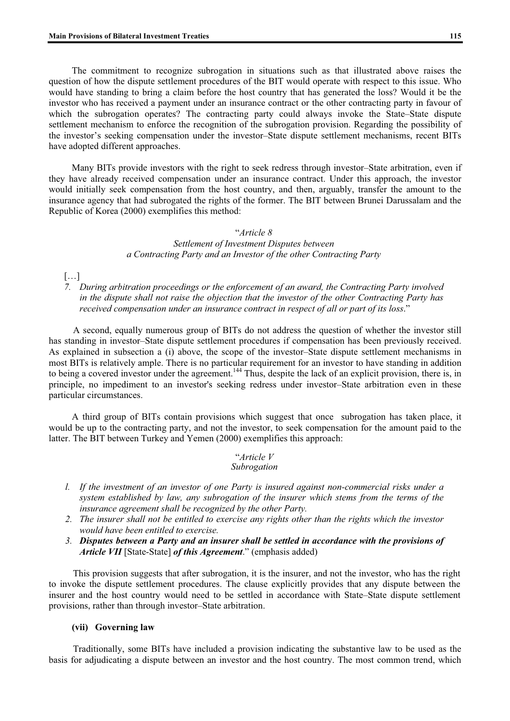The commitment to recognize subrogation in situations such as that illustrated above raises the question of how the dispute settlement procedures of the BIT would operate with respect to this issue. Who would have standing to bring a claim before the host country that has generated the loss? Would it be the investor who has received a payment under an insurance contract or the other contracting party in favour of which the subrogation operates? The contracting party could always invoke the State–State dispute settlement mechanism to enforce the recognition of the subrogation provision. Regarding the possibility of the investor's seeking compensation under the investor–State dispute settlement mechanisms, recent BITs have adopted different approaches.

Many BITs provide investors with the right to seek redress through investor–State arbitration, even if they have already received compensation under an insurance contract. Under this approach, the investor would initially seek compensation from the host country, and then, arguably, transfer the amount to the insurance agency that had subrogated the rights of the former. The BIT between Brunei Darussalam and the Republic of Korea (2000) exemplifies this method:

## "*Article 8*

#### *Settlement of Investment Disputes between a Contracting Party and an Investor of the other Contracting Party*

## $[\ldots]$

*7. During arbitration proceedings or the enforcement of an award, the Contracting Party involved in the dispute shall not raise the objection that the investor of the other Contracting Party has received compensation under an insurance contract in respect of all or part of its loss*."

A second, equally numerous group of BITs do not address the question of whether the investor still has standing in investor–State dispute settlement procedures if compensation has been previously received. As explained in subsection a (i) above, the scope of the investor–State dispute settlement mechanisms in most BITs is relatively ample. There is no particular requirement for an investor to have standing in addition to being a covered investor under the agreement.<sup>144</sup> Thus, despite the lack of an explicit provision, there is, in principle, no impediment to an investor's seeking redress under investor–State arbitration even in these particular circumstances.

A third group of BITs contain provisions which suggest that once subrogation has taken place, it would be up to the contracting party, and not the investor, to seek compensation for the amount paid to the latter. The BIT between Turkey and Yemen (2000) exemplifies this approach:

> "*Article V Subrogation*

- *l. If the investment of an investor of one Party is insured against non-commercial risks under a system established by law, any subrogation of the insurer which stems from the terms of the insurance agreement shall be recognized by the other Party.*
- *2. The insurer shall not be entitled to exercise any rights other than the rights which the investor would have been entitled to exercise.*
- *3. Disputes between a Party and an insurer shall be settled in accordance with the provisions of Article VII* [State-State] *of this Agreement*." (emphasis added)

This provision suggests that after subrogation, it is the insurer, and not the investor, who has the right to invoke the dispute settlement procedures. The clause explicitly provides that any dispute between the insurer and the host country would need to be settled in accordance with State–State dispute settlement provisions, rather than through investor–State arbitration.

#### **(vii) Governing law**

Traditionally, some BITs have included a provision indicating the substantive law to be used as the basis for adjudicating a dispute between an investor and the host country. The most common trend, which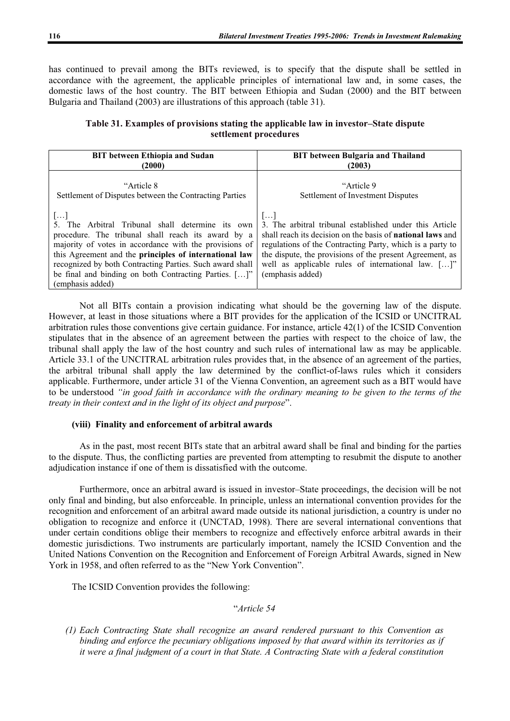has continued to prevail among the BITs reviewed, is to specify that the dispute shall be settled in accordance with the agreement, the applicable principles of international law and, in some cases, the domestic laws of the host country. The BIT between Ethiopia and Sudan (2000) and the BIT between Bulgaria and Thailand (2003) are illustrations of this approach (table 31).

## **Table 31. Examples of provisions stating the applicable law in investor–State dispute settlement procedures**

| <b>BIT between Ethiopia and Sudan</b>                                                                                                                                                                                                                                                                                                                                             | <b>BIT</b> between Bulgaria and Thailand                                                                                                                                                                                                                                                                                                                   |
|-----------------------------------------------------------------------------------------------------------------------------------------------------------------------------------------------------------------------------------------------------------------------------------------------------------------------------------------------------------------------------------|------------------------------------------------------------------------------------------------------------------------------------------------------------------------------------------------------------------------------------------------------------------------------------------------------------------------------------------------------------|
| (2000)                                                                                                                                                                                                                                                                                                                                                                            | (2003)                                                                                                                                                                                                                                                                                                                                                     |
| "Article 8                                                                                                                                                                                                                                                                                                                                                                        | "Article 9"                                                                                                                                                                                                                                                                                                                                                |
| Settlement of Disputes between the Contracting Parties                                                                                                                                                                                                                                                                                                                            | Settlement of Investment Disputes                                                                                                                                                                                                                                                                                                                          |
| $[\ldots]$<br>5. The Arbitral Tribunal shall determine its own<br>procedure. The tribunal shall reach its award by a<br>majority of votes in accordance with the provisions of<br>this Agreement and the principles of international law<br>recognized by both Contracting Parties. Such award shall<br>be final and binding on both Contracting Parties. []"<br>(emphasis added) | $\left  \ldots \right $<br>3. The arbitral tribunal established under this Article<br>shall reach its decision on the basis of <b>national laws</b> and<br>regulations of the Contracting Party, which is a party to<br>the dispute, the provisions of the present Agreement, as<br>well as applicable rules of international law. []"<br>(emphasis added) |

Not all BITs contain a provision indicating what should be the governing law of the dispute. However, at least in those situations where a BIT provides for the application of the ICSID or UNCITRAL arbitration rules those conventions give certain guidance. For instance, article 42(1) of the ICSID Convention stipulates that in the absence of an agreement between the parties with respect to the choice of law, the tribunal shall apply the law of the host country and such rules of international law as may be applicable. Article 33.1 of the UNCITRAL arbitration rules provides that, in the absence of an agreement of the parties, the arbitral tribunal shall apply the law determined by the conflict-of-laws rules which it considers applicable. Furthermore, under article 31 of the Vienna Convention, an agreement such as a BIT would have to be understood *"in good faith in accordance with the ordinary meaning to be given to the terms of the treaty in their context and in the light of its object and purpose*".

## **(viii) Finality and enforcement of arbitral awards**

As in the past, most recent BITs state that an arbitral award shall be final and binding for the parties to the dispute. Thus, the conflicting parties are prevented from attempting to resubmit the dispute to another adjudication instance if one of them is dissatisfied with the outcome.

Furthermore, once an arbitral award is issued in investor–State proceedings, the decision will be not only final and binding, but also enforceable. In principle, unless an international convention provides for the recognition and enforcement of an arbitral award made outside its national jurisdiction, a country is under no obligation to recognize and enforce it (UNCTAD, 1998). There are several international conventions that under certain conditions oblige their members to recognize and effectively enforce arbitral awards in their domestic jurisdictions. Two instruments are particularly important, namely the ICSID Convention and the United Nations Convention on the Recognition and Enforcement of Foreign Arbitral Awards, signed in New York in 1958, and often referred to as the "New York Convention".

The ICSID Convention provides the following:

## "*Article 54*

*(1) Each Contracting State shall recognize an award rendered pursuant to this Convention as binding and enforce the pecuniary obligations imposed by that award within its territories as if it were a final judgment of a court in that State. A Contracting State with a federal constitution*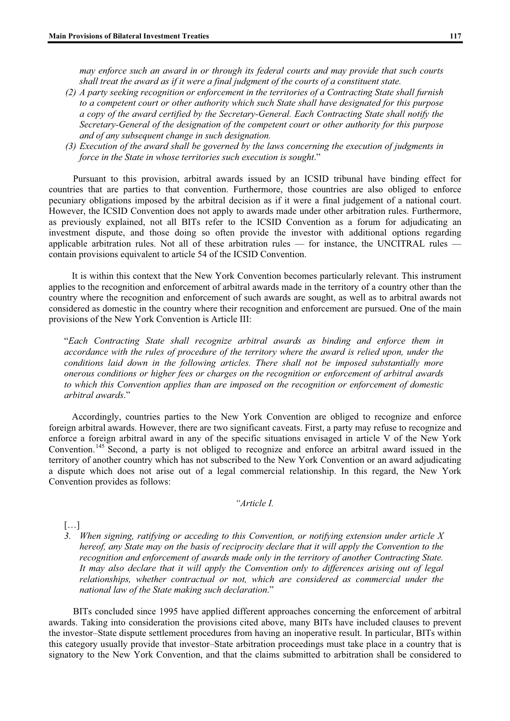*may enforce such an award in or through its federal courts and may provide that such courts shall treat the award as if it were a final judgment of the courts of a constituent state.* 

- *(2) A party seeking recognition or enforcement in the territories of a Contracting State shall furnish to a competent court or other authority which such State shall have designated for this purpose a copy of the award certified by the Secretary-General. Each Contracting State shall notify the Secretary-General of the designation of the competent court or other authority for this purpose and of any subsequent change in such designation.*
- *(3) Execution of the award shall be governed by the laws concerning the execution of judgments in force in the State in whose territories such execution is sought*."

Pursuant to this provision, arbitral awards issued by an ICSID tribunal have binding effect for countries that are parties to that convention. Furthermore, those countries are also obliged to enforce pecuniary obligations imposed by the arbitral decision as if it were a final judgement of a national court. However, the ICSID Convention does not apply to awards made under other arbitration rules. Furthermore, as previously explained, not all BITs refer to the ICSID Convention as a forum for adjudicating an investment dispute, and those doing so often provide the investor with additional options regarding applicable arbitration rules. Not all of these arbitration rules — for instance, the UNCITRAL rules contain provisions equivalent to article 54 of the ICSID Convention.

It is within this context that the New York Convention becomes particularly relevant. This instrument applies to the recognition and enforcement of arbitral awards made in the territory of a country other than the country where the recognition and enforcement of such awards are sought, as well as to arbitral awards not considered as domestic in the country where their recognition and enforcement are pursued. One of the main provisions of the New York Convention is Article III:

"*Each Contracting State shall recognize arbitral awards as binding and enforce them in accordance with the rules of procedure of the territory where the award is relied upon, under the conditions laid down in the following articles. There shall not be imposed substantially more onerous conditions or higher fees or charges on the recognition or enforcement of arbitral awards to which this Convention applies than are imposed on the recognition or enforcement of domestic arbitral awards*."

Accordingly, countries parties to the New York Convention are obliged to recognize and enforce foreign arbitral awards. However, there are two significant caveats. First, a party may refuse to recognize and enforce a foreign arbitral award in any of the specific situations envisaged in article V of the New York Convention.145 Second, a party is not obliged to recognize and enforce an arbitral award issued in the territory of another country which has not subscribed to the New York Convention or an award adjudicating a dispute which does not arise out of a legal commercial relationship. In this regard, the New York Convention provides as follows:

*"Article I.* 

[…]

*3. When signing, ratifying or acceding to this Convention, or notifying extension under article X hereof, any State may on the basis of reciprocity declare that it will apply the Convention to the recognition and enforcement of awards made only in the territory of another Contracting State. It may also declare that it will apply the Convention only to differences arising out of legal relationships, whether contractual or not, which are considered as commercial under the national law of the State making such declaration*."

BITs concluded since 1995 have applied different approaches concerning the enforcement of arbitral awards. Taking into consideration the provisions cited above, many BITs have included clauses to prevent the investor–State dispute settlement procedures from having an inoperative result. In particular, BITs within this category usually provide that investor–State arbitration proceedings must take place in a country that is signatory to the New York Convention, and that the claims submitted to arbitration shall be considered to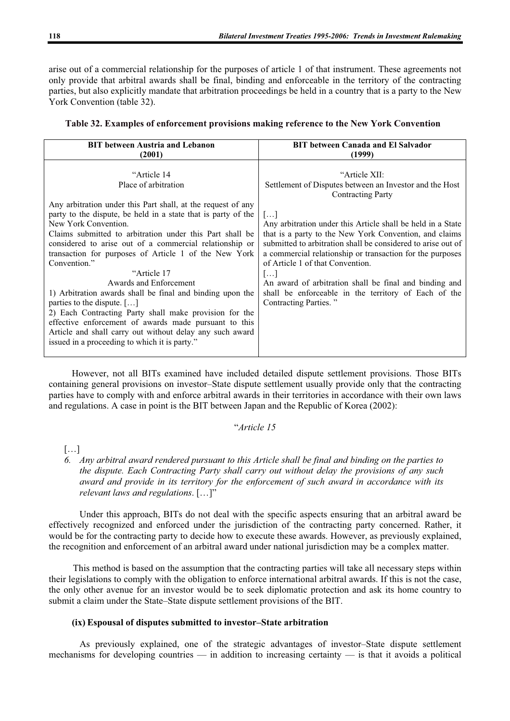arise out of a commercial relationship for the purposes of article 1 of that instrument. These agreements not only provide that arbitral awards shall be final, binding and enforceable in the territory of the contracting parties, but also explicitly mandate that arbitration proceedings be held in a country that is a party to the New York Convention (table 32).

| "Article 14<br>"Article XII:<br>Place of arbitration<br>Settlement of Disputes between an Investor and the Host<br><b>Contracting Party</b><br>Any arbitration under this Part shall, at the request of any<br>party to the dispute, be held in a state that is party of the<br>$\left[\ldots\right]$<br>New York Convention.<br>Any arbitration under this Article shall be held in a State<br>Claims submitted to arbitration under this Part shall be<br>that is a party to the New York Convention, and claims<br>submitted to arbitration shall be considered to arise out of<br>considered to arise out of a commercial relationship or<br>transaction for purposes of Article 1 of the New York<br>a commercial relationship or transaction for the purposes<br>Convention."<br>of Article 1 of that Convention.<br>"Article 17<br>$\left[\ldots\right]$<br>Awards and Enforcement<br>An award of arbitration shall be final and binding and<br>1) Arbitration awards shall be final and binding upon the<br>shall be enforceable in the territory of Each of the<br>parties to the dispute. []<br>Contracting Parties."<br>2) Each Contracting Party shall make provision for the<br>effective enforcement of awards made pursuant to this<br>Article and shall carry out without delay any such award | <b>BIT</b> between Austria and Lebanon<br>(2001) | <b>BIT between Canada and El Salvador</b><br>(1999) |
|----------------------------------------------------------------------------------------------------------------------------------------------------------------------------------------------------------------------------------------------------------------------------------------------------------------------------------------------------------------------------------------------------------------------------------------------------------------------------------------------------------------------------------------------------------------------------------------------------------------------------------------------------------------------------------------------------------------------------------------------------------------------------------------------------------------------------------------------------------------------------------------------------------------------------------------------------------------------------------------------------------------------------------------------------------------------------------------------------------------------------------------------------------------------------------------------------------------------------------------------------------------------------------------------------------------|--------------------------------------------------|-----------------------------------------------------|
|                                                                                                                                                                                                                                                                                                                                                                                                                                                                                                                                                                                                                                                                                                                                                                                                                                                                                                                                                                                                                                                                                                                                                                                                                                                                                                                | issued in a proceeding to which it is party."    |                                                     |

## **Table 32. Examples of enforcement provisions making reference to the New York Convention**

However, not all BITs examined have included detailed dispute settlement provisions. Those BITs containing general provisions on investor–State dispute settlement usually provide only that the contracting parties have to comply with and enforce arbitral awards in their territories in accordance with their own laws and regulations. A case in point is the BIT between Japan and the Republic of Korea (2002):

## "*Article 15*

 $[\dots]$ 

## *6. Any arbitral award rendered pursuant to this Article shall be final and binding on the parties to the dispute. Each Contracting Party shall carry out without delay the provisions of any such award and provide in its territory for the enforcement of such award in accordance with its relevant laws and regulations*. […]"

 Under this approach, BITs do not deal with the specific aspects ensuring that an arbitral award be effectively recognized and enforced under the jurisdiction of the contracting party concerned. Rather, it would be for the contracting party to decide how to execute these awards. However, as previously explained, the recognition and enforcement of an arbitral award under national jurisdiction may be a complex matter.

This method is based on the assumption that the contracting parties will take all necessary steps within their legislations to comply with the obligation to enforce international arbitral awards. If this is not the case, the only other avenue for an investor would be to seek diplomatic protection and ask its home country to submit a claim under the State–State dispute settlement provisions of the BIT.

## **(ix) Espousal of disputes submitted to investor–State arbitration**

As previously explained, one of the strategic advantages of investor–State dispute settlement mechanisms for developing countries — in addition to increasing certainty — is that it avoids a political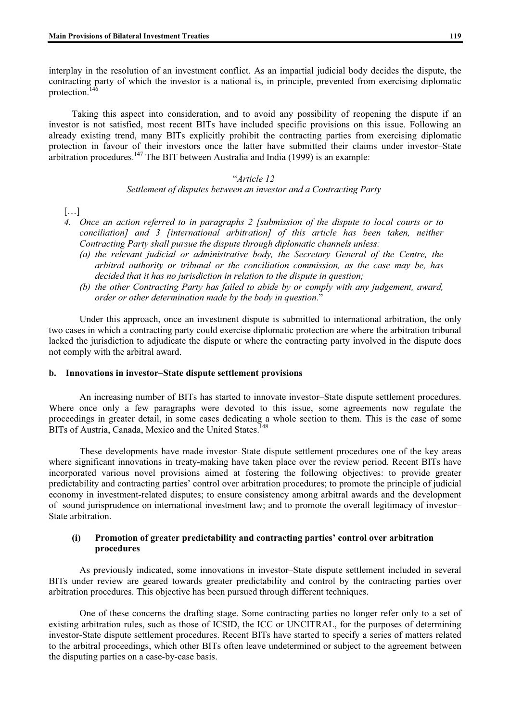interplay in the resolution of an investment conflict. As an impartial judicial body decides the dispute, the contracting party of which the investor is a national is, in principle, prevented from exercising diplomatic protection.<sup>146</sup>

Taking this aspect into consideration, and to avoid any possibility of reopening the dispute if an investor is not satisfied, most recent BITs have included specific provisions on this issue. Following an already existing trend, many BITs explicitly prohibit the contracting parties from exercising diplomatic protection in favour of their investors once the latter have submitted their claims under investor–State arbitration procedures.<sup>147</sup> The BIT between Australia and India (1999) is an example:

#### "*Article 12*

*Settlement of disputes between an investor and a Contracting Party* 

[…]

- *4. Once an action referred to in paragraphs 2 [submission of the dispute to local courts or to conciliation] and 3 [international arbitration] of this article has been taken, neither Contracting Party shall pursue the dispute through diplomatic channels unless:* 
	- *(a) the relevant judicial or administrative body, the Secretary General of the Centre, the arbitral authority or tribunal or the conciliation commission, as the case may be, has decided that it has no jurisdiction in relation to the dispute in question;*
	- *(b) the other Contracting Party has failed to abide by or comply with any judgement, award, order or other determination made by the body in question*."

Under this approach, once an investment dispute is submitted to international arbitration, the only two cases in which a contracting party could exercise diplomatic protection are where the arbitration tribunal lacked the jurisdiction to adjudicate the dispute or where the contracting party involved in the dispute does not comply with the arbitral award.

#### **b. Innovations in investor–State dispute settlement provisions**

An increasing number of BITs has started to innovate investor–State dispute settlement procedures. Where once only a few paragraphs were devoted to this issue, some agreements now regulate the proceedings in greater detail, in some cases dedicating a whole section to them. This is the case of some BITs of Austria, Canada, Mexico and the United States.<sup>1</sup>

These developments have made investor–State dispute settlement procedures one of the key areas where significant innovations in treaty-making have taken place over the review period. Recent BITs have incorporated various novel provisions aimed at fostering the following objectives: to provide greater predictability and contracting parties' control over arbitration procedures; to promote the principle of judicial economy in investment-related disputes; to ensure consistency among arbitral awards and the development of sound jurisprudence on international investment law; and to promote the overall legitimacy of investor– State arbitration.

## **(i) Promotion of greater predictability and contracting parties' control over arbitration procedures**

As previously indicated, some innovations in investor–State dispute settlement included in several BITs under review are geared towards greater predictability and control by the contracting parties over arbitration procedures. This objective has been pursued through different techniques.

One of these concerns the drafting stage. Some contracting parties no longer refer only to a set of existing arbitration rules, such as those of ICSID, the ICC or UNCITRAL, for the purposes of determining investor-State dispute settlement procedures. Recent BITs have started to specify a series of matters related to the arbitral proceedings, which other BITs often leave undetermined or subject to the agreement between the disputing parties on a case-by-case basis.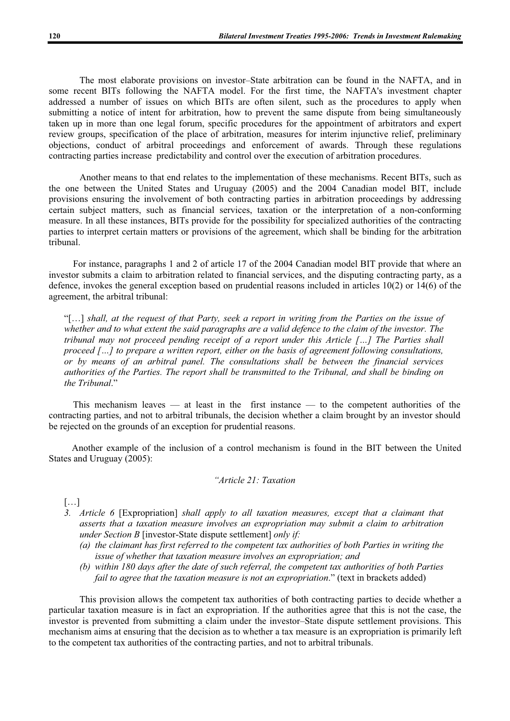The most elaborate provisions on investor–State arbitration can be found in the NAFTA, and in some recent BITs following the NAFTA model. For the first time, the NAFTA's investment chapter addressed a number of issues on which BITs are often silent, such as the procedures to apply when submitting a notice of intent for arbitration, how to prevent the same dispute from being simultaneously taken up in more than one legal forum, specific procedures for the appointment of arbitrators and expert review groups, specification of the place of arbitration, measures for interim injunctive relief, preliminary objections, conduct of arbitral proceedings and enforcement of awards. Through these regulations contracting parties increase predictability and control over the execution of arbitration procedures.

Another means to that end relates to the implementation of these mechanisms. Recent BITs, such as the one between the United States and Uruguay (2005) and the 2004 Canadian model BIT, include provisions ensuring the involvement of both contracting parties in arbitration proceedings by addressing certain subject matters, such as financial services, taxation or the interpretation of a non-conforming measure. In all these instances, BITs provide for the possibility for specialized authorities of the contracting parties to interpret certain matters or provisions of the agreement, which shall be binding for the arbitration tribunal.

For instance, paragraphs 1 and 2 of article 17 of the 2004 Canadian model BIT provide that where an investor submits a claim to arbitration related to financial services, and the disputing contracting party, as a defence, invokes the general exception based on prudential reasons included in articles 10(2) or 14(6) of the agreement, the arbitral tribunal:

"[…] *shall, at the request of that Party, seek a report in writing from the Parties on the issue of whether and to what extent the said paragraphs are a valid defence to the claim of the investor. The tribunal may not proceed pending receipt of a report under this Article […] The Parties shall proceed […] to prepare a written report, either on the basis of agreement following consultations, or by means of an arbitral panel. The consultations shall be between the financial services authorities of the Parties. The report shall be transmitted to the Tribunal, and shall be binding on the Tribunal*."

This mechanism leaves — at least in the first instance — to the competent authorities of the contracting parties, and not to arbitral tribunals, the decision whether a claim brought by an investor should be rejected on the grounds of an exception for prudential reasons.

Another example of the inclusion of a control mechanism is found in the BIT between the United States and Uruguay (2005):

#### *"Article 21: Taxation*

[…]

- *3. Article 6* [Expropriation] *shall apply to all taxation measures, except that a claimant that asserts that a taxation measure involves an expropriation may submit a claim to arbitration under Section B* [investor-State dispute settlement] *only if:* 
	- *(a) the claimant has first referred to the competent tax authorities of both Parties in writing the issue of whether that taxation measure involves an expropriation; and*
	- *(b) within 180 days after the date of such referral, the competent tax authorities of both Parties fail to agree that the taxation measure is not an expropriation*." (text in brackets added)

This provision allows the competent tax authorities of both contracting parties to decide whether a particular taxation measure is in fact an expropriation. If the authorities agree that this is not the case, the investor is prevented from submitting a claim under the investor–State dispute settlement provisions. This mechanism aims at ensuring that the decision as to whether a tax measure is an expropriation is primarily left to the competent tax authorities of the contracting parties, and not to arbitral tribunals.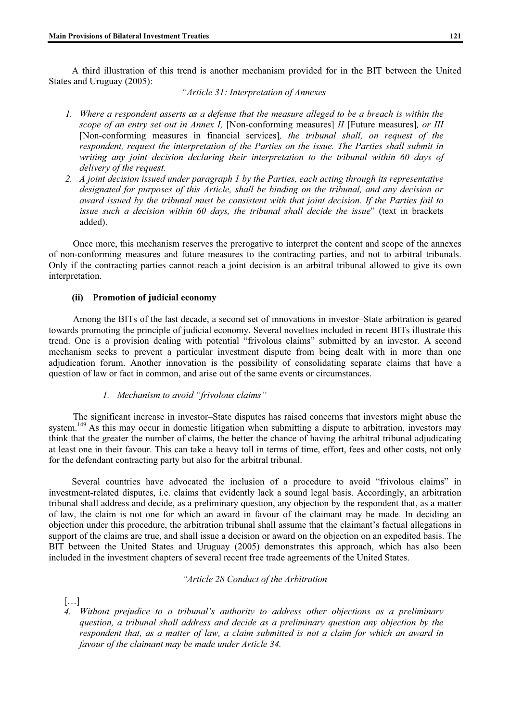A third illustration of this trend is another mechanism provided for in the BIT between the United States and Uruguay (2005):

#### *"Article 31: Interpretation of Annexes*

- *1. Where a respondent asserts as a defense that the measure alleged to be a breach is within the scope of an entry set out in Annex I,* [Non-conforming measures] *II* [Future measures]*, or III*  [Non-conforming measures in financial services]*, the tribunal shall, on request of the respondent, request the interpretation of the Parties on the issue. The Parties shall submit in writing any joint decision declaring their interpretation to the tribunal within 60 days of delivery of the request.*
- *2. A joint decision issued under paragraph 1 by the Parties, each acting through its representative designated for purposes of this Article, shall be binding on the tribunal, and any decision or award issued by the tribunal must be consistent with that joint decision. If the Parties fail to issue such a decision within 60 days, the tribunal shall decide the issue*" (text in brackets added).

Once more, this mechanism reserves the prerogative to interpret the content and scope of the annexes of non-conforming measures and future measures to the contracting parties, and not to arbitral tribunals. Only if the contracting parties cannot reach a joint decision is an arbitral tribunal allowed to give its own interpretation.

#### **(ii) Promotion of judicial economy**

Among the BITs of the last decade, a second set of innovations in investor–State arbitration is geared towards promoting the principle of judicial economy. Several novelties included in recent BITs illustrate this trend. One is a provision dealing with potential "frivolous claims" submitted by an investor. A second mechanism seeks to prevent a particular investment dispute from being dealt with in more than one adjudication forum. Another innovation is the possibility of consolidating separate claims that have a question of law or fact in common, and arise out of the same events or circumstances.

#### *1. Mechanism to avoid "frivolous claims"*

The significant increase in investor–State disputes has raised concerns that investors might abuse the system.<sup>149</sup> As this may occur in domestic litigation when submitting a dispute to arbitration, investors may think that the greater the number of claims, the better the chance of having the arbitral tribunal adjudicating at least one in their favour. This can take a heavy toll in terms of time, effort, fees and other costs, not only for the defendant contracting party but also for the arbitral tribunal.

Several countries have advocated the inclusion of a procedure to avoid "frivolous claims" in investment-related disputes, i.e. claims that evidently lack a sound legal basis. Accordingly, an arbitration tribunal shall address and decide, as a preliminary question, any objection by the respondent that, as a matter of law, the claim is not one for which an award in favour of the claimant may be made. In deciding an objection under this procedure, the arbitration tribunal shall assume that the claimant's factual allegations in support of the claims are true, and shall issue a decision or award on the objection on an expedited basis. The BIT between the United States and Uruguay (2005) demonstrates this approach, which has also been included in the investment chapters of several recent free trade agreements of the United States.

#### *"Article 28 Conduct of the Arbitration*

[…]

*4. Without prejudice to a tribunal's authority to address other objections as a preliminary question, a tribunal shall address and decide as a preliminary question any objection by the respondent that, as a matter of law, a claim submitted is not a claim for which an award in favour of the claimant may be made under Article 34.*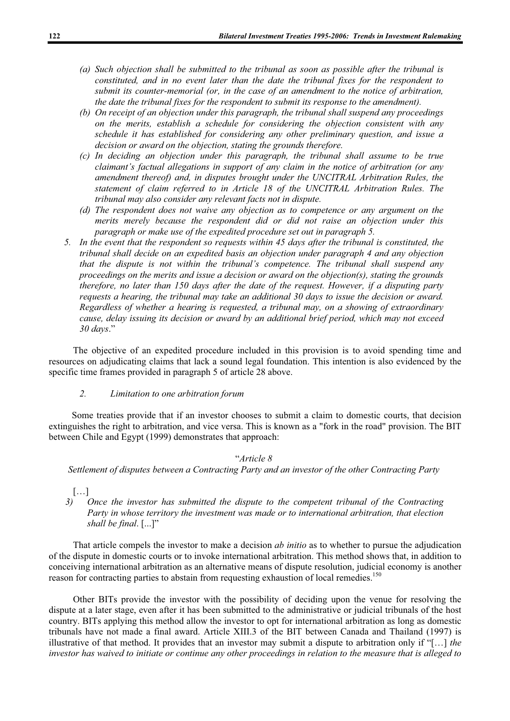- *(a) Such objection shall be submitted to the tribunal as soon as possible after the tribunal is constituted, and in no event later than the date the tribunal fixes for the respondent to submit its counter-memorial (or, in the case of an amendment to the notice of arbitration, the date the tribunal fixes for the respondent to submit its response to the amendment).*
- *(b) On receipt of an objection under this paragraph, the tribunal shall suspend any proceedings on the merits, establish a schedule for considering the objection consistent with any schedule it has established for considering any other preliminary question, and issue a decision or award on the objection, stating the grounds therefore.*
- *(c) In deciding an objection under this paragraph, the tribunal shall assume to be true claimant's factual allegations in support of any claim in the notice of arbitration (or any amendment thereof) and, in disputes brought under the UNCITRAL Arbitration Rules, the statement of claim referred to in Article 18 of the UNCITRAL Arbitration Rules. The tribunal may also consider any relevant facts not in dispute.*
- *(d) The respondent does not waive any objection as to competence or any argument on the merits merely because the respondent did or did not raise an objection under this paragraph or make use of the expedited procedure set out in paragraph 5.*
- *5. In the event that the respondent so requests within 45 days after the tribunal is constituted, the tribunal shall decide on an expedited basis an objection under paragraph 4 and any objection that the dispute is not within the tribunal's competence. The tribunal shall suspend any proceedings on the merits and issue a decision or award on the objection(s), stating the grounds therefore, no later than 150 days after the date of the request. However, if a disputing party requests a hearing, the tribunal may take an additional 30 days to issue the decision or award. Regardless of whether a hearing is requested, a tribunal may, on a showing of extraordinary cause, delay issuing its decision or award by an additional brief period, which may not exceed 30 days*."

The objective of an expedited procedure included in this provision is to avoid spending time and resources on adjudicating claims that lack a sound legal foundation. This intention is also evidenced by the specific time frames provided in paragraph 5 of article 28 above.

#### *2. Limitation to one arbitration forum*

Some treaties provide that if an investor chooses to submit a claim to domestic courts, that decision extinguishes the right to arbitration, and vice versa. This is known as a "fork in the road" provision. The BIT between Chile and Egypt (1999) demonstrates that approach:

#### "*Article 8*

*Settlement of disputes between a Contracting Party and an investor of the other Contracting Party* 

[…]

*3) Once the investor has submitted the dispute to the competent tribunal of the Contracting Party in whose territory the investment was made or to international arbitration, that election shall be final*. [...]"

That article compels the investor to make a decision *ab initio* as to whether to pursue the adjudication of the dispute in domestic courts or to invoke international arbitration. This method shows that, in addition to conceiving international arbitration as an alternative means of dispute resolution, judicial economy is another reason for contracting parties to abstain from requesting exhaustion of local remedies.<sup>150</sup>

Other BITs provide the investor with the possibility of deciding upon the venue for resolving the dispute at a later stage, even after it has been submitted to the administrative or judicial tribunals of the host country. BITs applying this method allow the investor to opt for international arbitration as long as domestic tribunals have not made a final award. Article XIII.3 of the BIT between Canada and Thailand (1997) is illustrative of that method. It provides that an investor may submit a dispute to arbitration only if "[…] *the investor has waived to initiate or continue any other proceedings in relation to the measure that is alleged to*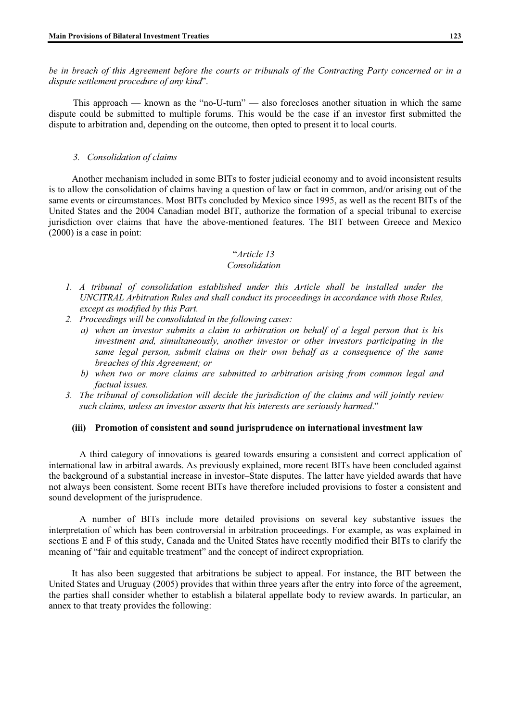*be in breach of this Agreement before the courts or tribunals of the Contracting Party concerned or in a dispute settlement procedure of any kind*".

This approach — known as the "no-U-turn" — also forecloses another situation in which the same dispute could be submitted to multiple forums. This would be the case if an investor first submitted the dispute to arbitration and, depending on the outcome, then opted to present it to local courts.

#### *3. Consolidation of claims*

Another mechanism included in some BITs to foster judicial economy and to avoid inconsistent results is to allow the consolidation of claims having a question of law or fact in common, and/or arising out of the same events or circumstances. Most BITs concluded by Mexico since 1995, as well as the recent BITs of the United States and the 2004 Canadian model BIT, authorize the formation of a special tribunal to exercise jurisdiction over claims that have the above-mentioned features. The BIT between Greece and Mexico (2000) is a case in point:

#### "*Article 13*

#### *Consolidation*

- *1. A tribunal of consolidation established under this Article shall be installed under the UNCITRAL Arbitration Rules and shall conduct its proceedings in accordance with those Rules, except as modified by this Part.*
- *2. Proceedings will be consolidated in the following cases:* 
	- *a) when an investor submits a claim to arbitration on behalf of a legal person that is his investment and, simultaneously, another investor or other investors participating in the same legal person, submit claims on their own behalf as a consequence of the same breaches of this Agreement; or*
	- *b) when two or more claims are submitted to arbitration arising from common legal and factual issues.*
- *3. The tribunal of consolidation will decide the jurisdiction of the claims and will jointly review such claims, unless an investor asserts that his interests are seriously harmed*."

#### **(iii) Promotion of consistent and sound jurisprudence on international investment law**

A third category of innovations is geared towards ensuring a consistent and correct application of international law in arbitral awards. As previously explained, more recent BITs have been concluded against the background of a substantial increase in investor–State disputes. The latter have yielded awards that have not always been consistent. Some recent BITs have therefore included provisions to foster a consistent and sound development of the jurisprudence.

A number of BITs include more detailed provisions on several key substantive issues the interpretation of which has been controversial in arbitration proceedings. For example, as was explained in sections E and F of this study, Canada and the United States have recently modified their BITs to clarify the meaning of "fair and equitable treatment" and the concept of indirect expropriation.

It has also been suggested that arbitrations be subject to appeal. For instance, the BIT between the United States and Uruguay (2005) provides that within three years after the entry into force of the agreement, the parties shall consider whether to establish a bilateral appellate body to review awards. In particular, an annex to that treaty provides the following: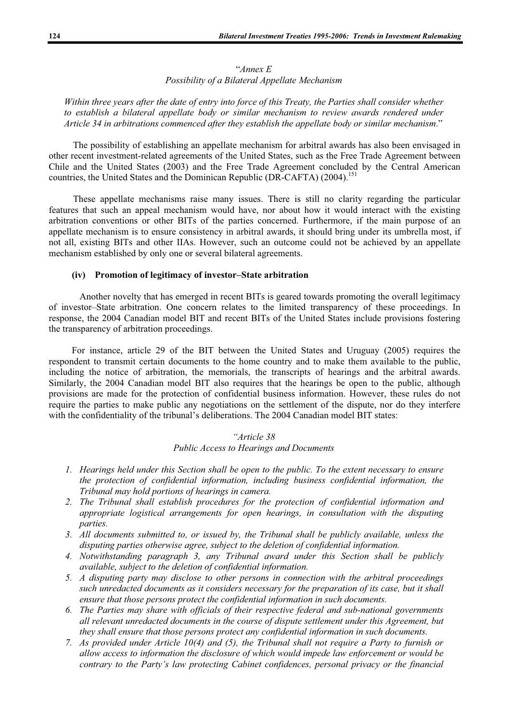#### "*Annex E*

## *Possibility of a Bilateral Appellate Mechanism*

*Within three years after the date of entry into force of this Treaty, the Parties shall consider whether to establish a bilateral appellate body or similar mechanism to review awards rendered under Article 34 in arbitrations commenced after they establish the appellate body or similar mechanism*."

The possibility of establishing an appellate mechanism for arbitral awards has also been envisaged in other recent investment-related agreements of the United States, such as the Free Trade Agreement between Chile and the United States (2003) and the Free Trade Agreement concluded by the Central American countries, the United States and the Dominican Republic (DR-CAFTA) (2004).<sup>151</sup>

These appellate mechanisms raise many issues. There is still no clarity regarding the particular features that such an appeal mechanism would have, nor about how it would interact with the existing arbitration conventions or other BITs of the parties concerned. Furthermore, if the main purpose of an appellate mechanism is to ensure consistency in arbitral awards, it should bring under its umbrella most, if not all, existing BITs and other IIAs. However, such an outcome could not be achieved by an appellate mechanism established by only one or several bilateral agreements.

#### **(iv) Promotion of legitimacy of investor–State arbitration**

Another novelty that has emerged in recent BITs is geared towards promoting the overall legitimacy of investor–State arbitration. One concern relates to the limited transparency of these proceedings. In response, the 2004 Canadian model BIT and recent BITs of the United States include provisions fostering the transparency of arbitration proceedings.

For instance, article 29 of the BIT between the United States and Uruguay (2005) requires the respondent to transmit certain documents to the home country and to make them available to the public, including the notice of arbitration, the memorials, the transcripts of hearings and the arbitral awards. Similarly, the 2004 Canadian model BIT also requires that the hearings be open to the public, although provisions are made for the protection of confidential business information. However, these rules do not require the parties to make public any negotiations on the settlement of the dispute, nor do they interfere with the confidentiality of the tribunal's deliberations. The 2004 Canadian model BIT states:

## *"Article 38 Public Access to Hearings and Documents*

- *1. Hearings held under this Section shall be open to the public. To the extent necessary to ensure the protection of confidential information, including business confidential information, the Tribunal may hold portions of hearings in camera.*
- *2. The Tribunal shall establish procedures for the protection of confidential information and appropriate logistical arrangements for open hearings, in consultation with the disputing parties.*
- *3. All documents submitted to, or issued by, the Tribunal shall be publicly available, unless the disputing parties otherwise agree, subject to the deletion of confidential information.*
- *4. Notwithstanding paragraph 3, any Tribunal award under this Section shall be publicly available, subject to the deletion of confidential information.*
- *5. A disputing party may disclose to other persons in connection with the arbitral proceedings such unredacted documents as it considers necessary for the preparation of its case, but it shall ensure that those persons protect the confidential information in such documents.*
- *6. The Parties may share with officials of their respective federal and sub-national governments all relevant unredacted documents in the course of dispute settlement under this Agreement, but they shall ensure that those persons protect any confidential information in such documents.*
- *7. As provided under Article 10(4) and (5), the Tribunal shall not require a Party to furnish or allow access to information the disclosure of which would impede law enforcement or would be contrary to the Party's law protecting Cabinet confidences, personal privacy or the financial*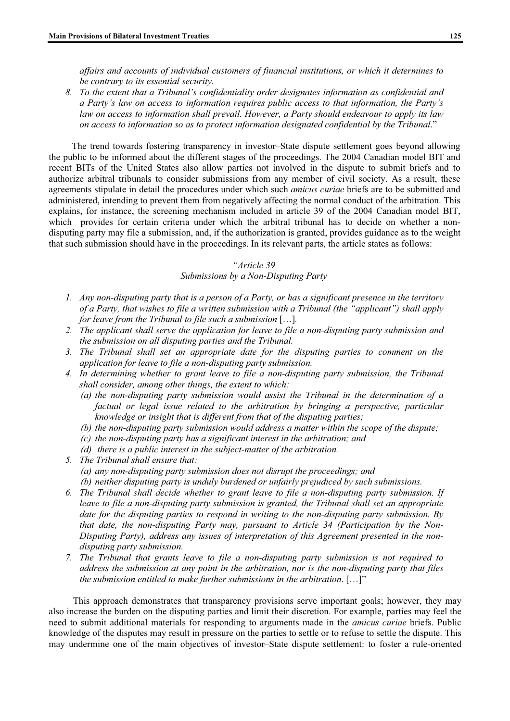*affairs and accounts of individual customers of financial institutions, or which it determines to be contrary to its essential security.* 

*8. To the extent that a Tribunal's confidentiality order designates information as confidential and a Party's law on access to information requires public access to that information, the Party's law on access to information shall prevail. However, a Party should endeavour to apply its law on access to information so as to protect information designated confidential by the Tribunal*."

The trend towards fostering transparency in investor–State dispute settlement goes beyond allowing the public to be informed about the different stages of the proceedings. The 2004 Canadian model BIT and recent BITs of the United States also allow parties not involved in the dispute to submit briefs and to authorize arbitral tribunals to consider submissions from any member of civil society. As a result, these agreements stipulate in detail the procedures under which such *amicus curiae* briefs are to be submitted and administered, intending to prevent them from negatively affecting the normal conduct of the arbitration. This explains, for instance, the screening mechanism included in article 39 of the 2004 Canadian model BIT, which provides for certain criteria under which the arbitral tribunal has to decide on whether a nondisputing party may file a submission, and, if the authorization is granted, provides guidance as to the weight that such submission should have in the proceedings. In its relevant parts, the article states as follows:

#### *"Article 39*

*Submissions by a Non-Disputing Party* 

- *1. Any non-disputing party that is a person of a Party, or has a significant presence in the territory of a Party, that wishes to file a written submission with a Tribunal (the "applicant") shall apply for leave from the Tribunal to file such a submission* [...].
- *2. The applicant shall serve the application for leave to file a non-disputing party submission and the submission on all disputing parties and the Tribunal.*
- *3. The Tribunal shall set an appropriate date for the disputing parties to comment on the application for leave to file a non-disputing party submission.*
- *4. In determining whether to grant leave to file a non-disputing party submission, the Tribunal shall consider, among other things, the extent to which:* 
	- *(a) the non-disputing party submission would assist the Tribunal in the determination of a factual or legal issue related to the arbitration by bringing a perspective, particular knowledge or insight that is different from that of the disputing parties;*
	- *(b) the non-disputing party submission would address a matter within the scope of the dispute;*
	- *(c) the non-disputing party has a significant interest in the arbitration; and*
	- *(d) there is a public interest in the subject-matter of the arbitration.*
- *5. The Tribunal shall ensure that: (a) any non-disputing party submission does not disrupt the proceedings; and (b) neither disputing party is unduly burdened or unfairly prejudiced by such submissions.*
- *6. The Tribunal shall decide whether to grant leave to file a non-disputing party submission. If leave to file a non-disputing party submission is granted, the Tribunal shall set an appropriate date for the disputing parties to respond in writing to the non-disputing party submission. By that date, the non-disputing Party may, pursuant to Article 34 (Participation by the Non-Disputing Party), address any issues of interpretation of this Agreement presented in the nondisputing party submission.*
- *7. The Tribunal that grants leave to file a non-disputing party submission is not required to address the submission at any point in the arbitration, nor is the non-disputing party that files the submission entitled to make further submissions in the arbitration*. […]"

This approach demonstrates that transparency provisions serve important goals; however, they may also increase the burden on the disputing parties and limit their discretion. For example, parties may feel the need to submit additional materials for responding to arguments made in the *amicus curiae* briefs. Public knowledge of the disputes may result in pressure on the parties to settle or to refuse to settle the dispute. This may undermine one of the main objectives of investor–State dispute settlement: to foster a rule-oriented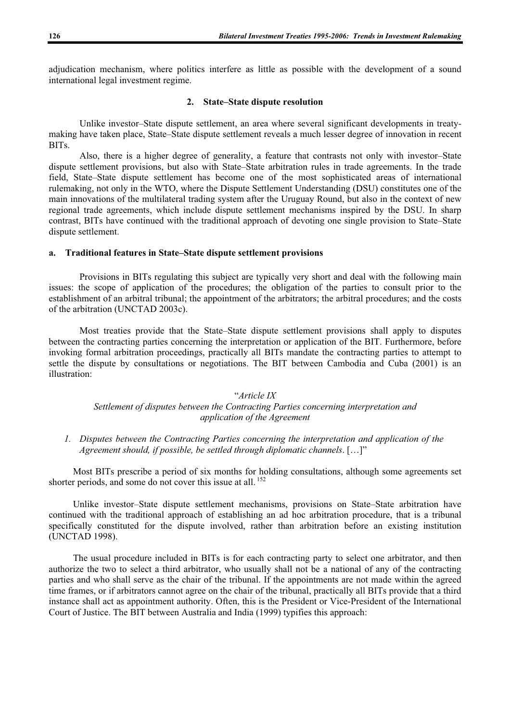adjudication mechanism, where politics interfere as little as possible with the development of a sound international legal investment regime.

## **2. State–State dispute resolution**

Unlike investor–State dispute settlement, an area where several significant developments in treatymaking have taken place, State–State dispute settlement reveals a much lesser degree of innovation in recent BITs.

Also, there is a higher degree of generality, a feature that contrasts not only with investor–State dispute settlement provisions, but also with State–State arbitration rules in trade agreements. In the trade field, State–State dispute settlement has become one of the most sophisticated areas of international rulemaking, not only in the WTO, where the Dispute Settlement Understanding (DSU) constitutes one of the main innovations of the multilateral trading system after the Uruguay Round, but also in the context of new regional trade agreements, which include dispute settlement mechanisms inspired by the DSU. In sharp contrast, BITs have continued with the traditional approach of devoting one single provision to State–State dispute settlement.

#### **a. Traditional features in State–State dispute settlement provisions**

Provisions in BITs regulating this subject are typically very short and deal with the following main issues: the scope of application of the procedures; the obligation of the parties to consult prior to the establishment of an arbitral tribunal; the appointment of the arbitrators; the arbitral procedures; and the costs of the arbitration (UNCTAD 2003c).

Most treaties provide that the State–State dispute settlement provisions shall apply to disputes between the contracting parties concerning the interpretation or application of the BIT. Furthermore, before invoking formal arbitration proceedings, practically all BITs mandate the contracting parties to attempt to settle the dispute by consultations or negotiations. The BIT between Cambodia and Cuba (2001) is an illustration:

# "*Article IX*

## *Settlement of disputes between the Contracting Parties concerning interpretation and application of the Agreement*

## *1. Disputes between the Contracting Parties concerning the interpretation and application of the Agreement should, if possible, be settled through diplomatic channels*. […]"

Most BITs prescribe a period of six months for holding consultations, although some agreements set shorter periods, and some do not cover this issue at all.<sup>152</sup>

Unlike investor–State dispute settlement mechanisms, provisions on State–State arbitration have continued with the traditional approach of establishing an ad hoc arbitration procedure, that is a tribunal specifically constituted for the dispute involved, rather than arbitration before an existing institution (UNCTAD 1998).

The usual procedure included in BITs is for each contracting party to select one arbitrator, and then authorize the two to select a third arbitrator, who usually shall not be a national of any of the contracting parties and who shall serve as the chair of the tribunal. If the appointments are not made within the agreed time frames, or if arbitrators cannot agree on the chair of the tribunal, practically all BITs provide that a third instance shall act as appointment authority. Often, this is the President or Vice-President of the International Court of Justice. The BIT between Australia and India (1999) typifies this approach: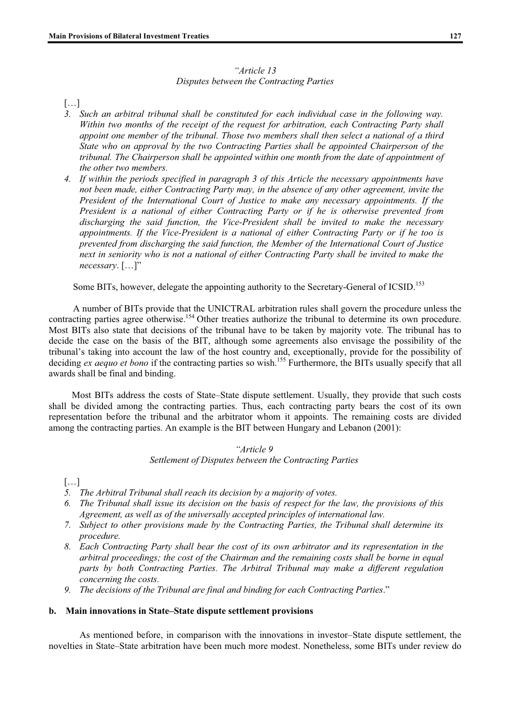## *"Article 13 Disputes between the Contracting Parties*

 $[\dots]$ 

- *3. Such an arbitral tribunal shall be constituted for each individual case in the following way. Within two months of the receipt of the request for arbitration, each Contracting Party shall appoint one member of the tribunal. Those two members shall then select a national of a third State who on approval by the two Contracting Parties shall be appointed Chairperson of the tribunal. The Chairperson shall be appointed within one month from the date of appointment of the other two members.*
- *4. If within the periods specified in paragraph 3 of this Article the necessary appointments have not been made, either Contracting Party may, in the absence of any other agreement, invite the President of the International Court of Justice to make any necessary appointments. If the President is a national of either Contracting Party or if he is otherwise prevented from discharging the said function, the Vice-President shall be invited to make the necessary appointments. If the Vice-President is a national of either Contracting Party or if he too is prevented from discharging the said function, the Member of the International Court of Justice next in seniority who is not a national of either Contracting Party shall be invited to make the necessary*. […]"

Some BITs, however, delegate the appointing authority to the Secretary-General of ICSID.<sup>153</sup>

A number of BITs provide that the UNICTRAL arbitration rules shall govern the procedure unless the contracting parties agree otherwise.<sup>154</sup> Other treaties authorize the tribunal to determine its own procedure. Most BITs also state that decisions of the tribunal have to be taken by majority vote. The tribunal has to decide the case on the basis of the BIT, although some agreements also envisage the possibility of the tribunal's taking into account the law of the host country and, exceptionally, provide for the possibility of deciding *ex aequo et bono* if the contracting parties so wish.<sup>155</sup> Furthermore, the BITs usually specify that all awards shall be final and binding.

Most BITs address the costs of State–State dispute settlement. Usually, they provide that such costs shall be divided among the contracting parties. Thus, each contracting party bears the cost of its own representation before the tribunal and the arbitrator whom it appoints. The remaining costs are divided among the contracting parties. An example is the BIT between Hungary and Lebanon (2001):

## *"Article 9 Settlement of Disputes between the Contracting Parties*

 $[\dots]$ 

- *5. The Arbitral Tribunal shall reach its decision by a majority of votes.*
- *6. The Tribunal shall issue its decision on the basis of respect for the law, the provisions of this Agreement, as well as of the universally accepted principles of international law.*
- *7. Subject to other provisions made by the Contracting Parties, the Tribunal shall determine its procedure.*
- *8. Each Contracting Party shall bear the cost of its own arbitrator and its representation in the arbitral proceedings; the cost of the Chairman and the remaining costs shall be borne in equal parts by both Contracting Parties. The Arbitral Tribunal may make a different regulation concerning the costs.*
- *9. The decisions of the Tribunal are final and binding for each Contracting Parties*."

#### **b. Main innovations in State–State dispute settlement provisions**

As mentioned before, in comparison with the innovations in investor–State dispute settlement, the novelties in State–State arbitration have been much more modest. Nonetheless, some BITs under review do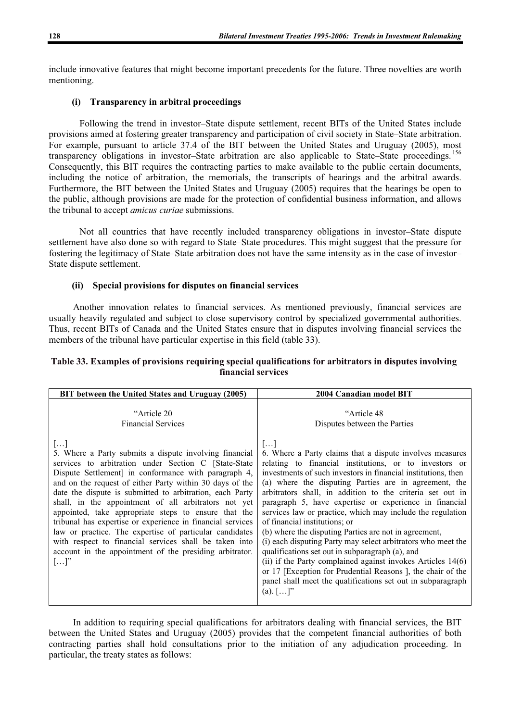include innovative features that might become important precedents for the future. Three novelties are worth mentioning.

## **(i) Transparency in arbitral proceedings**

Following the trend in investor–State dispute settlement, recent BITs of the United States include provisions aimed at fostering greater transparency and participation of civil society in State–State arbitration. For example, pursuant to article 37.4 of the BIT between the United States and Uruguay (2005), most transparency obligations in investor–State arbitration are also applicable to State–State proceedings. <sup>156</sup> Consequently, this BIT requires the contracting parties to make available to the public certain documents, including the notice of arbitration, the memorials, the transcripts of hearings and the arbitral awards. Furthermore, the BIT between the United States and Uruguay (2005) requires that the hearings be open to the public, although provisions are made for the protection of confidential business information, and allows the tribunal to accept *amicus curiae* submissions.

Not all countries that have recently included transparency obligations in investor–State dispute settlement have also done so with regard to State–State procedures. This might suggest that the pressure for fostering the legitimacy of State–State arbitration does not have the same intensity as in the case of investor– State dispute settlement.

## **(ii) Special provisions for disputes on financial services**

Another innovation relates to financial services. As mentioned previously, financial services are usually heavily regulated and subject to close supervisory control by specialized governmental authorities. Thus, recent BITs of Canada and the United States ensure that in disputes involving financial services the members of the tribunal have particular expertise in this field (table 33).

## **Table 33. Examples of provisions requiring special qualifications for arbitrators in disputes involving financial services**

In addition to requiring special qualifications for arbitrators dealing with financial services, the BIT between the United States and Uruguay (2005) provides that the competent financial authorities of both contracting parties shall hold consultations prior to the initiation of any adjudication proceeding. In particular, the treaty states as follows: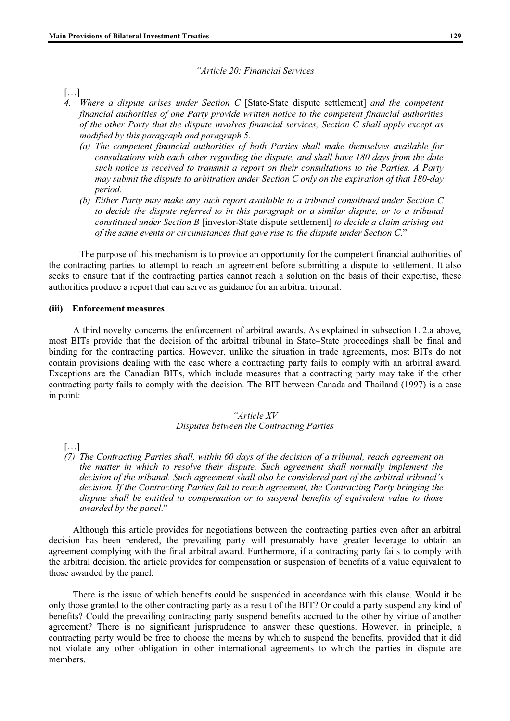*"Article 20: Financial Services* 

#### $[\ldots]$

- *4. Where a dispute arises under Section C* [State-State dispute settlement] *and the competent financial authorities of one Party provide written notice to the competent financial authorities of the other Party that the dispute involves financial services, Section C shall apply except as modified by this paragraph and paragraph 5.* 
	- *(a) The competent financial authorities of both Parties shall make themselves available for consultations with each other regarding the dispute, and shall have 180 days from the date such notice is received to transmit a report on their consultations to the Parties. A Party may submit the dispute to arbitration under Section C only on the expiration of that 180-day period.*
	- *(b) Either Party may make any such report available to a tribunal constituted under Section C to decide the dispute referred to in this paragraph or a similar dispute, or to a tribunal constituted under Section B* [investor-State dispute settlement] *to decide a claim arising out of the same events or circumstances that gave rise to the dispute under Section C*."

The purpose of this mechanism is to provide an opportunity for the competent financial authorities of the contracting parties to attempt to reach an agreement before submitting a dispute to settlement. It also seeks to ensure that if the contracting parties cannot reach a solution on the basis of their expertise, these authorities produce a report that can serve as guidance for an arbitral tribunal.

#### **(iii) Enforcement measures**

A third novelty concerns the enforcement of arbitral awards. As explained in subsection L.2.a above, most BITs provide that the decision of the arbitral tribunal in State–State proceedings shall be final and binding for the contracting parties. However, unlike the situation in trade agreements, most BITs do not contain provisions dealing with the case where a contracting party fails to comply with an arbitral award. Exceptions are the Canadian BITs, which include measures that a contracting party may take if the other contracting party fails to comply with the decision. The BIT between Canada and Thailand (1997) is a case in point:

## *"Article XV Disputes between the Contracting Parties*

 $[\dots]$ 

*(7) The Contracting Parties shall, within 60 days of the decision of a tribunal, reach agreement on the matter in which to resolve their dispute. Such agreement shall normally implement the decision of the tribunal. Such agreement shall also be considered part of the arbitral tribunal's decision. If the Contracting Parties fail to reach agreement, the Contracting Party bringing the dispute shall be entitled to compensation or to suspend benefits of equivalent value to those awarded by the panel*."

Although this article provides for negotiations between the contracting parties even after an arbitral decision has been rendered, the prevailing party will presumably have greater leverage to obtain an agreement complying with the final arbitral award. Furthermore, if a contracting party fails to comply with the arbitral decision, the article provides for compensation or suspension of benefits of a value equivalent to those awarded by the panel.

There is the issue of which benefits could be suspended in accordance with this clause. Would it be only those granted to the other contracting party as a result of the BIT? Or could a party suspend any kind of benefits? Could the prevailing contracting party suspend benefits accrued to the other by virtue of another agreement? There is no significant jurisprudence to answer these questions. However, in principle, a contracting party would be free to choose the means by which to suspend the benefits, provided that it did not violate any other obligation in other international agreements to which the parties in dispute are members.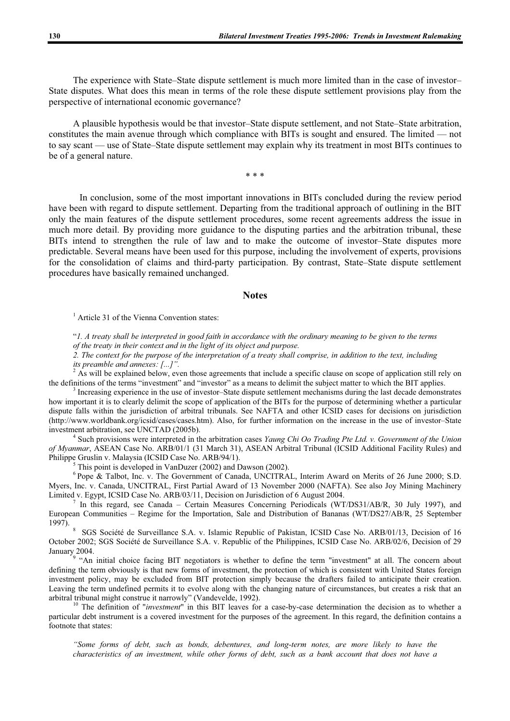The experience with State–State dispute settlement is much more limited than in the case of investor– State disputes. What does this mean in terms of the role these dispute settlement provisions play from the perspective of international economic governance?

A plausible hypothesis would be that investor–State dispute settlement, and not State–State arbitration, constitutes the main avenue through which compliance with BITs is sought and ensured. The limited — not to say scant — use of State–State dispute settlement may explain why its treatment in most BITs continues to be of a general nature.

\* \* \*

In conclusion, some of the most important innovations in BITs concluded during the review period have been with regard to dispute settlement. Departing from the traditional approach of outlining in the BIT only the main features of the dispute settlement procedures, some recent agreements address the issue in much more detail. By providing more guidance to the disputing parties and the arbitration tribunal, these BITs intend to strengthen the rule of law and to make the outcome of investor–State disputes more predictable. Several means have been used for this purpose, including the involvement of experts, provisions for the consolidation of claims and third-party participation. By contrast, State–State dispute settlement procedures have basically remained unchanged.

## **Notes**

<sup>1</sup> Article 31 of the Vienna Convention states:

"*1. A treaty shall be interpreted in good faith in accordance with the ordinary meaning to be given to the terms of the treaty in their context and in the light of its object and purpose.* 

*2. The context for the purpose of the interpretation of a treaty shall comprise, in addition to the text, including its preamble and annexes: [...]".*  2

 As will be explained below, even those agreements that include a specific clause on scope of application still rely on the definitions of the terms "investment" and "investor" as a means to delimit the subject matter to which the BIT applies.

 Increasing experience in the use of investor–State dispute settlement mechanisms during the last decade demonstrates how important it is to clearly delimit the scope of application of the BITs for the purpose of determining whether a particular dispute falls within the jurisdiction of arbitral tribunals. See NAFTA and other ICSID cases for decisions on jurisdiction (http://www.worldbank.org/icsid/cases/cases.htm). Also, for further information on the increase in the use of investor–State investment arbitration, see UNCTAD (2005b). 4

 Such provisions were interpreted in the arbitration cases *Yaung Chi Oo Trading Pte Ltd. v. Government of the Union of Myanmar*, ASEAN Case No. ARB/01/1 (31 March 31), ASEAN Arbitral Tribunal (ICSID Additional Facility Rules) and Philippe Gruslin v. Malaysia (ICSID Case No. ARB/94/1).

This point is developed in VanDuzer (2002) and Dawson (2002).

<sup>6</sup> Pope & Talbot, Inc. v. The Government of Canada, UNCITRAL, Interim Award on Merits of 26 June 2000; S.D. Myers, Inc. v. Canada, UNCITRAL, First Partial Award of 13 November 2000 (NAFTA). See also Joy Mining Machinery Limited v. Egypt, ICSID Case No. ARB/03/11, Decision on Jurisdiction of 6 August 2004.

<sup>7</sup> In this regard, see Canada – Certain Measures Concerning Periodicals (WT/DS31/AB/R, 30 July 1997), and European Communities – Regime for the Importation, Sale and Distribution of Bananas (WT/DS27/AB/R, 25 September 1997).

<sup>8</sup> SGS Société de Surveillance S.A. v. Islamic Republic of Pakistan, ICSID Case No. ARB/01/13, Decision of 16 October 2002; SGS Société de Surveillance S.A. v. Republic of the Philippines, ICSID Case No. ARB/02/6, Decision of 29 January 2004.<br><sup>9</sup> "An initial choice facing BIT negotiators is whether to define the term "investment" at all. The concern about

defining the term obviously is that new forms of investment, the protection of which is consistent with United States foreign investment policy, may be excluded from BIT protection simply because the drafters failed to anticipate their creation. Leaving the term undefined permits it to evolve along with the changing nature of circumstances, but creates a risk that an arbitral tribunal might construe it narrowly" (Vandevelde, 1992).<br><sup>10</sup> The definition of "*investment*" in this BIT leaves for a case-by-case determination the decision as to whether a

particular debt instrument is a covered investment for the purposes of the agreement. In this regard, the definition contains a footnote that states:

*"Some forms of debt, such as bonds, debentures, and long-term notes, are more likely to have the characteristics of an investment, while other forms of debt, such as a bank account that does not have a*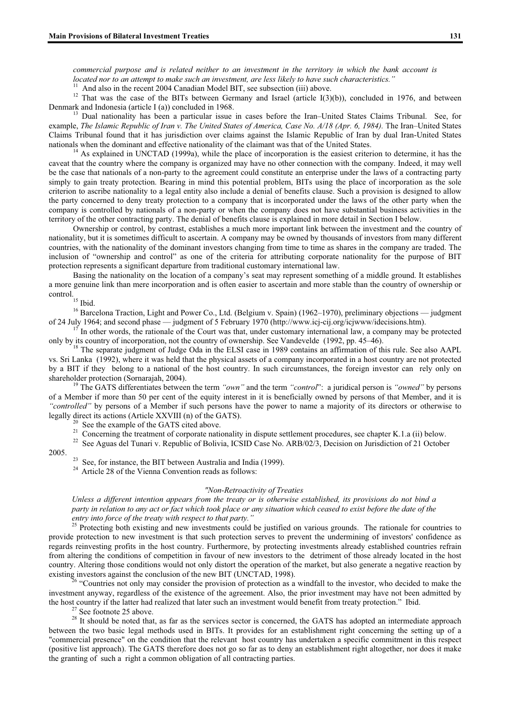*commercial purpose and is related neither to an investment in the territory in which the bank account is located nor to an attempt to make such an investment, are less likely to have such characteristics."* 

 $11$  And also in the recent 2004 Canadian Model BIT, see subsection (iii) above.

<sup>12</sup> That was the case of the BITs between Germany and Israel (article I(3)(b)), concluded in 1976, and between Denmark and Indonesia (article I(a)) concluded in 1968.

<sup>13</sup> Dual nationality has been a particular issue in cases before the Iran–United States Claims Tribunal. See, for example, *The Islamic Republic of Iran v. The United States of America, Case No. A/18 (Apr. 6, 1984).* The Iran–United States Claims Tribunal found that it has jurisdiction over claims against the Islamic Republic of Iran by dual Iran-United States

 $14$  As explained in UNCTAD (1999a), while the place of incorporation is the easiest criterion to determine, it has the caveat that the country where the company is organized may have no other connection with the company. Indeed, it may well be the case that nationals of a non-party to the agreement could constitute an enterprise under the laws of a contracting party simply to gain treaty protection. Bearing in mind this potential problem, BITs using the place of incorporation as the sole criterion to ascribe nationality to a legal entity also include a denial of benefits clause. Such a provision is designed to allow the party concerned to deny treaty protection to a company that is incorporated under the laws of the other party when the company is controlled by nationals of a non-party or when the company does not have substantial business activities in the territory of the other contracting party. The denial of benefits clause is explained in more detail in Section I below.

Ownership or control, by contrast, establishes a much more important link between the investment and the country of nationality, but it is sometimes difficult to ascertain. A company may be owned by thousands of investors from many different countries, with the nationality of the dominant investors changing from time to time as shares in the company are traded. The inclusion of "ownership and control" as one of the criteria for attributing corporate nationality for the purpose of BIT protection represents a significant departure from traditional customary international law.

Basing the nationality on the location of a company's seat may represent something of a middle ground. It establishes a more genuine link than mere incorporation and is often easier to ascertain and more stable than the country of ownership or control.<br> $15$  Ibid.

<sup>16</sup> Barcelona Traction, Light and Power Co., Ltd. (Belgium v. Spain) (1962–1970), preliminary objections — judgment of 24 July 1964; and second phase — judgment of 5 February 1970 (http://www.icj-cij.org/icjwww/idecisions.htm).<br><sup>17</sup> In other words, the rationale of the Court was that, under customary international law, a company may be

only by its country of incorporation, not the country of ownership. See Vandevelde (1992, pp. 45–46).<br><sup>18</sup> The separate judgment of Judge Oda in the ELSI case in 1989 contains an affirmation of this rule. See also AAPL

vs. Sri Lanka (1992), where it was held that the physical assets of a company incorporated in a host country are not protected by a BIT if they belong to a national of the host country. In such circumstances, the foreign investor can rely only on shareholder protection (Sornarajah, 2004).<br><sup>19</sup> The GATS differentiates between the term *"own"* and the term *"control*": a juridical person is *"owned"* by persons

of a Member if more than 50 per cent of the equity interest in it is beneficially owned by persons of that Member, and it is *"controlled"* by persons of a Member if such persons have the power to name a majority of its directors or otherwise to legally direct its actions (Article XXVIII (n) of the GATS).<br><sup>20</sup> See the example of the GATS cited above.

<sup>21</sup> Concerning the treatment of corporate nationality in dispute settlement procedures, see chapter K.1.a (ii) below.

<sup>22</sup> See Aguas del Tunari v. Republic of Bolivia, ICSID Case No. ARB/02/3, Decision on Jurisdiction of 21 October

2005. 23 See, for instance, the BIT between Australia and India (1999).

<sup>24</sup> Article 28 of the Vienna Convention reads as follows:

#### *"Non-Retroactivity of Treaties*

*Unless a different intention appears from the treaty or is otherwise established, its provisions do not bind a party in relation to any act or fact which took place or any situation which ceased to exist before the date of the entry into force of the treaty with respect to that party."* 

<sup>25</sup> Protecting both existing and new investments could be justified on various grounds. The rationale for countries to provide protection to new investment is that such protection serves to prevent the undermining of investors' confidence as regards reinvesting profits in the host country. Furthermore, by protecting investments already established countries refrain from altering the conditions of competition in favour of new investors to the detriment of those already located in the host country. Altering those conditions would not only distort the operation of the market, but also generate a negative reaction by existing investors against the conclusion of the new BIT (UNCTAD, 1998).

"Countries not only may consider the provision of protection as a windfall to the investor, who decided to make the investment anyway, regardless of the existence of the agreement. Also, the prior investment may have not been admitted by the host country if the latter had realized that later such an investment would benefit from treaty protection." Ibid. <sup>27</sup> See footnote 25 above.

 $28$  It should be noted that, as far as the services sector is concerned, the GATS has adopted an intermediate approach between the two basic legal methods used in BITs. It provides for an establishment right concerning the setting up of a "commercial presence" on the condition that the relevant host country has undertaken a specific commitment in this respect (positive list approach). The GATS therefore does not go so far as to deny an establishment right altogether, nor does it make the granting of such a right a common obligation of all contracting parties.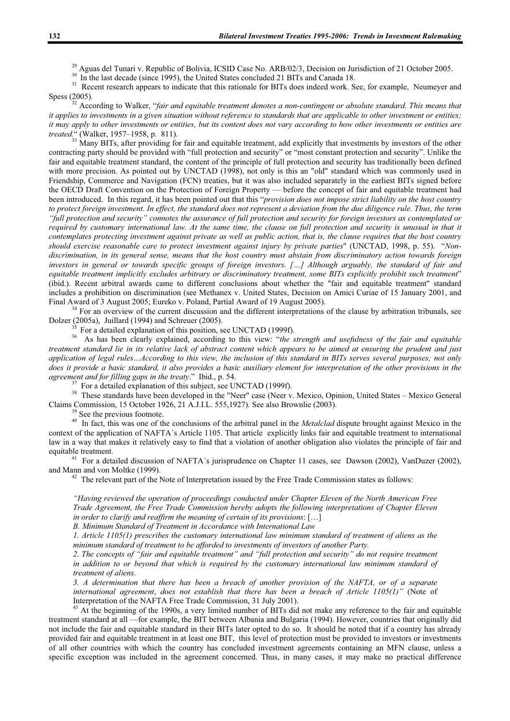<sup>29</sup> Aguas del Tunari v. Republic of Bolivia, ICSID Case No. ARB/02/3, Decision on Jurisdiction of 21 October 2005.<br><sup>30</sup> In the last decade (since 1995), the United States concluded 21 BITs and Canada 18.

<sup>31</sup> Recent research appears to indicate that this rationale for BITs does indeed work. See, for example, Neumeyer and

Spess (2005).<br><sup>32</sup> According to Walker, "*fair and equitable treatment denotes a non-contingent or absolute standard. This means that it applies to investments in a given situation without reference to standards that are applicable to other investment or entities; it may apply to other investments or entities, but its content does not vary according to how other investments or entities are treated.*" (Walker, 1957–1958, p. 811).

<sup>33</sup> Many BITs, after providing for fair and equitable treatment, add explicitly that investments by investors of the other contracting party should be provided with "full protection and security" or "most constant protection and security". Unlike the fair and equitable treatment standard, the content of the principle of full protection and security has traditionally been defined with more precision. As pointed out by UNCTAD (1998), not only is this an "old" standard which was commonly used in Friendship, Commerce and Navigation (FCN) treaties, but it was also included separately in the earliest BITs signed before the OECD Draft Convention on the Protection of Foreign Property — before the concept of fair and equitable treatment had been introduced. In this regard, it has been pointed out that this "*provision does not impose strict liability on the host country to protect foreign investment. In effect, the standard does not represent a deviation from the due diligence rule. Thus, the term "full protection and security" connotes the assurance of full protection and security for foreign investors as contemplated or required by customary international law. At the same time, the clause on full protection and security is unusual in that it contemplates protecting investment against private as well as public action, that is, the clause requires that the host country should exercise reasonable care to protect investment against injury by private parties*" (UNCTAD, 1998, p. 55). "*Nondiscrimination, in its general sense, means that the host country must abstain from discriminatory action towards foreign investors in general or towards specific groups of foreign investors. […] Although arguably, the standard of fair and equitable treatment implicitly excludes arbitrary or discriminatory treatment, some BITs explicitly prohibit such treatment*" (ibid.). Recent arbitral awards came to different conclusions about whether the "fair and equitable treatment" standard includes a prohibition on discrimination (see Methanex v. United States, Decision on Amici Curiae of 15 January 2001, and

Final Award of 3 August 2005; Eureko v. Poland, Partial Award of 19 August 2005).<br><sup>34</sup> For an overview of the current discussion and the different interpretations of the clause by arbitration tribunals, see<br>Dolzer (2005a)

<sup>35</sup> For a detailed explanation of this position, see UNCTAD (1999f).<br><sup>36</sup> As has been clearly explained, according to this view: "*the strength and usefulness of the fair and equitable treatment standard lie in its relative lack of abstract content which appears to be aimed at ensuring the prudent and just application of legal rules…According to this view, the inclusion of this standard in BITs serves several purposes; not only does it provide a basic standard, it also provides a basic auxiliary element for interpretation of the other provisions in the* 

<sup>7</sup> For a detailed explanation of this subject, see UNCTAD (1999f).

<sup>38</sup> These standards have been developed in the "Neer" case (Neer v. Mexico, Opinion, United States – Mexico General Claims Commission, 15 October 1926, 21 A.J.I.L. 555,1927). See also Brownlie (2003). <sup>39</sup> See the previous footnote.

<sup>40</sup> In fact, this was one of the conclusions of the arbitral panel in the *Metalclad* dispute brought against Mexico in the context of the application of NAFTA´s Article 1105. That article explicitly links fair and equitable treatment to international law in a way that makes it relatively easy to find that a violation of another obligation also violates the principle of fair and

equitable treatment.<br><sup>41</sup> For a detailed discussion of NAFTA's jurisprudence on Chapter 11 cases, see Dawson (2002), VanDuzer (2002),<br>and Mann and von Moltke (1999).

 $42$  The relevant part of the Note of Interpretation issued by the Free Trade Commission states as follows:

*"Having reviewed the operation of proceedings conducted under Chapter Eleven of the North American Free Trade Agreement, the Free Trade Commission hereby adopts the following interpretations of Chapter Eleven in order to clarify and reaffirm the meaning of certain of its provisions*: […]

*B. Minimum Standard of Treatment in Accordance with International Law* 

*1. Article 1105(1) prescribes the customary international law minimum standard of treatment of aliens as the minimum standard of treatment to be afforded to investments of investors of another Party.* 

2. The concepts of "fair and equitable treatment" and "full protection and security" do not require treatment in addition to or beyond that which is required by the customary international law minimum standard of *treatment of aliens.* 

*3. A determination that there has been a breach of another provision of the NAFTA, or of a separate international agreement*, *does not establish that there has been a breach of Article 1105(1)"* (Note of Interpretation of the NAFTA Free Trade Commission, 31 July 2001).

<sup>43</sup> At the beginning of the 1990s, a very limited number of BITs did not make any reference to the fair and equitable treatment standard at all —for example, the BIT between Albania and Bulgaria (1994). However, countries that originally did not include the fair and equitable standard in their BITs later opted to do so. It should be noted that if a country has already provided fair and equitable treatment in at least one BIT, this level of protection must be provided to investors or investments of all other countries with which the country has concluded investment agreements containing an MFN clause, unless a specific exception was included in the agreement concerned. Thus, in many cases, it may make no practical difference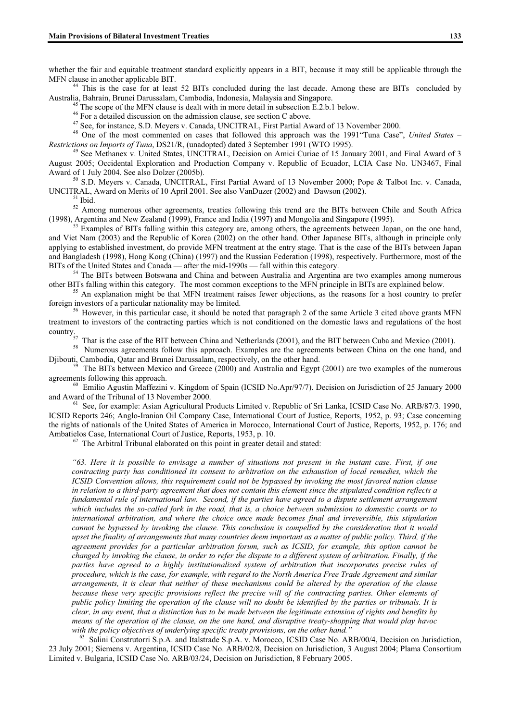whether the fair and equitable treatment standard explicitly appears in a BIT, because it may still be applicable through the

MFN clause in another applicable BIT.<br><sup>44</sup> This is the case for at least 52 BITs concluded during the last decade. Among these are BITs concluded by<br>Australia, Bahrain, Brunei Darussalam, Cambodia, Indonesia, Malaysia and

The scope of the MFN clause is dealt with in more detail in subsection E.2.b.1 below.

<sup>46</sup> For a detailed discussion on the admission clause, see section C above.

<sup>47</sup> See, for instance, S.D. Meyers v. Canada, UNCITRAL, First Partial Award of 13 November 2000.

<sup>48</sup> One of the most commented on cases that followed this approach was the 1991 Tuna Case", *United States –*<br>Restrictions on Imports of Tuna, DS21/R, (unadopted) dated 3 September 1991 (WTO 1995).

<sup>49</sup> See Methanex v. United States, UNCITRAL, Decision on Amici Curiae of 15 January 2001, and Final Award of 3 August 2005; Occidental Exploration and Production Company v. Republic of Ecuador, LCIA Case No. UN3467, Final

 $^{50}$  S.D. Meyers v. Canada, UNCITRAL, First Partial Award of 13 November 2000; Pope & Talbot Inc. v. Canada, UNCITRAL, Award on Merits of 10 April 2001. See also VanDuzer (2002) and Dawson (2002). 51 Ibid.

<sup>52</sup> Among numerous other agreements, treaties following this trend are the BITs between Chile and South Africa (1998), Argentina and New Zealand (1999), France and India (1997) and Mongolia and Singapore (1995).<br><sup>53</sup> Examples of BITs falling within this category are, among others, the agreements between Japan, on the one hand,

and Viet Nam (2003) and the Republic of Korea (2002) on the other hand. Other Japanese BITs, although in principle only applying to established investment, do provide MFN treatment at the entry stage. That is the case of the BITs between Japan and Bangladesh (1998), Hong Kong (China) (1997) and the Russian Federation (1998), respectively. Furthermore, most of the BITs of the United States and Canada — after the mid-1990s — fall within this category.

 $54$  The BITs between Botswana and China and between Australia and Argentina are two examples among numerous other BITs falling within this category. The most common exceptions to the MFN principle in BITs are explained below.<br><sup>55</sup> An explanation might be that MFN treatment raises fewer objections, as the reasons for a host count

foreign investors of a particular nationality may be limited.<br><sup>56</sup> However, in this particular case, it should be noted that paragraph 2 of the same Article 3 cited above grants MFN

treatment to investors of the contracting parties which is not conditioned on the domestic laws and regulations of the host country.<br><sup>57</sup> That is the case of the BIT between China and Netherlands (2001), and the BIT between Cuba and Mexico (2001).

<sup>58</sup> Numerous agreements follow this approach. Examples are the agreements between China on the one hand, and Djibouti, Cambodia, Qatar and Brunei Darussalam, respectively, on the other hand.<br><sup>59</sup> The BITs between Mexico and Greece (2000) and Australia and Egypt (2001) are two examples of the numerous

agreements following this approach.<br>
<sup>60</sup> Emilio Agustin Maffezini v. Kingdom of Spain (ICSID No.Apr/97/7). Decision on Jurisdiction of 25 January 2000<br>
and Award of the Tribunal of 13 November 2000.

<sup>61</sup> See, for example: Asian Agricultural Products Limited v. Republic of Sri Lanka, ICSID Case No. ARB/87/3. 1990, ICSID Reports 246; Anglo-Iranian Oil Company Case, International Court of Justice, Reports, 1952, p. 93; Case concerning the rights of nationals of the United States of America in Morocco, International Court of Justice, Reports, 1952, p. 176; and Ambatielos Case, International Court of Justice, Reports, 1953, p. 10.<br><sup>62</sup> The Arbitral Tribunal elaborated on this point in greater detail and stated:

*"63. Here it is possible to envisage a number of situations not present in the instant case. First, if one contracting party has conditioned its consent to arbitration on the exhaustion of local remedies, which the ICSID Convention allows, this requirement could not be bypassed by invoking the most favored nation clause in relation to a third-party agreement that does not contain this element since the stipulated condition reflects a fundamental rule of international law. Second, if the parties have agreed to a dispute settlement arrangement which includes the so-called fork in the road, that is, a choice between submission to domestic courts or to international arbitration, and where the choice once made becomes final and irreversible, this stipulation cannot be bypassed by invoking the clause. This conclusion is compelled by the consideration that it would upset the finality of arrangements that many countries deem important as a matter of public policy. Third, if the agreement provides for a particular arbitration forum, such as ICSID, for example, this option cannot be changed by invoking the clause, in order to refer the dispute to a different system of arbitration. Finally, if the parties have agreed to a highly institutionalized system of arbitration that incorporates precise rules of procedure, which is the case, for example, with regard to the North America Free Trade Agreement and similar arrangements, it is clear that neither of these mechanisms could be altered by the operation of the clause because these very specific provisions reflect the precise will of the contracting parties. Other elements of public policy limiting the operation of the clause will no doubt be identified by the parties or tribunals. It is clear, in any event, that a distinction has to be made between the legitimate extension of rights and benefits by means of the operation of the clause, on the one hand, and disruptive treaty-shopping that would play havoc* 

<sup>63</sup> Salini Construtorri S.p.A. and Italstrade S.p.A. v. Morocco, ICSID Case No. ARB/00/4, Decision on Jurisdiction, 23 July 2001; Siemens v. Argentina, ICSID Case No. ARB/02/8, Decision on Jurisdiction, 3 August 2004; Plama Consortium Limited v. Bulgaria, ICSID Case No. ARB/03/24, Decision on Jurisdiction, 8 February 2005.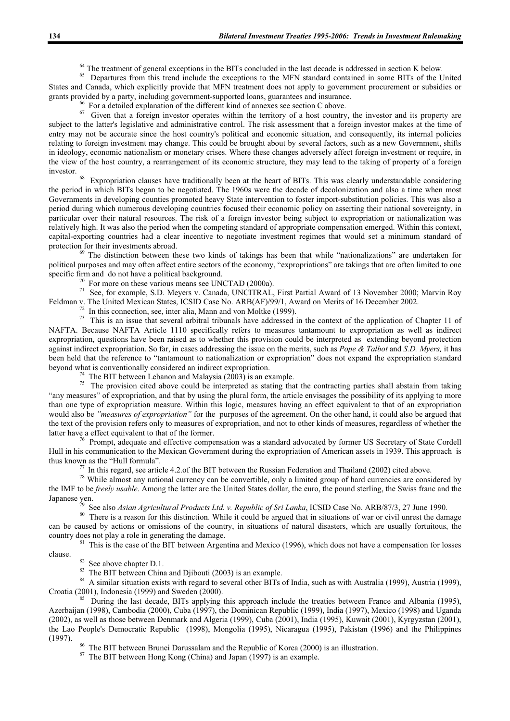<sup>64</sup> The treatment of general exceptions in the BITs concluded in the last decade is addressed in section K below.

<sup>65</sup> Departures from this trend include the exceptions to the MFN standard contained in some BITs of the United States and Canada, which explicitly provide that MFN treatment does not apply to government procurement or subsidies or grants provided by a party, including government-supported loans, guarantees and insurance. <sup>66</sup> For a detailed explanation of the different kind of annexes see section C above.

 $\frac{67}{100}$  Given that a foreign investor operates within the territory of a host country, the investor and its property are subject to the latter's legislative and administrative control. The risk assessment that a foreign investor makes at the time of entry may not be accurate since the host country's political and economic situation, and consequently, its internal policies relating to foreign investment may change. This could be brought about by several factors, such as a new Government, shifts in ideology, economic nationalism or monetary crises. Where these changes adversely affect foreign investment or require, in the view of the host country, a rearrangement of its economic structure, they may lead to the taking of property of a foreign

 $68$  Expropriation clauses have traditionally been at the heart of BITs. This was clearly understandable considering the period in which BITs began to be negotiated. The 1960s were the decade of decolonization and also a time when most Governments in developing counties promoted heavy State intervention to foster import-substitution policies. This was also a period during which numerous developing countries focused their economic policy on asserting their national sovereignty, in particular over their natural resources. The risk of a foreign investor being subject to expropriation or nationalization was relatively high. It was also the period when the competing standard of appropriate compensation emerged. Within this context, capital-exporting countries had a clear incentive to negotiate investment regimes that would set a minimum standard of protection for their investments abroad.<br><sup>69</sup> The distinction between these two kinds of takings has been that while "nationalizations" are undertaken for

political purposes and may often affect entire sectors of the economy, "expropriations" are takings that are often limited to one specific firm and do not have a political background.<br><sup>70</sup> For more on these various means see UNCTAD (2000a).

 $71$  See, for example, S.D. Meyers v. Canada, UNCITRAL, First Partial Award of 13 November 2000; Marvin Roy Feldman v. The United Mexican States, ICSID Case No. ARB(AF)/99/1, Award on Merits of 16 December 2002.<br><sup>72</sup> In this connection, see, inter alia, Mann and von Moltke (1999).

 $73$  This is an issue that several arbitral tribunals have addressed in the context of the application of Chapter 11 of NAFTA. Because NAFTA Article 1110 specifically refers to measures tantamount to expropriation as well as indirect expropriation, questions have been raised as to whether this provision could be interpreted as extending beyond protection against indirect expropriation. So far, in cases addressing the issue on the merits, such as *Pope & Talbot* and *S.D. Myers,* it has been held that the reference to "tantamount to nationalization or expropriation" does not expand the expropriation standard beyond what is conventionally considered an indirect expropriation. 74 The BIT between Lebanon and Malaysia (2003) is an example.

 $75$  The provision cited above could be interpreted as stating that the contracting parties shall abstain from taking "any measures" of expropriation, and that by using the plural form, the article envisages the possibility of its applying to more than one type of expropriation measure. Within this logic, measures having an effect equivalent to that of an expropriation would also be *"measures of expropriation"* for the purposes of the agreement. On the other hand, it could also be argued that the text of the provision refers only to measures of expropriation, and not to other kinds of measures, regardless of whether the latter have a effect equivalent to that of the former.<br><sup>76</sup> Prompt, adequate and effective compensation was a standard advocated by former US Secretary of State Cordell

Hull in his communication to the Mexican Government during the expropriation of American assets in 1939. This approach is thus known as the "Hull formula".<br><sup>77</sup> In this regard, see article 4.2.of the BIT between the Russian Federation and Thailand (2002) cited above.<br><sup>78</sup> While almost any national currency can be convertible, only a limited

the IMF to be *freely usable*. Among the latter are the United States dollar, the euro, the pound sterling, the Swiss franc and the Japanese yen.

<sup>79</sup> See also *Asian Agricultural Products Ltd. v. Republic of Sri Lanka*, ICSID Case No. ARB/87/3, 27 June 1990.<br><sup>80</sup> There is a reason for this distinction. While it could be argued that in situations of war or civil un can be caused by actions or omissions of the country, in situations of natural disasters, which are usually fortuitous, the

country does not play a role in generating the damage.<br><sup>81</sup> This is the case of the BIT between Argentina and Mexico (1996), which does not have a compensation for losses clause. 82 See above chapter D.1.

<sup>83</sup> The BIT between China and Djibouti (2003) is an example.

<sup>84</sup> A similar situation exists with regard to several other BITs of India, such as with Australia (1999), Austria (1999), Croatia (2001), Indonesia (1999) and Sweden (2000).

During the last decade. BITs applying this approach include the treaties between France and Albania (1995). Azerbaijan (1998), Cambodia (2000), Cuba (1997), the Dominican Republic (1999), India (1997), Mexico (1998) and Uganda (2002), as well as those between Denmark and Algeria (1999), Cuba (2001), India (1995), Kuwait (2001), Kyrgyzstan (2001), the Lao People's Democratic Republic (1998), Mongolia (1995), Nicaragua (1995), Pakistan (1996) and the Philippines (1997). 86 The BIT between Brunei Darussalam and the Republic of Korea (2000) is an illustration.

 $87$  The BIT between Hong Kong (China) and Japan (1997) is an example.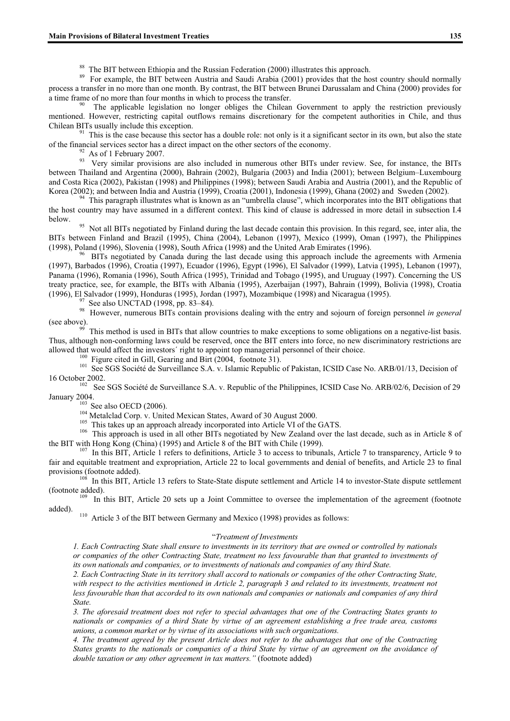<sup>88</sup> The BIT between Ethiopia and the Russian Federation (2000) illustrates this approach.<br><sup>89</sup> Equipment of the BIT between Austria and Saudi Arabia (2001) provides that the hea

89 For example, the BIT between Austria and Saudi Arabia (2001) provides that the host country should normally process a transfer in no more than one month. By contrast, the BIT between Brunei Darussalam and China (2000) provides for

The applicable legislation no longer obliges the Chilean Government to apply the restriction previously mentioned. However, restricting capital outflows remains discretionary for the competent authorities in Chile, and thus Chilean BITs usually include this exception.

<sup>91</sup> This is the case because this sector has a double role: not only is it a significant sector in its own, but also the state of the financial services sector has a direct impact on the other sectors of the economy.<br><sup>92</sup> As of 1 February 2007.

<sup>93</sup> Very similar provisions are also included in numerous other BITs under review. See, for instance, the BITs between Thailand and Argentina (2000), Bahrain (2002), Bulgaria (2003) and India (2001); between Belgium–Luxembourg and Costa Rica (2002), Pakistan (1998) and Philippines (1998); between Saudi Arabia and Austria (2001), and the Republic of Korea (2002); and between India and Austria (1999), Croatia (2001), Indonesia (1999), Ghana (2002)

<sup>94</sup> This paragraph illustrates what is known as an "umbrella clause", which incorporates into the BIT obligations that the host country may have assumed in a different context. This kind of clause is addressed in more detail in subsection I.4 below. <sup>95</sup> Not all BITs negotiated by Finland during the last decade contain this provision. In this regard, see, inter alia, the

BITs between Finland and Brazil (1995), China (2004), Lebanon (1997), Mexico (1999), Oman (1997), the Philippines (1998), Poland (1996), Slovenia (1998), South Africa (1998) and the United Arab Emirates (1996). 96 BITs negotiated by Canada during the last decade using this approach include the agreements with Armenia

(1997), Barbados (1996), Croatia (1997), Ecuador (1996), Egypt (1996), El Salvador (1999), Latvia (1995), Lebanon (1997), Panama (1996), Romania (1996), South Africa (1995), Trinidad and Tobago (1995), and Uruguay (1997). Concerning the US treaty practice, see, for example, the BITs with Albania (1995), Azerbaijan (1997), Bahrain (1999), Bolivia (1998), Croatia (1996), El Salvador (1999), Honduras (1995), Jordan (1997), Mozambique (1998) and Nicaragua (1995). 97 See also UNCTAD (1998, pp. 83–84).

98 However, numerous BITs contain provisions dealing with the entry and sojourn of foreign personnel *in general* 

(see above).<br><sup>99</sup> This method is used in BITs that allow countries to make exceptions to some obligations on a negative-list basis. Thus, although non-conforming laws could be reserved, once the BIT enters into force, no new discriminatory restrictions are

allowed that would affect the investors' right to appoint top managerial personnel of their choice.<br><sup>100</sup> Figure cited in Gill, Gearing and Birt (2004, footnote 31).<br><sup>101</sup> See SGS Société de Surveillance S.A. v. Islamic Re

16 October 2002.<br><sup>102</sup> See SGS Société de Surveillance S.A. v. Republic of the Philippines, ICSID Case No. ARB/02/6, Decision of 29 January 2004.<br>
<sup>103</sup> See also OECD (2006).<br>
<sup>104</sup> Metalclad Corp. v. United Mexican States, Award of 30 August 2000.<br>
<sup>105</sup> This takes up an approach already incorporated into Article VI of the GATS.<br>
<sup>106</sup> This approach

the BIT with Hong Kong (China) (1995) and Article 8 of the BIT with Chile (1999).<br><sup>107</sup> In this BIT, Article 1 refers to definitions, Article 3 to access to tribunals, Article 7 to transparency, Article 9 to fair and equitable treatment and expropriation, Article 22 to local governments and denial of benefits, and Article 23 to final provisions (footnote added).

<sup>108</sup> In this BIT, Article 13 refers to State-State dispute settlement and Article 14 to investor-State dispute settlement (footnote added).

In this BIT, Article 20 sets up a Joint Committee to oversee the implementation of the agreement (footnote added). <sup>110</sup> Article 3 of the BIT between Germany and Mexico (1998) provides as follows:

#### "*Treatment of Investments*

*1. Each Contracting State shall ensure to investments in its territory that are owned or controlled by nationals or companies of the other Contracting State, treatment no less favourable than that granted to investments of its own nationals and companies, or to investments of nationals and companies of any third State.* 

*2. Each Contracting State in its territory shall accord to nationals or companies of the other Contracting State,*  with respect to the activities mentioned in Article 2, paragraph 3 and related to its investments, treatment not *less favourable than that accorded to its own nationals and companies or nationals and companies of any third State.*

*3. The aforesaid treatment does not refer to special advantages that one of the Contracting States grants to nationals or companies of a third State by virtue of an agreement establishing a free trade area, customs unions, a common market or by virtue of its associations with such organizations.* 

*4. The treatment agreed by the present Article does not refer to the advantages that one of the Contracting States grants to the nationals or companies of a third State by virtue of an agreement on the avoidance of double taxation or any other agreement in tax matters."* (footnote added)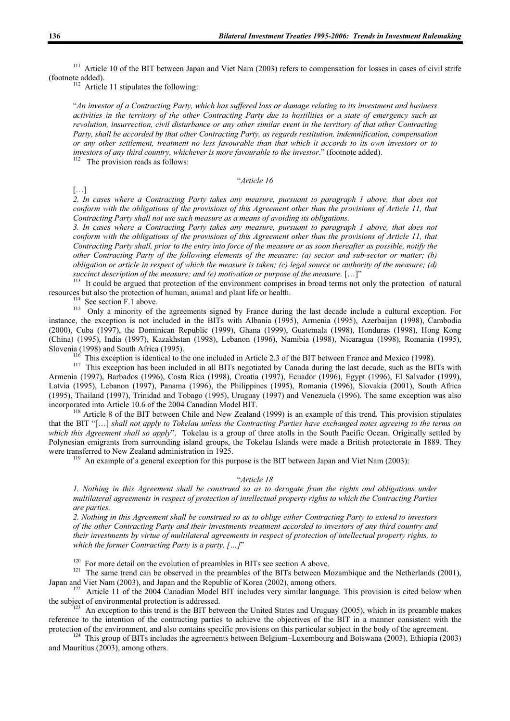<sup>111</sup> Article 10 of the BIT between Japan and Viet Nam (2003) refers to compensation for losses in cases of civil strife (footnote added).<br> $112$  Article 11 stipulates the following:

"*An investor of a Contracting Party, which has suffered loss or damage relating to its investment and business activities in the territory of the other Contracting Party due to hostilities or a state of emergency such as revolution, insurrection, civil disturbance or any other similar event in the territory of that other Contracting Party, shall be accorded by that other Contracting Party, as regards restitution, indemnification, compensation or any other settlement, treatment no less favourable than that which it accords to its own investors or to investors of any third country, whichever is more favourable to the investor.*" (footnote added).<br><sup>112</sup> The provision reads as follows:

### "*Article 16*

 $[\ldots]$ 

*2. In cases where a Contracting Party takes any measure, pursuant to paragraph 1 above, that does not conform with the obligations of the provisions of this Agreement other than the provisions of Article 11, that Contracting Party shall not use such measure as a means of avoiding its obligations.* 

*3. In cases where a Contracting Party takes any measure, pursuant to paragraph 1 above, that does not conform with the obligations of the provisions of this Agreement other than the provisions of Article 11, that Contracting Party shall, prior to the entry into force of the measure or as soon thereafter as possible, notify the other Contracting Party of the following elements of the measure: (a) sector and sub-sector or matter; (b) obligation or article in respect of which the measure is taken; (c) legal source or authority of the measure; (d) succinct description of the measure; and (e) motivation or purpose of the measure.* [...]"

<sup>113</sup> It could be argued that protection of the environment comprises in broad terms not only the protection of natural resources but also the protection of human, animal and plant life or health.

<sup>114</sup> See section F.1 above. **Computer of the agreements signed by France during the last decade include a cultural exception. For**  $\frac{115}{115}$  **Only a minority of the agreements signed by France during the last decade in** instance, the exception is not included in the BITs with Albania (1995), Armenia (1995), Azerbaijan (1998), Cambodia (2000), Cuba (1997), the Dominican Republic (1999), Ghana (1999), Guatemala (1998), Honduras (1998), Hong Kong (China) (1995), India (1997), Kazakhstan (1998), Lebanon (1996), Namibia (1998), Nicaragua (1998), Romania (1995), Slovenia (1998) and South Africa (1995).<br><sup>116</sup> This exception is identical to the one included in Article 2.3 of the BIT between France and Mexico (1998).<br><sup>117</sup> This exception has been included in all BITs negotiated by Ca

Armenia (1997), Barbados (1996), Costa Rica (1998), Croatia (1997), Ecuador (1996), Egypt (1996), El Salvador (1999), Latvia (1995), Lebanon (1997), Panama (1996), the Philippines (1995), Romania (1996), Slovakia (2001), South Africa (1995), Thailand (1997), Trinidad and Tobago (1995), Uruguay (1997) and Venezuela (1996). The same exception was also

<sup>3</sup> Article 8 of the BIT between Chile and New Zealand (1999) is an example of this trend. This provision stipulates that the BIT "[…] *shall not apply to Tokelau unless the Contracting Parties have exchanged notes agreeing to the terms on which this Agreement shall so apply*". Tokelau is a group of three atolls in the South Pacific Ocean. Originally settled by Polynesian emigrants from surrounding island groups, the Tokelau Islands were made a British protectorate in 1889. They were transferred to New Zealand administration in 1925.<br><sup>119</sup> An example of a general exception for this purpose is the BIT between Japan and Viet Nam (2003):

#### "*Article 18*

*1. Nothing in this Agreement shall be construed so as to derogate from the rights and obligations under multilateral agreements in respect of protection of intellectual property rights to which the Contracting Parties are parties.* 

*2. Nothing in this Agreement shall be construed so as to oblige either Contracting Party to extend to investors of the other Contracting Party and their investments treatment accorded to investors of any third country and their investments by virtue of multilateral agreements in respect of protection of intellectual property rights, to which the former Contracting Party is a party. […]*"

<sup>120</sup> For more detail on the evolution of preambles in BITs see section A above.<br><sup>121</sup> The same trend can be observed in the preambles of the BITs between Mozambique and the Netherlands (2001), Japan and Viet Nam (2003), and Japan and the Republic of Korea (2002), among others.<br><sup>122</sup> Article 11 of the 2004 Canadian Model BIT includes very similar language. This provision is cited below when

the subject of environmental protection is addressed.<br>
<sup>123</sup> An exception to this trend is the BIT between the United States and Uruguay (2005), which in its preamble makes

reference to the intention of the contracting parties to achieve the objectives of the BIT in a manner consistent with the protection of the environment, and also contains specific provisions on this particular subject in

<sup>124</sup> This group of BITs includes the agreements between Belgium–Luxembourg and Botswana (2003), Ethiopia (2003) and Mauritius (2003), among others.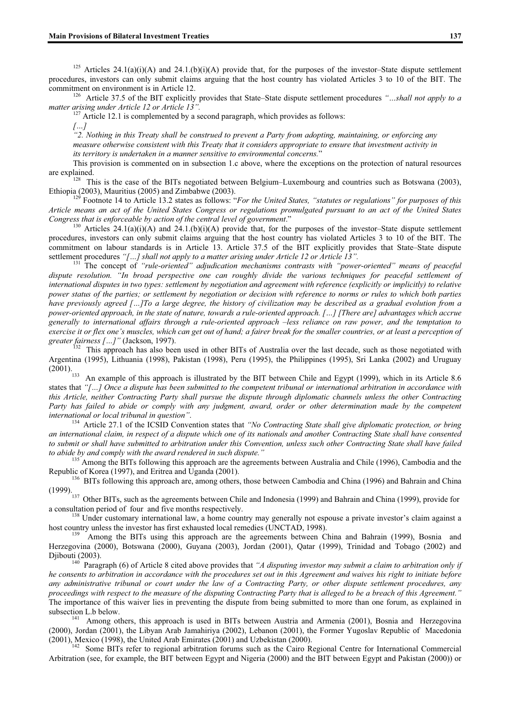<sup>125</sup> Articles 24.1(a)(i)(A) and 24.1.(b)(i)(A) provide that, for the purposes of the investor–State dispute settlement procedures, investors can only submit claims arguing that the host country has violated Articles 3 to 10 of the BIT. The commitment on environment is in Article 12.<br><sup>126</sup> Article 37.5 of the BIT explicitly provides that State–State dispute settlement procedures *"…shall not apply to a* 

*matter arising under Article 12 or Article 13"*.<br><sup>127</sup> Article 12.1 is complemented by a second paragraph, which provides as follows:

*[…]*

*"2. Nothing in this Treaty shall be construed to prevent a Party from adopting, maintaining, or enforcing any measure otherwise consistent with this Treaty that it considers appropriate to ensure that investment activity in its territory is undertaken in a manner sensitive to environmental concerns.*"

This provision is commented on in subsection 1.c above, where the exceptions on the protection of natural resources

are explained.<br><sup>128</sup> This is the case of the BITs negotiated between Belgium–Luxembourg and countries such as Botswana (2003),<br>Ethiopia (2003), Mauritius (2005) and Zimbabwe (2003).

<sup>129</sup> Footnote 14 to Article 13.2 states as follows: "*For the United States, "statutes or regulations" for purposes of this Article means an act of the United States Congress or regulations promulgated pursuant to an act of the United States* 

 $C_{130}$  Articles 24.1(a)(i)(A) and 24.1.(b)(i)(A) provide that, for the purposes of the investor–State dispute settlement procedures, investors can only submit claims arguing that the host country has violated Articles 3 to 10 of the BIT. The commitment on labour standards is in Article 13. Article 37.5 of the BIT explicitly provides that State–State dispute settlement procedures "[...] shall not apply to a matter arising under Article 12 or Article 13".

The concept of "rule-oriented" adjudication mechanisms contrasts with "power-oriented" means of peaceful dispute resolution. "In broad perspective one can roughly divide the various techniques for peaceful settlement of *international disputes in two types: settlement by negotiation and agreement with reference (explicitly or implicitly) to relative power status of the parties; or settlement by negotiation or decision with reference to norms or rules to which both parties have previously agreed […]To a large degree, the history of civilization may be described as a gradual evolution from a power-oriented approach, in the state of nature, towards a rule-oriented approach. […] [There are] advantages which accrue generally to international affairs through a rule-oriented approach –less reliance on raw power, and the temptation to exercise it or flex one's muscles, which can get out of hand; a fairer break for the smaller countries, or at least a perception of greater fairness […]*" (Jackson, 1997).<br><sup>132</sup> This approach has also been used in other BITs of Australia over the last decade, such as those negotiated with

Argentina (1995), Lithuania (1998), Pakistan (1998), Peru (1995), the Philippines (1995), Sri Lanka (2002) and Uruguay (2001).

An example of this approach is illustrated by the BIT between Chile and Egypt (1999), which in its Article 8.6 states that *"[…] Once a dispute has been submitted to the competent tribunal or international arbitration in accordance with this Article, neither Contracting Party shall pursue the dispute through diplomatic channels unless the other Contracting Party has failed to abide or comply with any judgment, award, order or other determination made by the competent international or local tribunal in question"*.<br><sup>134</sup> Article 27.1 of the ICSID Convention states that *"No Contracting State shall give diplomatic protection, or bring* 

*an international claim, in respect of a dispute which one of its nationals and another Contracting State shall have consented to submit or shall have submitted to arbitration under this Convention, unless such other Contracting State shall have failed* 

*to abide by and comply with the award rendered in such dispute."*<br><sup>135</sup> Among the BITs following this approach are the agreements between Australia and Chile (1996), Cambodia and the<br><sup>136</sup> BITs following this cause of

BITs following this approach are, among others, those between Cambodia and China (1996) and Bahrain and China

(1999).<br><sup>137</sup> Other BITs, such as the agreements between Chile and Indonesia (1999) and Bahrain and China (1999), provide for

a consultation period of four and five months respectively.<br><sup>138</sup> Under customary international law, a home country may generally not espouse a private investor's claim against a<br>host country unless the investor has first

 $h^{139}$  Among the BITs using this approach are the agreements between China and Bahrain (1999), Bosnia and Herzegovina (2000), Botswana (2000), Guyana (2003), Jordan (2001), Qatar (1999), Trinidad and Tobago (2002) and Djibouti (2003).<br> $\frac{140 \text{ Dergor graph (6) of Article 8 cited above provides that "4 disputing investor may submit a claim to arbitrary only if}$ 

Paragraph (6) of Article 8 cited above provides that *"A disputing investor may submit a claim to arbitration only if he consents to arbitration in accordance with the procedures set out in this Agreement and waives his right to initiate before any administrative tribunal or court under the law of a Contracting Party, or other dispute settlement procedures, any proceedings with respect to the measure of the disputing Contracting Party that is alleged to be a breach of this Agreement."* The importance of this waiver lies in preventing the dispute from being submitted to more than one forum, as explained in

subsection L.b below.<br><sup>141</sup> Among others, this approach is used in BITs between Austria and Armenia (2001), Bosnia and Herzegovina (2000), Jordan (2001), the Libyan Arab Jamahiriya (2002), Lebanon (2001), the Former Yugoslav Republic of Macedonia  $(2001)$ , Mexico (1998), the United Arab Emirates (2001) and Uzbekistan (2000).<br><sup>142</sup> Some BITs refer to regional arbitration forums such as the Cairo Regional Centre for International Commercial

Arbitration (see, for example, the BIT between Egypt and Nigeria (2000) and the BIT between Egypt and Pakistan (2000)) or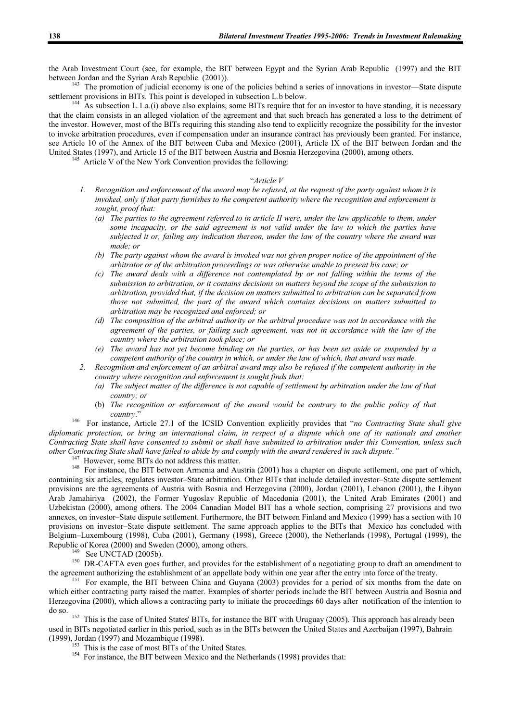the Arab Investment Court (see, for example, the BIT between Egypt and the Syrian Arab Republic (1997) and the BIT between Jordan and the Syrian Arab Republic (2001)).<br><sup>143</sup> The promotion of judicial economy is one of the policies behind a series of innovations in investor—State dispute

settlement provisions in BITs. This point is developed in subsection L.b below.<br><sup>144</sup> As subsection L.1.a.(i) above also explains, some BITs require that for an investor to have standing, it is necessary

that the claim consists in an alleged violation of the agreement and that such breach has generated a loss to the detriment of the investor. However, most of the BITs requiring this standing also tend to explicitly recognize the possibility for the investor to invoke arbitration procedures, even if compensation under an insurance contract has previously been granted. For instance, see Article 10 of the Annex of the BIT between Cuba and Mexico (2001), Article IX of the BIT between Jordan and the United States (1997), and Article 15 of the BIT between Austria and Bosnia Herzegovina (2000), among others.<br><sup>145</sup> Article V of the New York Convention provides the following:

### "*Article V*

- *1. Recognition and enforcement of the award may be refused, at the request of the party against whom it is invoked, only if that party furnishes to the competent authority where the recognition and enforcement is sought, proof that:* 
	- *(a) The parties to the agreement referred to in article II were, under the law applicable to them, under some incapacity, or the said agreement is not valid under the law to which the parties have subjected it or, failing any indication thereon, under the law of the country where the award was made; or*
	- *(b) The party against whom the award is invoked was not given proper notice of the appointment of the arbitrator or of the arbitration proceedings or was otherwise unable to present his case; or*
	- *(c) The award deals with a difference not contemplated by or not falling within the terms of the submission to arbitration, or it contains decisions on matters beyond the scope of the submission to arbitration, provided that, if the decision on matters submitted to arbitration can be separated from those not submitted, the part of the award which contains decisions on matters submitted to arbitration may be recognized and enforced; or*
	- *(d) The composition of the arbitral authority or the arbitral procedure was not in accordance with the agreement of the parties, or failing such agreement, was not in accordance with the law of the country where the arbitration took place; or*
	- *(e) The award has not yet become binding on the parties, or has been set aside or suspended by a competent authority of the country in which, or under the law of which, that award was made.*
- *2. Recognition and enforcement of an arbitral award may also be refused if the competent authority in the country where recognition and enforcement is sought finds that:* 
	- *(a) The subject matter of the difference is not capable of settlement by arbitration under the law of that country; or*
	- (b) *The recognition or enforcement of the award would be contrary to the public policy of that*

*country*." 146 For instance, Article 27.1 of the ICSID Convention explicitly provides that "*no Contracting State shall give diplomatic protection, or bring an international claim, in respect of a dispute which one of its nationals and another Contracting State shall have consented to submit or shall have submitted to arbitration under this Convention, unless such*  other Contracting State shall have failed to abide by and comply with the award rendered in such dispute."<br><sup>147</sup> However, some BITs do not address this matter.<br><sup>148</sup> For instance, the BIT between Armenia and Austria (2001)

containing six articles, regulates investor–State arbitration. Other BITs that include detailed investor–State dispute settlement provisions are the agreements of Austria with Bosnia and Herzegovina (2000), Jordan (2001), Lebanon (2001), the Libyan Arab Jamahiriya (2002), the Former Yugoslav Republic of Macedonia (2001), the United Arab Emirates (2001) and Uzbekistan (2000), among others. The 2004 Canadian Model BIT has a whole section, comprising 27 provisions and two annexes, on investor–State dispute settlement. Furthermore, the BIT between Finland and Mexico (1999) has a section with 10 provisions on investor–State dispute settlement. The same approach applies to the BITs that Mexico has concluded with Belgium–Luxembourg (1998), Cuba (2001), Germany (1998), Greece (2000), the Netherlands (1998), Portugal (1999), the

Republic of Korea (2000) and Sweden (2000), among others.<br><sup>149</sup> See UNCTAD (2005b).<br><sup>150</sup> DR-CAFTA even goes further, and provides for the establishment of a negotiating group to draft an amendment to the agreement authorizing the establishment of an appellate body within one year after the entry into force of the treaty.<br>
For example, the BIT between China and Guyana (2003) provides for a period of six months from the

which either contracting party raised the matter. Examples of shorter periods include the BIT between Austria and Bosnia and Herzegovina (2000), which allows a contracting party to initiate the proceedings 60 days after notification of the intention to

do so. 152 This is the case of United States' BITs, for instance the BIT with Uruguay (2005). This approach has already been used in BITs negotiated earlier in this period, such as in the BITs between the United States and Azerbaijan (1997), Bahrain (1999), Jordan (1997) and Mozambique (1998).<br><sup>153</sup> This is the case of most BITs of the United States.<br><sup>154</sup> For instance, the BIT between Mexico and the Netherlands (1998) provides that: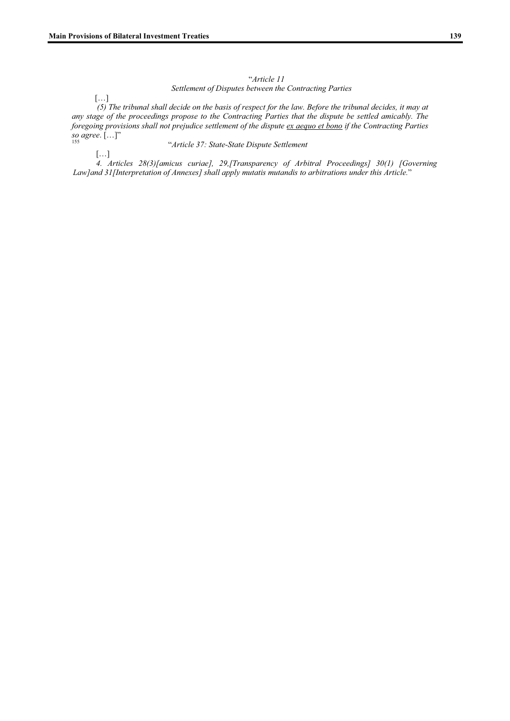# "*Article 11*

### *Settlement of Disputes between the Contracting Parties*

[…]

 *(5) The tribunal shall decide on the basis of respect for the law. Before the tribunal decides, it may at any stage of the proceedings propose to the Contracting Parties that the dispute be settled amicably. The foregoing provisions shall not prejudice settlement of the dispute <u>ex aequo et bono</u> if the Contracting Parties so agree. [...]"* 

*so agree*. […]" 155 "*Article 37: State-State Dispute Settlement* 

[…] *4. Articles 28(3)[amicus curiae], 29,[Transparency of Arbitral Proceedings] 30(1) [Governing Law]and 31[Interpretation of Annexes] shall apply mutatis mutandis to arbitrations under this Article.*"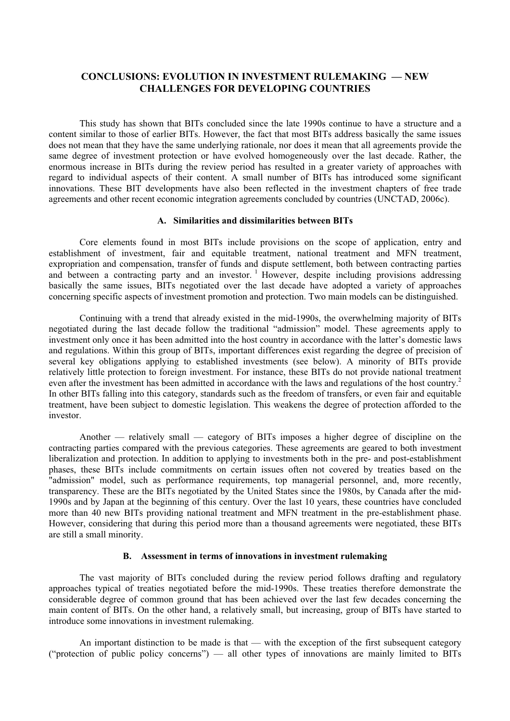# **CONCLUSIONS: EVOLUTION IN INVESTMENT RULEMAKING — NEW CHALLENGES FOR DEVELOPING COUNTRIES**

This study has shown that BITs concluded since the late 1990s continue to have a structure and a content similar to those of earlier BITs. However, the fact that most BITs address basically the same issues does not mean that they have the same underlying rationale, nor does it mean that all agreements provide the same degree of investment protection or have evolved homogeneously over the last decade. Rather, the enormous increase in BITs during the review period has resulted in a greater variety of approaches with regard to individual aspects of their content. A small number of BITs has introduced some significant innovations. These BIT developments have also been reflected in the investment chapters of free trade agreements and other recent economic integration agreements concluded by countries (UNCTAD, 2006c).

## **A. Similarities and dissimilarities between BITs**

Core elements found in most BITs include provisions on the scope of application, entry and establishment of investment, fair and equitable treatment, national treatment and MFN treatment, expropriation and compensation, transfer of funds and dispute settlement, both between contracting parties and between a contracting party and an investor.<sup>1</sup> However, despite including provisions addressing basically the same issues, BITs negotiated over the last decade have adopted a variety of approaches concerning specific aspects of investment promotion and protection. Two main models can be distinguished.

Continuing with a trend that already existed in the mid-1990s, the overwhelming majority of BITs negotiated during the last decade follow the traditional "admission" model. These agreements apply to investment only once it has been admitted into the host country in accordance with the latter's domestic laws and regulations. Within this group of BITs, important differences exist regarding the degree of precision of several key obligations applying to established investments (see below). A minority of BITs provide relatively little protection to foreign investment. For instance, these BITs do not provide national treatment even after the investment has been admitted in accordance with the laws and regulations of the host country.<sup>2</sup> In other BITs falling into this category, standards such as the freedom of transfers, or even fair and equitable treatment, have been subject to domestic legislation. This weakens the degree of protection afforded to the investor.

Another — relatively small — category of BITs imposes a higher degree of discipline on the contracting parties compared with the previous categories. These agreements are geared to both investment liberalization and protection. In addition to applying to investments both in the pre- and post-establishment phases, these BITs include commitments on certain issues often not covered by treaties based on the "admission" model, such as performance requirements, top managerial personnel, and, more recently, transparency. These are the BITs negotiated by the United States since the 1980s, by Canada after the mid-1990s and by Japan at the beginning of this century. Over the last 10 years, these countries have concluded more than 40 new BITs providing national treatment and MFN treatment in the pre-establishment phase. However, considering that during this period more than a thousand agreements were negotiated, these BITs are still a small minority.

### **B. Assessment in terms of innovations in investment rulemaking**

The vast majority of BITs concluded during the review period follows drafting and regulatory approaches typical of treaties negotiated before the mid-1990s. These treaties therefore demonstrate the considerable degree of common ground that has been achieved over the last few decades concerning the main content of BITs. On the other hand, a relatively small, but increasing, group of BITs have started to introduce some innovations in investment rulemaking.

An important distinction to be made is that — with the exception of the first subsequent category ("protection of public policy concerns") — all other types of innovations are mainly limited to BITs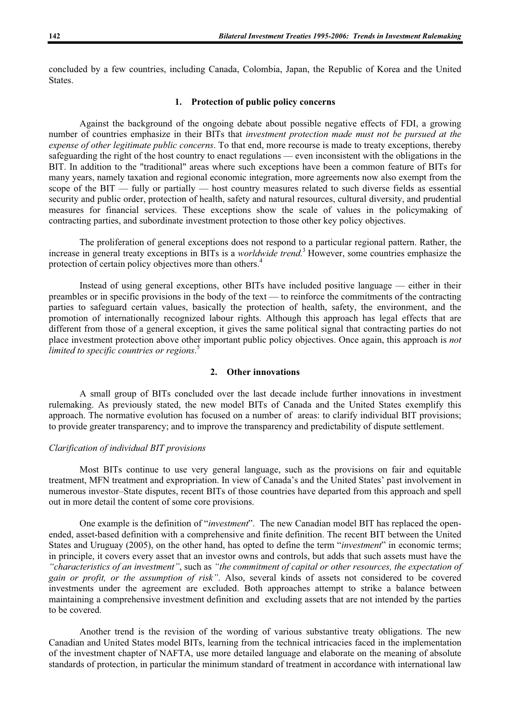concluded by a few countries, including Canada, Colombia, Japan, the Republic of Korea and the United States.

## **1. Protection of public policy concerns**

Against the background of the ongoing debate about possible negative effects of FDI, a growing number of countries emphasize in their BITs that *investment protection made must not be pursued at the expense of other legitimate public concerns*. To that end, more recourse is made to treaty exceptions, thereby safeguarding the right of the host country to enact regulations — even inconsistent with the obligations in the BIT. In addition to the "traditional" areas where such exceptions have been a common feature of BITs for many years, namely taxation and regional economic integration, more agreements now also exempt from the scope of the BIT — fully or partially — host country measures related to such diverse fields as essential security and public order, protection of health, safety and natural resources, cultural diversity, and prudential measures for financial services. These exceptions show the scale of values in the policymaking of contracting parties, and subordinate investment protection to those other key policy objectives.

The proliferation of general exceptions does not respond to a particular regional pattern. Rather, the increase in general treaty exceptions in BITs is a *worldwide trend*. 3 However, some countries emphasize the protection of certain policy objectives more than others.<sup>4</sup>

Instead of using general exceptions, other BITs have included positive language — either in their preambles or in specific provisions in the body of the text — to reinforce the commitments of the contracting parties to safeguard certain values, basically the protection of health, safety, the environment, and the promotion of internationally recognized labour rights. Although this approach has legal effects that are different from those of a general exception, it gives the same political signal that contracting parties do not place investment protection above other important public policy objectives. Once again, this approach is *not limited to specific countries or regions*. 5

### **2. Other innovations**

A small group of BITs concluded over the last decade include further innovations in investment rulemaking. As previously stated, the new model BITs of Canada and the United States exemplify this approach. The normative evolution has focused on a number of areas: to clarify individual BIT provisions; to provide greater transparency; and to improve the transparency and predictability of dispute settlement.

### *Clarification of individual BIT provisions*

Most BITs continue to use very general language, such as the provisions on fair and equitable treatment, MFN treatment and expropriation. In view of Canada's and the United States' past involvement in numerous investor–State disputes, recent BITs of those countries have departed from this approach and spell out in more detail the content of some core provisions.

One example is the definition of "*investment*". The new Canadian model BIT has replaced the openended, asset-based definition with a comprehensive and finite definition. The recent BIT between the United States and Uruguay (2005), on the other hand, has opted to define the term "*investment*" in economic terms; in principle, it covers every asset that an investor owns and controls, but adds that such assets must have the *"characteristics of an investment"*, such as *"the commitment of capital or other resources, the expectation of gain or profit, or the assumption of risk"*. Also, several kinds of assets not considered to be covered investments under the agreement are excluded. Both approaches attempt to strike a balance between maintaining a comprehensive investment definition and excluding assets that are not intended by the parties to be covered.

Another trend is the revision of the wording of various substantive treaty obligations. The new Canadian and United States model BITs, learning from the technical intricacies faced in the implementation of the investment chapter of NAFTA, use more detailed language and elaborate on the meaning of absolute standards of protection, in particular the minimum standard of treatment in accordance with international law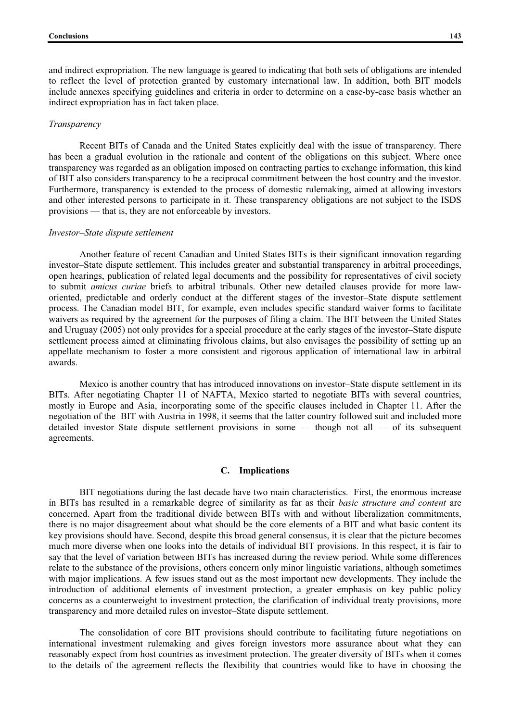and indirect expropriation. The new language is geared to indicating that both sets of obligations are intended to reflect the level of protection granted by customary international law. In addition, both BIT models include annexes specifying guidelines and criteria in order to determine on a case-by-case basis whether an indirect expropriation has in fact taken place.

### *Transparency*

Recent BITs of Canada and the United States explicitly deal with the issue of transparency. There has been a gradual evolution in the rationale and content of the obligations on this subject. Where once transparency was regarded as an obligation imposed on contracting parties to exchange information, this kind of BIT also considers transparency to be a reciprocal commitment between the host country and the investor. Furthermore, transparency is extended to the process of domestic rulemaking, aimed at allowing investors and other interested persons to participate in it. These transparency obligations are not subject to the ISDS provisions — that is, they are not enforceable by investors.

### *Investor–State dispute settlement*

Another feature of recent Canadian and United States BITs is their significant innovation regarding investor–State dispute settlement. This includes greater and substantial transparency in arbitral proceedings, open hearings, publication of related legal documents and the possibility for representatives of civil society to submit *amicus curiae* briefs to arbitral tribunals. Other new detailed clauses provide for more laworiented, predictable and orderly conduct at the different stages of the investor–State dispute settlement process. The Canadian model BIT, for example, even includes specific standard waiver forms to facilitate waivers as required by the agreement for the purposes of filing a claim. The BIT between the United States and Uruguay (2005) not only provides for a special procedure at the early stages of the investor–State dispute settlement process aimed at eliminating frivolous claims, but also envisages the possibility of setting up an appellate mechanism to foster a more consistent and rigorous application of international law in arbitral awards.

Mexico is another country that has introduced innovations on investor–State dispute settlement in its BITs. After negotiating Chapter 11 of NAFTA, Mexico started to negotiate BITs with several countries, mostly in Europe and Asia, incorporating some of the specific clauses included in Chapter 11. After the negotiation of the BIT with Austria in 1998, it seems that the latter country followed suit and included more detailed investor–State dispute settlement provisions in some — though not all — of its subsequent agreements.

### **C. Implications**

BIT negotiations during the last decade have two main characteristics. First, the enormous increase in BITs has resulted in a remarkable degree of similarity as far as their *basic structure and content* are concerned. Apart from the traditional divide between BITs with and without liberalization commitments, there is no major disagreement about what should be the core elements of a BIT and what basic content its key provisions should have. Second, despite this broad general consensus, it is clear that the picture becomes much more diverse when one looks into the details of individual BIT provisions. In this respect, it is fair to say that the level of variation between BITs has increased during the review period. While some differences relate to the substance of the provisions, others concern only minor linguistic variations, although sometimes with major implications. A few issues stand out as the most important new developments. They include the introduction of additional elements of investment protection, a greater emphasis on key public policy concerns as a counterweight to investment protection, the clarification of individual treaty provisions, more transparency and more detailed rules on investor–State dispute settlement.

The consolidation of core BIT provisions should contribute to facilitating future negotiations on international investment rulemaking and gives foreign investors more assurance about what they can reasonably expect from host countries as investment protection. The greater diversity of BITs when it comes to the details of the agreement reflects the flexibility that countries would like to have in choosing the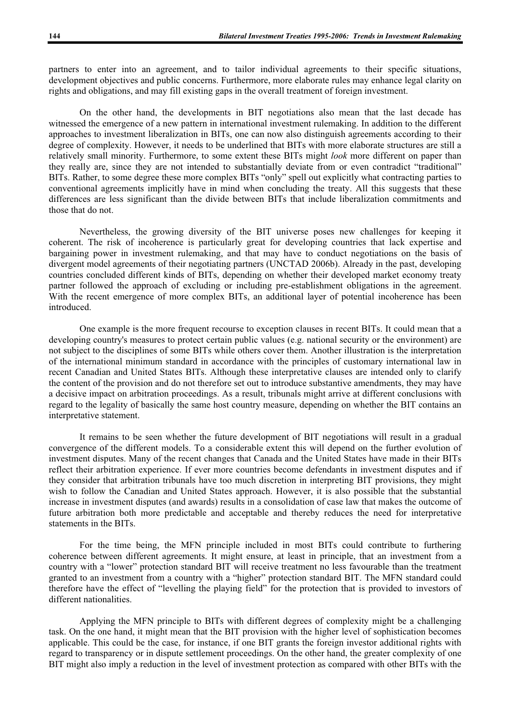partners to enter into an agreement, and to tailor individual agreements to their specific situations, development objectives and public concerns. Furthermore, more elaborate rules may enhance legal clarity on rights and obligations, and may fill existing gaps in the overall treatment of foreign investment.

On the other hand, the developments in BIT negotiations also mean that the last decade has witnessed the emergence of a new pattern in international investment rulemaking. In addition to the different approaches to investment liberalization in BITs, one can now also distinguish agreements according to their degree of complexity. However, it needs to be underlined that BITs with more elaborate structures are still a relatively small minority. Furthermore, to some extent these BITs might *look* more different on paper than they really are, since they are not intended to substantially deviate from or even contradict "traditional" BITs. Rather, to some degree these more complex BITs "only" spell out explicitly what contracting parties to conventional agreements implicitly have in mind when concluding the treaty. All this suggests that these differences are less significant than the divide between BITs that include liberalization commitments and those that do not.

Nevertheless, the growing diversity of the BIT universe poses new challenges for keeping it coherent. The risk of incoherence is particularly great for developing countries that lack expertise and bargaining power in investment rulemaking, and that may have to conduct negotiations on the basis of divergent model agreements of their negotiating partners (UNCTAD 2006b). Already in the past, developing countries concluded different kinds of BITs, depending on whether their developed market economy treaty partner followed the approach of excluding or including pre-establishment obligations in the agreement. With the recent emergence of more complex BITs, an additional layer of potential incoherence has been introduced.

One example is the more frequent recourse to exception clauses in recent BITs. It could mean that a developing country's measures to protect certain public values (e.g. national security or the environment) are not subject to the disciplines of some BITs while others cover them. Another illustration is the interpretation of the international minimum standard in accordance with the principles of customary international law in recent Canadian and United States BITs. Although these interpretative clauses are intended only to clarify the content of the provision and do not therefore set out to introduce substantive amendments, they may have a decisive impact on arbitration proceedings. As a result, tribunals might arrive at different conclusions with regard to the legality of basically the same host country measure, depending on whether the BIT contains an interpretative statement.

It remains to be seen whether the future development of BIT negotiations will result in a gradual convergence of the different models. To a considerable extent this will depend on the further evolution of investment disputes. Many of the recent changes that Canada and the United States have made in their BITs reflect their arbitration experience. If ever more countries become defendants in investment disputes and if they consider that arbitration tribunals have too much discretion in interpreting BIT provisions, they might wish to follow the Canadian and United States approach. However, it is also possible that the substantial increase in investment disputes (and awards) results in a consolidation of case law that makes the outcome of future arbitration both more predictable and acceptable and thereby reduces the need for interpretative statements in the BITs.

For the time being, the MFN principle included in most BITs could contribute to furthering coherence between different agreements. It might ensure, at least in principle, that an investment from a country with a "lower" protection standard BIT will receive treatment no less favourable than the treatment granted to an investment from a country with a "higher" protection standard BIT. The MFN standard could therefore have the effect of "levelling the playing field" for the protection that is provided to investors of different nationalities.

Applying the MFN principle to BITs with different degrees of complexity might be a challenging task. On the one hand, it might mean that the BIT provision with the higher level of sophistication becomes applicable. This could be the case, for instance, if one BIT grants the foreign investor additional rights with regard to transparency or in dispute settlement proceedings. On the other hand, the greater complexity of one BIT might also imply a reduction in the level of investment protection as compared with other BITs with the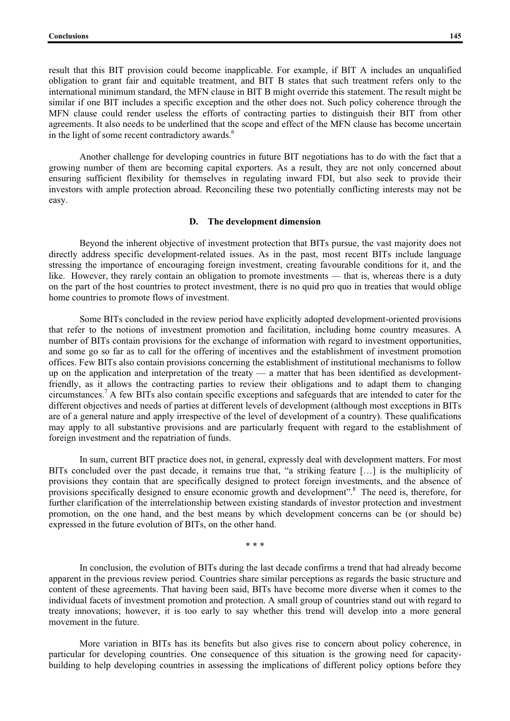in the light of some recent contradictory awards.<sup>6</sup>

result that this BIT provision could become inapplicable. For example, if BIT A includes an unqualified obligation to grant fair and equitable treatment, and BIT B states that such treatment refers only to the international minimum standard, the MFN clause in BIT B might override this statement. The result might be similar if one BIT includes a specific exception and the other does not. Such policy coherence through the MFN clause could render useless the efforts of contracting parties to distinguish their BIT from other agreements. It also needs to be underlined that the scope and effect of the MFN clause has become uncertain

Another challenge for developing countries in future BIT negotiations has to do with the fact that a growing number of them are becoming capital exporters. As a result, they are not only concerned about ensuring sufficient flexibility for themselves in regulating inward FDI, but also seek to provide their investors with ample protection abroad. Reconciling these two potentially conflicting interests may not be easy.

### **D. The development dimension**

Beyond the inherent objective of investment protection that BITs pursue, the vast majority does not directly address specific development-related issues. As in the past, most recent BITs include language stressing the importance of encouraging foreign investment, creating favourable conditions for it, and the like. However, they rarely contain an obligation to promote investments — that is, whereas there is a duty on the part of the host countries to protect investment, there is no quid pro quo in treaties that would oblige home countries to promote flows of investment.

Some BITs concluded in the review period have explicitly adopted development-oriented provisions that refer to the notions of investment promotion and facilitation, including home country measures. A number of BITs contain provisions for the exchange of information with regard to investment opportunities, and some go so far as to call for the offering of incentives and the establishment of investment promotion offices. Few BITs also contain provisions concerning the establishment of institutional mechanisms to follow up on the application and interpretation of the treaty — a matter that has been identified as developmentfriendly, as it allows the contracting parties to review their obligations and to adapt them to changing circumstances.7 A few BITs also contain specific exceptions and safeguards that are intended to cater for the different objectives and needs of parties at different levels of development (although most exceptions in BITs are of a general nature and apply irrespective of the level of development of a country). These qualifications may apply to all substantive provisions and are particularly frequent with regard to the establishment of foreign investment and the repatriation of funds.

In sum, current BIT practice does not, in general, expressly deal with development matters. For most BITs concluded over the past decade, it remains true that, "a striking feature […] is the multiplicity of provisions they contain that are specifically designed to protect foreign investments, and the absence of provisions specifically designed to ensure economic growth and development".<sup>8</sup> The need is, therefore, for further clarification of the interrelationship between existing standards of investor protection and investment promotion, on the one hand, and the best means by which development concerns can be (or should be) expressed in the future evolution of BITs, on the other hand.

\* \* \*

In conclusion, the evolution of BITs during the last decade confirms a trend that had already become apparent in the previous review period. Countries share similar perceptions as regards the basic structure and content of these agreements. That having been said, BITs have become more diverse when it comes to the individual facets of investment promotion and protection. A small group of countries stand out with regard to treaty innovations; however, it is too early to say whether this trend will develop into a more general movement in the future.

More variation in BITs has its benefits but also gives rise to concern about policy coherence, in particular for developing countries. One consequence of this situation is the growing need for capacitybuilding to help developing countries in assessing the implications of different policy options before they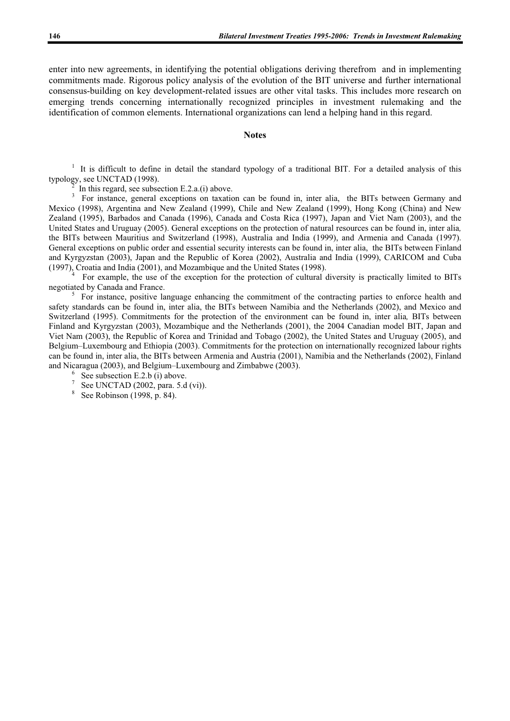enter into new agreements, in identifying the potential obligations deriving therefrom and in implementing commitments made. Rigorous policy analysis of the evolution of the BIT universe and further international consensus-building on key development-related issues are other vital tasks. This includes more research on emerging trends concerning internationally recognized principles in investment rulemaking and the identification of common elements. International organizations can lend a helping hand in this regard.

### **Notes**

<sup>1</sup> It is difficult to define in detail the standard typology of a traditional BIT. For a detailed analysis of this typology, see UNCTAD (1998).

In this regard, see subsection E.2.a.(i) above.

<sup>3</sup> For instance, general exceptions on taxation can be found in, inter alia, the BITs between Germany and Mexico (1998), Argentina and New Zealand (1999), Chile and New Zealand (1999), Hong Kong (China) and New Zealand (1995), Barbados and Canada (1996), Canada and Costa Rica (1997), Japan and Viet Nam (2003), and the United States and Uruguay (2005). General exceptions on the protection of natural resources can be found in, inter alia*,* the BITs between Mauritius and Switzerland (1998), Australia and India (1999), and Armenia and Canada (1997). General exceptions on public order and essential security interests can be found in, inter alia, the BITs between Finland and Kyrgyzstan (2003), Japan and the Republic of Korea (2002), Australia and India (1999), CARICOM and Cuba (1997), Croatia and India (2001), and Mozambique and the United States (1998). 4 For example, the use of the exception for the protection of cultural diversity is practically limited to BITs

negotiated by Canada and France. 5

 $5$  For instance, positive language enhancing the commitment of the contracting parties to enforce health and safety standards can be found in, inter alia, the BITs between Namibia and the Netherlands (2002), and Mexico and Switzerland (1995). Commitments for the protection of the environment can be found in, inter alia*,* BITs between Finland and Kyrgyzstan (2003), Mozambique and the Netherlands (2001), the 2004 Canadian model BIT, Japan and Viet Nam (2003), the Republic of Korea and Trinidad and Tobago (2002), the United States and Uruguay (2005), and Belgium–Luxembourg and Ethiopia (2003). Commitments for the protection on internationally recognized labour rights can be found in, inter alia, the BITs between Armenia and Austria (2001), Namibia and the Netherlands (2002), Finland and Nicaragua (2003), and Belgium–Luxembourg and Zimbabwe (2003). 6

 $6$  See subsection E.2.b (i) above.

7 See UNCTAD (2002, para. 5.d (vi)).

8 See Robinson (1998, p. 84).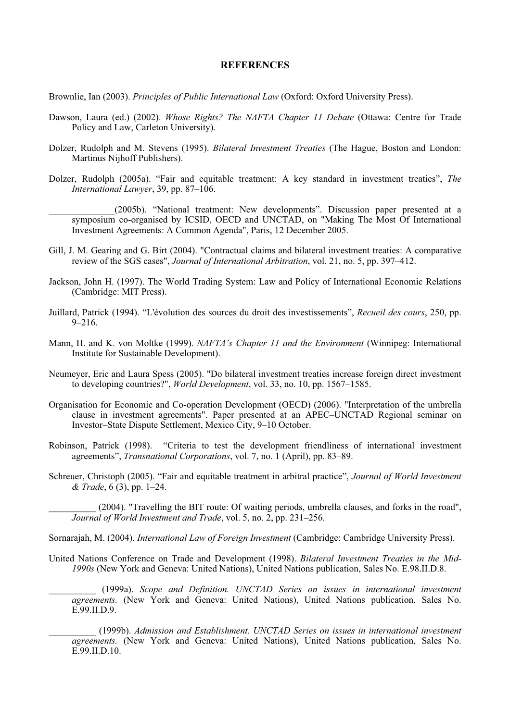# **REFERENCES**

Brownlie, Ian (2003). *Principles of Public International Law* (Oxford: Oxford University Press).

- Dawson, Laura (ed.) (2002). *Whose Rights? The NAFTA Chapter 11 Debate* (Ottawa: Centre for Trade Policy and Law, Carleton University).
- Dolzer, Rudolph and M. Stevens (1995). *Bilateral Investment Treaties* (The Hague, Boston and London: Martinus Nijhoff Publishers).
- Dolzer, Rudolph (2005a). "Fair and equitable treatment: A key standard in investment treaties", *The International Lawyer*, 39, pp. 87–106.
	- \_\_\_\_\_\_\_\_\_\_\_\_\_\_(2005b). "National treatment: New developments". Discussion paper presented at a symposium co-organised by ICSID, OECD and UNCTAD, on "Making The Most Of International Investment Agreements: A Common Agenda", Paris, 12 December 2005.
- Gill, J. M. Gearing and G. Birt (2004). "Contractual claims and bilateral investment treaties: A comparative review of the SGS cases", *Journal of International Arbitration*, vol. 21, no. 5, pp. 397–412.
- Jackson, John H. (1997). The World Trading System: Law and Policy of International Economic Relations (Cambridge: MIT Press).
- Juillard, Patrick (1994). "L'évolution des sources du droit des investissements", *Recueil des cours*, 250, pp.  $9 - 216.$
- Mann, H. and K. von Moltke (1999). *NAFTA's Chapter 11 and the Environment* (Winnipeg: International Institute for Sustainable Development).
- Neumeyer, Eric and Laura Spess (2005). "Do bilateral investment treaties increase foreign direct investment to developing countries?", *World Development*, vol. 33, no. 10, pp. 1567–1585.
- Organisation for Economic and Co-operation Development (OECD) (2006). "Interpretation of the umbrella clause in investment agreements". Paper presented at an APEC–UNCTAD Regional seminar on Investor–State Dispute Settlement, Mexico City, 9–10 October.
- Robinson, Patrick (1998). "Criteria to test the development friendliness of international investment agreements", *Transnational Corporations*, vol. 7, no. 1 (April), pp. 83–89.
- Schreuer, Christoph (2005). "Fair and equitable treatment in arbitral practice", *Journal of World Investment & Trade*, 6 (3), pp. 1–24.

\_\_\_\_\_\_\_\_\_\_ (2004). "Travelling the BIT route: Of waiting periods, umbrella clauses, and forks in the road", *Journal of World Investment and Trade*, vol. 5, no. 2, pp. 231–256.

Sornarajah, M. (2004). *International Law of Foreign Investment* (Cambridge: Cambridge University Press).

- United Nations Conference on Trade and Development (1998). *Bilateral Investment Treaties in the Mid-1990s* (New York and Geneva: United Nations), United Nations publication, Sales No. E.98.II.D.8.
	- \_\_\_\_\_\_\_\_\_\_ (1999a). *Scope and Definition. UNCTAD Series on issues in international investment agreements.* (New York and Geneva: United Nations), United Nations publication, Sales No. E.99.II.D.9.
	- \_\_\_\_\_\_\_\_\_\_ (1999b). *Admission and Establishment. UNCTAD Series on issues in international investment agreements.* (New York and Geneva: United Nations), United Nations publication, Sales No. E.99.II.D.10.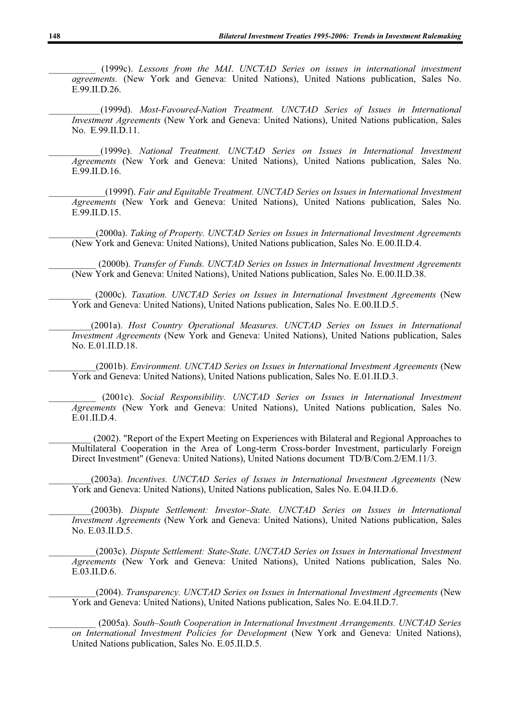\_\_\_\_\_\_\_\_\_\_ (1999c). *Lessons from the MAI*. *UNCTAD Series on issues in international investment agreements.* (New York and Geneva: United Nations), United Nations publication, Sales No. E.99.II.D.26.

\_\_\_\_\_\_\_\_\_\_\_(1999d). *Most-Favoured-Nation Treatment. UNCTAD Series of Issues in International Investment Agreements* (New York and Geneva: United Nations), United Nations publication, Sales No. E.99.II.D.11.

\_\_\_\_\_\_\_\_\_\_\_(1999e). *National Treatment. UNCTAD Series on Issues in International Investment Agreements* (New York and Geneva: United Nations), United Nations publication, Sales No. E.99.II.D.16.

\_\_\_\_\_\_\_\_\_\_\_\_(1999f). *Fair and Equitable Treatment. UNCTAD Series on Issues in International Investment Agreements* (New York and Geneva: United Nations), United Nations publication, Sales No. E.99.II.D.15.

\_\_\_\_\_\_\_\_\_\_(2000a). *Taking of Property. UNCTAD Series on Issues in International Investment Agreements*  (New York and Geneva: United Nations), United Nations publication, Sales No. E.00.II.D.4.

\_\_\_\_\_\_\_\_\_\_ (2000b). *Transfer of Funds. UNCTAD Series on Issues in International Investment Agreements*  (New York and Geneva: United Nations), United Nations publication, Sales No. E.00.II.D.38.

\_\_\_\_\_\_\_\_\_ (2000c). *Taxation. UNCTAD Series on Issues in International Investment Agreements* (New York and Geneva: United Nations), United Nations publication, Sales No. E.00.II.D.5.

\_\_\_\_\_\_\_\_\_(2001a). *Host Country Operational Measures. UNCTAD Series on Issues in International Investment Agreements* (New York and Geneva: United Nations), United Nations publication, Sales No. E.01.II.D.18.

\_\_\_\_\_\_\_\_\_\_(2001b). *Environment. UNCTAD Series on Issues in International Investment Agreements* (New York and Geneva: United Nations), United Nations publication, Sales No. E.01.II.D.3.

\_\_\_\_\_\_\_\_\_\_ (2001c). *Social Responsibility. UNCTAD Series on Issues in International Investment Agreements* (New York and Geneva: United Nations), United Nations publication, Sales No. E.01.II.D.4.

\_\_\_\_\_\_\_\_\_ (2002). "Report of the Expert Meeting on Experiences with Bilateral and Regional Approaches to Multilateral Cooperation in the Area of Long-term Cross-border Investment, particularly Foreign Direct Investment" (Geneva: United Nations), United Nations document TD/B/Com.2/EM.11/3.

\_\_\_\_\_\_\_\_\_(2003a). *Incentives. UNCTAD Series of Issues in International Investment Agreements* (New York and Geneva: United Nations), United Nations publication, Sales No. E.04.II.D.6.

\_\_\_\_\_\_\_\_\_(2003b). *Dispute Settlement: Investor–State. UNCTAD Series on Issues in International Investment Agreements* (New York and Geneva: United Nations), United Nations publication, Sales No. E.03.II.D.5.

\_\_\_\_\_\_\_\_\_\_(2003c). *Dispute Settlement: State-State*. *UNCTAD Series on Issues in International Investment Agreements* (New York and Geneva: United Nations), United Nations publication, Sales No. E.03.II.D.6.

\_\_\_\_\_\_\_\_\_\_(2004). *Transparency. UNCTAD Series on Issues in International Investment Agreements* (New York and Geneva: United Nations), United Nations publication, Sales No. E.04.II.D.7.

\_\_\_\_\_\_\_\_\_\_ (2005a). *South–South Cooperation in International Investment Arrangements. UNCTAD Series on International Investment Policies for Development* (New York and Geneva: United Nations), United Nations publication, Sales No. E.05.II.D.5.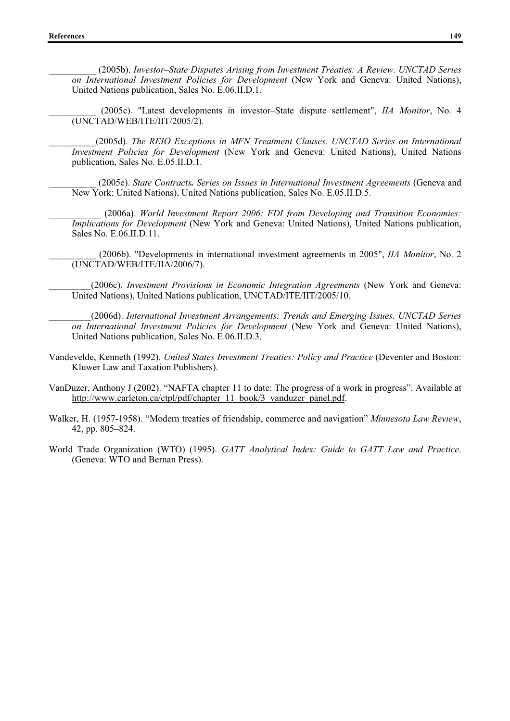\_\_\_\_\_\_\_\_\_\_ (2005b). *Investor–State Disputes Arising from Investment Treaties: A Review. UNCTAD Series on International Investment Policies for Development* (New York and Geneva: United Nations), United Nations publication, Sales No. E.06.II.D.1.

\_\_\_\_\_\_\_\_\_\_ (2005c). "Latest developments in investor–State dispute settlement", *IIA Monitor*, No. 4 (UNCTAD/WEB/ITE/IIT/2005/2).

\_\_\_\_\_\_\_\_\_\_(2005d). *The REIO Exceptions in MFN Treatment Clauses. UNCTAD Series on International Investment Policies for Development* (New York and Geneva: United Nations), United Nations publication, Sales No. E.05.II.D.1.

\_\_\_\_\_\_\_\_\_\_ (2005e). *State Contracts. Series on Issues in International Investment Agreements* (Geneva and New York: United Nations), United Nations publication, Sales No. E.05.II.D.5.

\_\_\_\_\_\_\_\_\_\_\_ (2006a). *World Investment Report 2006: FDI from Developing and Transition Economies: Implications for Development* (New York and Geneva: United Nations), United Nations publication, Sales No. E.06.II.D.11.

\_\_\_\_\_\_\_\_\_\_ (2006b). "Developments in international investment agreements in 2005", *IIA Monitor*, No. 2 (UNCTAD/WEB/ITE/IIA/2006/7).

\_\_\_\_\_\_\_\_\_(2006c). *Investment Provisions in Economic Integration Agreements* (New York and Geneva: United Nations), United Nations publication, UNCTAD/ITE/IIT/2005/10.

\_\_\_\_\_\_\_\_\_(2006d). *International Investment Arrangements: Trends and Emerging Issues. UNCTAD Series on International Investment Policies for Development* (New York and Geneva: United Nations), United Nations publication, Sales No. E.06.II.D.3.

- Vandevelde, Kenneth (1992). *United States Investment Treaties: Policy and Practice* (Deventer and Boston: Kluwer Law and Taxation Publishers).
- VanDuzer, Anthony J (2002). "NAFTA chapter 11 to date: The progress of a work in progress". Available at http://www.carleton.ca/ctpl/pdf/chapter\_11\_book/3\_vanduzer\_panel.pdf.
- Walker, H. (1957-1958). "Modern treaties of friendship, commerce and navigation" *Minnesota Law Review*, 42, pp. 805–824.
- World Trade Organization (WTO) (1995). *GATT Analytical Index: Guide to GATT Law and Practice*. (Geneva: WTO and Bernan Press).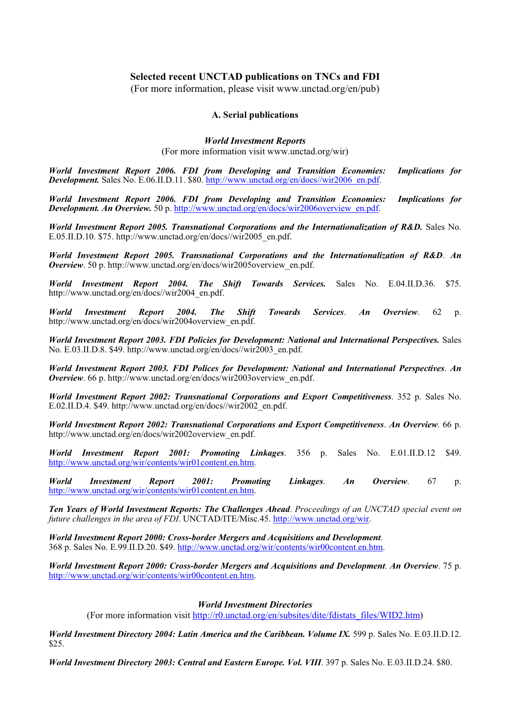# **Selected recent UNCTAD publications on TNCs and FDI**

(For more information, please visit www.unctad.org/en/pub)

# **A. Serial publications**

# *World Investment Reports* (For more information visit www.unctad.org/wir)

*World Investment Report 2006. FDI from Developing and Transition Economies: Implications for Development.* Sales No. E.06.II.D.11. \$80. http://www.unctad.org/en/docs//wir2006\_en.pdf.

*World Investment Report 2006. FDI from Developing and Transition Economies: Implications for Development. An Overview.* 50 p. http://www.unctad.org/en/docs/wir2006overview\_en.pdf.

*World Investment Report 2005. Transnational Corporations and the Internationalization of R&D.* Sales No. E.05.II.D.10. \$75. http://www.unctad.org/en/docs//wir2005\_en.pdf.

*World Investment Report 2005. Transnational Corporations and the Internationalization of R&D*. *An Overview.* 50 p. http://www.unctad.org/en/docs/wir2005overview\_en.pdf.

*World Investment Report 2004. The Shift Towards Services.* Sales No. E.04.II.D.36. \$75. http://www.unctad.org/en/docs//wir2004\_en.pdf.

*World Investment Report 2004. The Shift Towards Services*. *An Overview*. 62 p. http://www.unctad.org/en/docs/wir2004overview\_en.pdf.

*World Investment Report 2003. FDI Policies for Development: National and International Perspectives.* Sales No. E.03.II.D.8. \$49. http://www.unctad.org/en/docs//wir2003\_en.pdf.

*World Investment Report 2003. FDI Polices for Development: National and International Perspectives*. *An Overview*. 66 p. http://www.unctad.org/en/docs/wir2003overview\_en.pdf.

*World Investment Report 2002: Transnational Corporations and Export Competitiveness*. 352 p. Sales No. E.02.II.D.4. \$49. http://www.unctad.org/en/docs//wir2002\_en.pdf.

*World Investment Report 2002: Transnational Corporations and Export Competitiveness*. *An Overview*. 66 p. http://www.unctad.org/en/docs/wir2002overview\_en.pdf.

*World Investment Report 2001: Promoting Linkages*. 356 p. Sales No. E.01.II.D.12 \$49. http://www.unctad.org/wir/contents/wir01content.en.htm.

*World Investment Report 2001: Promoting Linkages*. *An Overview*. 67 p. http://www.unctad.org/wir/contents/wir01content.en.htm.

*Ten Years of World Investment Reports: The Challenges Ahead*. *Proceedings of an UNCTAD special event on future challenges in the area of FDI*. UNCTAD/ITE/Misc.45. http://www.unctad.org/wir.

*World Investment Report 2000: Cross-border Mergers and Acquisitions and Development*. 368 p. Sales No. E.99.II.D.20. \$49. http://www.unctad.org/wir/contents/wir00content.en.htm.

*World Investment Report 2000: Cross-border Mergers and Acquisitions and Development*. *An Overview*. 75 p. http://www.unctad.org/wir/contents/wir00content.en.htm.

### *World Investment Directories*

(For more information visit http://r0.unctad.org/en/subsites/dite/fdistats\_files/WID2.htm)

*World Investment Directory 2004: Latin America and the Caribbean. Volume IX.* 599 p. Sales No. E.03.II.D.12. \$25.

*World Investment Directory 2003: Central and Eastern Europe. Vol. VIII*. 397 p. Sales No. E.03.II.D.24. \$80.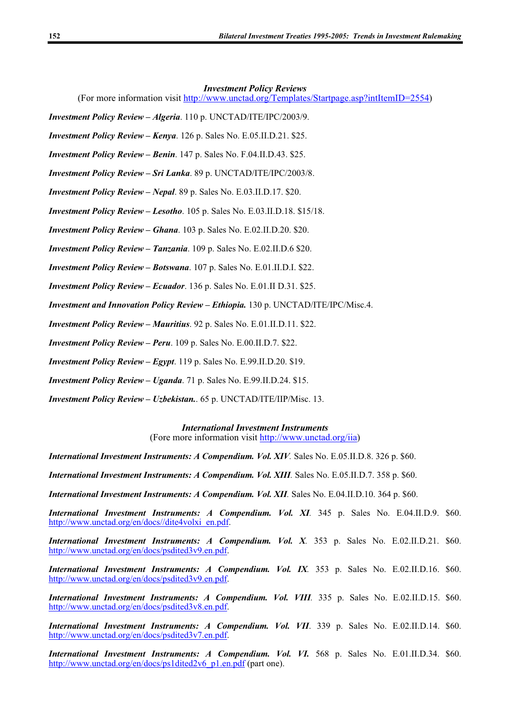### *Investment Policy Reviews*

(For more information visit http://www.unctad.org/Templates/Startpage.asp?intItemID=2554)

*Investment Policy Review – Algeria*. 110 p. UNCTAD/ITE/IPC/2003/9.

*Investment Policy Review – Kenya*. 126 p. Sales No. E.05.II.D.21. \$25.

*Investment Policy Review – Benin*. 147 p. Sales No. F.04.II.D.43. \$25.

*Investment Policy Review – Sri Lanka*. 89 p. UNCTAD/ITE/IPC/2003/8.

*Investment Policy Review – Nepal*. 89 p. Sales No. E.03.II.D.17. \$20.

*Investment Policy Review – Lesotho*. 105 p. Sales No. E.03.II.D.18. \$15/18.

*Investment Policy Review – Ghana*. 103 p. Sales No. E.02.II.D.20. \$20.

*Investment Policy Review – Tanzania*. 109 p. Sales No. E.02.II.D.6 \$20.

*Investment Policy Review – Botswana*. 107 p. Sales No. E.01.II.D.I. \$22.

*Investment Policy Review – Ecuador*. 136 p. Sales No. E.01.II D.31. \$25.

*Investment and Innovation Policy Review – Ethiopia.* 130 p. UNCTAD/ITE/IPC/Misc.4.

*Investment Policy Review – Mauritius*. 92 p. Sales No. E.01.II.D.11. \$22.

*Investment Policy Review – Peru*. 109 p. Sales No. E.00.II.D.7. \$22.

*Investment Policy Review – Egypt*. 119 p. Sales No. E.99.II.D.20. \$19.

*Investment Policy Review – Uganda*. 71 p. Sales No. E.99.II.D.24. \$15.

*Investment Policy Review – Uzbekistan.*. 65 p. UNCTAD/ITE/IIP/Misc. 13.

### *International Investment Instruments*

(Fore more information visit http://www.unctad.org/iia)

*International Investment Instruments: A Compendium. Vol. XIV.* Sales No. E.05.II.D.8. 326 p. \$60.

*International Investment Instruments: A Compendium. Vol. XIII.* Sales No. E.05.II.D.7. 358 p. \$60.

*International Investment Instruments: A Compendium. Vol. XII.* Sales No. E.04.II.D.10. 364 p. \$60.

*International Investment Instruments: A Compendium. Vol. XI.* 345 p. Sales No. E.04.II.D.9. \$60. http://www.unctad.org/en/docs//dite4volxi\_en.pdf.

*International Investment Instruments: A Compendium. Vol. X.* 353 p. Sales No. E.02.II.D.21. \$60. http://www.unctad.org/en/docs/psdited3v9.en.pdf.

*International Investment Instruments: A Compendium. Vol. IX.* 353 p. Sales No. E.02.II.D.16. \$60. http://www.unctad.org/en/docs/psdited3v9.en.pdf.

*International Investment Instruments: A Compendium. Vol. VIII.* 335 p. Sales No. E.02.II.D.15. \$60. http://www.unctad.org/en/docs/psdited3v8.en.pdf.

*International Investment Instruments: A Compendium. Vol. VII*. 339 p. Sales No. E.02.II.D.14. \$60. http://www.unctad.org/en/docs/psdited3v7.en.pdf.

*International Investment Instruments: A Compendium. Vol. VI.* 568 p. Sales No. E.01.II.D.34. \$60. http://www.unctad.org/en/docs/ps1dited2v6\_p1.en.pdf (part one).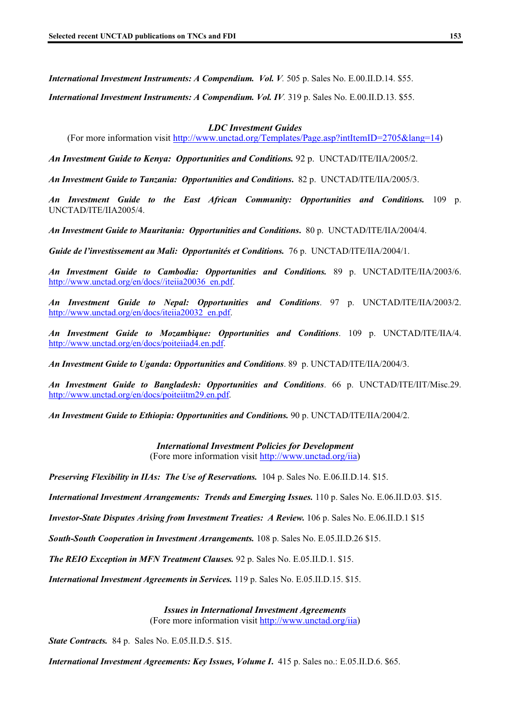*International Investment Instruments: A Compendium. Vol. V.* 505 p. Sales No. E.00.II.D.14. \$55.

*International Investment Instruments: A Compendium. Vol. IV.* 319 p. Sales No. E.00.II.D.13. \$55.

### *LDC Investment Guides*

(For more information visit http://www.unctad.org/Templates/Page.asp?intItemID=2705&lang=14)

*An Investment Guide to Kenya: Opportunities and Conditions.* 92 p. UNCTAD/ITE/IIA/2005/2.

*An Investment Guide to Tanzania: Opportunities and Conditions***.** 82 p. UNCTAD/ITE/IIA/2005/3.

*An Investment Guide to the East African Community: Opportunities and Conditions.* 109 p. UNCTAD/ITE/IIA2005/4.

*An Investment Guide to Mauritania: Opportunities and Conditions***.** 80 p. UNCTAD/ITE/IIA/2004/4.

*Guide de l'investissement au Mali: Opportunités et Conditions.* 76 p. UNCTAD/ITE/IIA/2004/1.

*An Investment Guide to Cambodia: Opportunities and Conditions.* 89 p. UNCTAD/ITE/IIA/2003/6. http://www.unctad.org/en/docs//iteiia20036\_en.pdf.

*An Investment Guide to Nepal: Opportunities and Conditions*. 97 p. UNCTAD/ITE/IIA/2003/2. http://www.unctad.org/en/docs/iteiia20032\_en.pdf.

*An Investment Guide to Mozambique: Opportunities and Conditions*. 109 p. UNCTAD/ITE/IIA/4. http://www.unctad.org/en/docs/poiteiiad4.en.pdf.

*An Investment Guide to Uganda: Opportunities and Conditions*. 89 p. UNCTAD/ITE/IIA/2004/3.

*An Investment Guide to Bangladesh: Opportunities and Conditions*. 66 p. UNCTAD/ITE/IIT/Misc.29. http://www.unctad.org/en/docs/poiteiitm29.en.pdf.

*An Investment Guide to Ethiopia: Opportunities and Conditions.* 90 p. UNCTAD/ITE/IIA/2004/2.

### *International Investment Policies for Development*  (Fore more information visit http://www.unctad.org/iia)

*Preserving Flexibility in IIAs: The Use of Reservations.* 104 p. Sales No. E.06.II.D.14. \$15.

*International Investment Arrangements: Trends and Emerging Issues.* 110 p. Sales No. E.06.II.D.03. \$15.

*Investor-State Disputes Arising from Investment Treaties: A Review.* 106 p. Sales No. E.06.II.D.1 \$15

*South-South Cooperation in Investment Arrangements.* 108 p. Sales No. E.05.II.D.26 \$15.

*The REIO Exception in MFN Treatment Clauses.* 92 p. Sales No. E.05.II.D.1. \$15.

*International Investment Agreements in Services.* 119 p. Sales No. E.05.II.D.15. \$15.

*Issues in International Investment Agreements*  (Fore more information visit http://www.unctad.org/iia)

*State Contracts.* 84 p. Sales No. E.05.II.D.5. \$15.

*International Investment Agreements: Key Issues, Volume I***.** 415 p. Sales no.: E.05.II.D.6. \$65.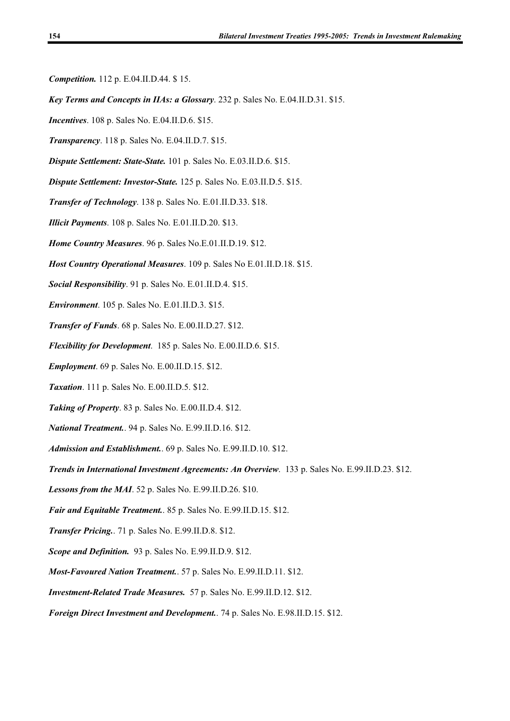- *Competition.* 112 p. E.04.II.D.44. \$ 15.
- *Key Terms and Concepts in IIAs: a Glossary*. 232 p. Sales No. E.04.II.D.31. \$15.
- *Incentives*. 108 p. Sales No. E.04.II.D.6. \$15.
- *Transparency*. 118 p. Sales No. E.04.II.D.7. \$15.
- *Dispute Settlement: State-State.* 101 p. Sales No. E.03.II.D.6. \$15.
- *Dispute Settlement: Investor-State.* 125 p. Sales No. E.03.II.D.5. \$15.
- *Transfer of Technology*. 138 p. Sales No. E.01.II.D.33. \$18.
- *Illicit Payments*. 108 p. Sales No. E.01.II.D.20. \$13.
- *Home Country Measures*. 96 p. Sales No.E.01.II.D.19. \$12.
- *Host Country Operational Measures*. 109 p. Sales No E.01.II.D.18. \$15.
- *Social Responsibility*. 91 p. Sales No. E.01.II.D.4. \$15.
- *Environment*. 105 p. Sales No. E.01.II.D.3. \$15.
- *Transfer of Funds*. 68 p. Sales No. E.00.II.D.27. \$12.
- *Flexibility for Development*. 185 p. Sales No. E.00.II.D.6. \$15.
- *Employment*. 69 p. Sales No. E.00.II.D.15. \$12.
- *Taxation*. 111 p. Sales No. E.00.II.D.5. \$12.
- *Taking of Property*. 83 p. Sales No. E.00.II.D.4. \$12.
- *National Treatment.*. 94 p. Sales No. E.99.II.D.16. \$12.
- *Admission and Establishment.*. 69 p. Sales No. E.99.II.D.10. \$12.
- *Trends in International Investment Agreements: An Overview*. 133 p. Sales No. E.99.II.D.23. \$12.
- *Lessons from the MAI*. 52 p. Sales No. E.99.II.D.26. \$10.
- *Fair and Equitable Treatment.*. 85 p. Sales No. E.99.II.D.15. \$12.
- *Transfer Pricing.*. 71 p. Sales No. E.99.II.D.8. \$12.
- *Scope and Definition.* 93 p. Sales No. E.99.II.D.9. \$12.
- *Most-Favoured Nation Treatment.*. 57 p. Sales No. E.99.II.D.11. \$12.
- *Investment-Related Trade Measures.* 57 p. Sales No. E.99.II.D.12. \$12.
- *Foreign Direct Investment and Development.*. 74 p. Sales No. E.98.II.D.15. \$12.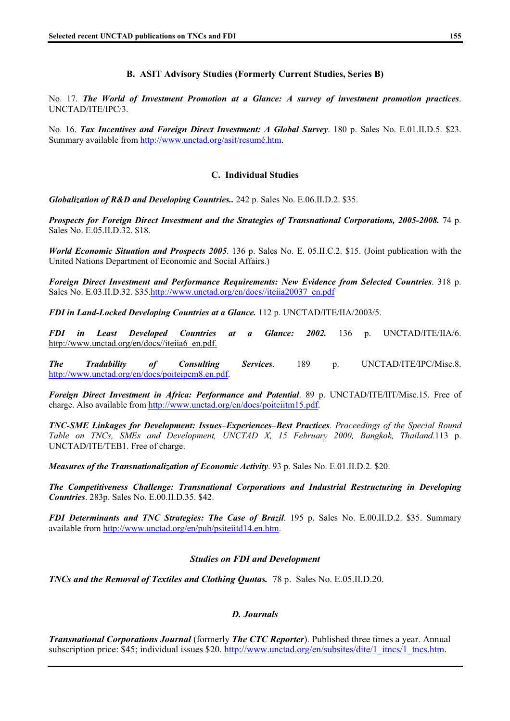# **B. ASIT Advisory Studies (Formerly Current Studies, Series B)**

No. 17. *The World of Investment Promotion at a Glance: A survey of investment promotion practices*. UNCTAD/ITE/IPC/3.

No. 16. *Tax Incentives and Foreign Direct Investment: A Global Survey*. 180 p. Sales No. E.01.II.D.5. \$23. Summary available from http://www.unctad.org/asit/resumé.htm.

# **C. Individual Studies**

*Globalization of R&D and Developing Countries..* 242 p. Sales No. E.06.II.D.2. \$35.

*Prospects for Foreign Direct Investment and the Strategies of Transnational Corporations, 2005-2008.* 74 p. Sales No. E.05.II.D.32. \$18.

*World Economic Situation and Prospects 2005*. 136 p. Sales No. E. 05.II.C.2. \$15. (Joint publication with the United Nations Department of Economic and Social Affairs.)

*Foreign Direct Investment and Performance Requirements: New Evidence from Selected Countries*. 318 p. Sales No. E.03.II.D.32. \$35.http://www.unctad.org/en/docs//iteiia20037\_en.pdf

*FDI in Land-Locked Developing Countries at a Glance.* 112 p. UNCTAD/ITE/IIA/2003/5.

*FDI in Least Developed Countries at a Glance: 2002.* 136 p. UNCTAD/ITE/IIA/6. http://www.unctad.org/en/docs//iteiia6\_en.pdf.

*The Tradability of Consulting Services*. 189 p. UNCTAD/ITE/IPC/Misc.8. http://www.unctad.org/en/docs/poiteipcm8.en.pdf.

*Foreign Direct Investment in Africa: Performance and Potential*. 89 p. UNCTAD/ITE/IIT/Misc.15. Free of charge. Also available from http://www.unctad.org/en/docs/poiteiitm15.pdf.

*TNC-SME Linkages for Development: Issues–Experiences–Best Practices*. *Proceedings of the Special Round Table on TNCs, SMEs and Development, UNCTAD X, 15 February 2000, Bangkok, Thailand.*113 p. UNCTAD/ITE/TEB1. Free of charge.

*Measures of the Transnationalization of Economic Activity*. 93 p. Sales No. E.01.II.D.2. \$20.

*The Competitiveness Challenge: Transnational Corporations and Industrial Restructuring in Developing Countries*. 283p. Sales No. E.00.II.D.35. \$42.

*FDI Determinants and TNC Strategies: The Case of Brazil*. 195 p. Sales No. E.00.II.D.2. \$35. Summary available from http://www.unctad.org/en/pub/psiteiitd14.en.htm.

## *Studies on FDI and Development*

*TNCs and the Removal of Textiles and Clothing Quotas.* 78 p. Sales No. E.05.II.D.20.

# *D. Journals*

*Transnational Corporations Journal* (formerly *The CTC Reporter*). Published three times a year. Annual subscription price: \$45; individual issues \$20. http://www.unctad.org/en/subsites/dite/1\_itncs/1\_tncs.htm.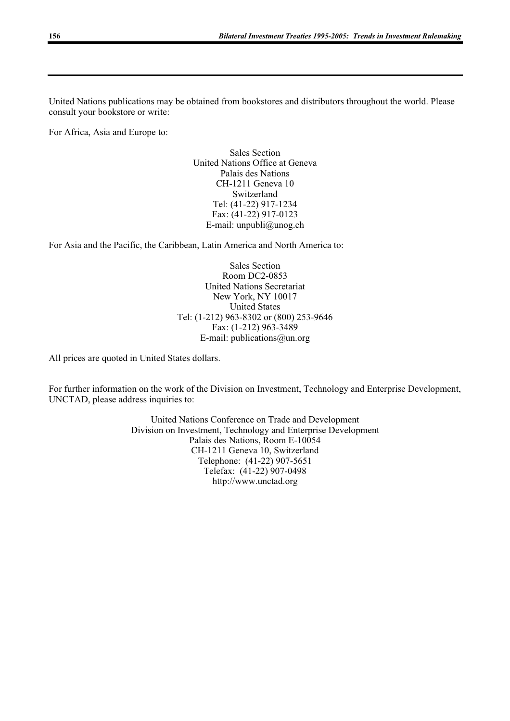United Nations publications may be obtained from bookstores and distributors throughout the world. Please consult your bookstore or write:

For Africa, Asia and Europe to:

Sales Section United Nations Office at Geneva Palais des Nations CH-1211 Geneva 10 Switzerland Tel: (41-22) 917-1234 Fax: (41-22) 917-0123 E-mail: unpubli@unog.ch

For Asia and the Pacific, the Caribbean, Latin America and North America to:

Sales Section Room DC2-0853 United Nations Secretariat New York, NY 10017 United States Tel: (1-212) 963-8302 or (800) 253-9646 Fax: (1-212) 963-3489 E-mail: publications@un.org

All prices are quoted in United States dollars.

For further information on the work of the Division on Investment, Technology and Enterprise Development, UNCTAD, please address inquiries to:

> United Nations Conference on Trade and Development Division on Investment, Technology and Enterprise Development Palais des Nations, Room E-10054 CH-1211 Geneva 10, Switzerland Telephone: (41-22) 907-5651 Telefax: (41-22) 907-0498 http://www.unctad.org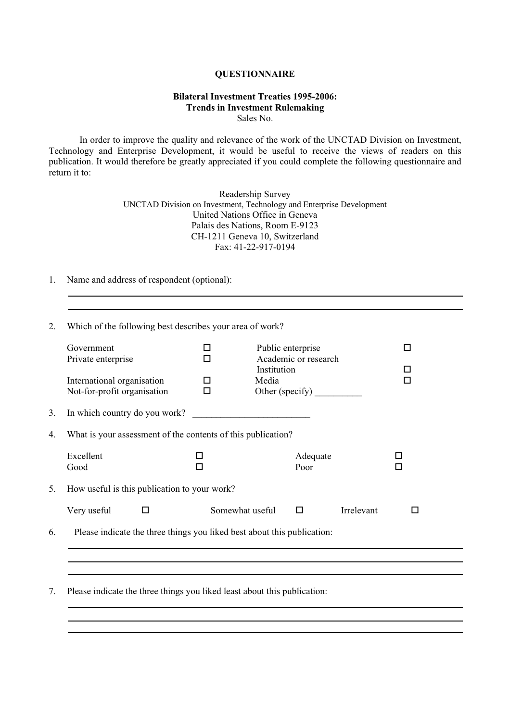# **QUESTIONNAIRE**

# **Bilateral Investment Treaties 1995-2006: Trends in Investment Rulemaking**

Sales No.

 In order to improve the quality and relevance of the work of the UNCTAD Division on Investment, Technology and Enterprise Development, it would be useful to receive the views of readers on this publication. It would therefore be greatly appreciated if you could complete the following questionnaire and return it to:

> Readership Survey UNCTAD Division on Investment, Technology and Enterprise Development United Nations Office in Geneva Palais des Nations, Room E-9123 CH-1211 Geneva 10, Switzerland Fax: 41-22-917-0194

1. Name and address of respondent (optional):

2. Which of the following best describes your area of work?

|    | Government<br>Private enterprise                                        | П               | Public enterprise<br>Academic or research |                  |             | П |  |  |
|----|-------------------------------------------------------------------------|-----------------|-------------------------------------------|------------------|-------------|---|--|--|
|    | International organisation<br>Not-for-profit organisation               | п<br>□          | Institution<br>Media<br>Other (specify)   |                  | $\Box$<br>п |   |  |  |
| 3. | In which country do you work?                                           |                 |                                           |                  |             |   |  |  |
| 4. | What is your assessment of the contents of this publication?            |                 |                                           |                  |             |   |  |  |
|    | Excellent<br>Good                                                       | ப<br>п          |                                           | Adequate<br>Poor |             | П |  |  |
| 5. | How useful is this publication to your work?                            |                 |                                           |                  |             |   |  |  |
|    | Very useful<br>□                                                        | Somewhat useful |                                           | □                | Irrelevant  |   |  |  |
| 6. | Please indicate the three things you liked best about this publication: |                 |                                           |                  |             |   |  |  |
|    |                                                                         |                 |                                           |                  |             |   |  |  |
|    |                                                                         |                 |                                           |                  |             |   |  |  |

7. Please indicate the three things you liked least about this publication: